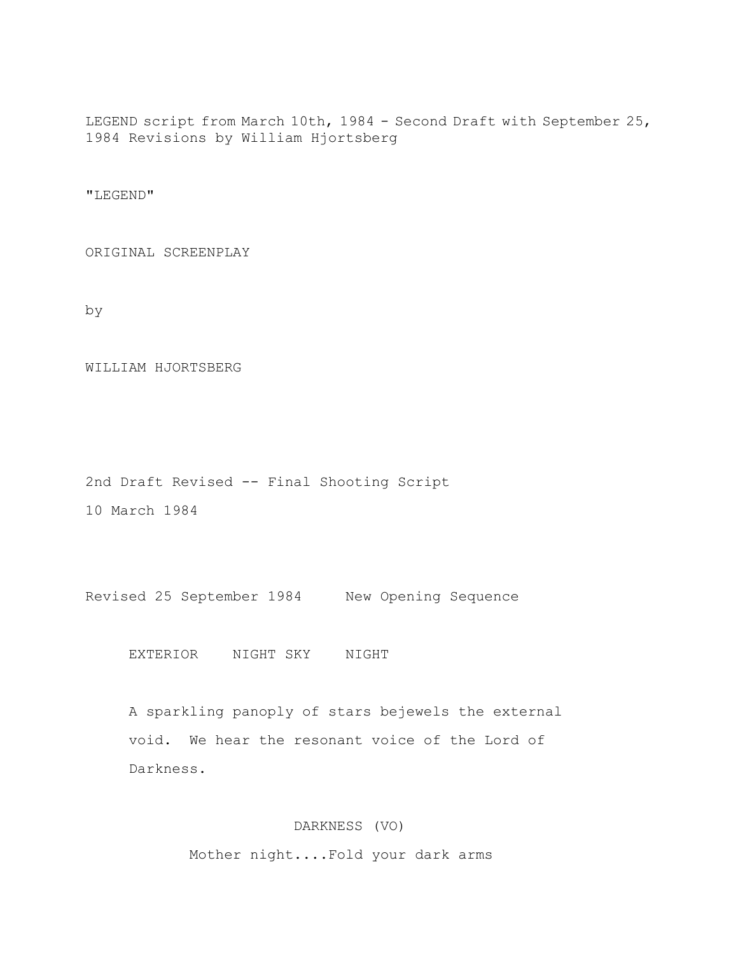LEGEND script from March 10th, 1984 - Second Draft with September 25, 1984 Revisions by William Hjortsberg

"LEGEND"

ORIGINAL SCREENPLAY

by

WILLIAM HJORTSBERG

2nd Draft Revised -- Final Shooting Script

10 March 1984

Revised 25 September 1984 New Opening Sequence

EXTERIOR NIGHT SKY NIGHT

 A sparkling panoply of stars bejewels the external void. We hear the resonant voice of the Lord of Darkness.

DARKNESS (VO)

Mother night....Fold your dark arms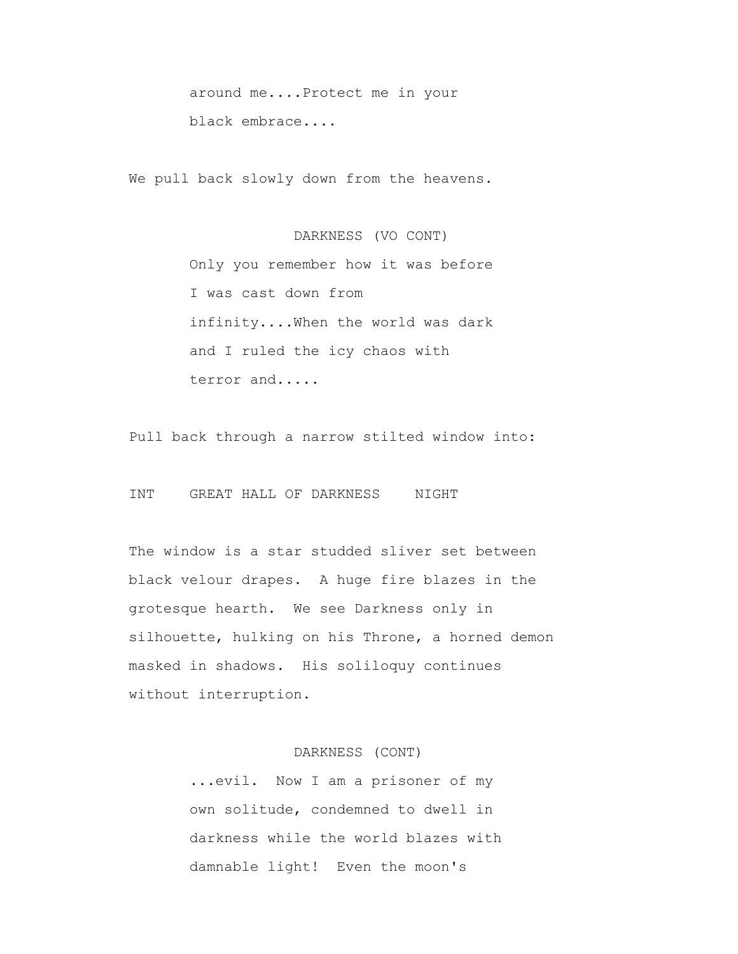around me....Protect me in your black embrace....

We pull back slowly down from the heavens.

 DARKNESS (VO CONT) Only you remember how it was before I was cast down from infinity....When the world was dark and I ruled the icy chaos with terror and.....

Pull back through a narrow stilted window into:

INT GREAT HALL OF DARKNESS NIGHT

 The window is a star studded sliver set between black velour drapes. A huge fire blazes in the grotesque hearth. We see Darkness only in silhouette, hulking on his Throne, a horned demon masked in shadows. His soliloquy continues without interruption.

## DARKNESS (CONT)

 ...evil. Now I am a prisoner of my own solitude, condemned to dwell in darkness while the world blazes with damnable light! Even the moon's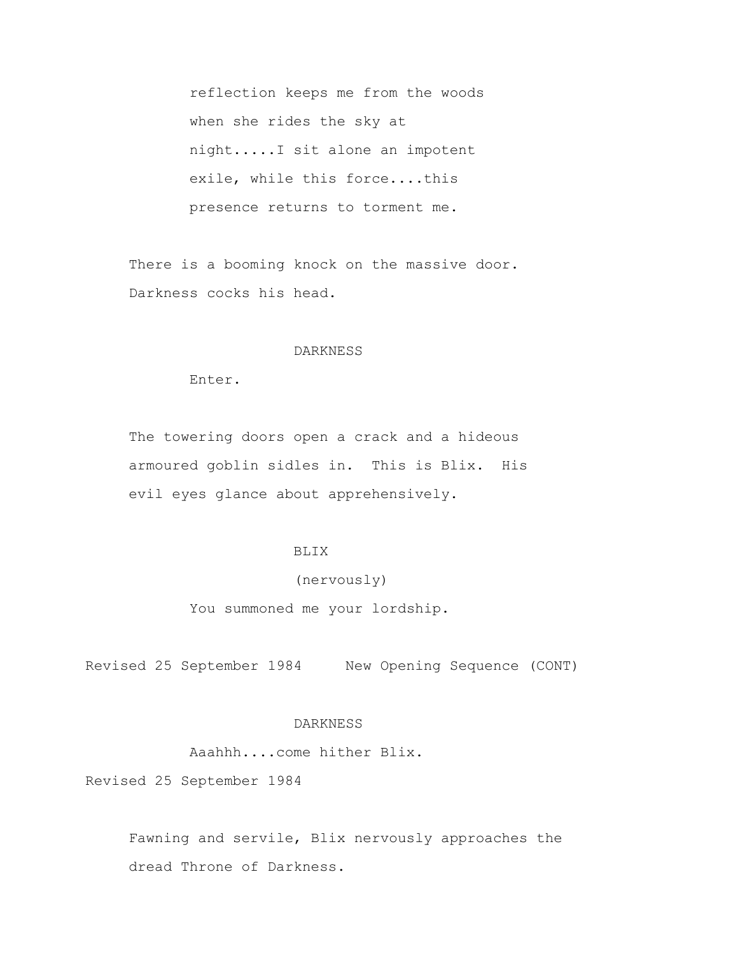reflection keeps me from the woods when she rides the sky at night.....I sit alone an impotent exile, while this force....this presence returns to torment me.

 There is a booming knock on the massive door. Darkness cocks his head.

#### DARKNESS

Enter.

 The towering doors open a crack and a hideous armoured goblin sidles in. This is Blix. His evil eyes glance about apprehensively.

# BLIX

## (nervously)

You summoned me your lordship.

Revised 25 September 1984 New Opening Sequence (CONT)

# DARKNESS

Aaahhh....come hither Blix.

Revised 25 September 1984

 Fawning and servile, Blix nervously approaches the dread Throne of Darkness.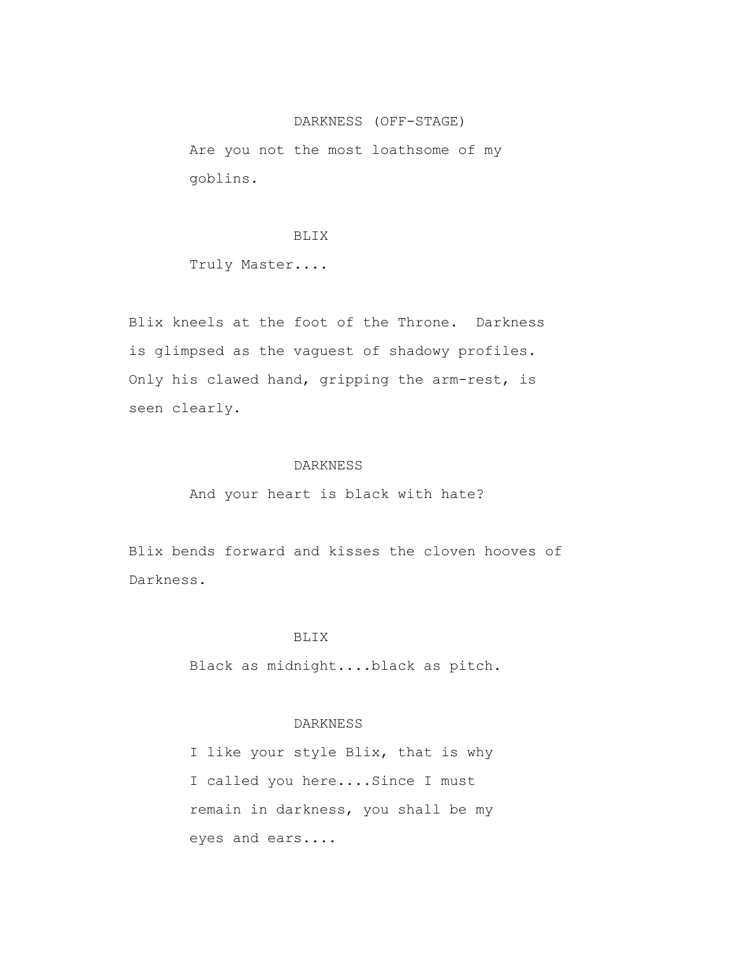## DARKNESS (OFF-STAGE)

 Are you not the most loathsome of my goblins.

#### BLIX

Truly Master....

 Blix kneels at the foot of the Throne. Darkness is glimpsed as the vaguest of shadowy profiles. Only his clawed hand, gripping the arm-rest, is seen clearly.

## DARKNESS

And your heart is black with hate?

 Blix bends forward and kisses the cloven hooves of Darkness.

## BLIX

Black as midnight....black as pitch.

# DARKNESS

 I like your style Blix, that is why I called you here....Since I must remain in darkness, you shall be my eyes and ears....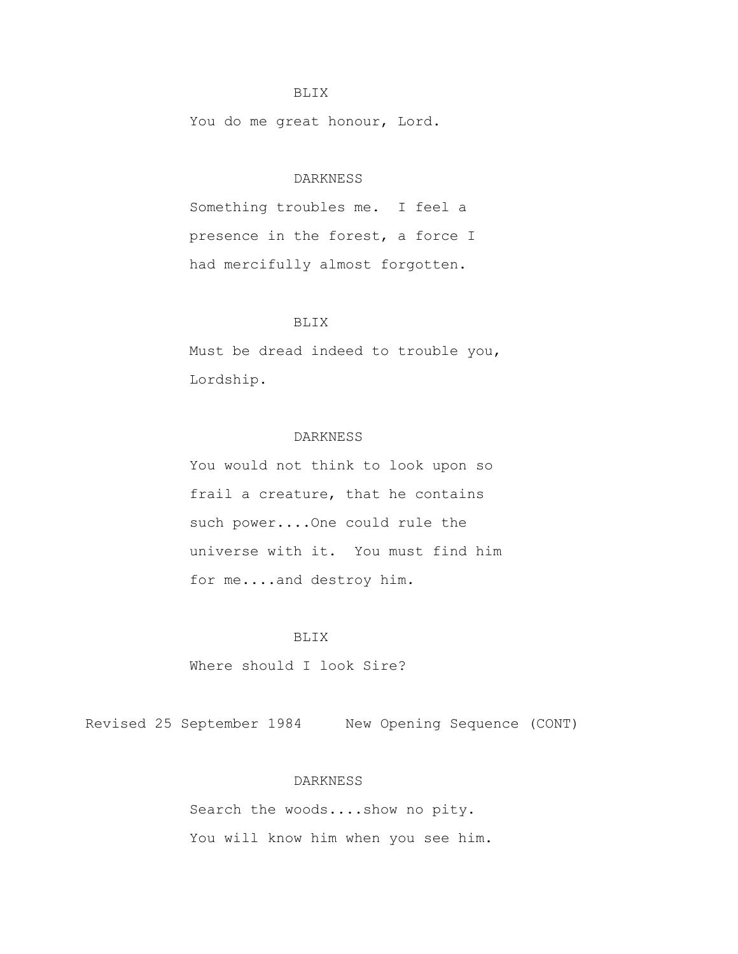#### BLIX

You do me great honour, Lord.

## DARKNESS

 Something troubles me. I feel a presence in the forest, a force I had mercifully almost forgotten.

## BLIX

 Must be dread indeed to trouble you, Lordship.

## DARKNESS

 You would not think to look upon so frail a creature, that he contains such power....One could rule the universe with it. You must find him for me....and destroy him.

# BLIX

Where should I look Sire?

Revised 25 September 1984 New Opening Sequence (CONT)

#### DARKNESS

 Search the woods....show no pity. You will know him when you see him.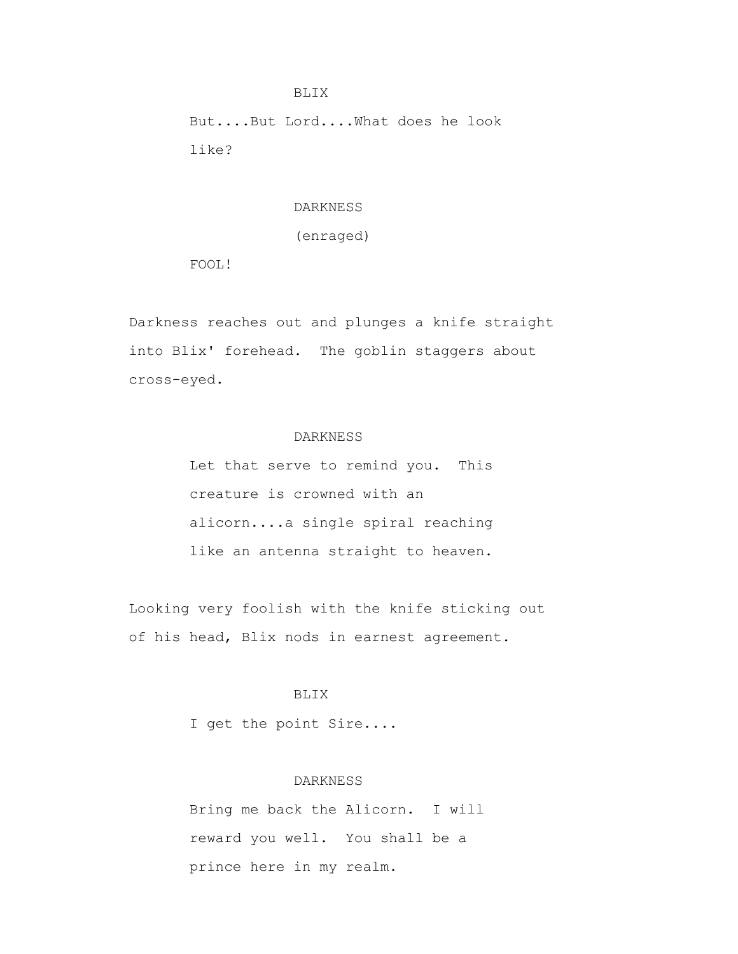But....But Lord....What does he look like?

## DARKNESS

## (enraged)

FOOL!

 Darkness reaches out and plunges a knife straight into Blix' forehead. The goblin staggers about cross-eyed.

# DARKNESS

 Let that serve to remind you. This creature is crowned with an alicorn....a single spiral reaching like an antenna straight to heaven.

 Looking very foolish with the knife sticking out of his head, Blix nods in earnest agreement.

# BLIX

I get the point Sire....

#### DARKNESS

 Bring me back the Alicorn. I will reward you well. You shall be a prince here in my realm.

BLIX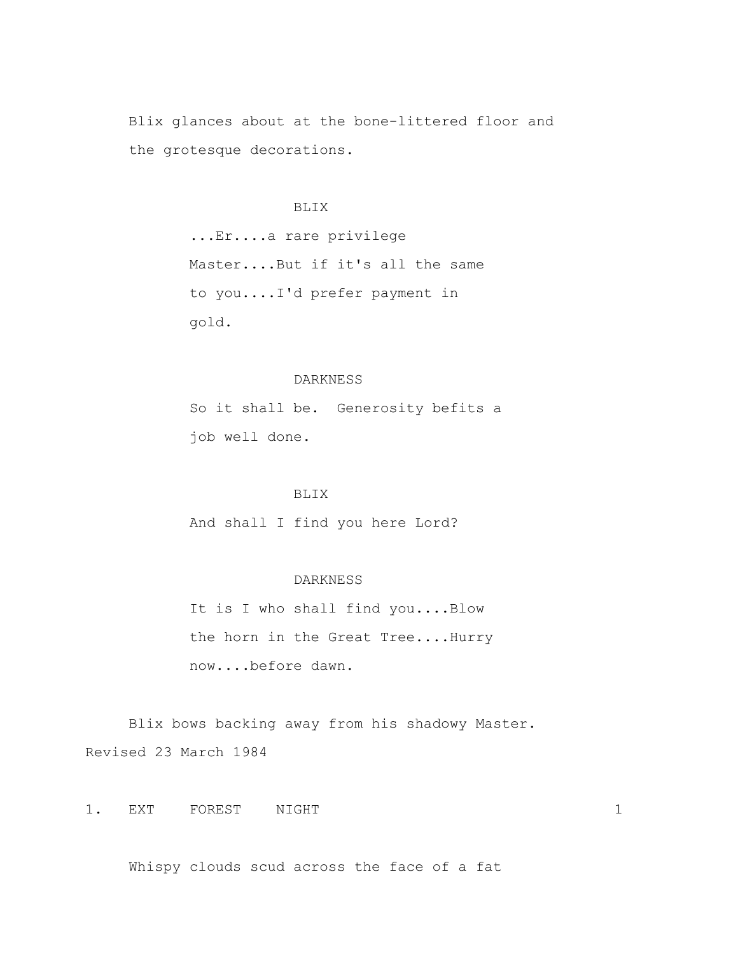Blix glances about at the bone-littered floor and the grotesque decorations.

#### BLIX

 ...Er....a rare privilege Master....But if it's all the same to you....I'd prefer payment in gold.

## DARKNESS

 So it shall be. Generosity befits a job well done.

# BLIX

And shall I find you here Lord?

#### DARKNESS

It is I who shall find you....Blow the horn in the Great Tree....Hurry now....before dawn.

 Blix bows backing away from his shadowy Master. Revised 23 March 1984

1. EXT FOREST NIGHT 1

Whispy clouds scud across the face of a fat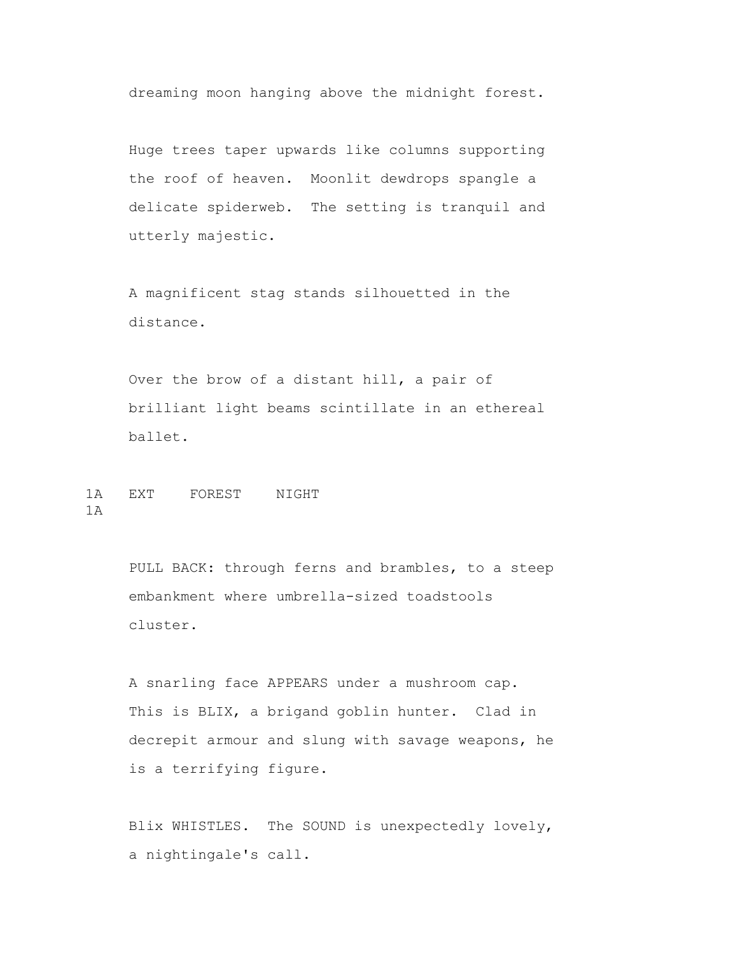dreaming moon hanging above the midnight forest.

 Huge trees taper upwards like columns supporting the roof of heaven. Moonlit dewdrops spangle a delicate spiderweb. The setting is tranquil and utterly majestic.

 A magnificent stag stands silhouetted in the distance.

 Over the brow of a distant hill, a pair of brilliant light beams scintillate in an ethereal ballet.

1A EXT FOREST NIGHT 1A

> PULL BACK: through ferns and brambles, to a steep embankment where umbrella-sized toadstools cluster.

> A snarling face APPEARS under a mushroom cap. This is BLIX, a brigand goblin hunter. Clad in decrepit armour and slung with savage weapons, he is a terrifying figure.

> Blix WHISTLES. The SOUND is unexpectedly lovely, a nightingale's call.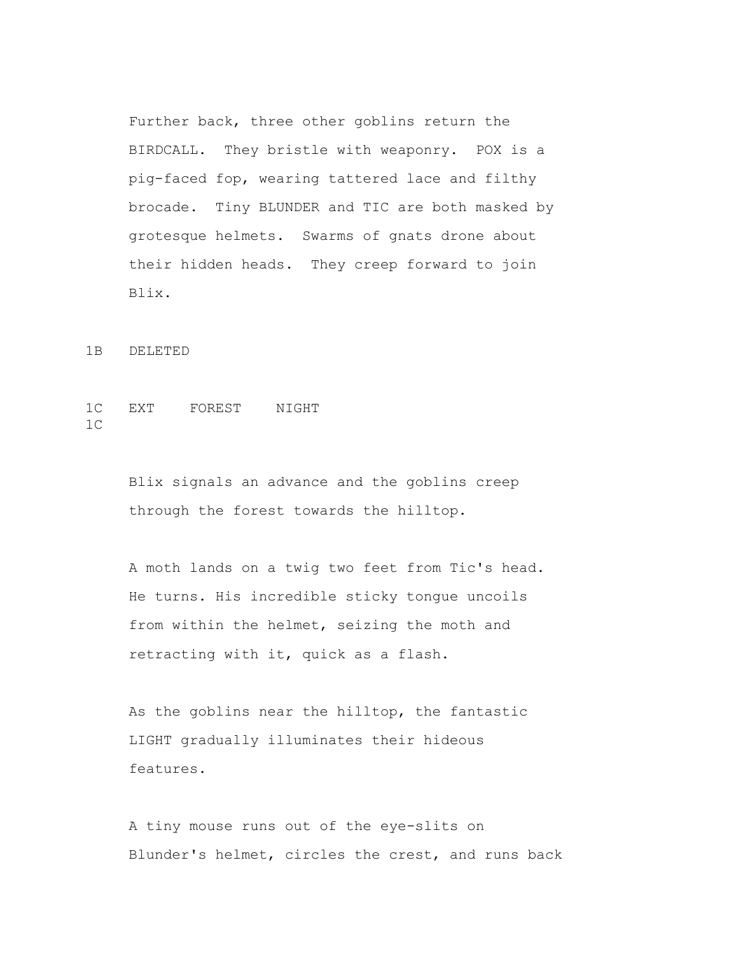Further back, three other goblins return the BIRDCALL. They bristle with weaponry. POX is a pig-faced fop, wearing tattered lace and filthy brocade. Tiny BLUNDER and TIC are both masked by grotesque helmets. Swarms of gnats drone about their hidden heads. They creep forward to join Blix.

1B DELETED

# 1C EXT FOREST NIGHT 1C

 Blix signals an advance and the goblins creep through the forest towards the hilltop.

 A moth lands on a twig two feet from Tic's head. He turns. His incredible sticky tongue uncoils from within the helmet, seizing the moth and retracting with it, quick as a flash.

 As the goblins near the hilltop, the fantastic LIGHT gradually illuminates their hideous features.

 A tiny mouse runs out of the eye-slits on Blunder's helmet, circles the crest, and runs back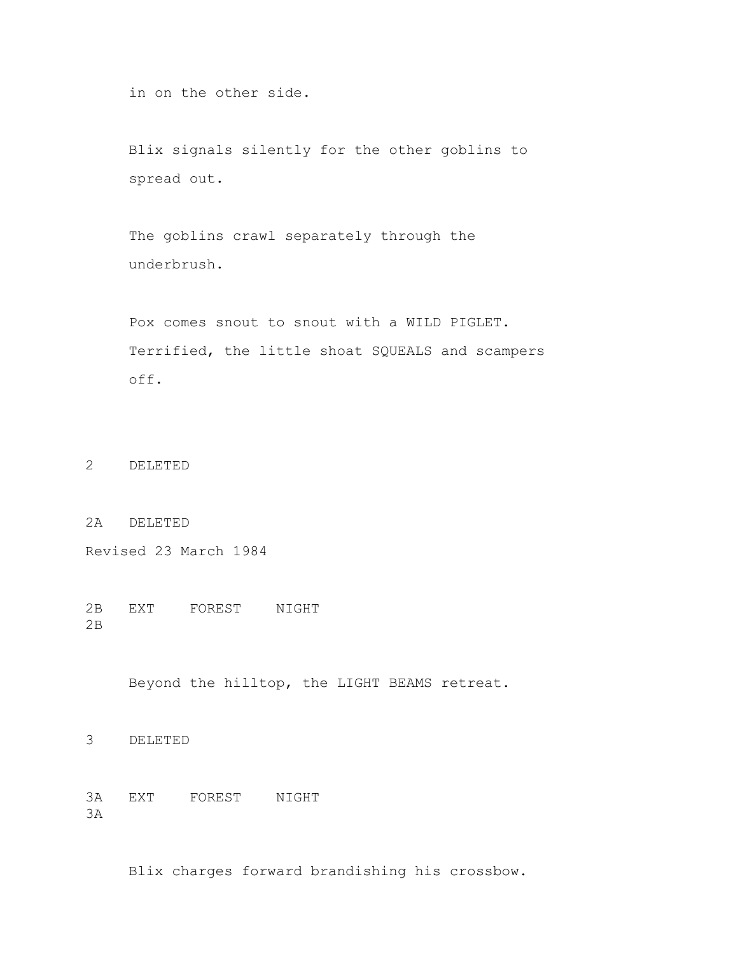in on the other side.

 Blix signals silently for the other goblins to spread out.

 The goblins crawl separately through the underbrush.

 Pox comes snout to snout with a WILD PIGLET. Terrified, the little shoat SQUEALS and scampers off.

2 DELETED

2A DELETED

Revised 23 March 1984

2B EXT FOREST NIGHT 2B

Beyond the hilltop, the LIGHT BEAMS retreat.

3 DELETED

3A EXT FOREST NIGHT 3A

Blix charges forward brandishing his crossbow.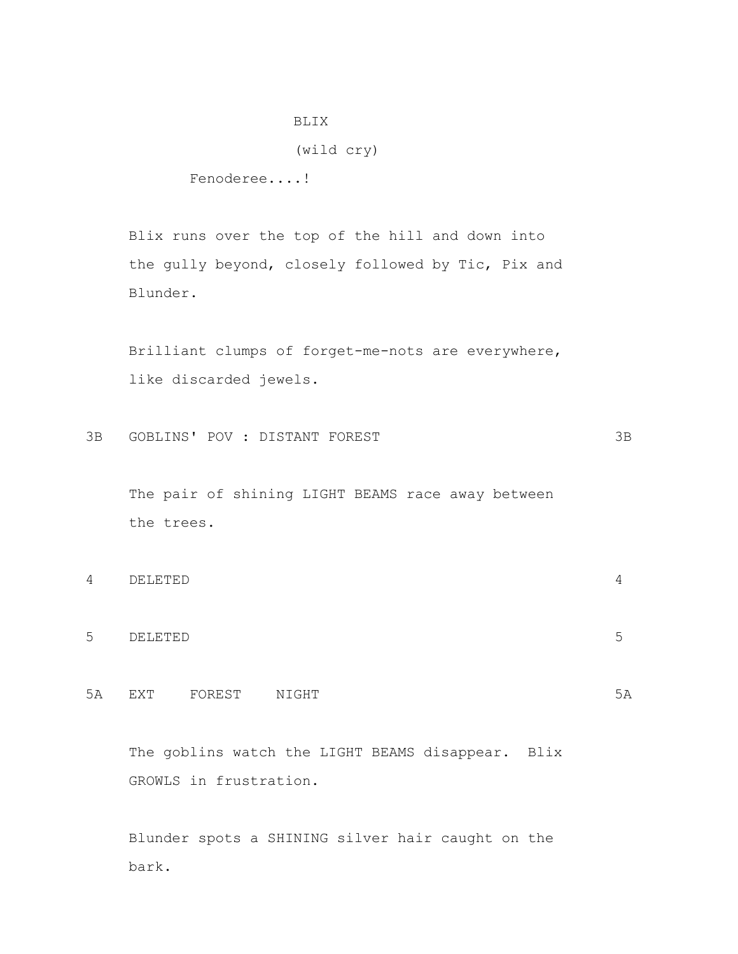# BLIX

## (wild cry)

Fenoderee....!

 Blix runs over the top of the hill and down into the gully beyond, closely followed by Tic, Pix and Blunder.

 Brilliant clumps of forget-me-nots are everywhere, like discarded jewels.

```
3B GOBLINS' POV : DISTANT FOREST 3B
```
 The pair of shining LIGHT BEAMS race away between the trees.

| 4 | DELETED |        |
|---|---------|--------|
|   |         |        |
| 5 | DELETED | ∽<br>◡ |
|   |         |        |

5A EXT FOREST NIGHT 5A 5A

The goblins watch the LIGHT BEAMS disappear. Blix GROWLS in frustration.

 Blunder spots a SHINING silver hair caught on the bark.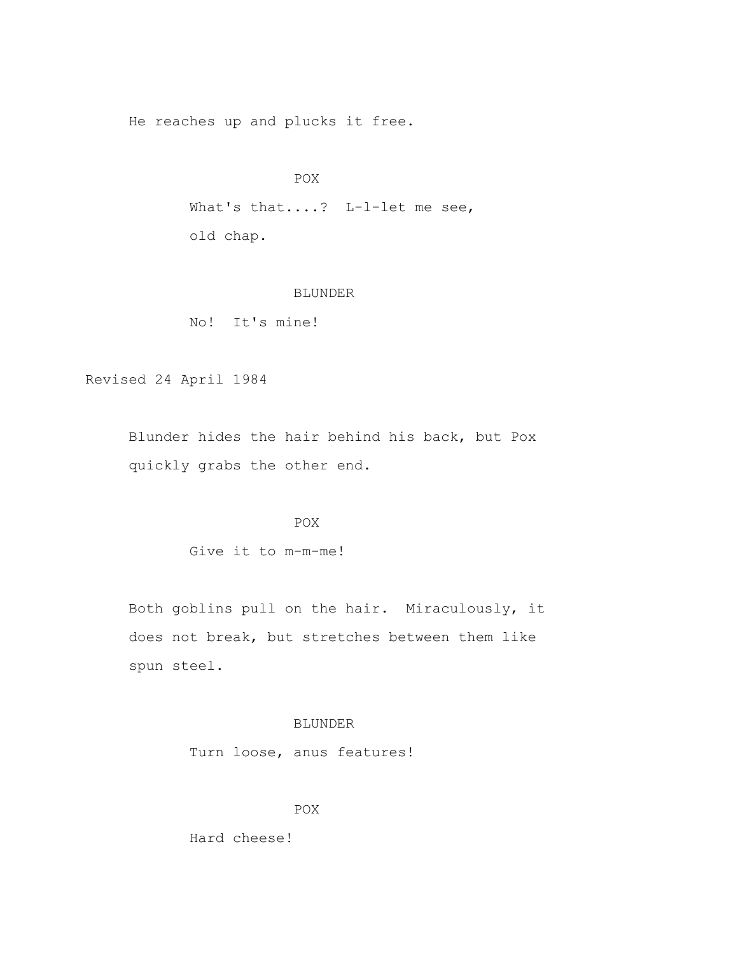He reaches up and plucks it free.

```
POX
```
What's that....? L-1-let me see, old chap.

## BLUNDER

No! It's mine!

Revised 24 April 1984

 Blunder hides the hair behind his back, but Pox quickly grabs the other end.

# **POX**

Give it to m-m-me!

 Both goblins pull on the hair. Miraculously, it does not break, but stretches between them like spun steel.

# BLUNDER

Turn loose, anus features!

POX

Hard cheese!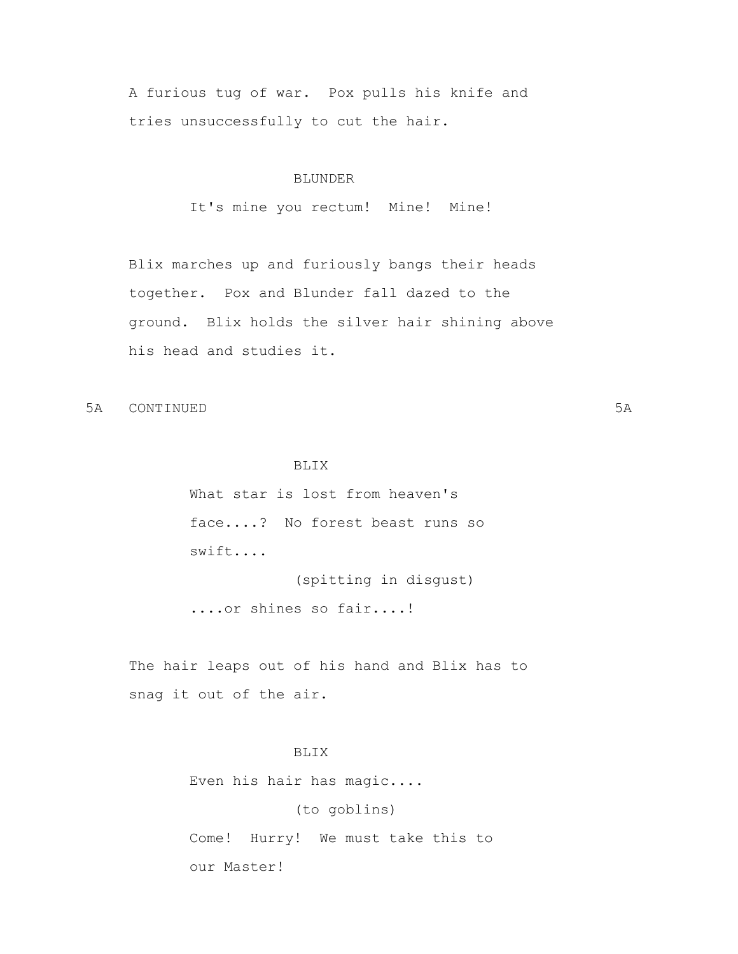A furious tug of war. Pox pulls his knife and tries unsuccessfully to cut the hair.

## BLUNDER

It's mine you rectum! Mine! Mine!

 Blix marches up and furiously bangs their heads together. Pox and Blunder fall dazed to the ground. Blix holds the silver hair shining above his head and studies it.

5A CONTINUED 5A

# BLIX

 What star is lost from heaven's face....? No forest beast runs so swift....

(spitting in disgust)

....or shines so fair....!

 The hair leaps out of his hand and Blix has to snag it out of the air.

# BLIX

Even his hair has magic....

(to goblins)

 Come! Hurry! We must take this to our Master!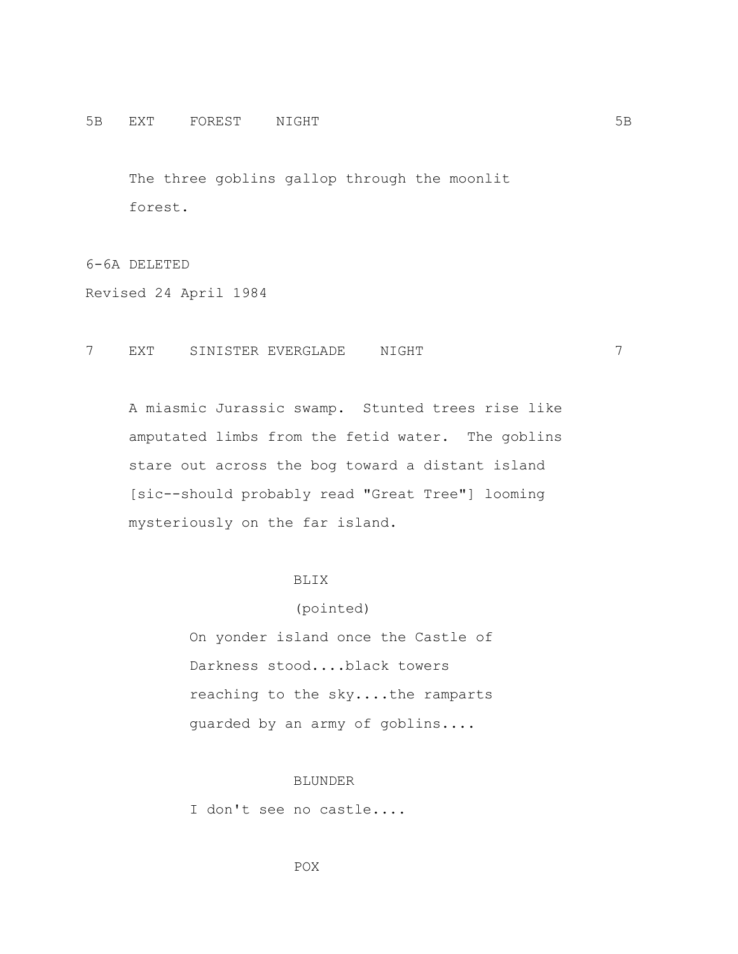The three goblins gallop through the moonlit forest.

# 6-6A DELETED

Revised 24 April 1984

## 7 EXT SINISTER EVERGLADE NIGHT 7

 A miasmic Jurassic swamp. Stunted trees rise like amputated limbs from the fetid water. The goblins stare out across the bog toward a distant island [sic--should probably read "Great Tree"] looming mysteriously on the far island.

## BLIX

## (pointed)

 On yonder island once the Castle of Darkness stood....black towers reaching to the sky....the ramparts guarded by an army of goblins....

#### BLUNDER

I don't see no castle....

POX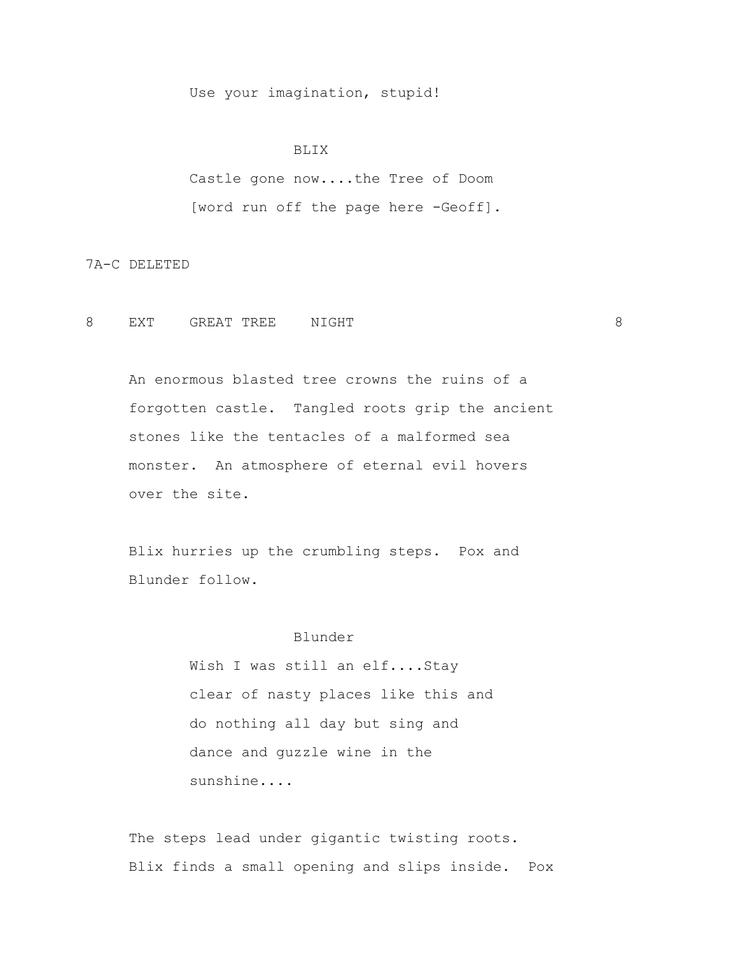Use your imagination, stupid!

#### BLIX

 Castle gone now....the Tree of Doom [word run off the page here -Geoff].

7A-C DELETED

8 EXT GREAT TREE NIGHT 8

 An enormous blasted tree crowns the ruins of a forgotten castle. Tangled roots grip the ancient stones like the tentacles of a malformed sea monster. An atmosphere of eternal evil hovers over the site.

 Blix hurries up the crumbling steps. Pox and Blunder follow.

## Blunder

 Wish I was still an elf....Stay clear of nasty places like this and do nothing all day but sing and dance and guzzle wine in the sunshine....

 The steps lead under gigantic twisting roots. Blix finds a small opening and slips inside. Pox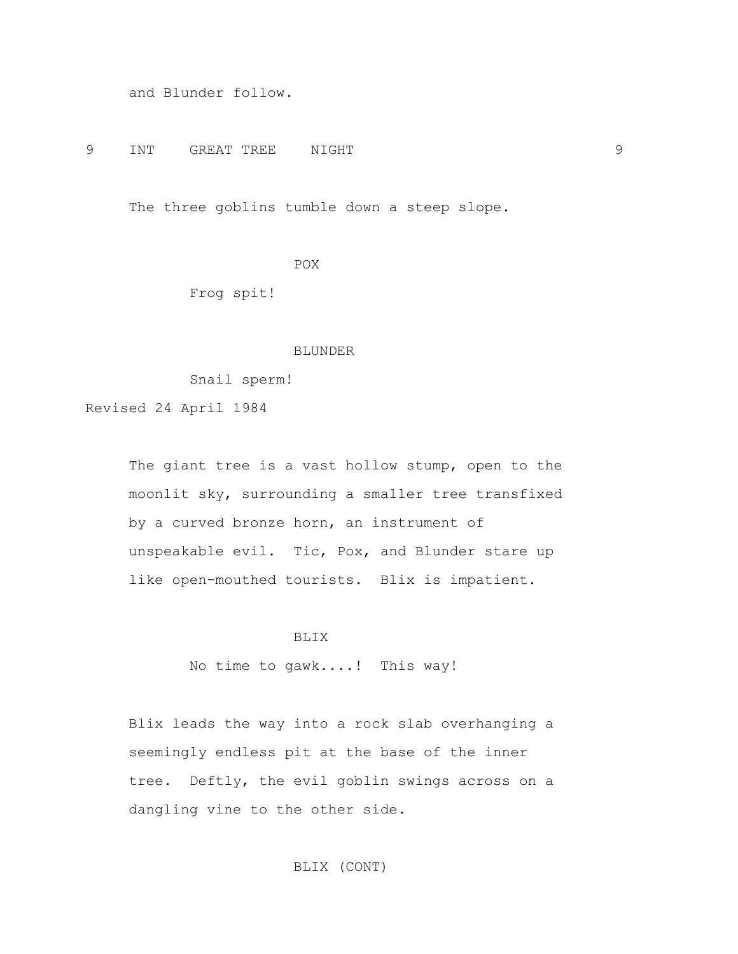and Blunder follow.

9 INT GREAT TREE NIGHT 9

The three goblins tumble down a steep slope.

POX<sup>P</sup>

Frog spit!

## BLUNDER

Snail sperm!

Revised 24 April 1984

The giant tree is a vast hollow stump, open to the moonlit sky, surrounding a smaller tree transfixed by a curved bronze horn, an instrument of unspeakable evil. Tic, Pox, and Blunder stare up like open-mouthed tourists. Blix is impatient.

BLIX

No time to gawk....! This way!

 Blix leads the way into a rock slab overhanging a seemingly endless pit at the base of the inner tree. Deftly, the evil goblin swings across on a dangling vine to the other side.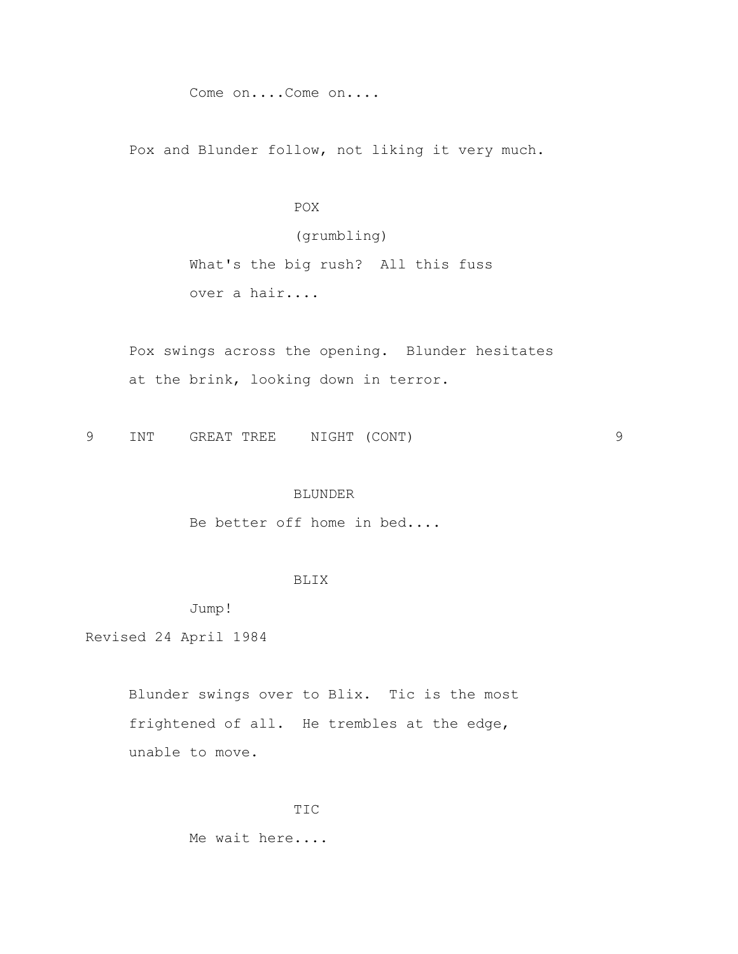Come on....Come on....

Pox and Blunder follow, not liking it very much.

# **POX**

# (grumbling)

 What's the big rush? All this fuss over a hair....

 Pox swings across the opening. Blunder hesitates at the brink, looking down in terror.

9 INT GREAT TREE NIGHT (CONT) 9

## BLUNDER

Be better off home in bed....

## BLIX

Jump!

Revised 24 April 1984

 Blunder swings over to Blix. Tic is the most frightened of all. He trembles at the edge, unable to move.

#### TIC

Me wait here....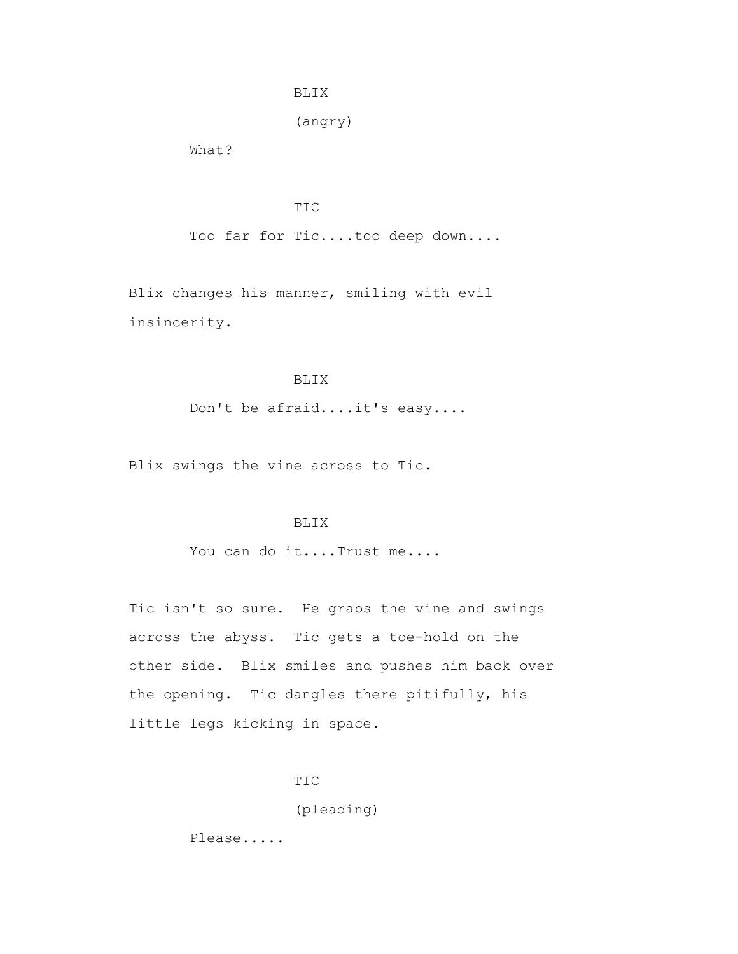## BLIX

(angry)

What?

TIC

Too far for Tic....too deep down....

 Blix changes his manner, smiling with evil insincerity.

# BLIX

Don't be afraid....it's easy....

Blix swings the vine across to Tic.

#### BLIX

You can do it....Trust me....

 Tic isn't so sure. He grabs the vine and swings across the abyss. Tic gets a toe-hold on the other side. Blix smiles and pushes him back over the opening. Tic dangles there pitifully, his little legs kicking in space.

TIC

(pleading)

Please.....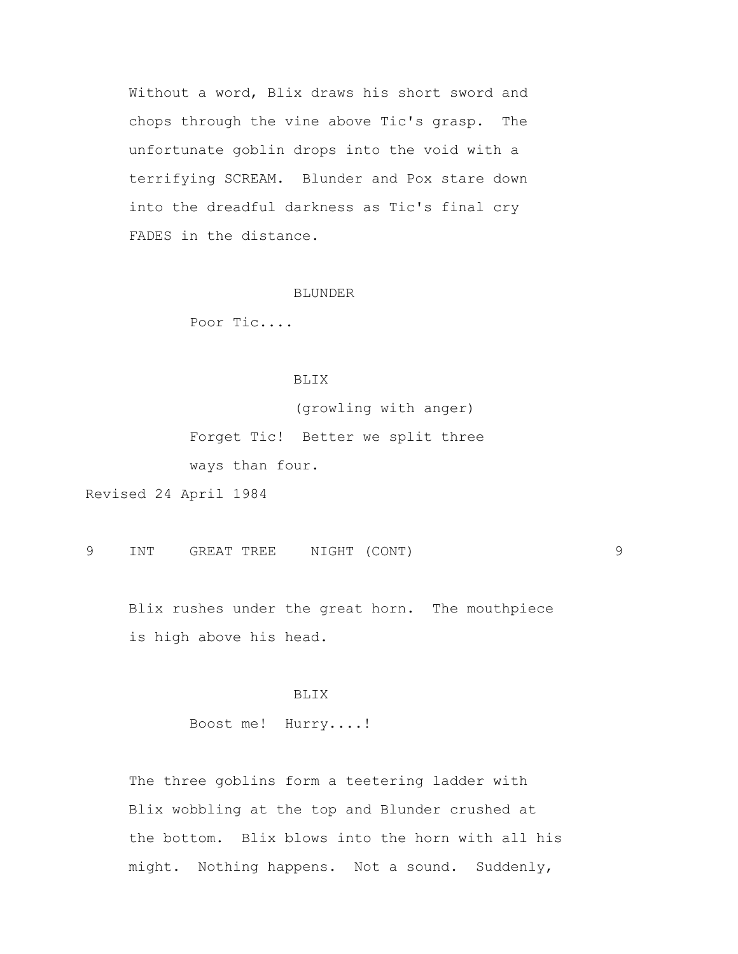Without a word, Blix draws his short sword and chops through the vine above Tic's grasp. The unfortunate goblin drops into the void with a terrifying SCREAM. Blunder and Pox stare down into the dreadful darkness as Tic's final cry FADES in the distance.

#### BLUNDER

Poor Tic....

## BLIX

(growling with anger)

 Forget Tic! Better we split three ways than four.

Revised 24 April 1984

9 INT GREAT TREE NIGHT (CONT) 9

 Blix rushes under the great horn. The mouthpiece is high above his head.

## BLIX

Boost me! Hurry....!

 The three goblins form a teetering ladder with Blix wobbling at the top and Blunder crushed at the bottom. Blix blows into the horn with all his might. Nothing happens. Not a sound. Suddenly,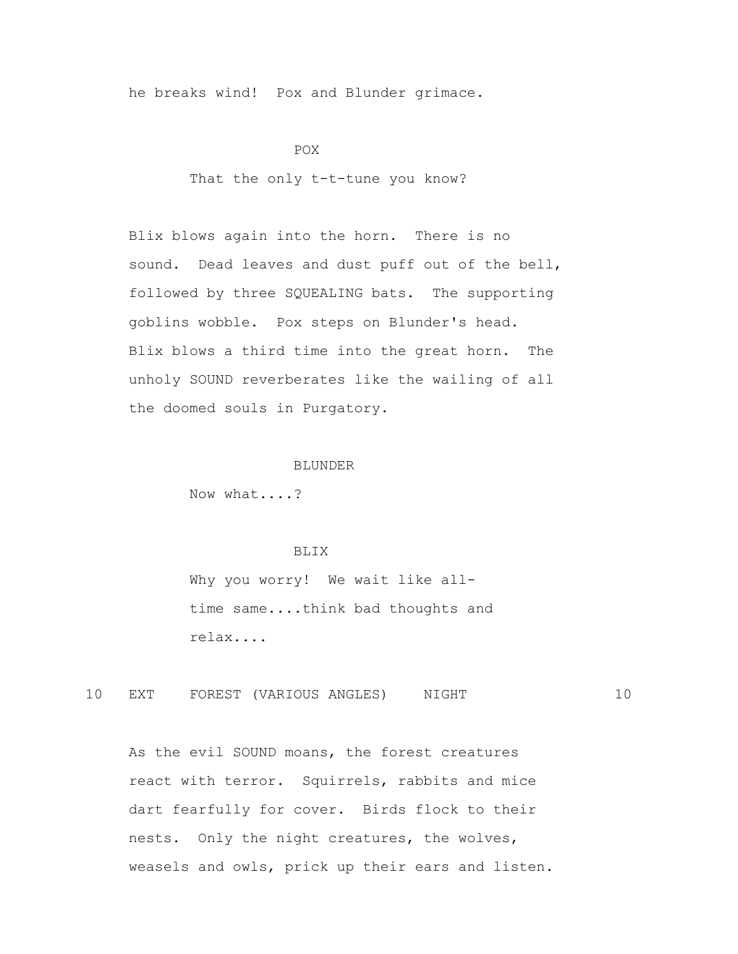he breaks wind! Pox and Blunder grimace.

POX<sup>P</sup>

That the only t-t-tune you know?

 Blix blows again into the horn. There is no sound. Dead leaves and dust puff out of the bell, followed by three SQUEALING bats. The supporting goblins wobble. Pox steps on Blunder's head. Blix blows a third time into the great horn. The unholy SOUND reverberates like the wailing of all the doomed souls in Purgatory.

#### BLUNDER

Now what....?

## BLIX

 Why you worry! We wait like all time same....think bad thoughts and relax....

10 EXT FOREST (VARIOUS ANGLES) NIGHT 10

 As the evil SOUND moans, the forest creatures react with terror. Squirrels, rabbits and mice dart fearfully for cover. Birds flock to their nests. Only the night creatures, the wolves, weasels and owls, prick up their ears and listen.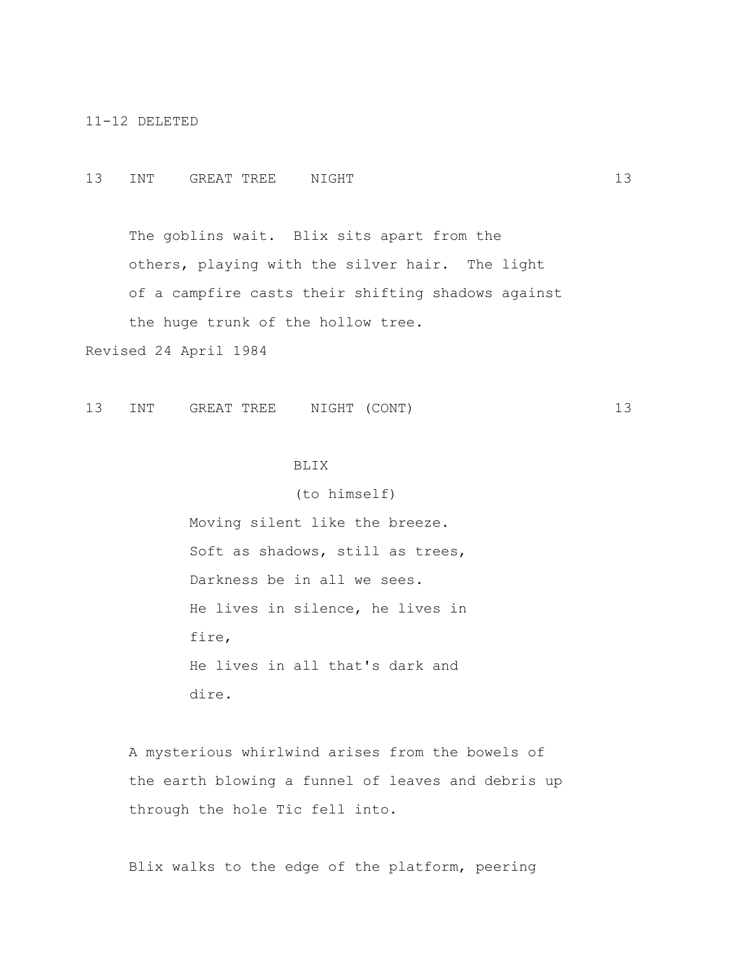11-12 DELETED

## 13 INT GREAT TREE NIGHT 13 13

 The goblins wait. Blix sits apart from the others, playing with the silver hair. The light of a campfire casts their shifting shadows against the huge trunk of the hollow tree.

Revised 24 April 1984

13 INT GREAT TREE NIGHT (CONT) 13

## BLIX

(to himself)

 Moving silent like the breeze. Soft as shadows, still as trees, Darkness be in all we sees. He lives in silence, he lives in fire, He lives in all that's dark and dire.

 A mysterious whirlwind arises from the bowels of the earth blowing a funnel of leaves and debris up through the hole Tic fell into.

Blix walks to the edge of the platform, peering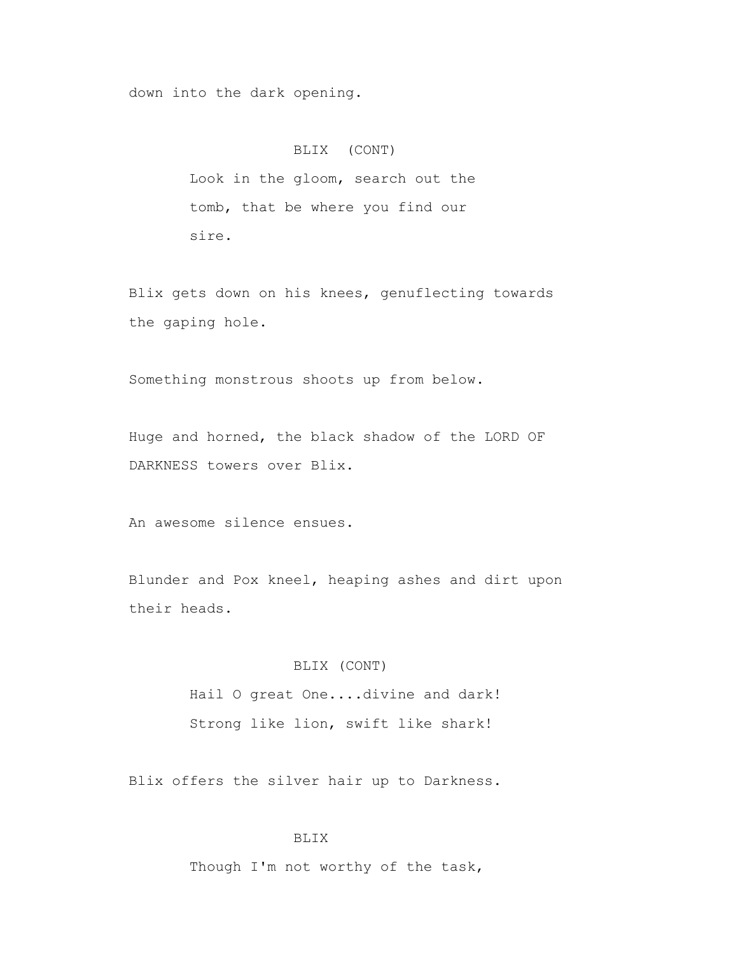down into the dark opening.

## BLIX (CONT)

 Look in the gloom, search out the tomb, that be where you find our sire.

 Blix gets down on his knees, genuflecting towards the gaping hole.

Something monstrous shoots up from below.

 Huge and horned, the black shadow of the LORD OF DARKNESS towers over Blix.

An awesome silence ensues.

 Blunder and Pox kneel, heaping ashes and dirt upon their heads.

## BLIX (CONT)

 Hail O great One....divine and dark! Strong like lion, swift like shark!

Blix offers the silver hair up to Darkness.

# BLIX

Though I'm not worthy of the task,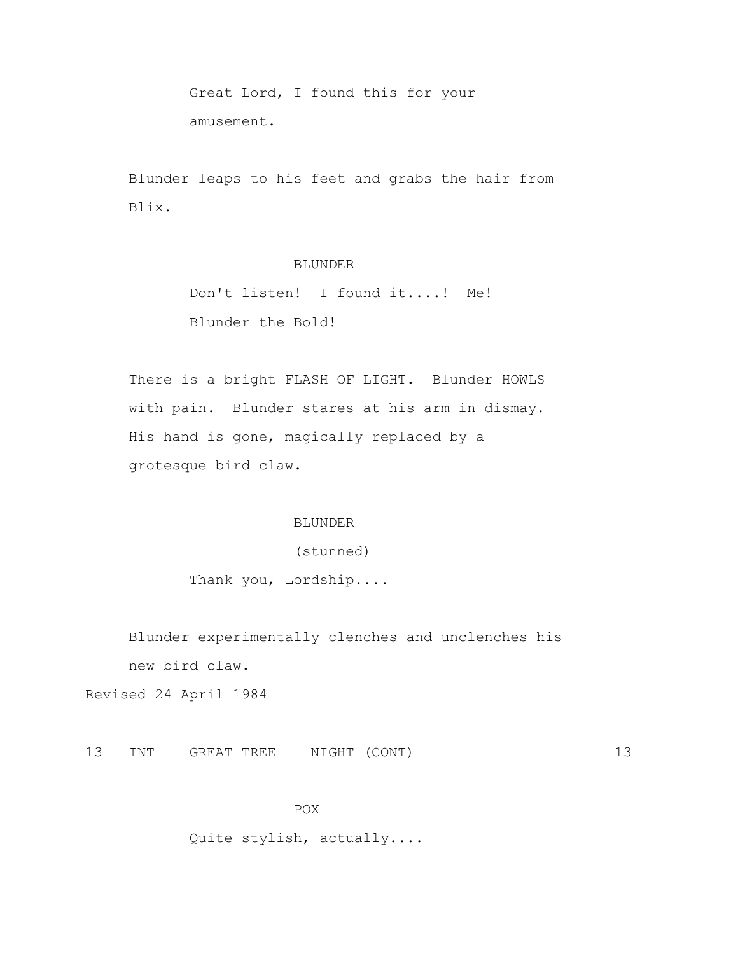Great Lord, I found this for your amusement.

 Blunder leaps to his feet and grabs the hair from Blix.

# BLUNDER

 Don't listen! I found it....! Me! Blunder the Bold!

 There is a bright FLASH OF LIGHT. Blunder HOWLS with pain. Blunder stares at his arm in dismay. His hand is gone, magically replaced by a grotesque bird claw.

#### BLUNDER

(stunned)

Thank you, Lordship....

 Blunder experimentally clenches and unclenches his new bird claw.

Revised 24 April 1984

13 INT GREAT TREE NIGHT (CONT) 13

#### POX

Quite stylish, actually....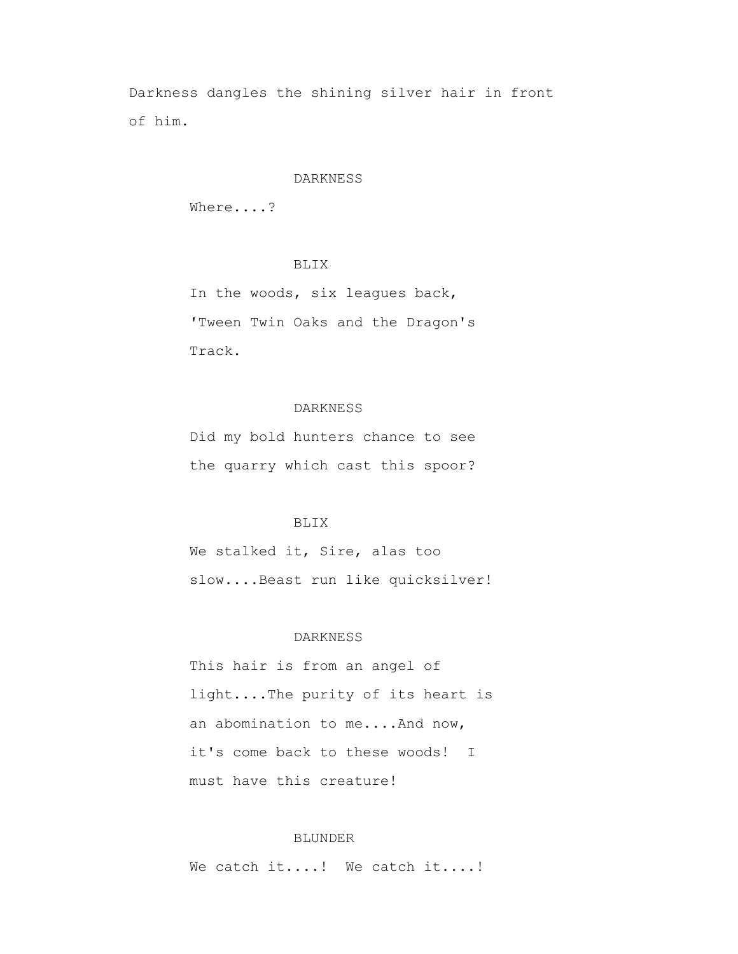Darkness dangles the shining silver hair in front of him.

#### DARKNESS

Where....?

# BLIX

 In the woods, six leagues back, 'Tween Twin Oaks and the Dragon's Track.

## DARKNESS

 Did my bold hunters chance to see the quarry which cast this spoor?

#### BLIX

 We stalked it, Sire, alas too slow....Beast run like quicksilver!

#### DARKNESS

 This hair is from an angel of light....The purity of its heart is an abomination to me....And now, it's come back to these woods! I must have this creature!

## BLUNDER

We catch it....! We catch it....!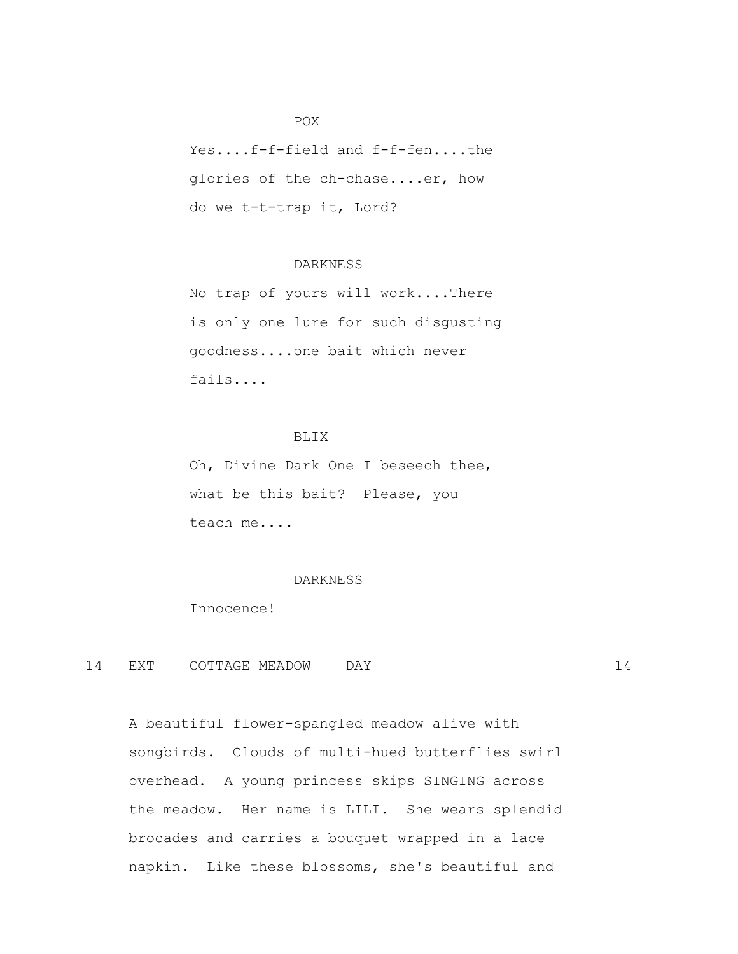# POX<sup>P</sup>

 Yes....f-f-field and f-f-fen....the glories of the ch-chase....er, how do we t-t-trap it, Lord?

# DARKNESS

 No trap of yours will work....There is only one lure for such disgusting goodness....one bait which never fails....

# BLIX

 Oh, Divine Dark One I beseech thee, what be this bait? Please, you teach me....

#### DARKNESS

Innocence!

14 EXT COTTAGE MEADOW DAY 14

 A beautiful flower-spangled meadow alive with songbirds. Clouds of multi-hued butterflies swirl overhead. A young princess skips SINGING across the meadow. Her name is LILI. She wears splendid brocades and carries a bouquet wrapped in a lace napkin. Like these blossoms, she's beautiful and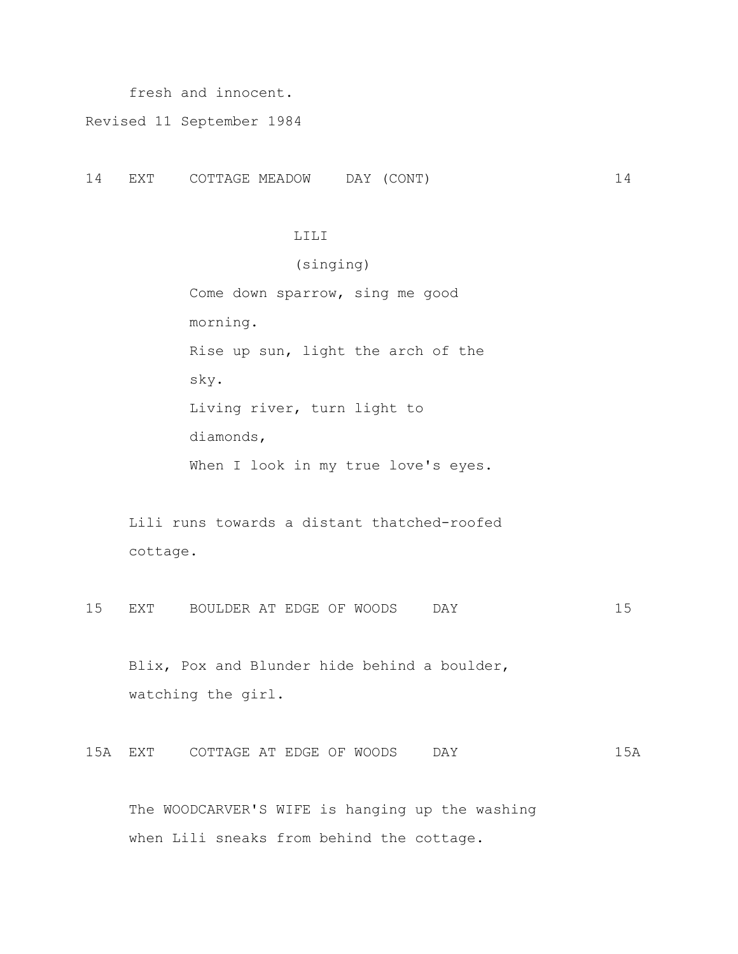fresh and innocent.

Revised 11 September 1984

14 EXT COTTAGE MEADOW DAY (CONT) 14

#### LILI

 (singing) Come down sparrow, sing me good morning. Rise up sun, light the arch of the sky. Living river, turn light to diamonds, When I look in my true love's eyes.

 Lili runs towards a distant thatched-roofed cottage.

15 EXT BOULDER AT EDGE OF WOODS DAY 15

 Blix, Pox and Blunder hide behind a boulder, watching the girl.

15A EXT COTTAGE AT EDGE OF WOODS DAY 15A

 The WOODCARVER'S WIFE is hanging up the washing when Lili sneaks from behind the cottage.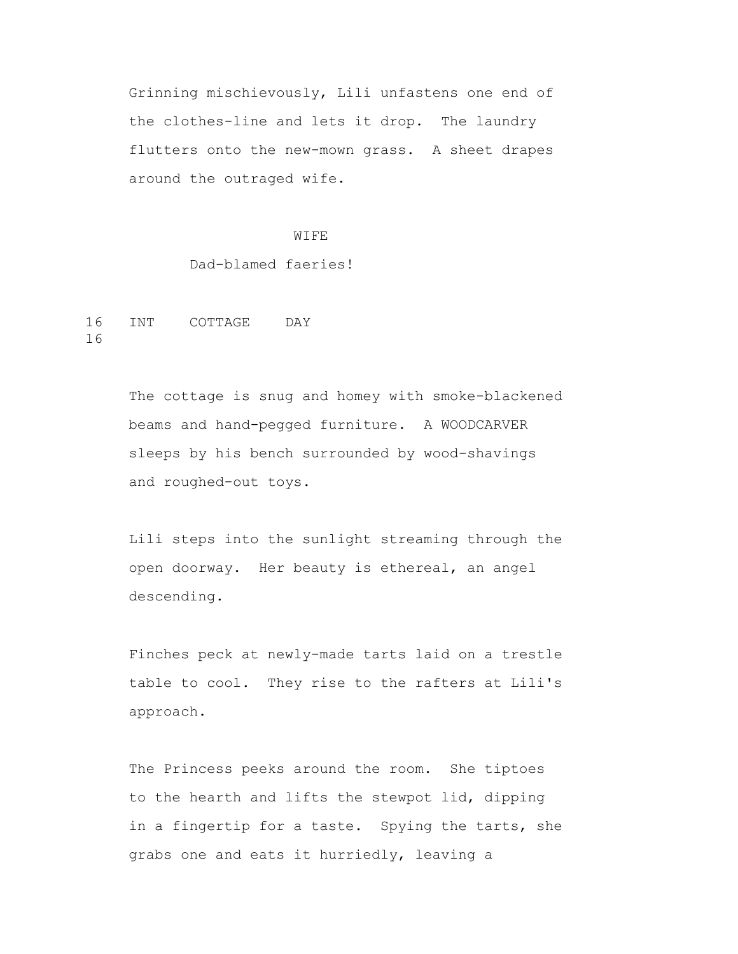Grinning mischievously, Lili unfastens one end of the clothes-line and lets it drop. The laundry flutters onto the new-mown grass. A sheet drapes around the outraged wife.

#### WIFE

Dad-blamed faeries!

16 INT COTTAGE DAY 16

> The cottage is snug and homey with smoke-blackened beams and hand-pegged furniture. A WOODCARVER sleeps by his bench surrounded by wood-shavings and roughed-out toys.

> Lili steps into the sunlight streaming through the open doorway. Her beauty is ethereal, an angel descending.

> Finches peck at newly-made tarts laid on a trestle table to cool. They rise to the rafters at Lili's approach.

> The Princess peeks around the room. She tiptoes to the hearth and lifts the stewpot lid, dipping in a fingertip for a taste. Spying the tarts, she grabs one and eats it hurriedly, leaving a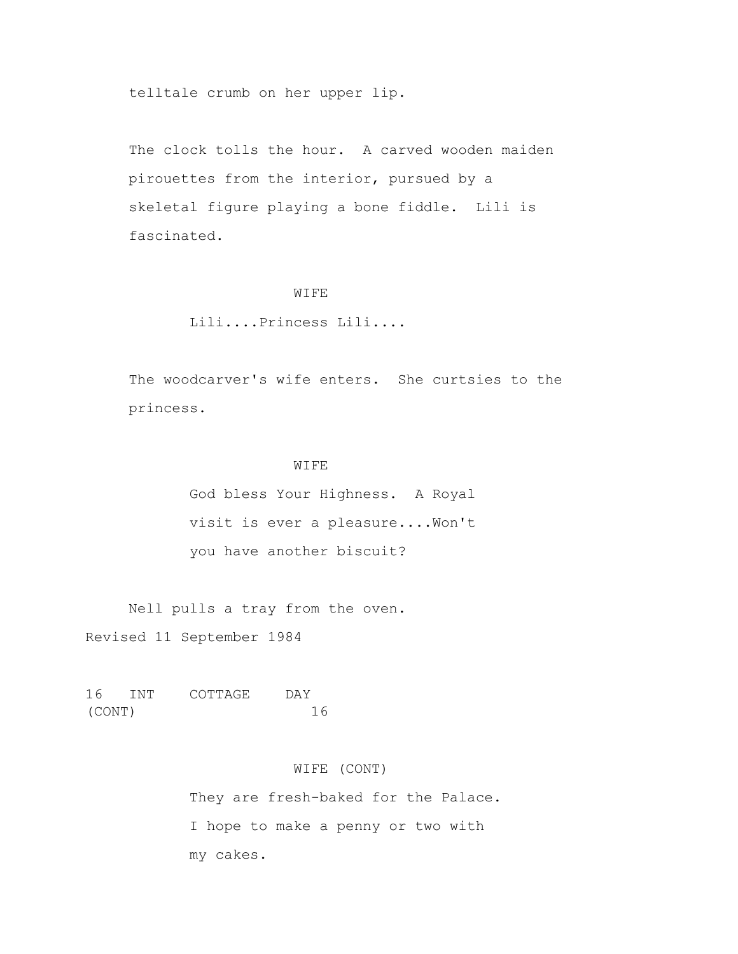telltale crumb on her upper lip.

 The clock tolls the hour. A carved wooden maiden pirouettes from the interior, pursued by a skeletal figure playing a bone fiddle. Lili is fascinated.

#### WIFE

# Lili....Princess Lili....

 The woodcarver's wife enters. She curtsies to the princess.

## WIFE

 God bless Your Highness. A Royal visit is ever a pleasure....Won't you have another biscuit?

 Nell pulls a tray from the oven. Revised 11 September 1984

16 INT COTTAGE DAY (CONT) 16

## WIFE (CONT)

They are fresh-baked for the Palace. I hope to make a penny or two with my cakes.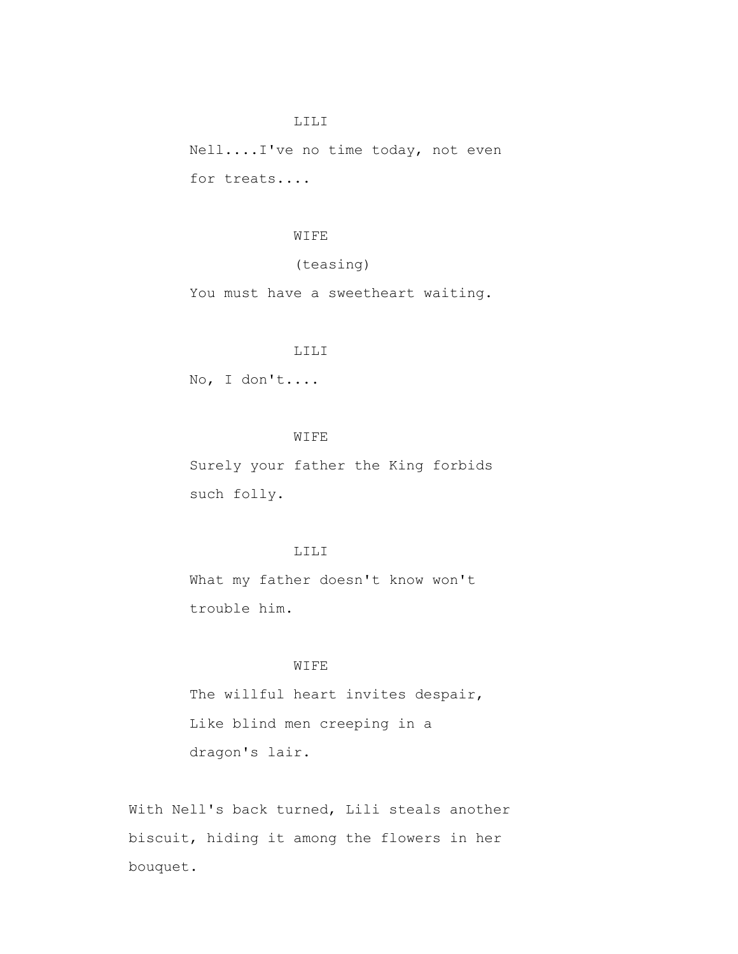Nell....I've no time today, not even for treats....

#### WIFE

# (teasing)

You must have a sweetheart waiting.

# LILI

No, I don't....

# WIFE

 Surely your father the King forbids such folly.

## LILI

 What my father doesn't know won't trouble him.

## WIFE

 The willful heart invites despair, Like blind men creeping in a dragon's lair.

 With Nell's back turned, Lili steals another biscuit, hiding it among the flowers in her bouquet.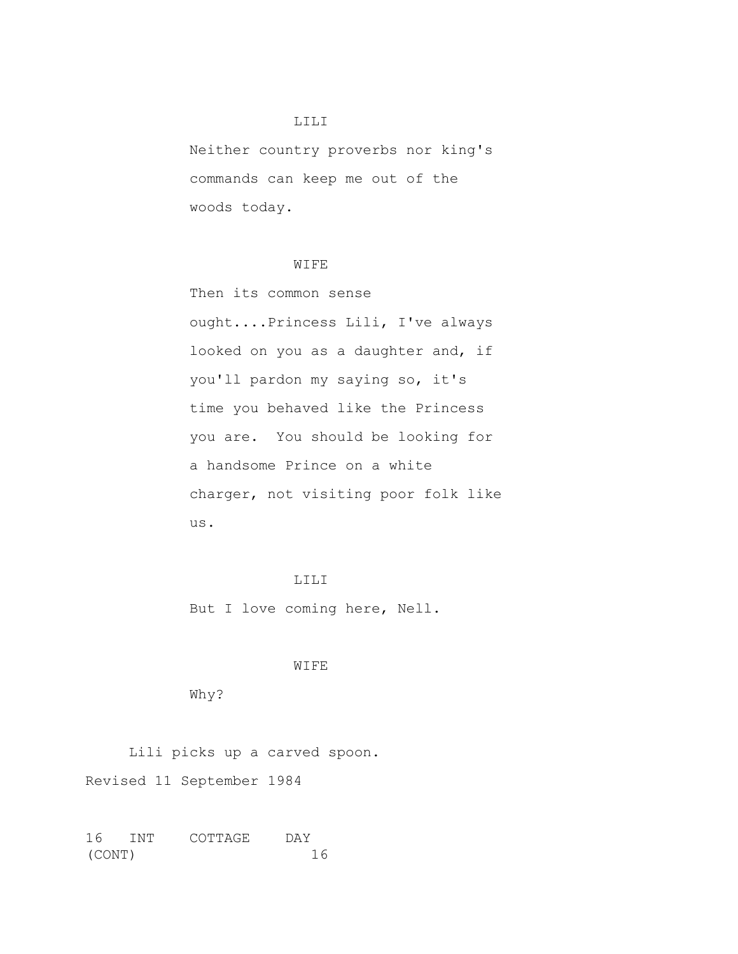Neither country proverbs nor king's commands can keep me out of the woods today.

## WIFE

 Then its common sense ought....Princess Lili, I've always looked on you as a daughter and, if you'll pardon my saying so, it's time you behaved like the Princess you are. You should be looking for a handsome Prince on a white charger, not visiting poor folk like us.

# LILI

But I love coming here, Nell.

#### WIFE

Why?

Lili picks up a carved spoon.

Revised 11 September 1984

16 INT COTTAGE DAY (CONT) 16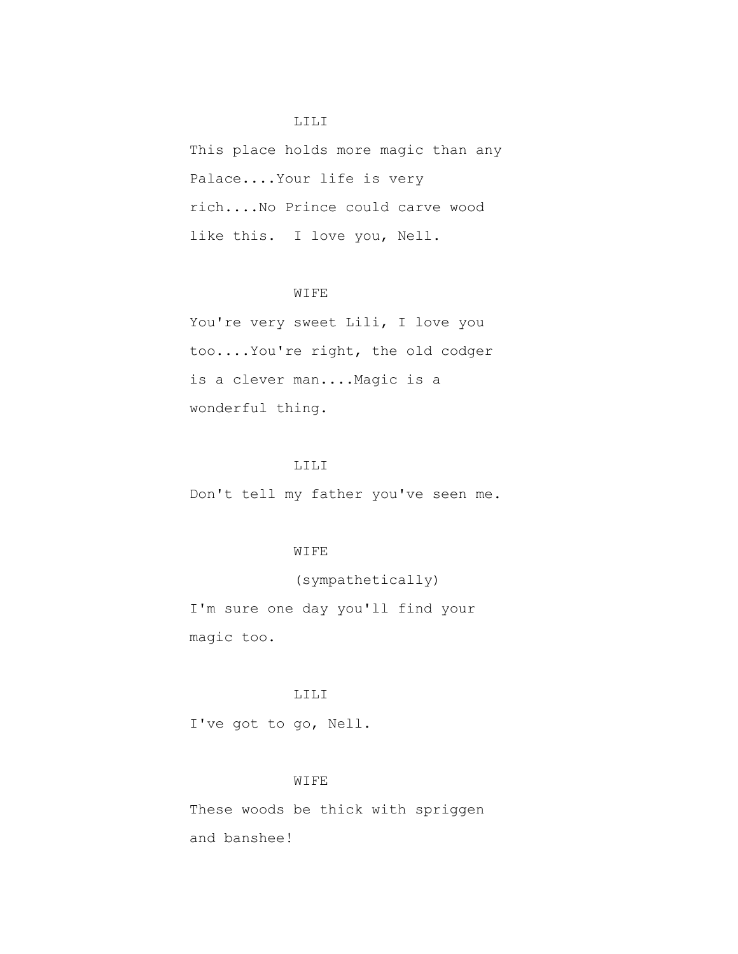This place holds more magic than any Palace....Your life is very rich....No Prince could carve wood like this. I love you, Nell.

## WIFE

You're very sweet Lili, I love you too....You're right, the old codger is a clever man....Magic is a wonderful thing.

## LILI

Don't tell my father you've seen me.

## WIFE

# (sympathetically)

 I'm sure one day you'll find your magic too.

# LILI

I've got to go, Nell.

#### WIFE

 These woods be thick with spriggen and banshee!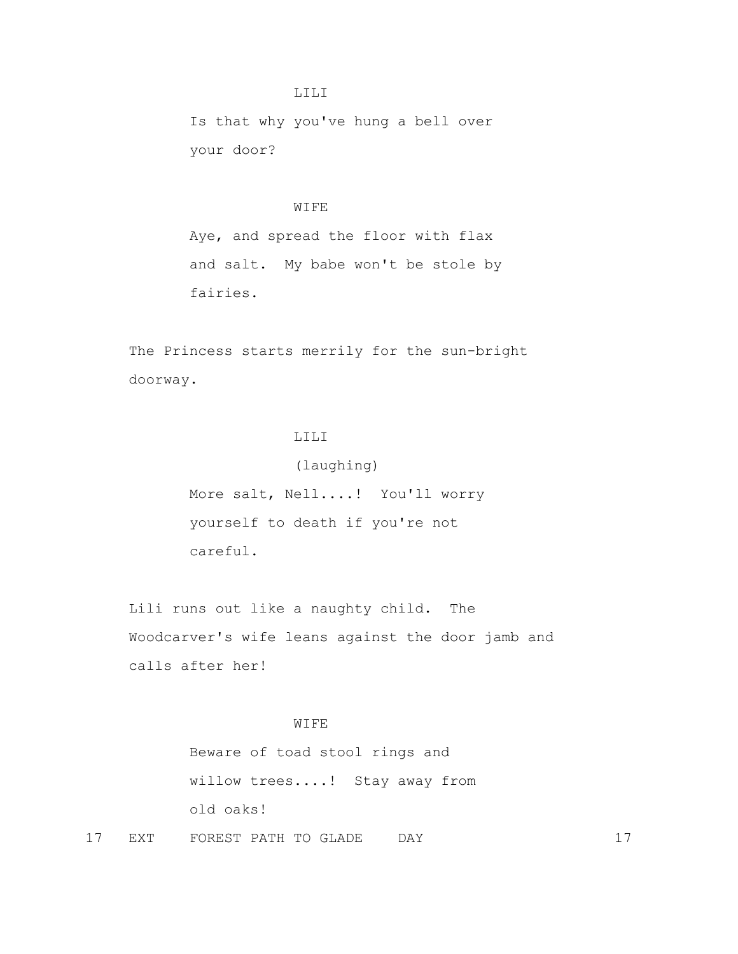Is that why you've hung a bell over your door?

## WIFE

 Aye, and spread the floor with flax and salt. My babe won't be stole by fairies.

 The Princess starts merrily for the sun-bright doorway.

# LILI

 More salt, Nell....! You'll worry yourself to death if you're not careful.

(laughing)

 Lili runs out like a naughty child. The Woodcarver's wife leans against the door jamb and calls after her!

# WIFE

 Beware of toad stool rings and willow trees....! Stay away from old oaks!

17 EXT FOREST PATH TO GLADE DAY 17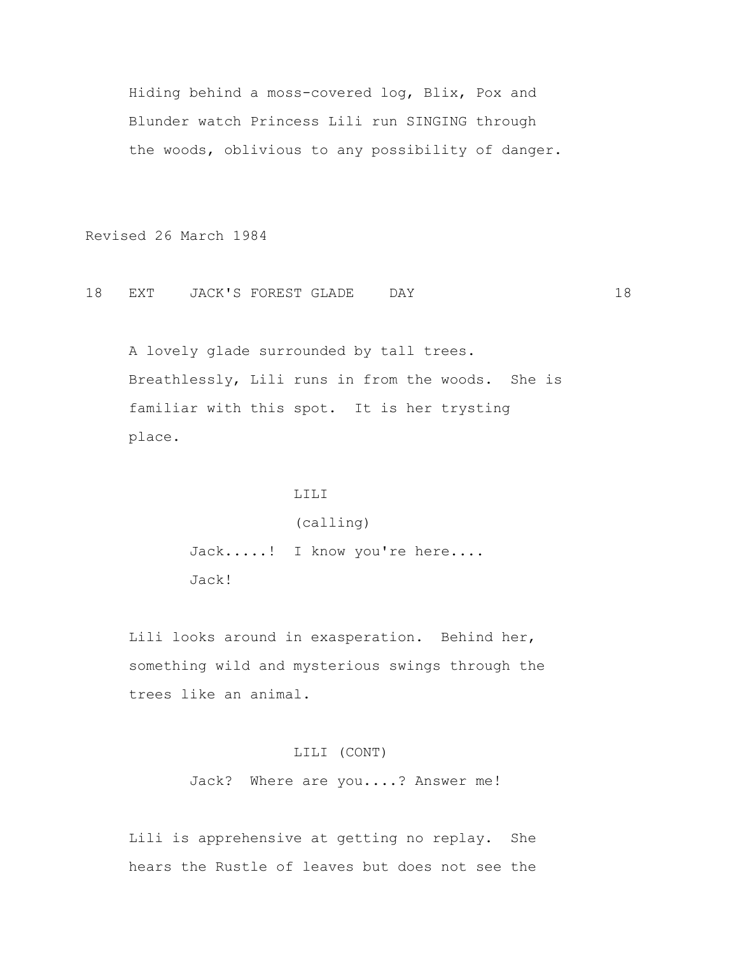Hiding behind a moss-covered log, Blix, Pox and Blunder watch Princess Lili run SINGING through the woods, oblivious to any possibility of danger.

Revised 26 March 1984

18 EXT JACK'S FOREST GLADE DAY 18

 A lovely glade surrounded by tall trees. Breathlessly, Lili runs in from the woods. She is familiar with this spot. It is her trysting place.

# LILI

(calling)

Jack.....! I know you're here.... Jack!

 Lili looks around in exasperation. Behind her, something wild and mysterious swings through the trees like an animal.

# LILI (CONT)

Jack? Where are you....? Answer me!

 Lili is apprehensive at getting no replay. She hears the Rustle of leaves but does not see the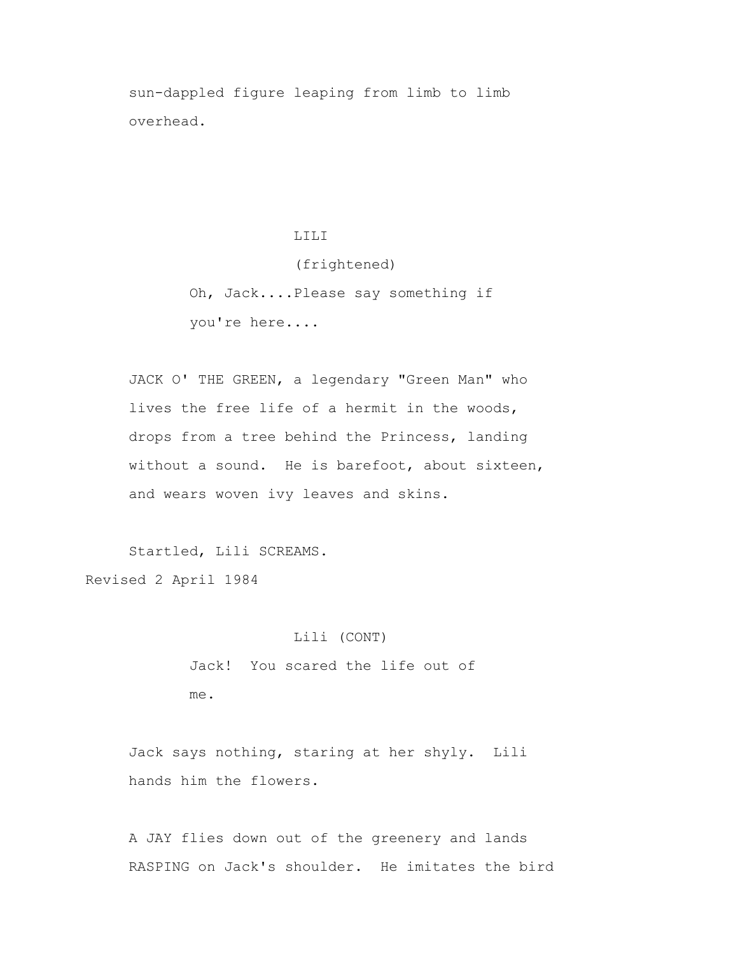sun-dappled figure leaping from limb to limb overhead.

> LILI (frightened) Oh, Jack....Please say something if you're here....

 JACK O' THE GREEN, a legendary "Green Man" who lives the free life of a hermit in the woods, drops from a tree behind the Princess, landing without a sound. He is barefoot, about sixteen, and wears woven ivy leaves and skins.

 Startled, Lili SCREAMS. Revised 2 April 1984

> Lili (CONT) Jack! You scared the life out of me.

 Jack says nothing, staring at her shyly. Lili hands him the flowers.

 A JAY flies down out of the greenery and lands RASPING on Jack's shoulder. He imitates the bird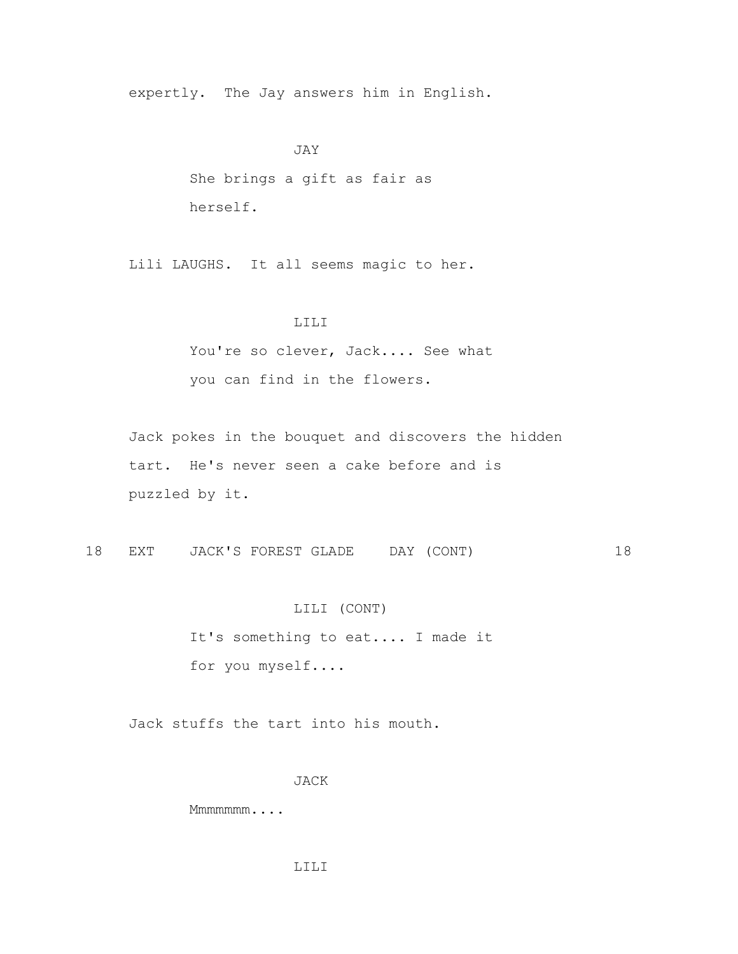expertly. The Jay answers him in English.

#### JAY

 She brings a gift as fair as herself.

Lili LAUGHS. It all seems magic to her.

## LILI

You're so clever, Jack.... See what you can find in the flowers.

 Jack pokes in the bouquet and discovers the hidden tart. He's never seen a cake before and is puzzled by it.

18 EXT JACK'S FOREST GLADE DAY (CONT) 18

#### LILI (CONT)

 It's something to eat.... I made it for you myself....

Jack stuffs the tart into his mouth.

JACK

Mmmmmmm....

#### LILI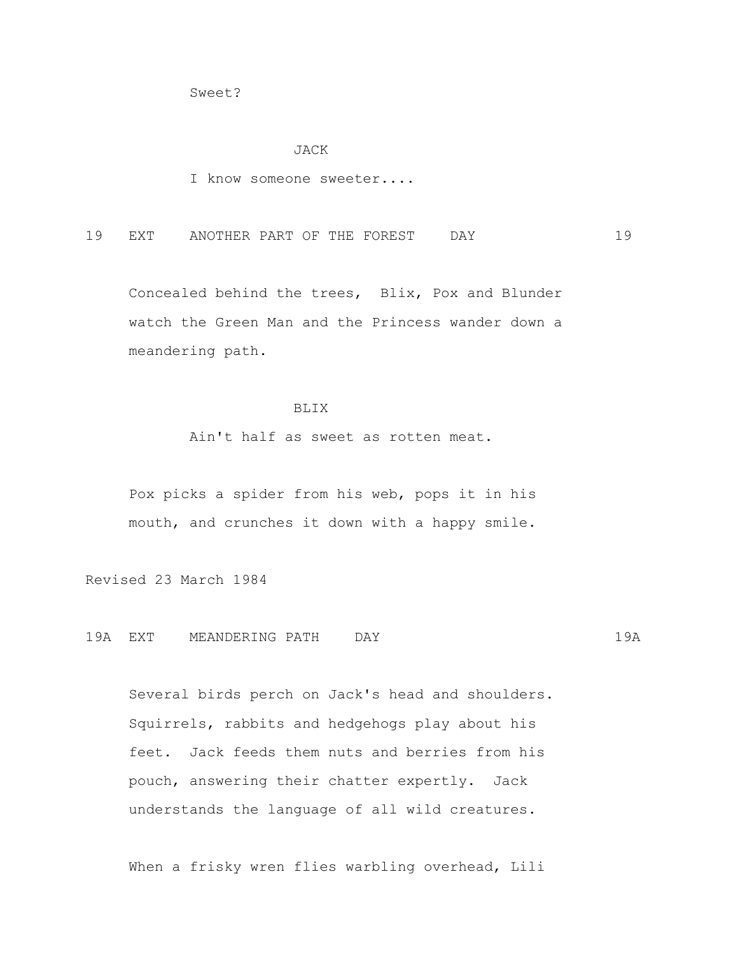Sweet?

#### JACK

I know someone sweeter....

19 EXT ANOTHER PART OF THE FOREST DAY 19

 Concealed behind the trees, Blix, Pox and Blunder watch the Green Man and the Princess wander down a meandering path.

#### BLIX

Ain't half as sweet as rotten meat.

 Pox picks a spider from his web, pops it in his mouth, and crunches it down with a happy smile.

Revised 23 March 1984

19A EXT MEANDERING PATH DAY 19A

 Several birds perch on Jack's head and shoulders. Squirrels, rabbits and hedgehogs play about his feet. Jack feeds them nuts and berries from his pouch, answering their chatter expertly. Jack understands the language of all wild creatures.

When a frisky wren flies warbling overhead, Lili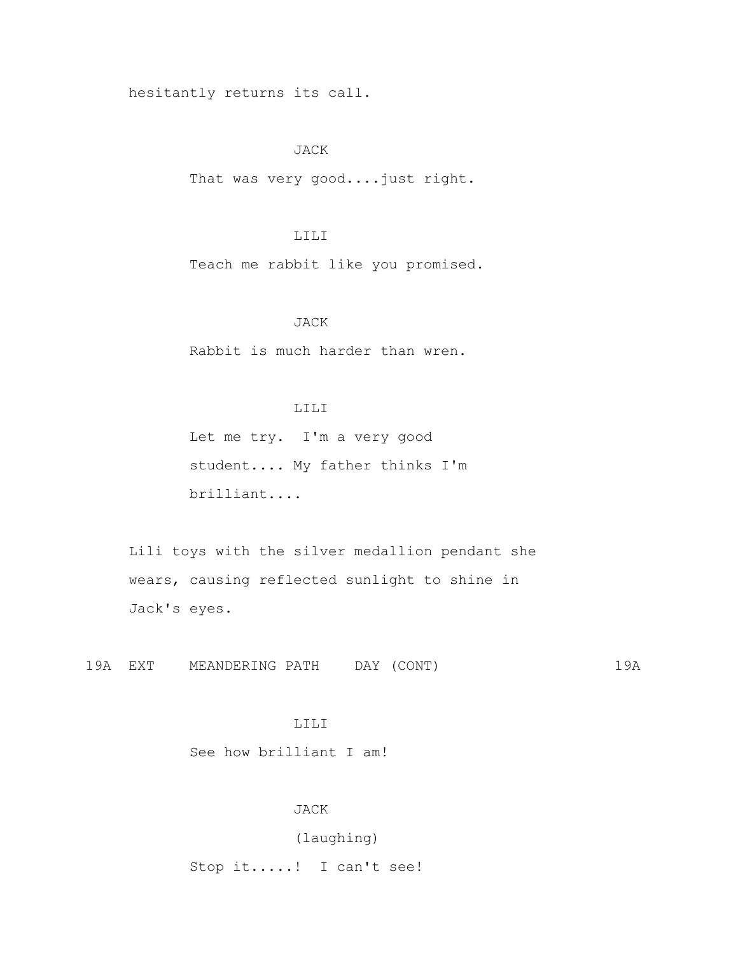hesitantly returns its call.

JACK

That was very good....just right.

### LILI

Teach me rabbit like you promised.

## JACK

Rabbit is much harder than wren.

### LILI

 Let me try. I'm a very good student.... My father thinks I'm brilliant....

 Lili toys with the silver medallion pendant she wears, causing reflected sunlight to shine in Jack's eyes.

19A EXT MEANDERING PATH DAY (CONT) 19A

## LILI

See how brilliant I am!

## JACK

(laughing)

Stop it.....! I can't see!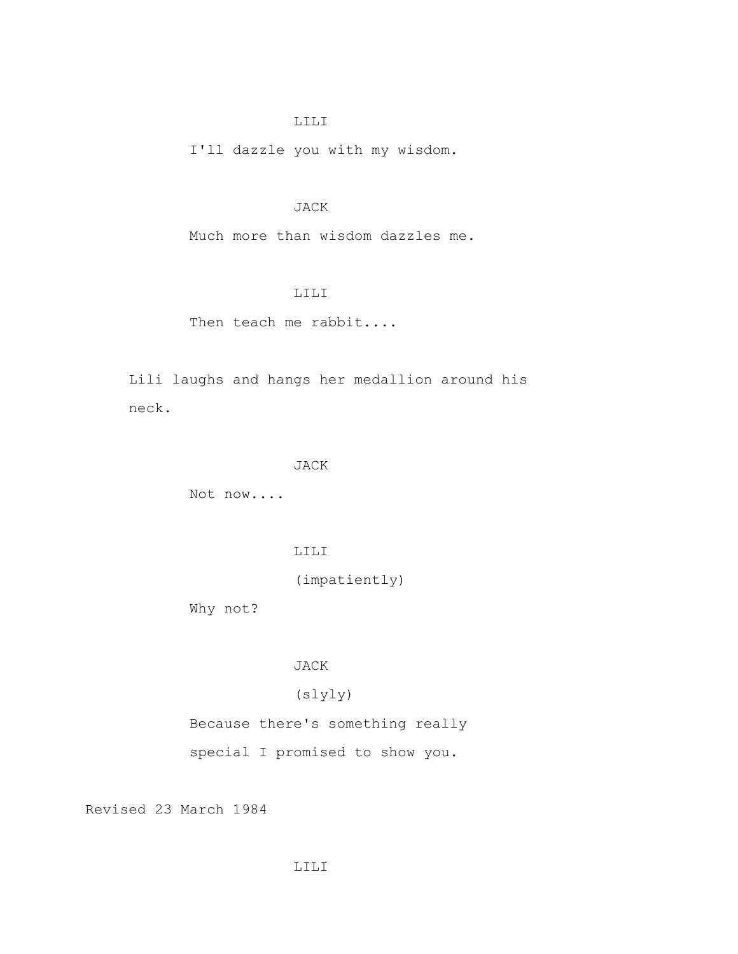## LILI

I'll dazzle you with my wisdom.

# JACK

Much more than wisdom dazzles me.

## LILI

Then teach me rabbit....

 Lili laughs and hangs her medallion around his neck.

### JACK

Not now....

LILI

(impatiently)

Why not?

# JACK

# (slyly)

Because there's something really

special I promised to show you.

Revised 23 March 1984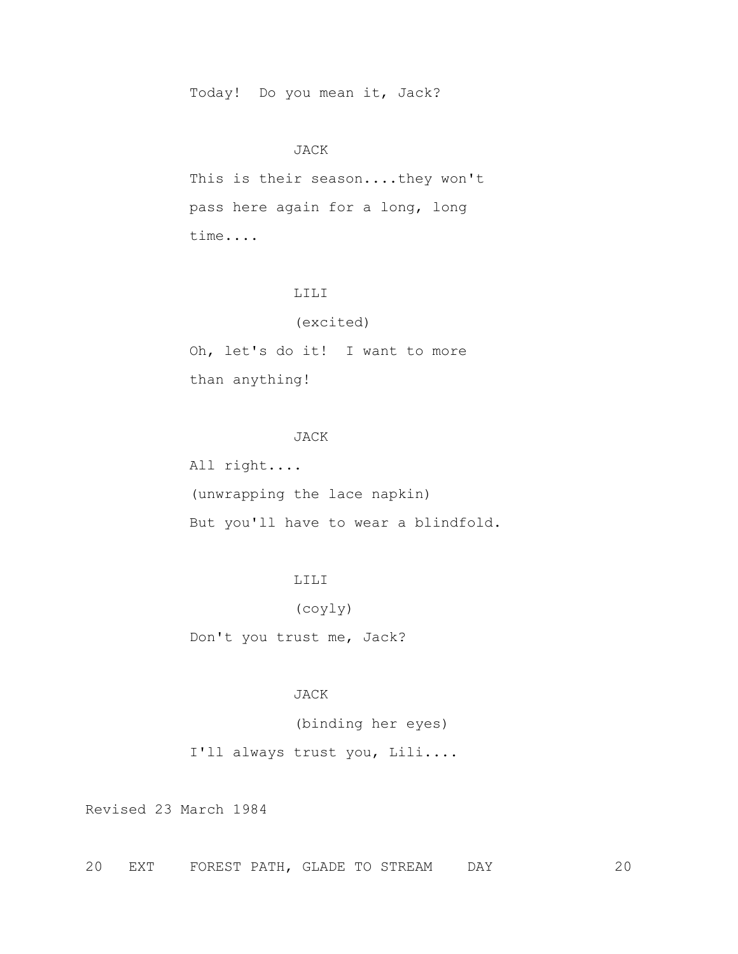Today! Do you mean it, Jack?

### JACK

 This is their season....they won't pass here again for a long, long time....

## LILI

#### (excited)

 Oh, let's do it! I want to more than anything!

## JACK

 All right.... (unwrapping the lace napkin) But you'll have to wear a blindfold.

# LILI

(coyly)

Don't you trust me, Jack?

## JACK

(binding her eyes)

I'll always trust you, Lili....

Revised 23 March 1984

20 EXT FOREST PATH, GLADE TO STREAM DAY 20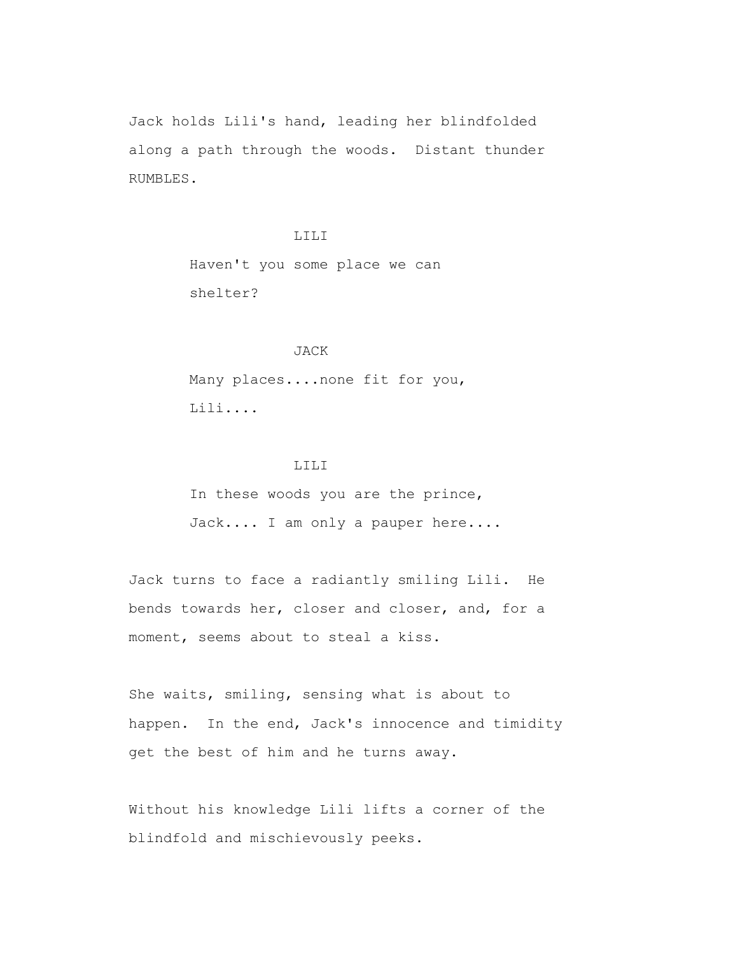Jack holds Lili's hand, leading her blindfolded along a path through the woods. Distant thunder RUMBLES.

> LILI Haven't you some place we can shelter?

## JACK

 Many places....none fit for you, Lili....

## LILI

 In these woods you are the prince, Jack.... I am only a pauper here....

 Jack turns to face a radiantly smiling Lili. He bends towards her, closer and closer, and, for a moment, seems about to steal a kiss.

 She waits, smiling, sensing what is about to happen. In the end, Jack's innocence and timidity get the best of him and he turns away.

 Without his knowledge Lili lifts a corner of the blindfold and mischievously peeks.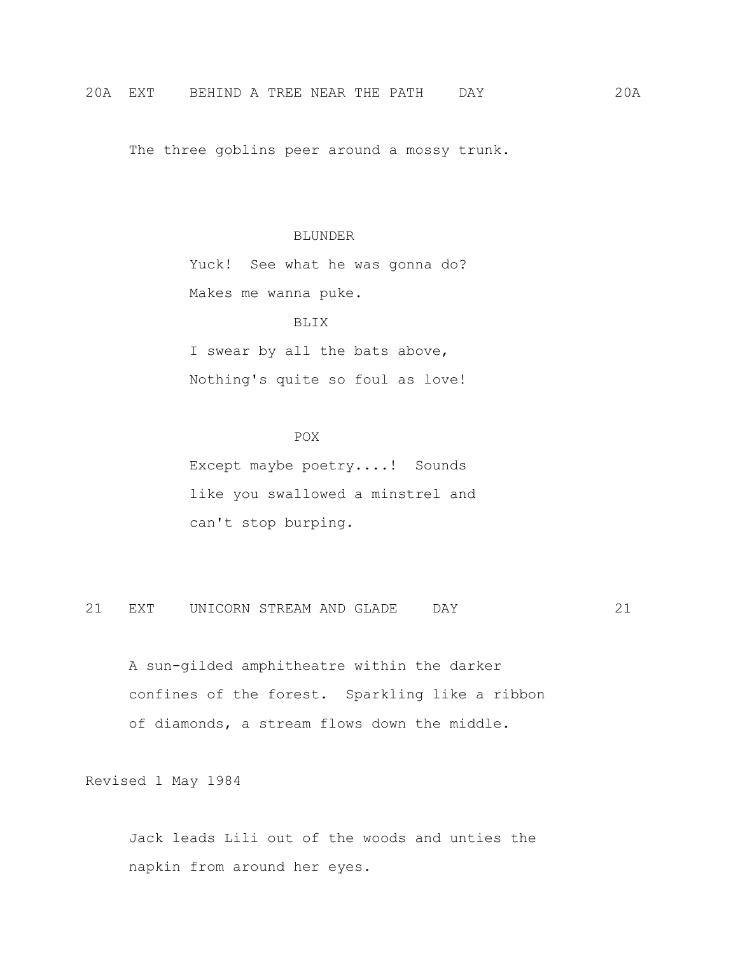The three goblins peer around a mossy trunk.

### BLUNDER

 Yuck! See what he was gonna do? Makes me wanna puke.

## BLIX

 I swear by all the bats above, Nothing's quite so foul as love!

## POX<sup>P</sup>

 Except maybe poetry....! Sounds like you swallowed a minstrel and can't stop burping.

21 EXT UNICORN STREAM AND GLADE DAY 21

 A sun-gilded amphitheatre within the darker confines of the forest. Sparkling like a ribbon of diamonds, a stream flows down the middle.

Revised 1 May 1984

 Jack leads Lili out of the woods and unties the napkin from around her eyes.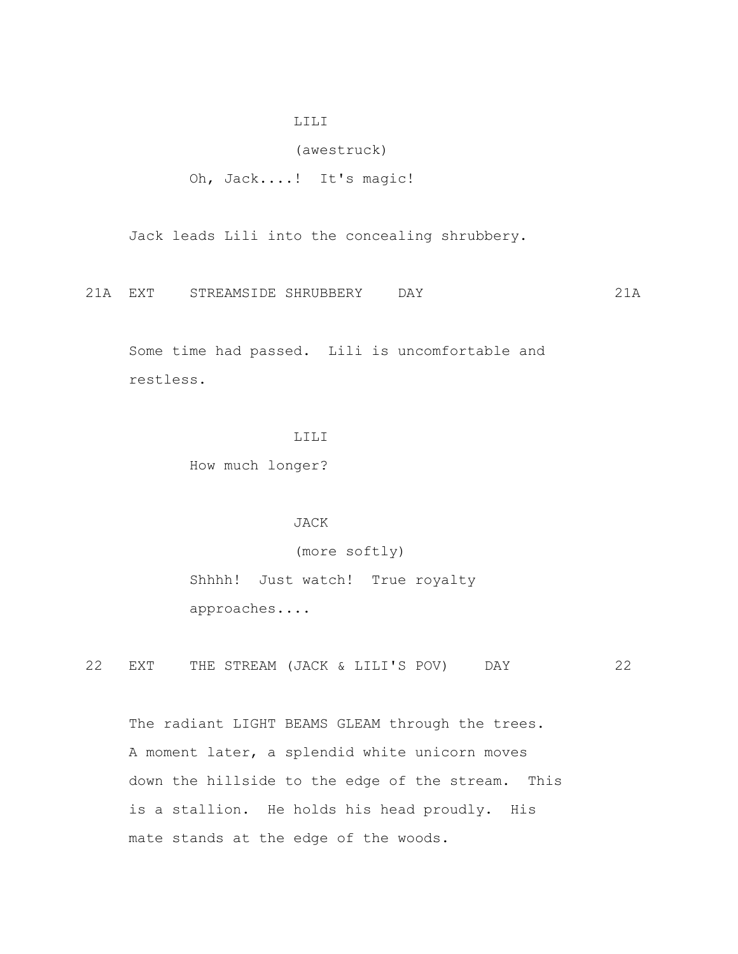### LILI

(awestruck)

Oh, Jack....! It's magic!

Jack leads Lili into the concealing shrubbery.

21A EXT STREAMSIDE SHRUBBERY DAY 21A

 Some time had passed. Lili is uncomfortable and restless.

## LILI

How much longer?

## JACK

(more softly)

 Shhhh! Just watch! True royalty approaches....

22 EXT THE STREAM (JACK & LILI'S POV) DAY 22

The radiant LIGHT BEAMS GLEAM through the trees. A moment later, a splendid white unicorn moves down the hillside to the edge of the stream. This is a stallion. He holds his head proudly. His mate stands at the edge of the woods.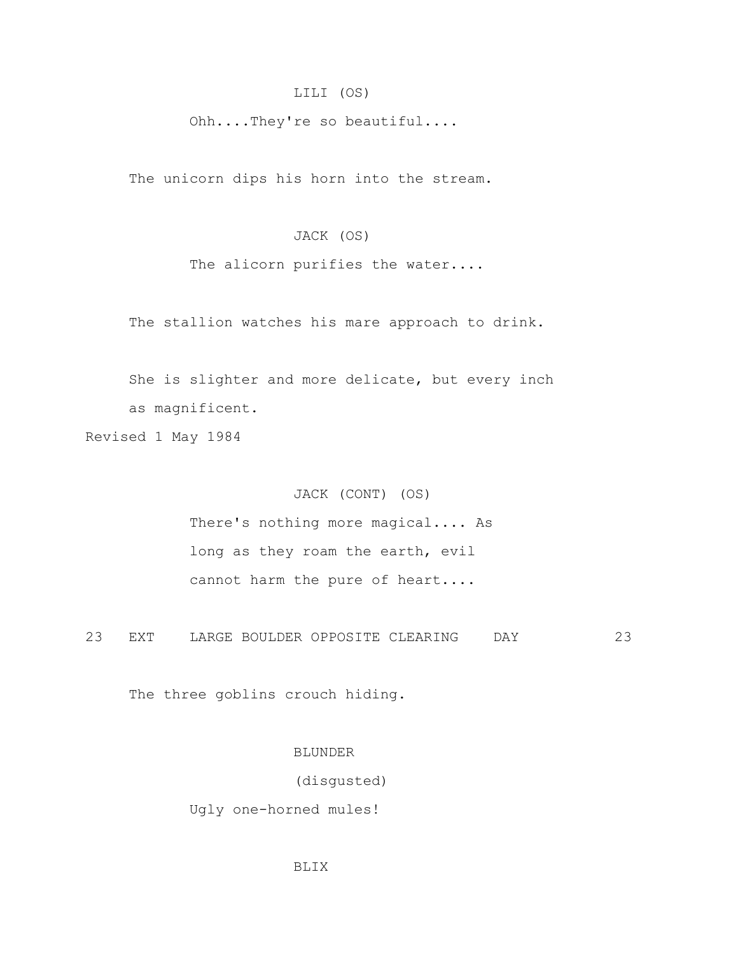## LILI (OS)

Ohh....They're so beautiful....

The unicorn dips his horn into the stream.

# JACK (OS)

The alicorn purifies the water....

The stallion watches his mare approach to drink.

 She is slighter and more delicate, but every inch as magnificent.

Revised 1 May 1984

## JACK (CONT) (OS)

 There's nothing more magical.... As long as they roam the earth, evil cannot harm the pure of heart....

23 EXT LARGE BOULDER OPPOSITE CLEARING DAY 23

The three goblins crouch hiding.

## BLUNDER

(disgusted)

Ugly one-horned mules!

### BLIX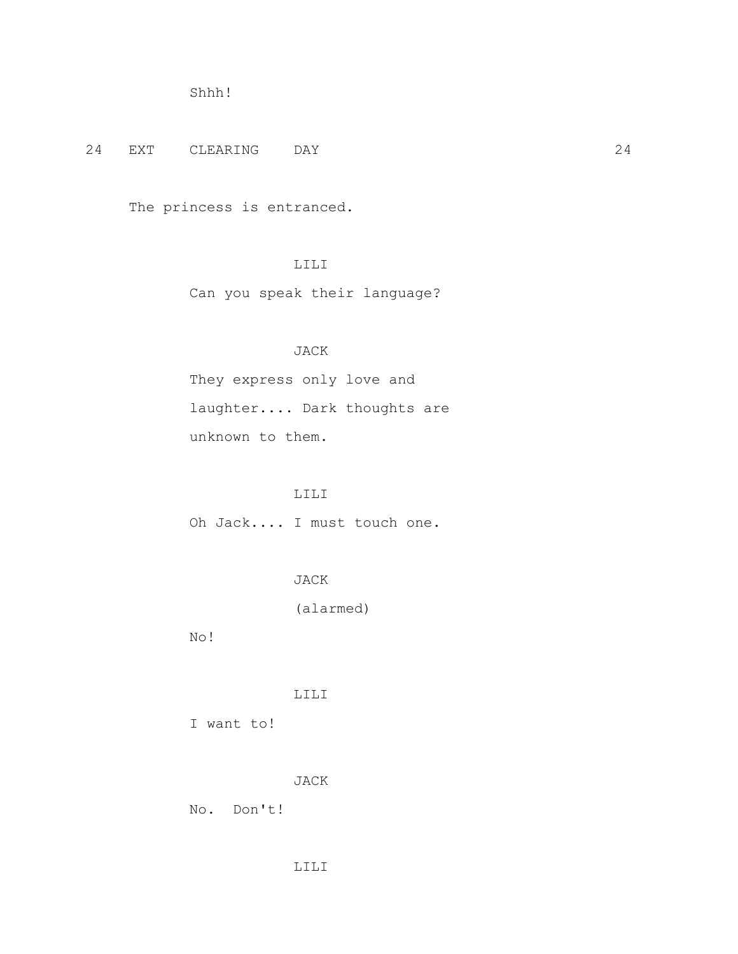```
 Shhh!
```
24 EXT CLEARING DAY 24

The princess is entranced.

# LILI

Can you speak their language?

# JACK

 They express only love and laughter.... Dark thoughts are unknown to them.

# LILI

Oh Jack.... I must touch one.

# JACK

(alarmed)

No!

## LILI

I want to!

JACK

No. Don't!

## LILI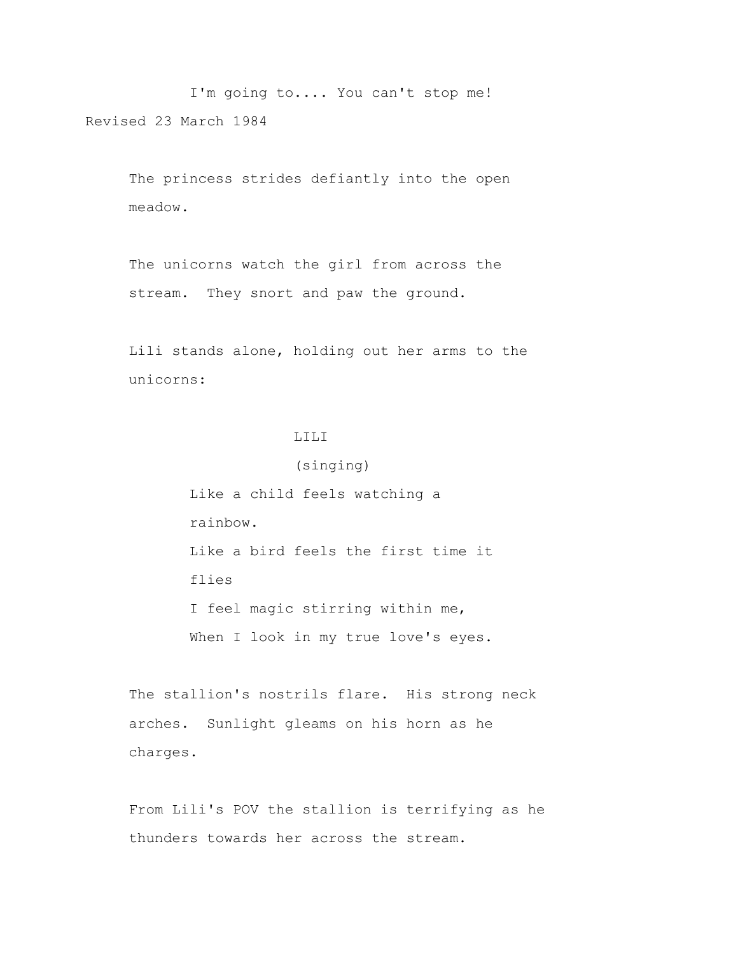I'm going to.... You can't stop me! Revised 23 March 1984

> The princess strides defiantly into the open meadow.

 The unicorns watch the girl from across the stream. They snort and paw the ground.

 Lili stands alone, holding out her arms to the unicorns:

(singing)

# LILI

 Like a child feels watching a rainbow. Like a bird feels the first time it flies I feel magic stirring within me, When I look in my true love's eyes.

 The stallion's nostrils flare. His strong neck arches. Sunlight gleams on his horn as he charges.

 From Lili's POV the stallion is terrifying as he thunders towards her across the stream.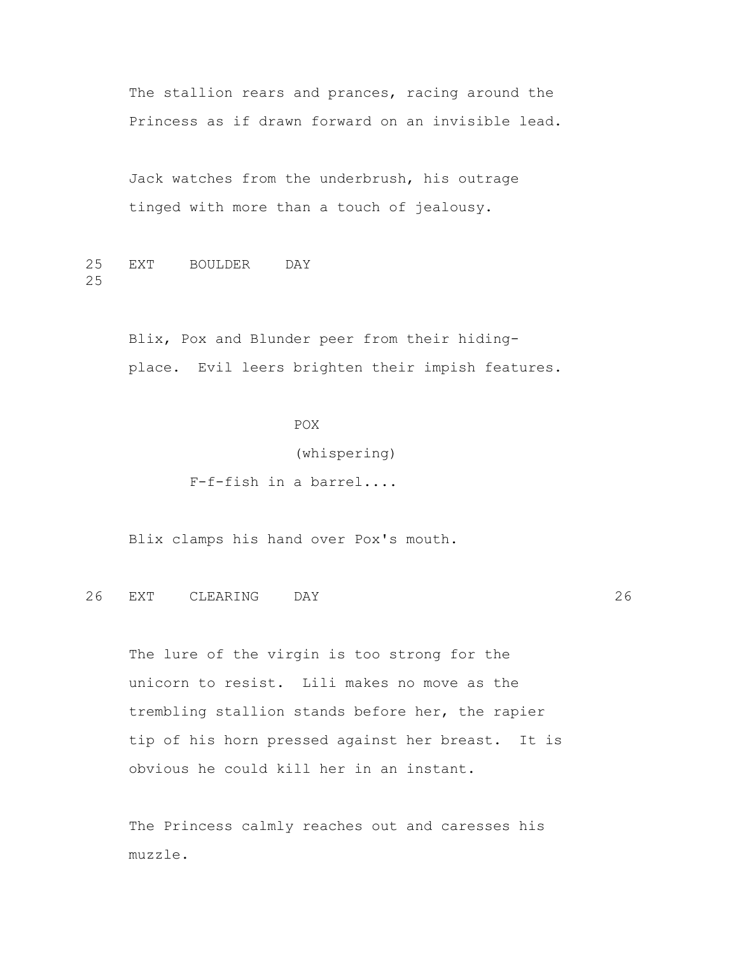The stallion rears and prances, racing around the Princess as if drawn forward on an invisible lead.

 Jack watches from the underbrush, his outrage tinged with more than a touch of jealousy.

25 EXT BOULDER DAY 25

> Blix, Pox and Blunder peer from their hiding place. Evil leers brighten their impish features.

> > POX (whispering) F-f-fish in a barrel....

Blix clamps his hand over Pox's mouth.

26 EXT CLEARING DAY 26

 The lure of the virgin is too strong for the unicorn to resist. Lili makes no move as the trembling stallion stands before her, the rapier tip of his horn pressed against her breast. It is obvious he could kill her in an instant.

 The Princess calmly reaches out and caresses his muzzle.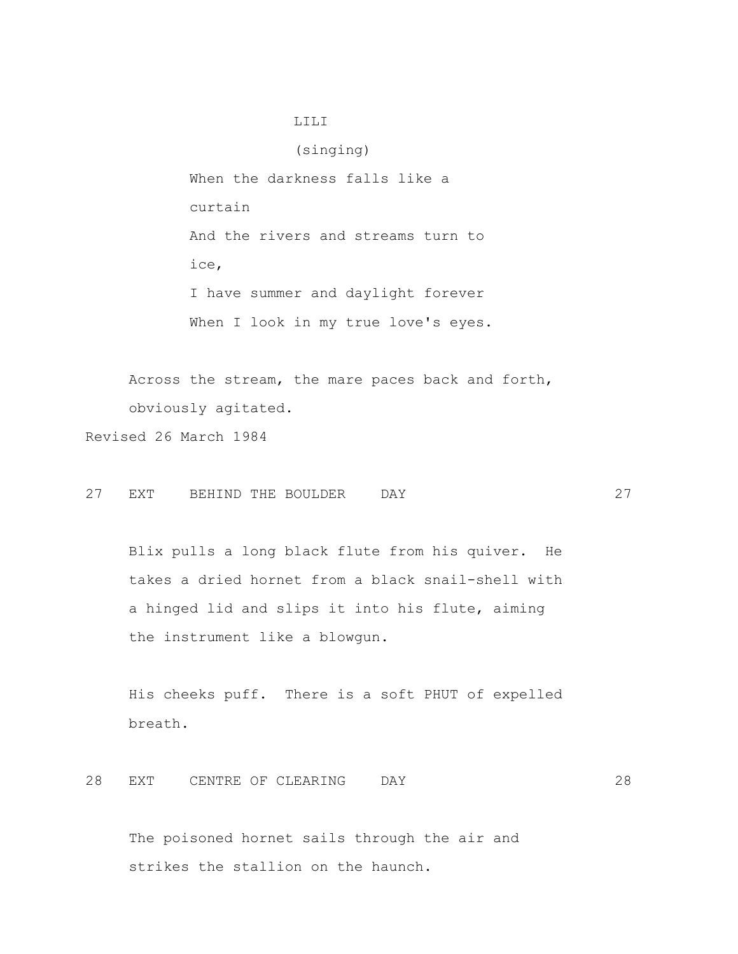## LILI

 (singing) When the darkness falls like a curtain And the rivers and streams turn to ice, I have summer and daylight forever When I look in my true love's eyes.

 Across the stream, the mare paces back and forth, obviously agitated.

Revised 26 March 1984

27 EXT BEHIND THE BOULDER DAY 27

 Blix pulls a long black flute from his quiver. He takes a dried hornet from a black snail-shell with a hinged lid and slips it into his flute, aiming the instrument like a blowgun.

 His cheeks puff. There is a soft PHUT of expelled breath.

28 EXT CENTRE OF CLEARING DAY 28

 The poisoned hornet sails through the air and strikes the stallion on the haunch.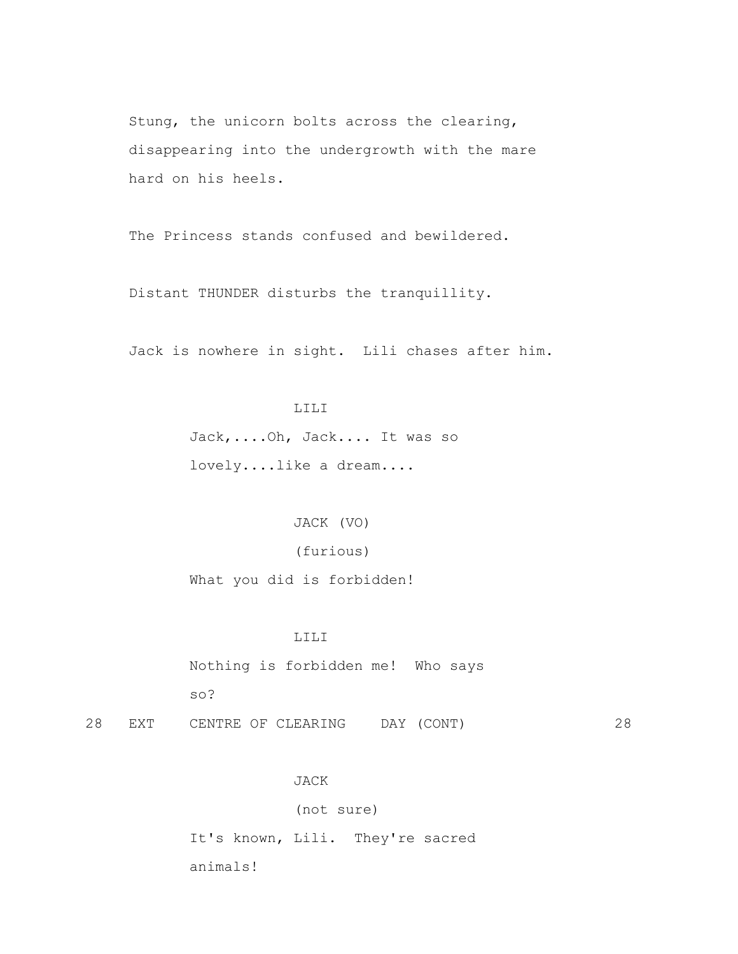Stung, the unicorn bolts across the clearing, disappearing into the undergrowth with the mare hard on his heels.

The Princess stands confused and bewildered.

Distant THUNDER disturbs the tranquillity.

Jack is nowhere in sight. Lili chases after him.

#### LILI

 Jack,....Oh, Jack.... It was so lovely....like a dream....

JACK (VO)

(furious)

What you did is forbidden!

### LILI

 Nothing is forbidden me! Who says so?

28 EXT CENTRE OF CLEARING DAY (CONT) 28

### JACK

(not sure)

 It's known, Lili. They're sacred animals!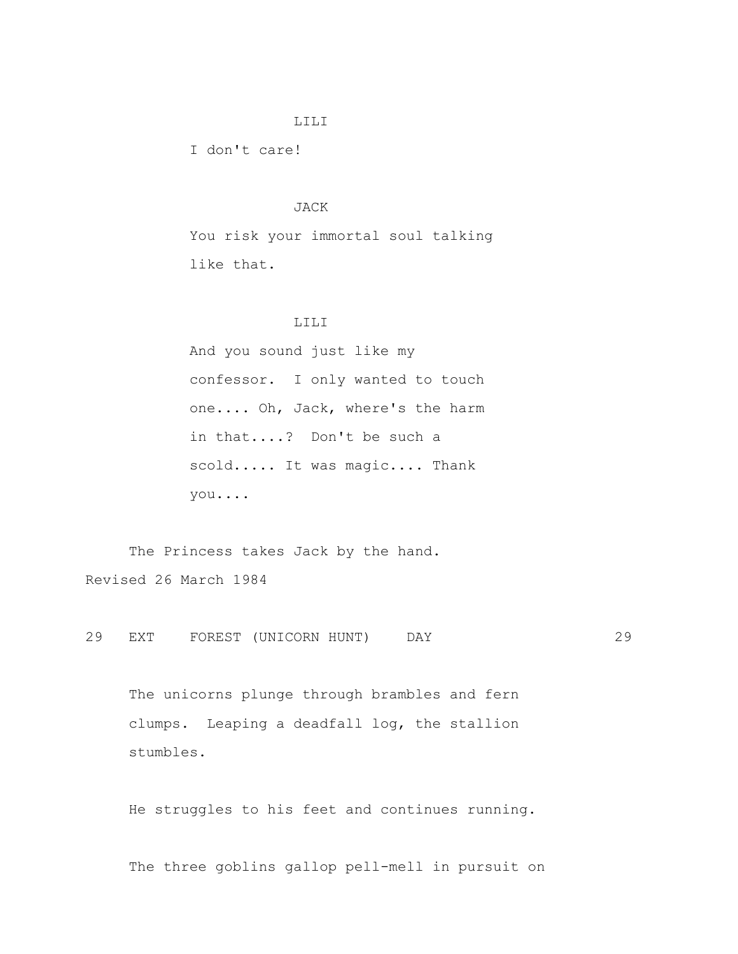#### LILI

I don't care!

## JACK

 You risk your immortal soul talking like that.

### LILI

 And you sound just like my confessor. I only wanted to touch one.... Oh, Jack, where's the harm in that....? Don't be such a scold..... It was magic.... Thank you....

The Princess takes Jack by the hand. Revised 26 March 1984

29 EXT FOREST (UNICORN HUNT) DAY 29

 The unicorns plunge through brambles and fern clumps. Leaping a deadfall log, the stallion stumbles.

He struggles to his feet and continues running.

The three goblins gallop pell-mell in pursuit on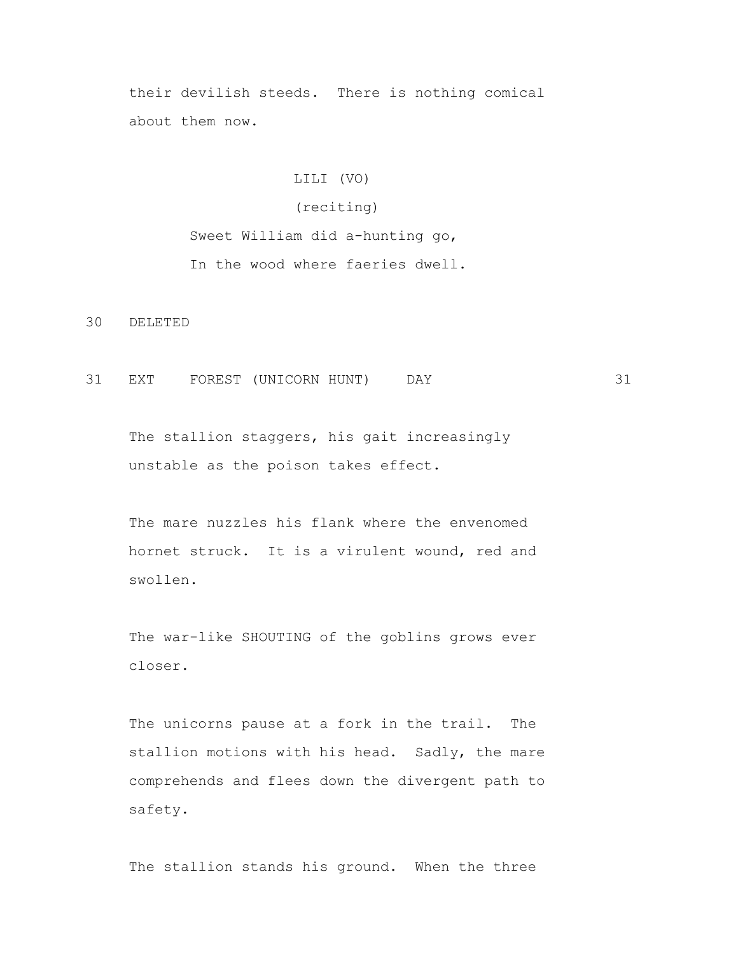their devilish steeds. There is nothing comical about them now.

# LILI (VO)

## (reciting)

 Sweet William did a-hunting go, In the wood where faeries dwell.

30 DELETED

31 EXT FOREST (UNICORN HUNT) DAY 31

The stallion staggers, his gait increasingly unstable as the poison takes effect.

 The mare nuzzles his flank where the envenomed hornet struck. It is a virulent wound, red and swollen.

 The war-like SHOUTING of the goblins grows ever closer.

 The unicorns pause at a fork in the trail. The stallion motions with his head. Sadly, the mare comprehends and flees down the divergent path to safety.

The stallion stands his ground. When the three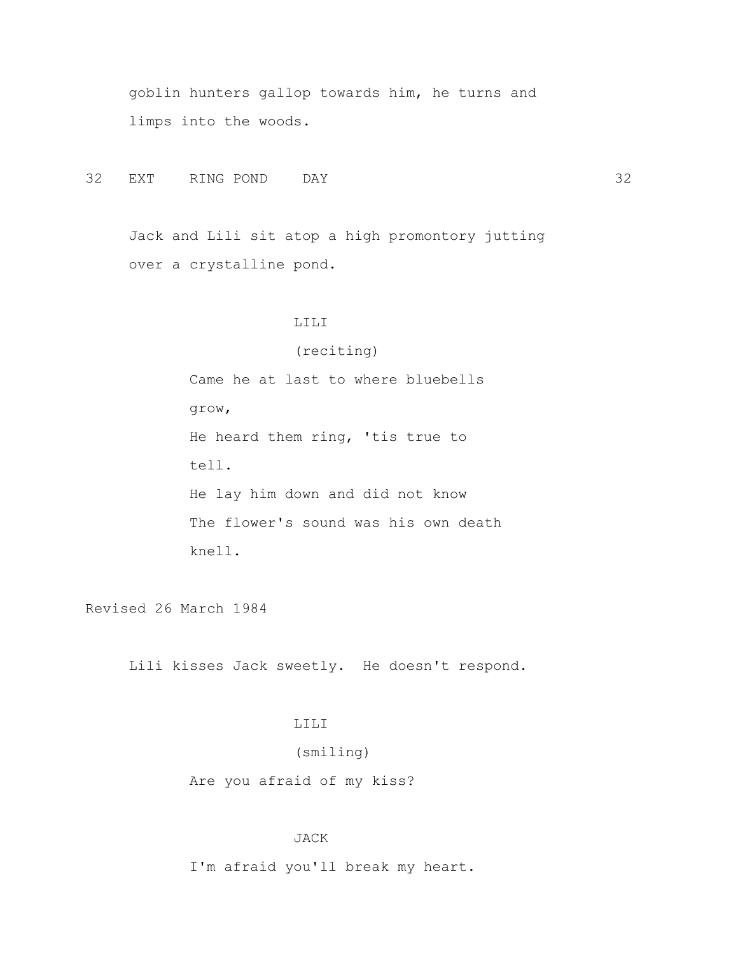goblin hunters gallop towards him, he turns and limps into the woods.

32 EXT RING POND DAY 32

 Jack and Lili sit atop a high promontory jutting over a crystalline pond.

### LILI

## (reciting)

 Came he at last to where bluebells grow, He heard them ring, 'tis true to tell. He lay him down and did not know The flower's sound was his own death knell.

Revised 26 March 1984

Lili kisses Jack sweetly. He doesn't respond.

# LILI

(smiling)

Are you afraid of my kiss?

## JACK

I'm afraid you'll break my heart.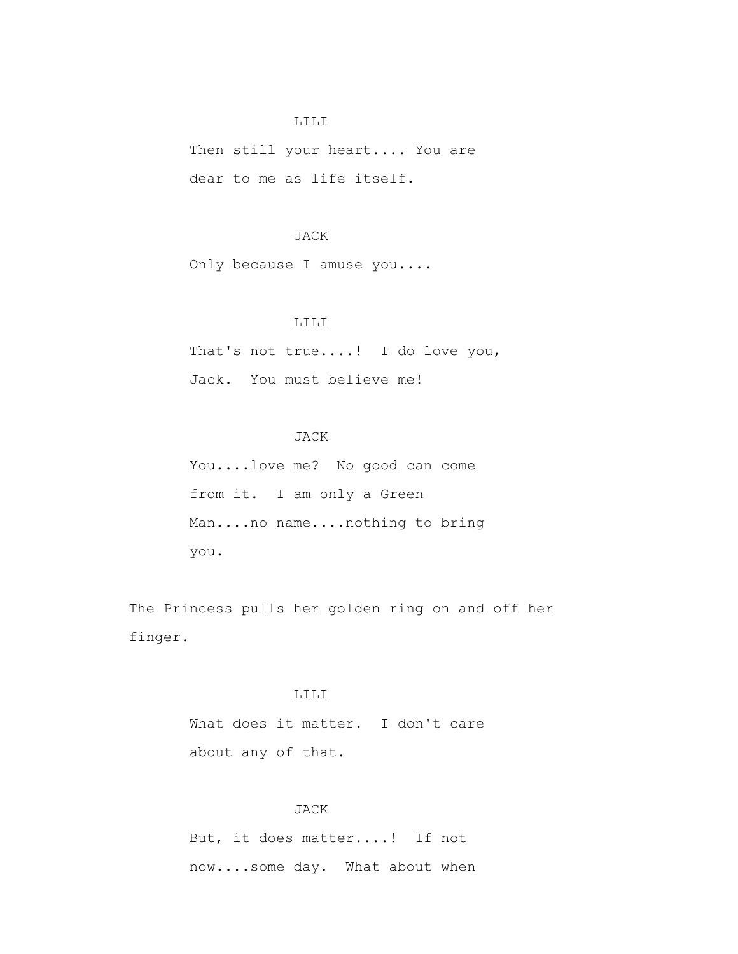### LILI

 Then still your heart.... You are dear to me as life itself.

### JACK

Only because I amuse you....

### LILI

 That's not true....! I do love you, Jack. You must believe me!

# JACK

 You....love me? No good can come from it. I am only a Green Man....no name....nothing to bring you.

 The Princess pulls her golden ring on and off her finger.

# LILI

What does it matter. I don't care about any of that.

## JACK

 But, it does matter....! If not now....some day. What about when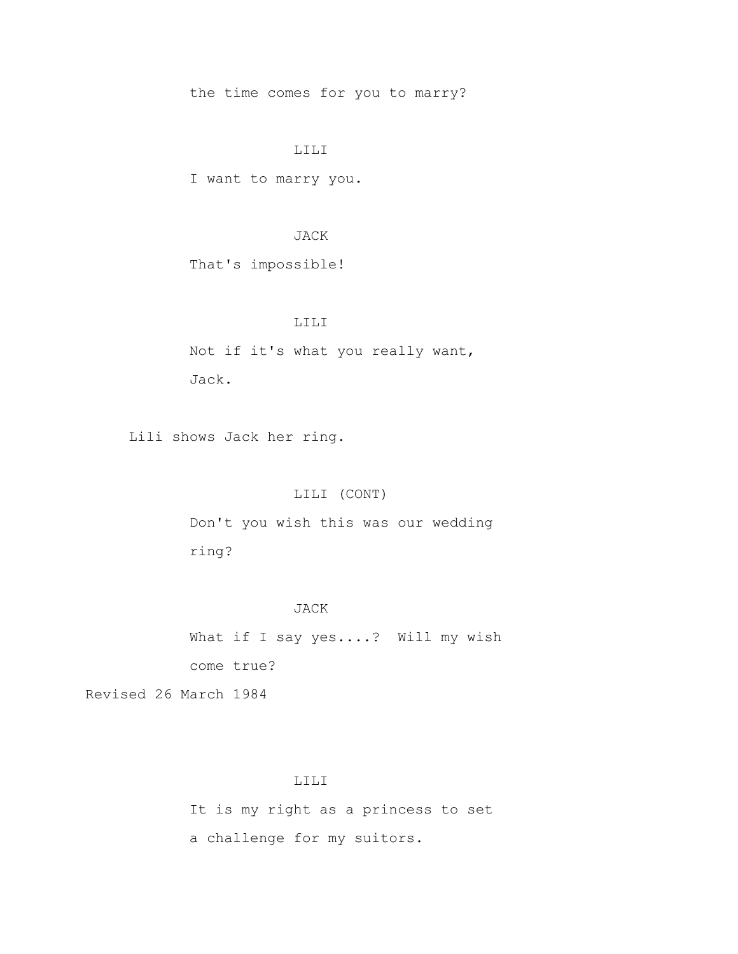the time comes for you to marry?

## LILI

I want to marry you.

## JACK

That's impossible!

## LILI

 Not if it's what you really want, Jack.

Lili shows Jack her ring.

## LILI (CONT)

 Don't you wish this was our wedding ring?

### JACK

What if I say yes....? Will my wish come true?

Revised 26 March 1984

## LILI

 It is my right as a princess to set a challenge for my suitors.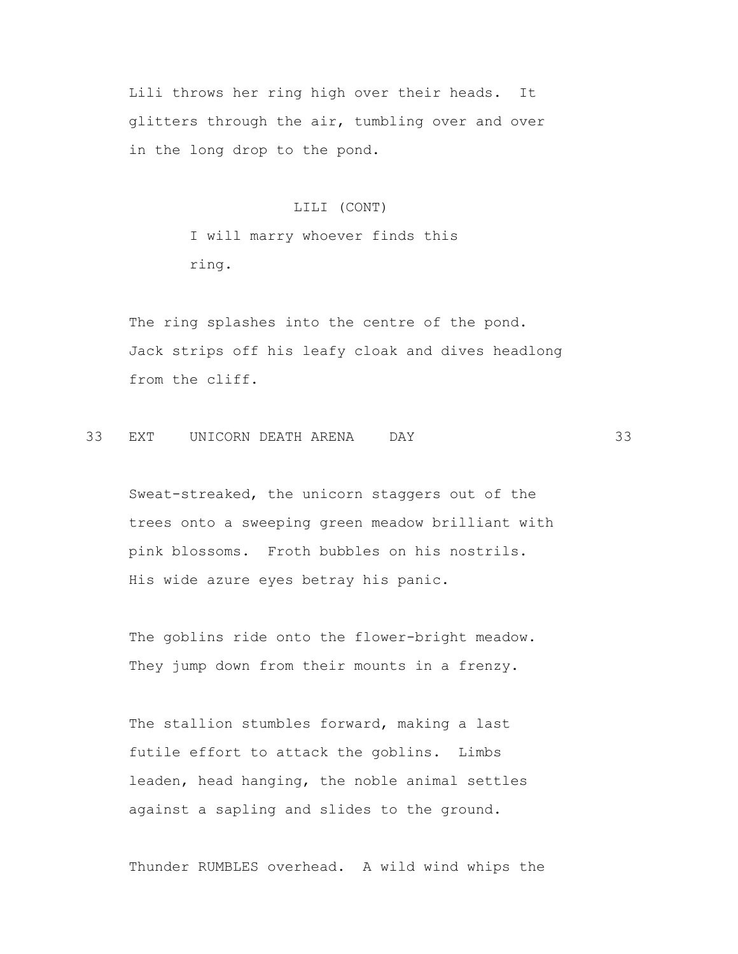Lili throws her ring high over their heads. It glitters through the air, tumbling over and over in the long drop to the pond.

### LILI (CONT)

 I will marry whoever finds this ring.

 The ring splashes into the centre of the pond. Jack strips off his leafy cloak and dives headlong from the cliff.

# 33 EXT UNICORN DEATH ARENA DAY 33

 Sweat-streaked, the unicorn staggers out of the trees onto a sweeping green meadow brilliant with pink blossoms. Froth bubbles on his nostrils. His wide azure eyes betray his panic.

 The goblins ride onto the flower-bright meadow. They jump down from their mounts in a frenzy.

 The stallion stumbles forward, making a last futile effort to attack the goblins. Limbs leaden, head hanging, the noble animal settles against a sapling and slides to the ground.

Thunder RUMBLES overhead. A wild wind whips the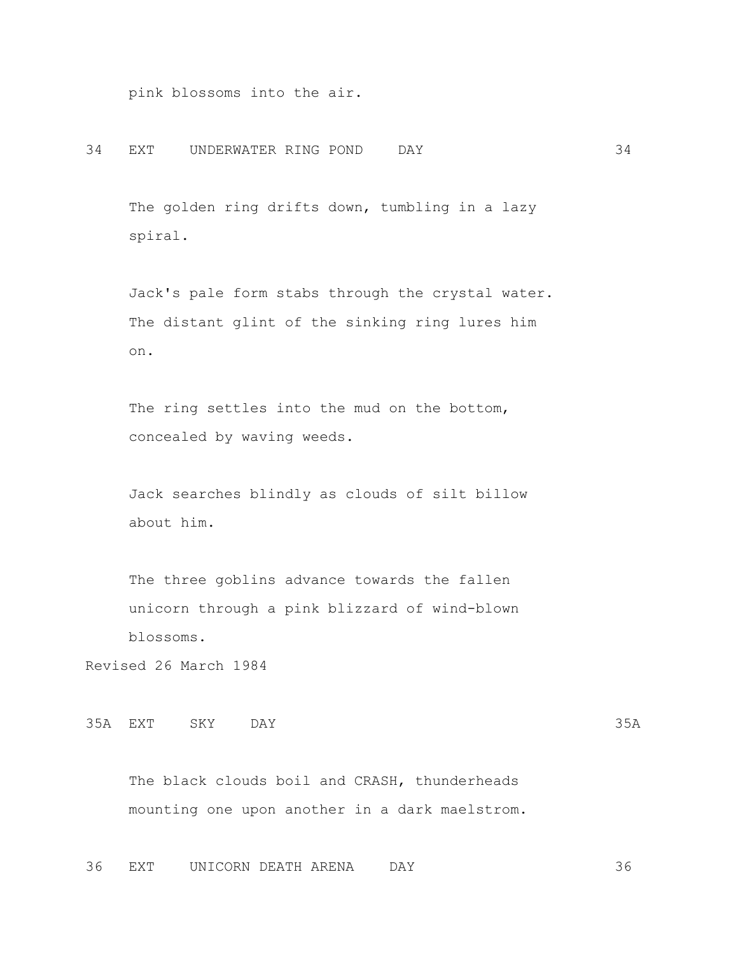pink blossoms into the air.

### 34 EXT UNDERWATER RING POND DAY 34

The golden ring drifts down, tumbling in a lazy spiral.

 Jack's pale form stabs through the crystal water. The distant glint of the sinking ring lures him on.

 The ring settles into the mud on the bottom, concealed by waving weeds.

 Jack searches blindly as clouds of silt billow about him.

 The three goblins advance towards the fallen unicorn through a pink blizzard of wind-blown blossoms.

Revised 26 March 1984

```
35A EXT SKY DAY 35A
```
 The black clouds boil and CRASH, thunderheads mounting one upon another in a dark maelstrom.

36 EXT UNICORN DEATH ARENA DAY 36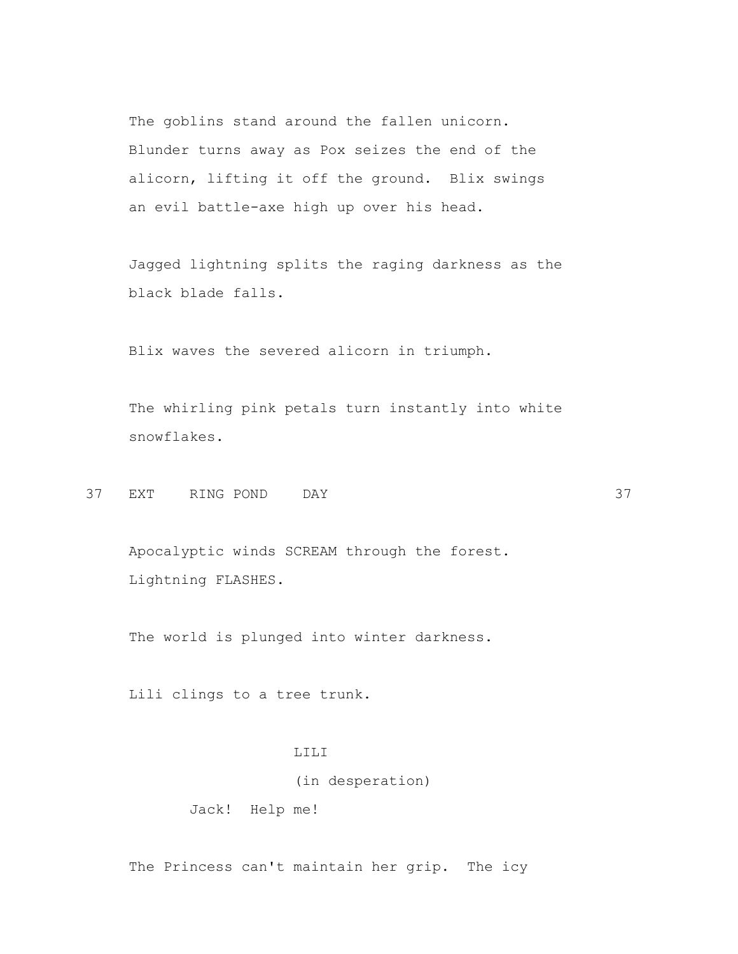The goblins stand around the fallen unicorn. Blunder turns away as Pox seizes the end of the alicorn, lifting it off the ground. Blix swings an evil battle-axe high up over his head.

 Jagged lightning splits the raging darkness as the black blade falls.

Blix waves the severed alicorn in triumph.

 The whirling pink petals turn instantly into white snowflakes.

37 EXT RING POND DAY 37

 Apocalyptic winds SCREAM through the forest. Lightning FLASHES.

The world is plunged into winter darkness.

Lili clings to a tree trunk.

### LILI

(in desperation)

Jack! Help me!

The Princess can't maintain her grip. The icy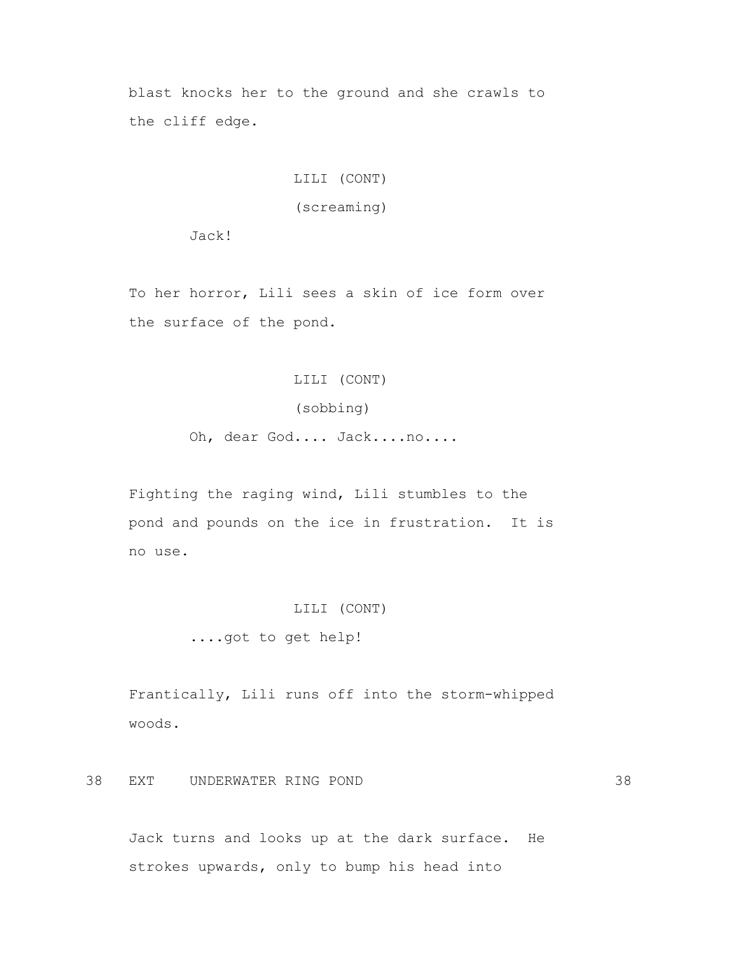blast knocks her to the ground and she crawls to the cliff edge.

## LILI (CONT)

## (screaming)

Jack!

 To her horror, Lili sees a skin of ice form over the surface of the pond.

### LILI (CONT)

## (sobbing)

Oh, dear God.... Jack....no....

 Fighting the raging wind, Lili stumbles to the pond and pounds on the ice in frustration. It is no use.

#### LILI (CONT)

....got to get help!

 Frantically, Lili runs off into the storm-whipped woods.

38 EXT UNDERWATER RING POND 38

 Jack turns and looks up at the dark surface. He strokes upwards, only to bump his head into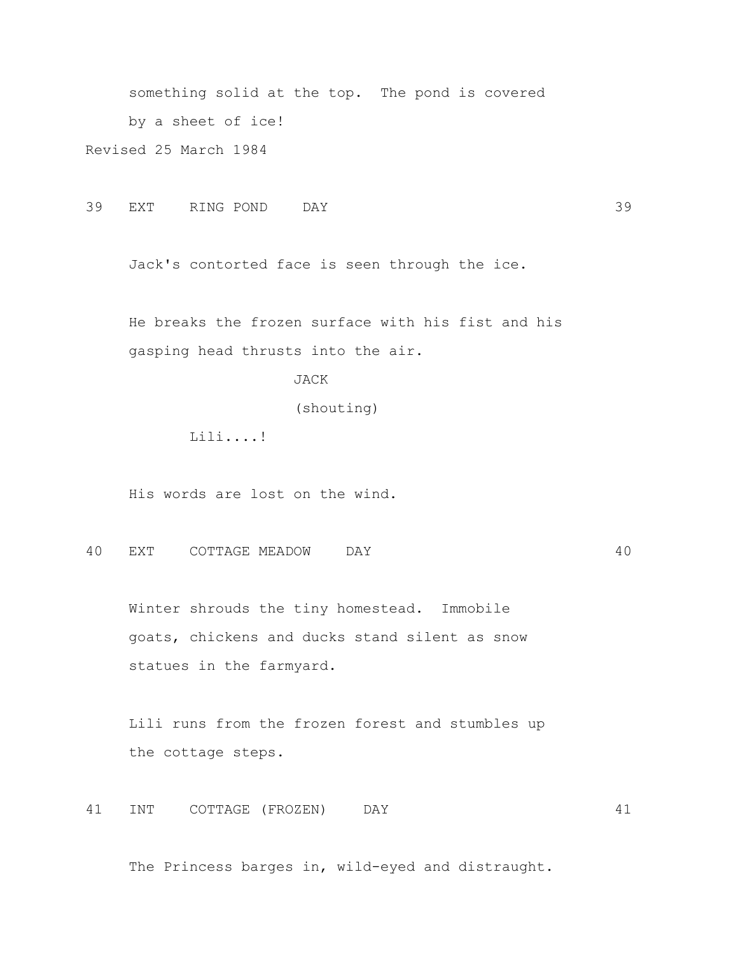something solid at the top. The pond is covered by a sheet of ice! Revised 25 March 1984

39 EXT RING POND DAY 39

Jack's contorted face is seen through the ice.

 He breaks the frozen surface with his fist and his gasping head thrusts into the air.

JACK

(shouting)

Lili....!

His words are lost on the wind.

40 EXT COTTAGE MEADOW DAY 40

 Winter shrouds the tiny homestead. Immobile goats, chickens and ducks stand silent as snow statues in the farmyard.

 Lili runs from the frozen forest and stumbles up the cottage steps.

41 INT COTTAGE (FROZEN) DAY 41

The Princess barges in, wild-eyed and distraught.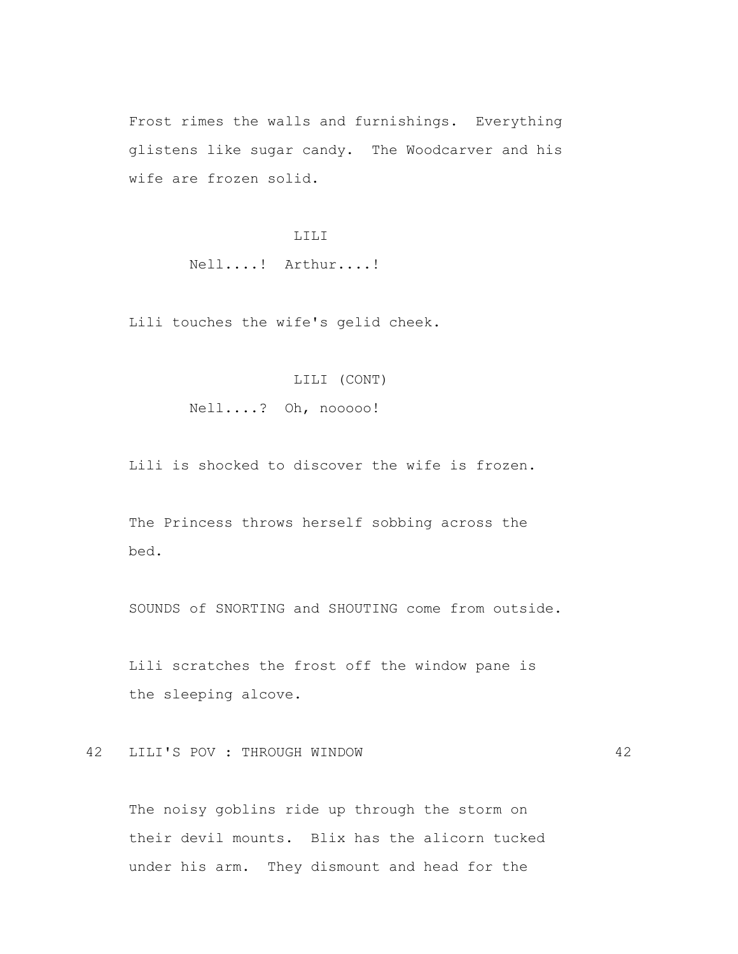Frost rimes the walls and furnishings. Everything glistens like sugar candy. The Woodcarver and his wife are frozen solid.

## LILI

Nell....! Arthur....!

Lili touches the wife's gelid cheek.

### LILI (CONT)

Nell....? Oh, nooooo!

Lili is shocked to discover the wife is frozen.

 The Princess throws herself sobbing across the bed.

SOUNDS of SNORTING and SHOUTING come from outside.

 Lili scratches the frost off the window pane is the sleeping alcove.

# 42 LILI'S POV : THROUGH WINDOW 42

 The noisy goblins ride up through the storm on their devil mounts. Blix has the alicorn tucked under his arm. They dismount and head for the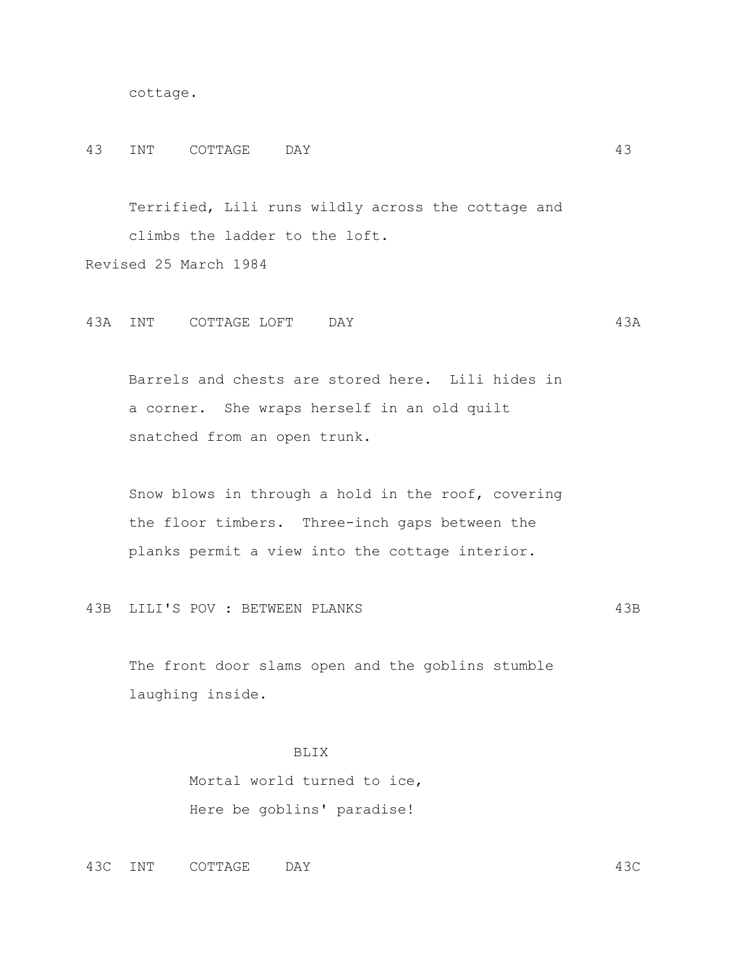```
 cottage.
```
#### 43 INT COTTAGE DAY 43

 Terrified, Lili runs wildly across the cottage and climbs the ladder to the loft. Revised 25 March 1984

43A INT COTTAGE LOFT DAY 43A

 Barrels and chests are stored here. Lili hides in a corner. She wraps herself in an old quilt snatched from an open trunk.

 Snow blows in through a hold in the roof, covering the floor timbers. Three-inch gaps between the planks permit a view into the cottage interior.

43B LILI'S POV : BETWEEN PLANKS 43B

 The front door slams open and the goblins stumble laughing inside.

### BLIX

 Mortal world turned to ice, Here be goblins' paradise!

43C INT COTTAGE DAY 43C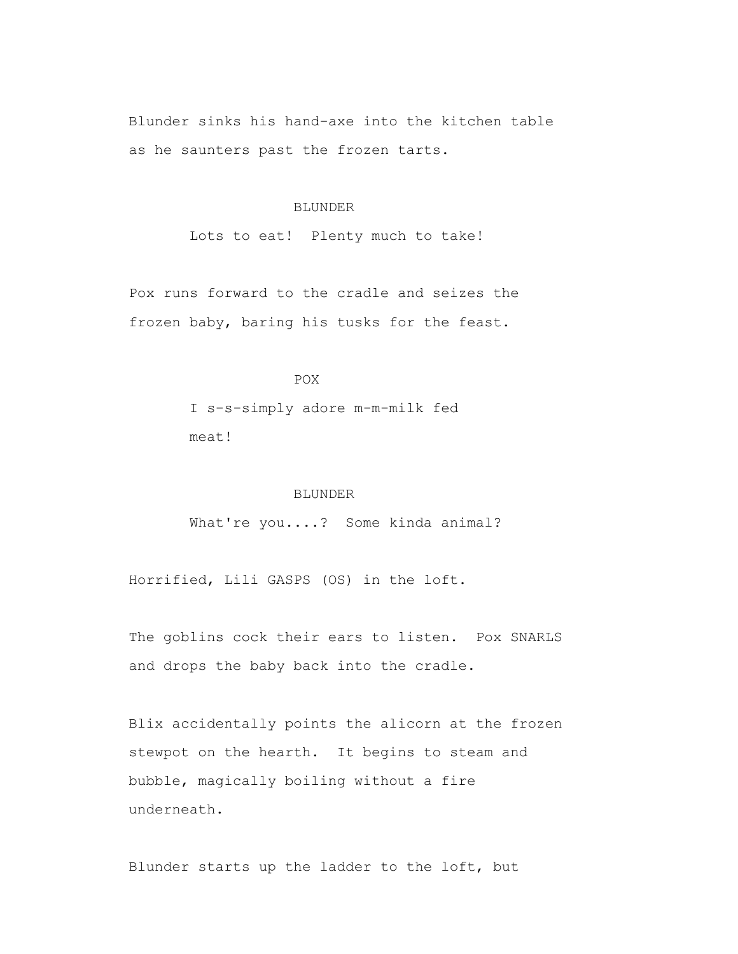Blunder sinks his hand-axe into the kitchen table as he saunters past the frozen tarts.

#### BLUNDER

Lots to eat! Plenty much to take!

 Pox runs forward to the cradle and seizes the frozen baby, baring his tusks for the feast.

# POX

 I s-s-simply adore m-m-milk fed meat!

### BLUNDER

What're you....? Some kinda animal?

Horrified, Lili GASPS (OS) in the loft.

 The goblins cock their ears to listen. Pox SNARLS and drops the baby back into the cradle.

 Blix accidentally points the alicorn at the frozen stewpot on the hearth. It begins to steam and bubble, magically boiling without a fire underneath.

Blunder starts up the ladder to the loft, but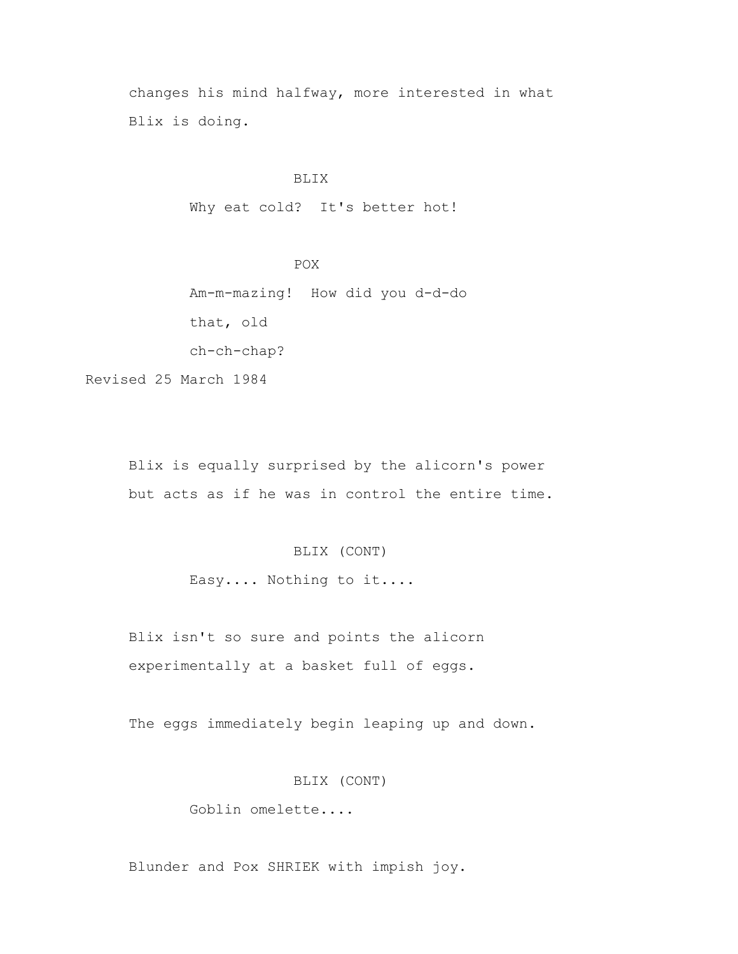changes his mind halfway, more interested in what Blix is doing.

## BLIX

Why eat cold? It's better hot!

 POX Am-m-mazing! How did you d-d-do that, old ch-ch-chap?

Revised 25 March 1984

 Blix is equally surprised by the alicorn's power but acts as if he was in control the entire time.

# BLIX (CONT)

Easy.... Nothing to it....

 Blix isn't so sure and points the alicorn experimentally at a basket full of eggs.

The eggs immediately begin leaping up and down.

## BLIX (CONT)

Goblin omelette....

Blunder and Pox SHRIEK with impish joy.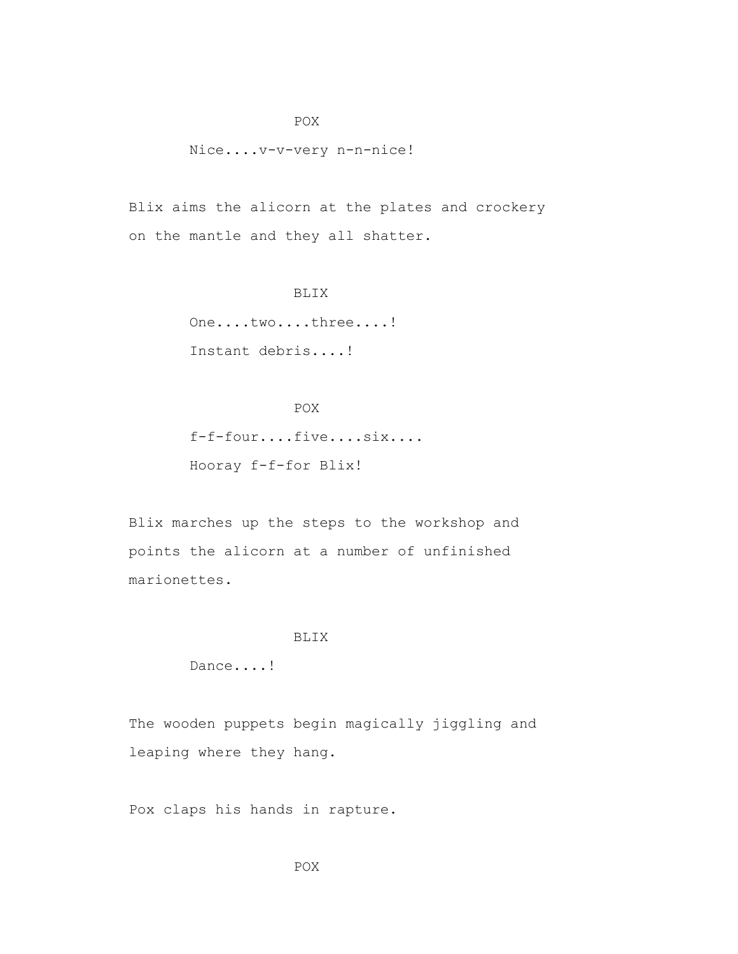### Nice....v-v-very n-n-nice!

 Blix aims the alicorn at the plates and crockery on the mantle and they all shatter.

## BLIX

One....two....three....! Instant debris....!

## **POX**

 f-f-four....five....six.... Hooray f-f-for Blix!

 Blix marches up the steps to the workshop and points the alicorn at a number of unfinished marionettes.

### BLIX

Dance....!

 The wooden puppets begin magically jiggling and leaping where they hang.

Pox claps his hands in rapture.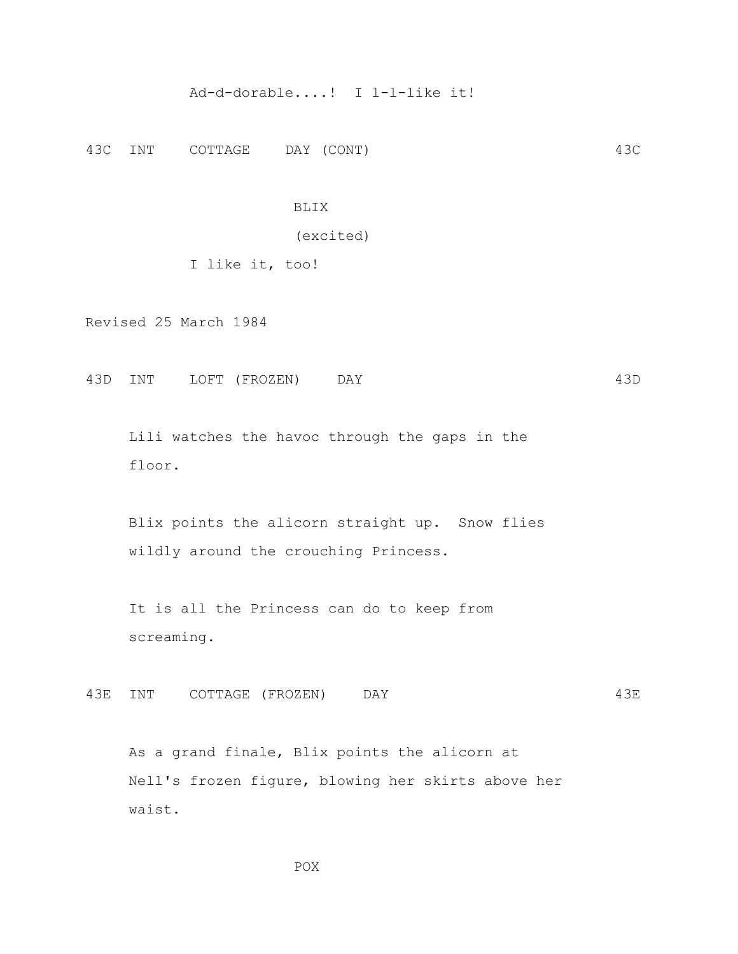## Ad-d-dorable....! I l-l-like it!

43C INT COTTAGE DAY (CONT) 43C

### BLIX

#### (excited)

## I like it, too!

Revised 25 March 1984

43D INT LOFT (FROZEN) DAY 43D

 Lili watches the havoc through the gaps in the floor.

 Blix points the alicorn straight up. Snow flies wildly around the crouching Princess.

 It is all the Princess can do to keep from screaming.

43E INT COTTAGE (FROZEN) DAY 43E

 As a grand finale, Blix points the alicorn at Nell's frozen figure, blowing her skirts above her waist.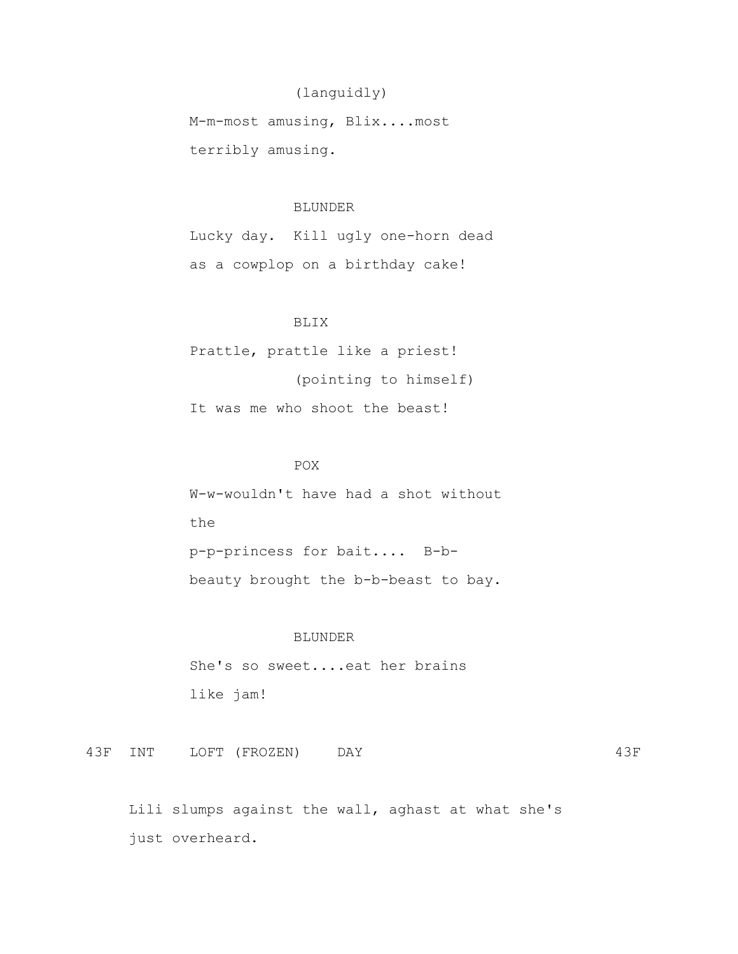# (languidly)

 M-m-most amusing, Blix....most terribly amusing.

### BLUNDER

 Lucky day. Kill ugly one-horn dead as a cowplop on a birthday cake!

## BLIX

 Prattle, prattle like a priest! (pointing to himself) It was me who shoot the beast!

## POX

 W-w-wouldn't have had a shot without the p-p-princess for bait.... B-b beauty brought the b-b-beast to bay.

### BLUNDER

 She's so sweet....eat her brains like jam!

43F INT LOFT (FROZEN) DAY 43F

 Lili slumps against the wall, aghast at what she's just overheard.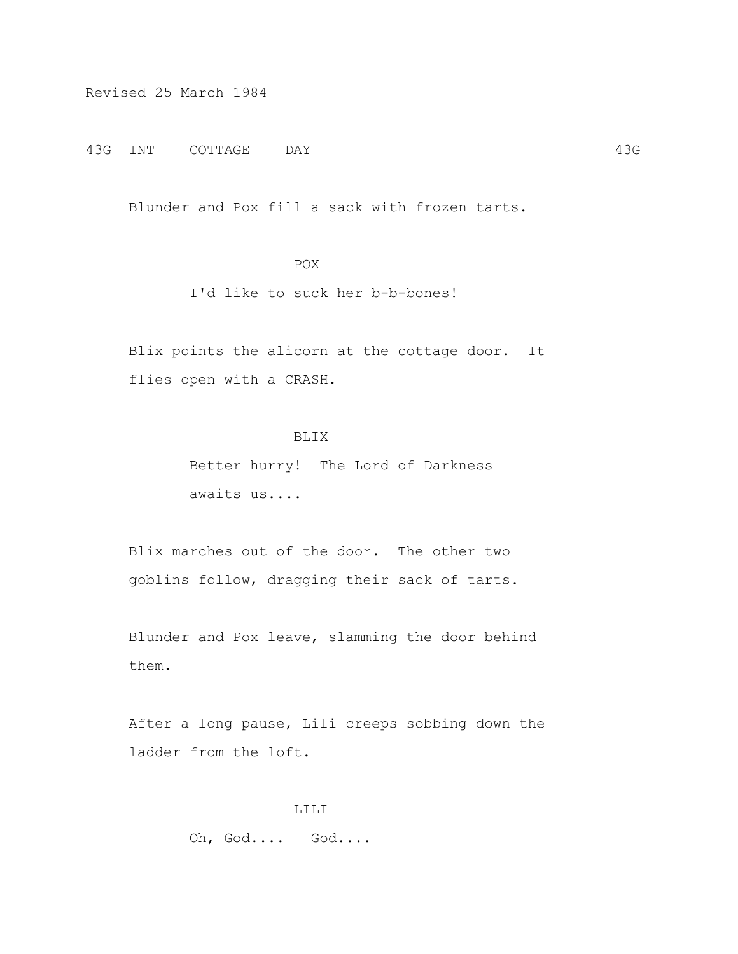Revised 25 March 1984

43G INT COTTAGE DAY 43G

Blunder and Pox fill a sack with frozen tarts.

# POX

# I'd like to suck her b-b-bones!

 Blix points the alicorn at the cottage door. It flies open with a CRASH.

# BLIX

 Better hurry! The Lord of Darkness awaits us....

 Blix marches out of the door. The other two goblins follow, dragging their sack of tarts.

 Blunder and Pox leave, slamming the door behind them.

 After a long pause, Lili creeps sobbing down the ladder from the loft.

> LILI Oh, God.... God....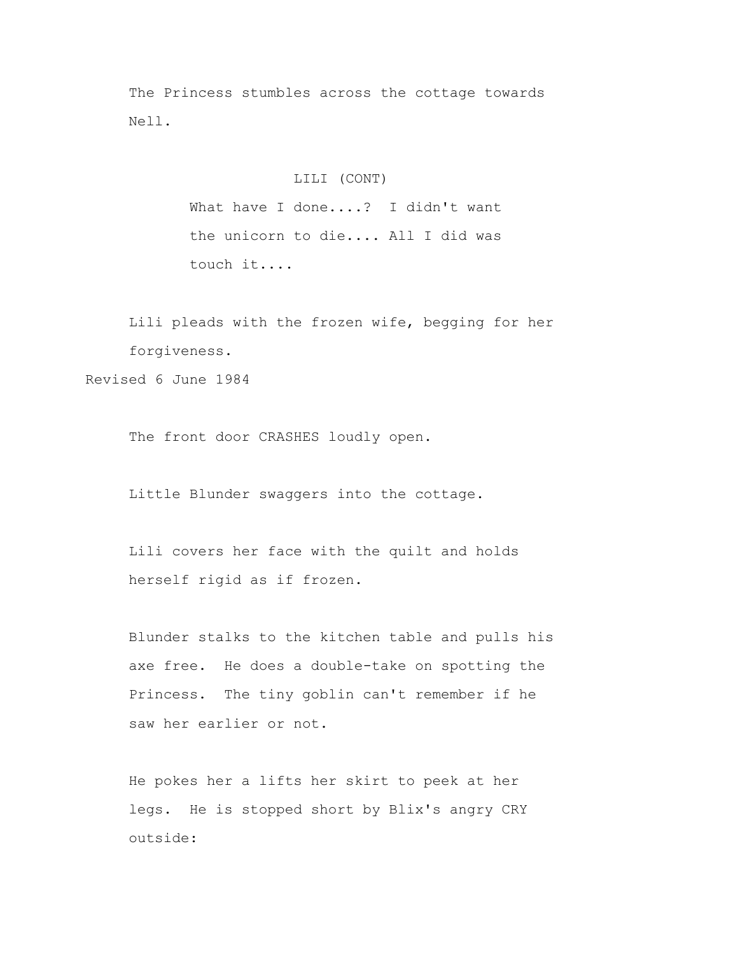The Princess stumbles across the cottage towards Nell.

## LILI (CONT)

What have I done....? I didn't want the unicorn to die.... All I did was touch it....

 Lili pleads with the frozen wife, begging for her forgiveness. Revised 6 June 1984

The front door CRASHES loudly open.

Little Blunder swaggers into the cottage.

 Lili covers her face with the quilt and holds herself rigid as if frozen.

 Blunder stalks to the kitchen table and pulls his axe free. He does a double-take on spotting the Princess. The tiny goblin can't remember if he saw her earlier or not.

 He pokes her a lifts her skirt to peek at her legs. He is stopped short by Blix's angry CRY outside: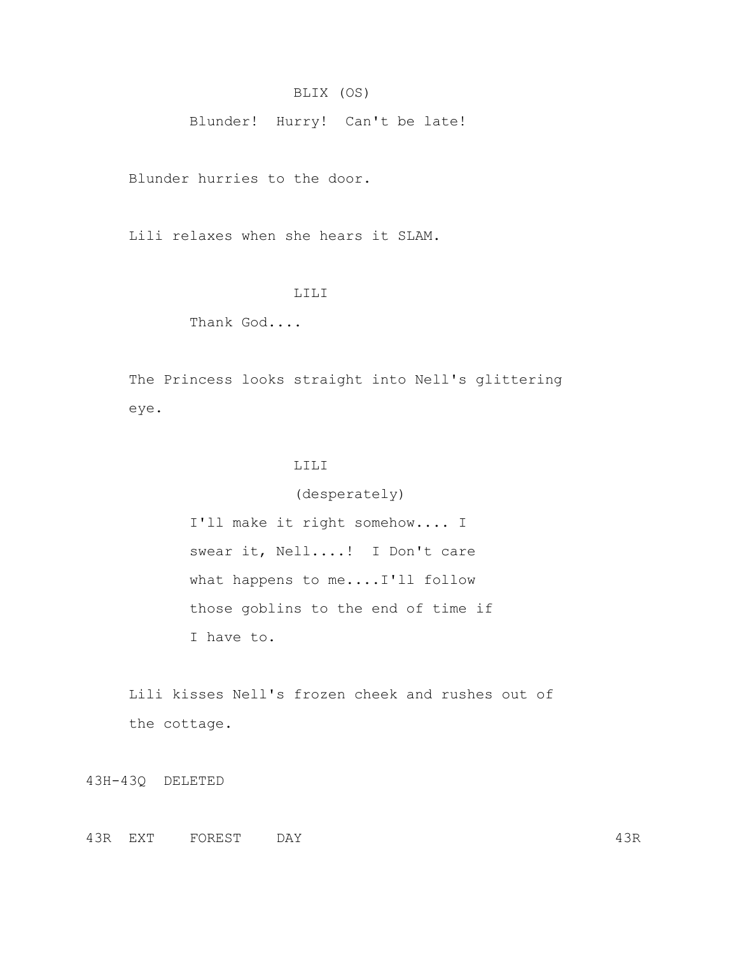## BLIX (OS)

Blunder! Hurry! Can't be late!

Blunder hurries to the door.

Lili relaxes when she hears it SLAM.

### LILI

Thank God....

 The Princess looks straight into Nell's glittering eye.

## LILI

 (desperately) I'll make it right somehow.... I swear it, Nell....! I Don't care what happens to me....I'll follow those goblins to the end of time if I have to.

 Lili kisses Nell's frozen cheek and rushes out of the cottage.

43H-43Q DELETED

43R EXT FOREST DAY 43R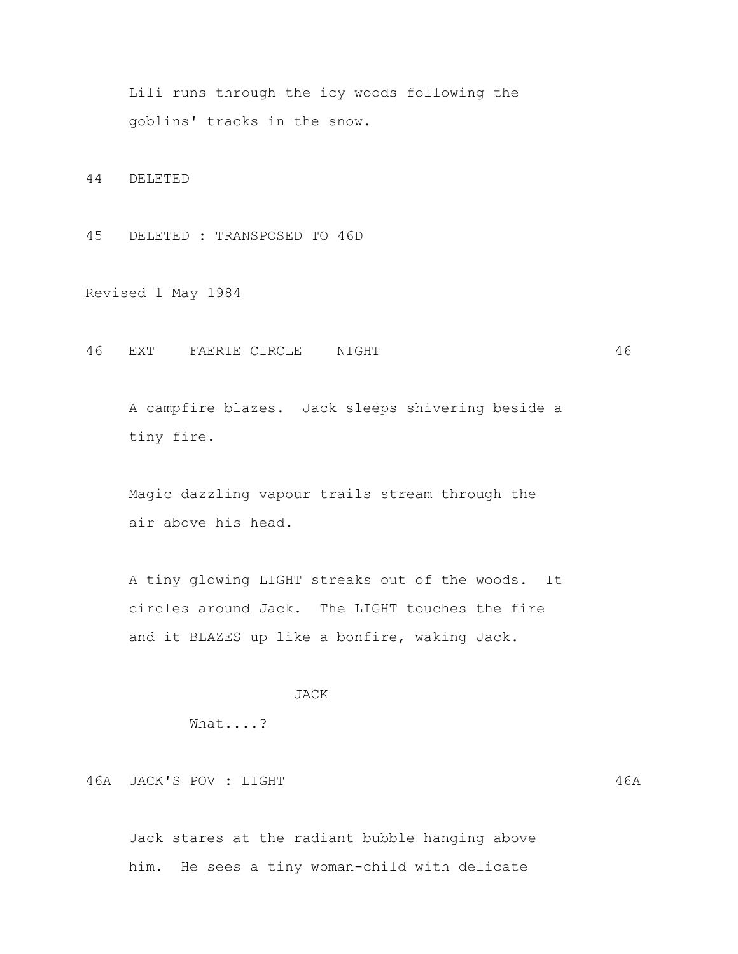Lili runs through the icy woods following the goblins' tracks in the snow.

44 DELETED

45 DELETED : TRANSPOSED TO 46D

Revised 1 May 1984

46 EXT FAERIE CIRCLE NIGHT 46

 A campfire blazes. Jack sleeps shivering beside a tiny fire.

 Magic dazzling vapour trails stream through the air above his head.

 A tiny glowing LIGHT streaks out of the woods. It circles around Jack. The LIGHT touches the fire and it BLAZES up like a bonfire, waking Jack.

## JACK

What....?

46A JACK'S POV : LIGHT 46A

 Jack stares at the radiant bubble hanging above him. He sees a tiny woman-child with delicate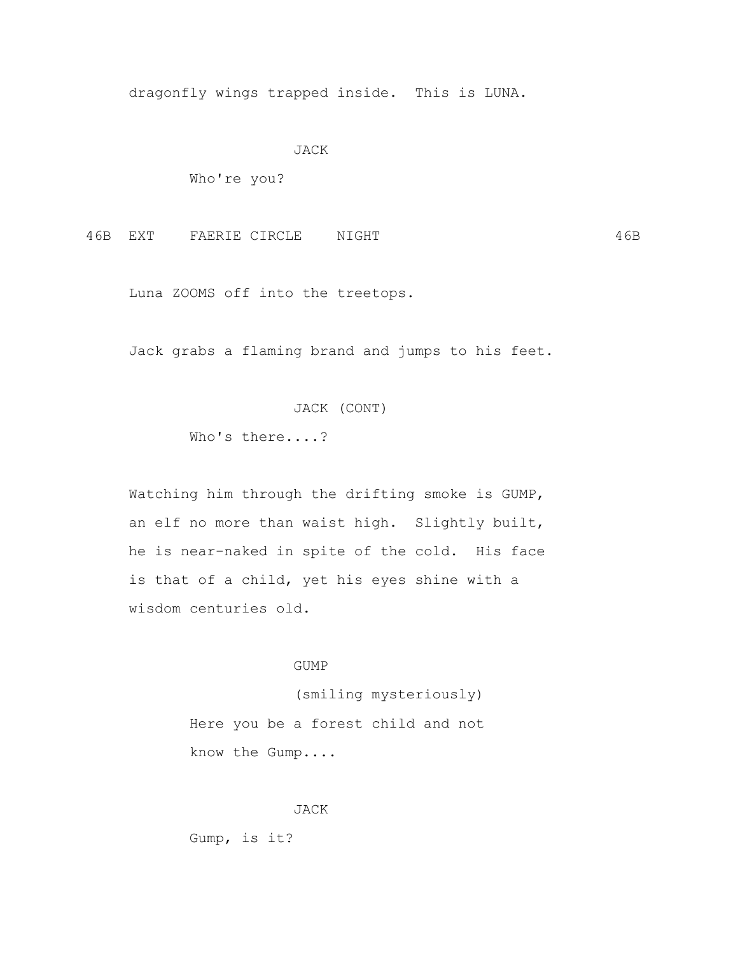dragonfly wings trapped inside. This is LUNA.

#### JACK

Who're you?

46B EXT FAERIE CIRCLE NIGHT 46B

Luna ZOOMS off into the treetops.

Jack grabs a flaming brand and jumps to his feet.

### JACK (CONT)

Who's there....?

 Watching him through the drifting smoke is GUMP, an elf no more than waist high. Slightly built, he is near-naked in spite of the cold. His face is that of a child, yet his eyes shine with a wisdom centuries old.

### GUMP

 (smiling mysteriously) Here you be a forest child and not know the Gump....

JACK

Gump, is it?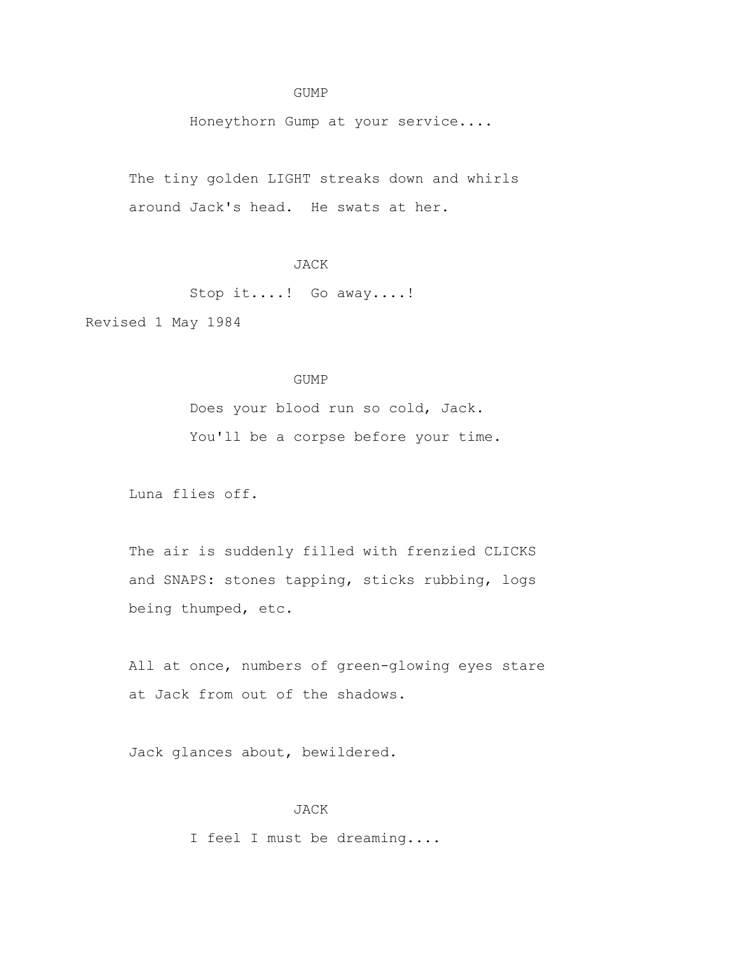### GUMP

Honeythorn Gump at your service....

 The tiny golden LIGHT streaks down and whirls around Jack's head. He swats at her.

# JACK

Stop it....! Go away....!

Revised 1 May 1984

## GUMP

 Does your blood run so cold, Jack. You'll be a corpse before your time.

Luna flies off.

 The air is suddenly filled with frenzied CLICKS and SNAPS: stones tapping, sticks rubbing, logs being thumped, etc.

All at once, numbers of green-glowing eyes stare at Jack from out of the shadows.

Jack glances about, bewildered.

### JACK

I feel I must be dreaming....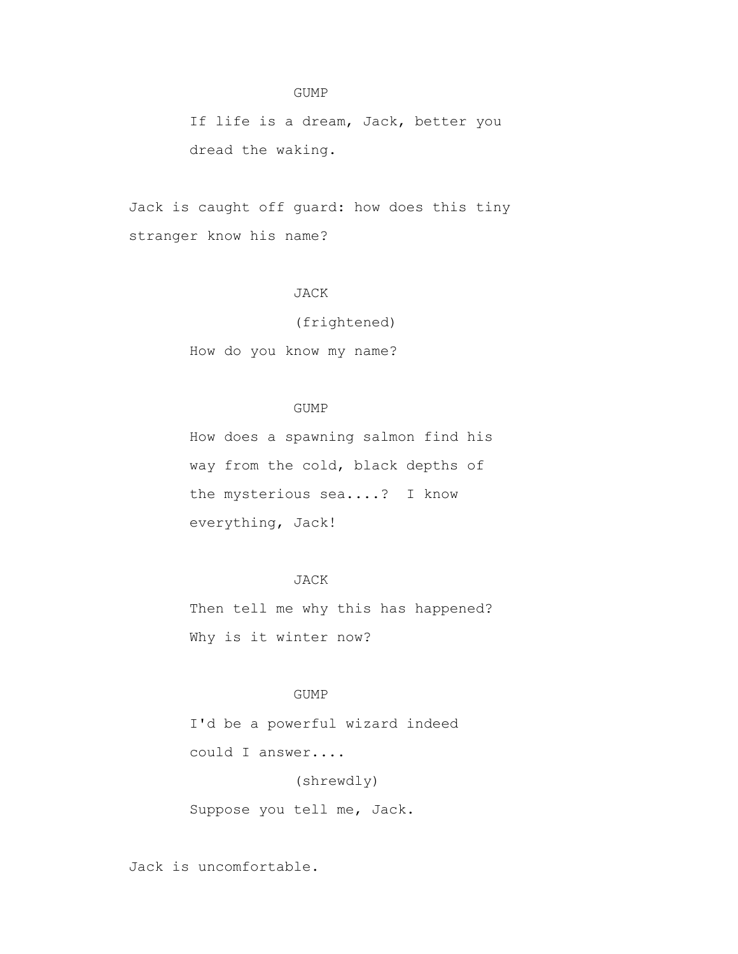### GUMP

 If life is a dream, Jack, better you dread the waking.

 Jack is caught off guard: how does this tiny stranger know his name?

## JACK

(frightened)

How do you know my name?

### GUMP

 How does a spawning salmon find his way from the cold, black depths of the mysterious sea....? I know everything, Jack!

# JACK

Then tell me why this has happened? Why is it winter now?

## GUMP

 I'd be a powerful wizard indeed could I answer....

## (shrewdly)

Suppose you tell me, Jack.

Jack is uncomfortable.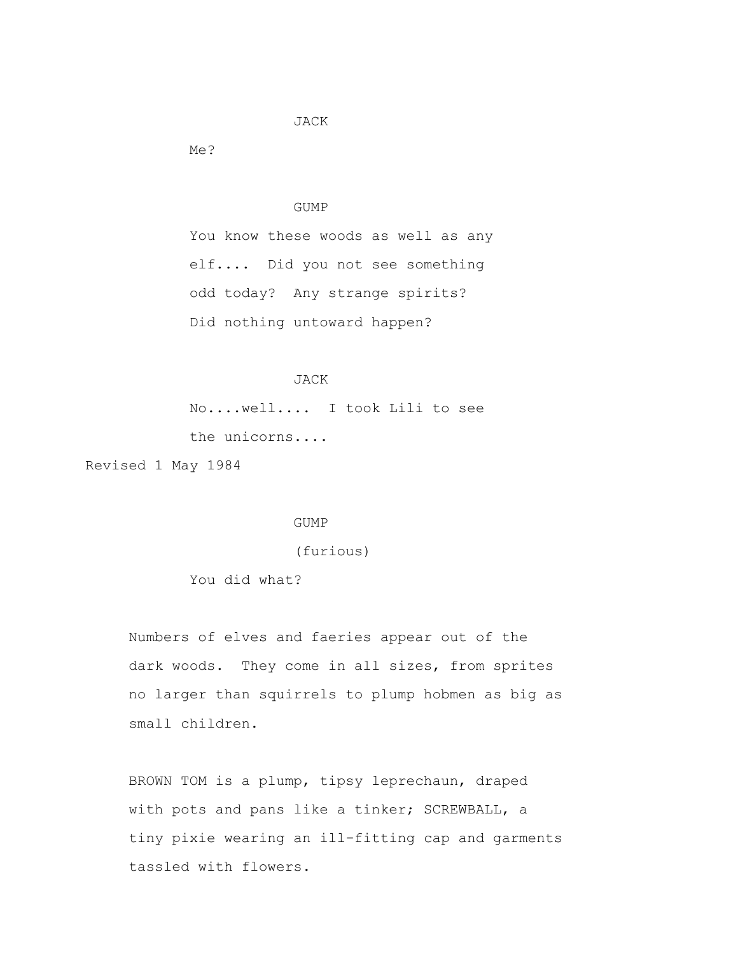### JACK

Me?

# GUMP

 You know these woods as well as any elf.... Did you not see something odd today? Any strange spirits? Did nothing untoward happen?

# JACK

 No....well.... I took Lili to see the unicorns....

Revised 1 May 1984

#### GUMP

(furious)

You did what?

 Numbers of elves and faeries appear out of the dark woods. They come in all sizes, from sprites no larger than squirrels to plump hobmen as big as small children.

 BROWN TOM is a plump, tipsy leprechaun, draped with pots and pans like a tinker; SCREWBALL, a tiny pixie wearing an ill-fitting cap and garments tassled with flowers.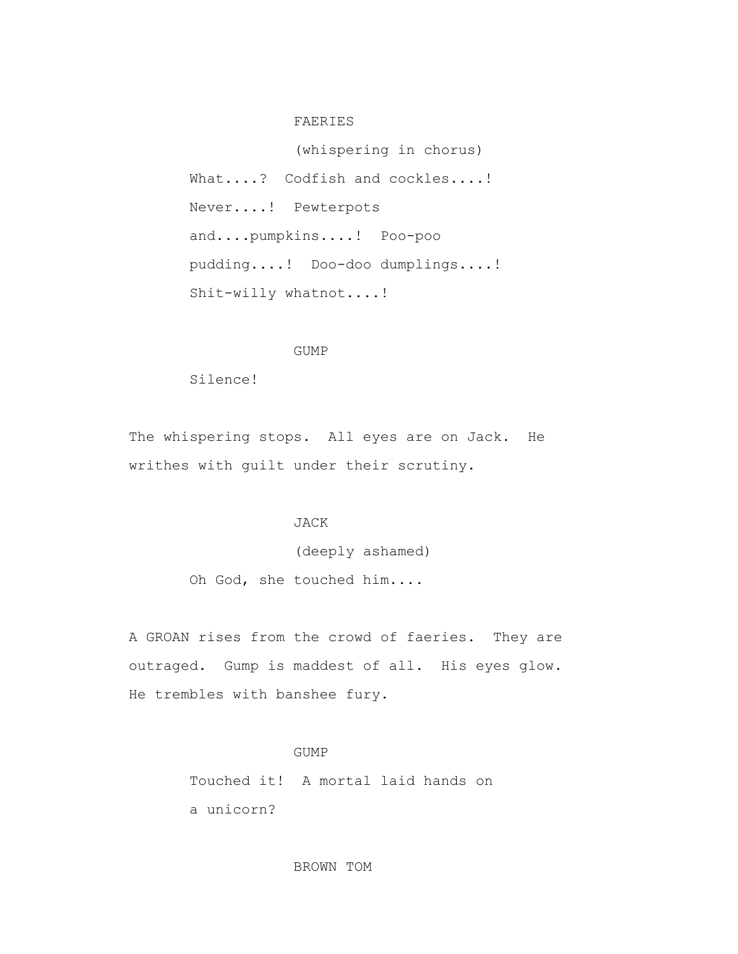### FAERIES

 (whispering in chorus) What....? Codfish and cockles....! Never....! Pewterpots and....pumpkins....! Poo-poo pudding....! Doo-doo dumplings....! Shit-willy whatnot....!

### GUMP

Silence!

 The whispering stops. All eyes are on Jack. He writhes with guilt under their scrutiny.

### JACK

 (deeply ashamed) Oh God, she touched him....

 A GROAN rises from the crowd of faeries. They are outraged. Gump is maddest of all. His eyes glow. He trembles with banshee fury.

# GUMP

Touched it! A mortal laid hands on

a unicorn?

BROWN TOM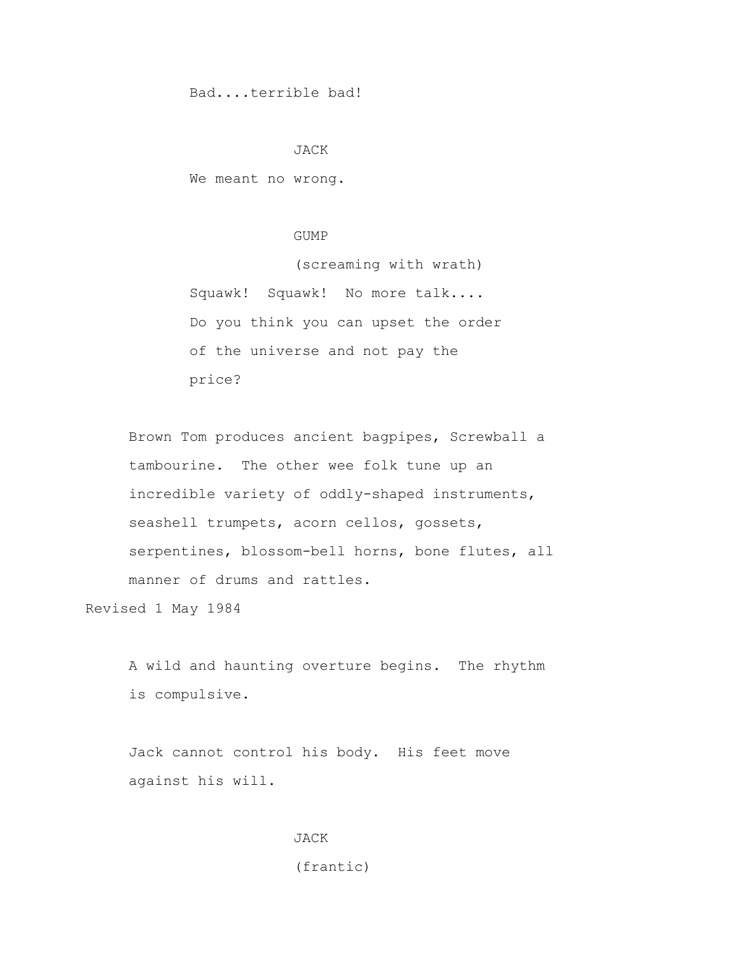Bad....terrible bad!

#### JACK

We meant no wrong.

#### GUMP

 (screaming with wrath) Squawk! Squawk! No more talk.... Do you think you can upset the order of the universe and not pay the price?

 Brown Tom produces ancient bagpipes, Screwball a tambourine. The other wee folk tune up an incredible variety of oddly-shaped instruments, seashell trumpets, acorn cellos, gossets, serpentines, blossom-bell horns, bone flutes, all manner of drums and rattles.

Revised 1 May 1984

 A wild and haunting overture begins. The rhythm is compulsive.

 Jack cannot control his body. His feet move against his will.

> **JACK** (frantic)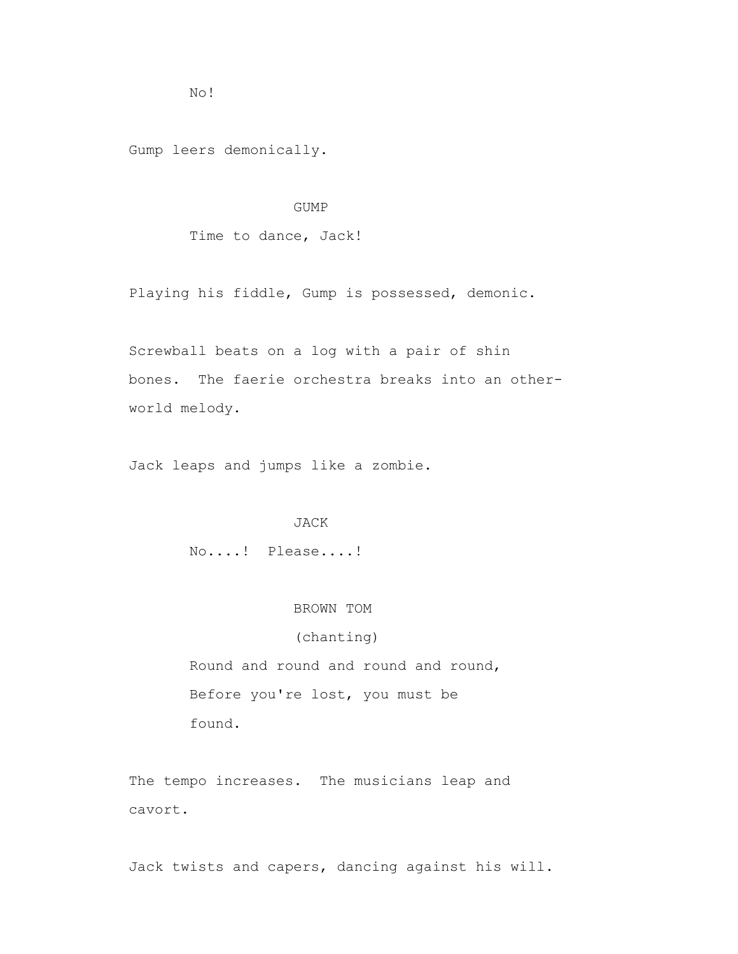No!

Gump leers demonically.

### GUMP

Time to dance, Jack!

Playing his fiddle, Gump is possessed, demonic.

 Screwball beats on a log with a pair of shin bones. The faerie orchestra breaks into an other world melody.

Jack leaps and jumps like a zombie.

#### JACK

No....! Please....!

#### BROWN TOM

# (chanting)

 Round and round and round and round, Before you're lost, you must be found.

 The tempo increases. The musicians leap and cavort.

Jack twists and capers, dancing against his will.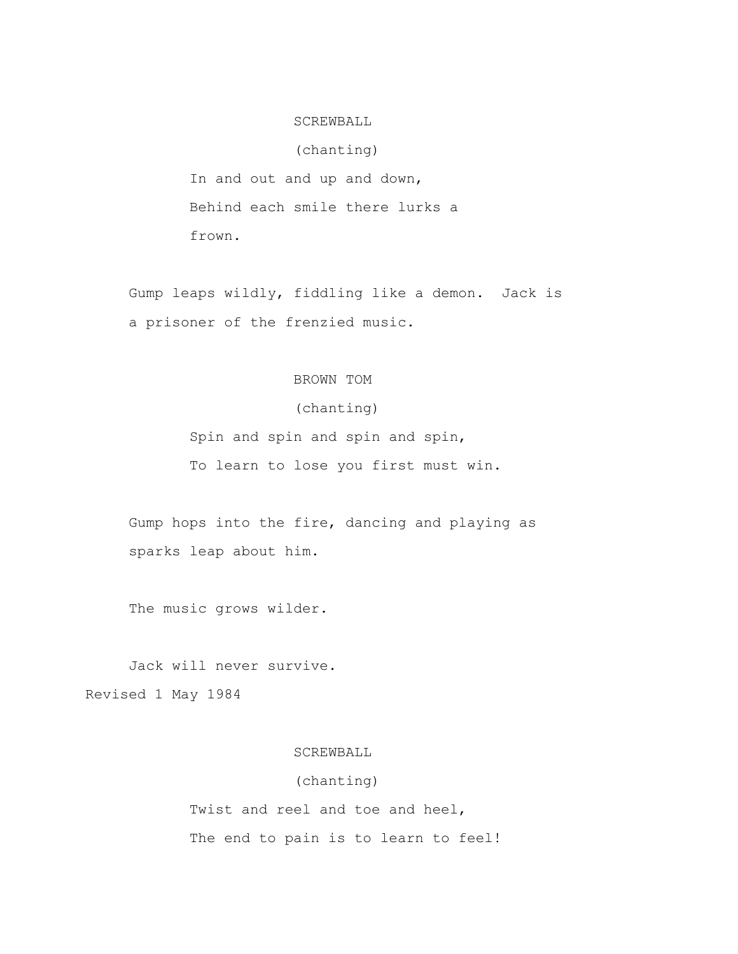### SCREWBALL

### (chanting)

 In and out and up and down, Behind each smile there lurks a frown.

 Gump leaps wildly, fiddling like a demon. Jack is a prisoner of the frenzied music.

# BROWN TOM

# (chanting)

 Spin and spin and spin and spin, To learn to lose you first must win.

 Gump hops into the fire, dancing and playing as sparks leap about him.

The music grows wilder.

Jack will never survive.

Revised 1 May 1984

# SCREWBALL

# (chanting)

 Twist and reel and toe and heel, The end to pain is to learn to feel!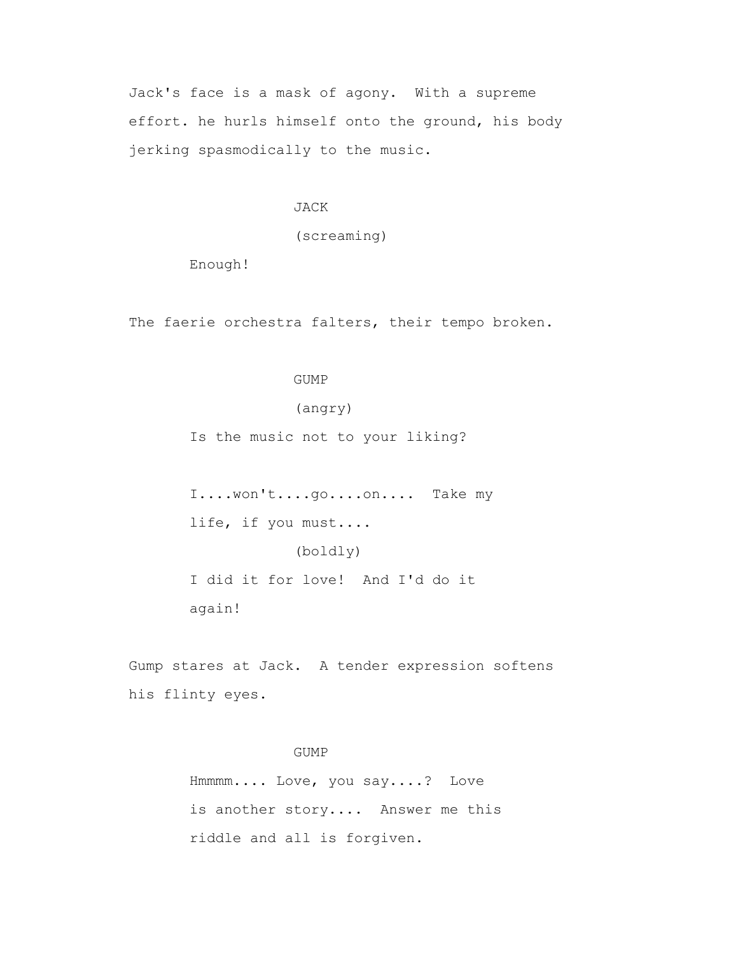Jack's face is a mask of agony. With a supreme effort. he hurls himself onto the ground, his body jerking spasmodically to the music.

JACK

(screaming)

Enough!

The faerie orchestra falters, their tempo broken.

# GUMP

(angry)

Is the music not to your liking?

 I....won't....go....on.... Take my life, if you must.... (boldly) I did it for love! And I'd do it again!

 Gump stares at Jack. A tender expression softens his flinty eyes.

### GUMP

 Hmmmm.... Love, you say....? Love is another story.... Answer me this riddle and all is forgiven.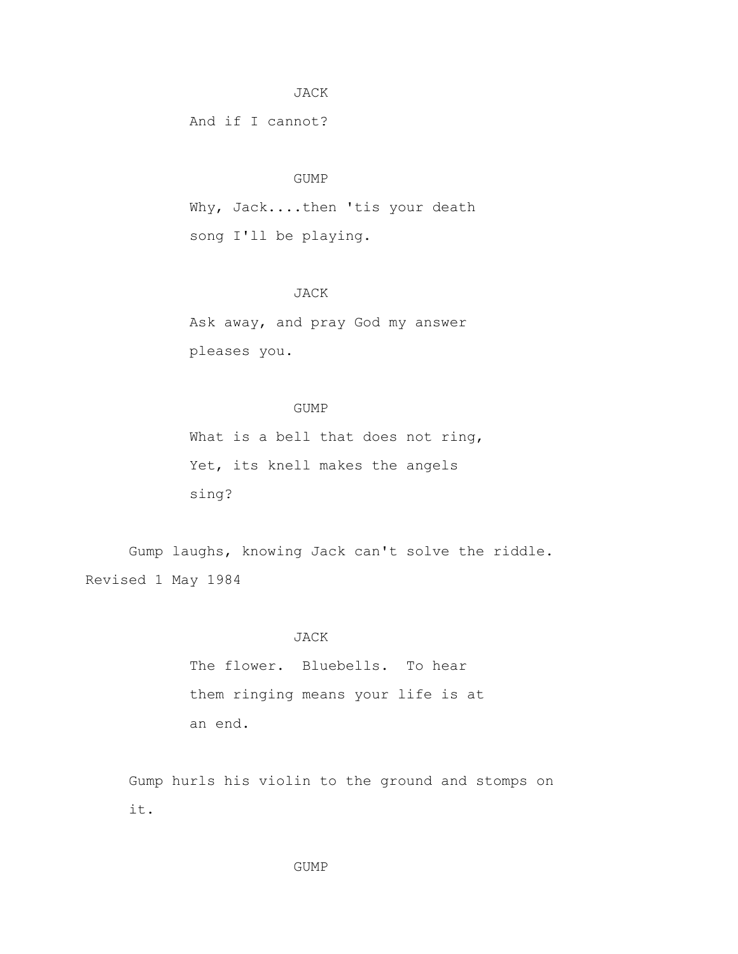### JACK

And if I cannot?

### GUMP

 Why, Jack....then 'tis your death song I'll be playing.

# JACK

 Ask away, and pray God my answer pleases you.

### GUMP

What is a bell that does not ring, Yet, its knell makes the angels sing?

 Gump laughs, knowing Jack can't solve the riddle. Revised 1 May 1984

### JACK

 The flower. Bluebells. To hear them ringing means your life is at an end.

 Gump hurls his violin to the ground and stomps on it.

### GUMP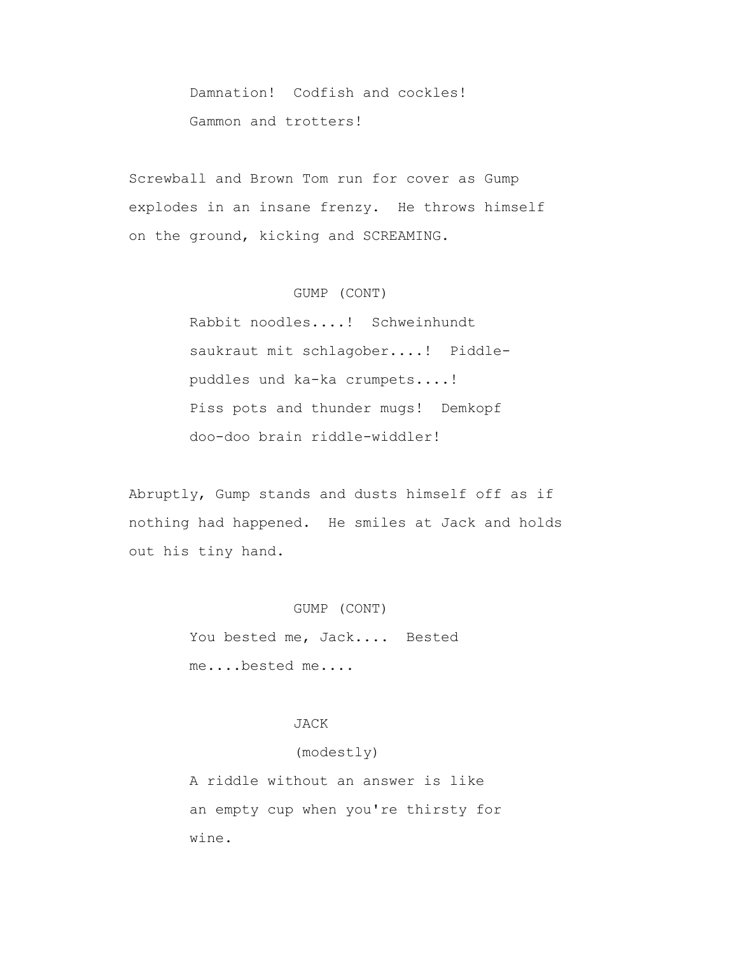Damnation! Codfish and cockles! Gammon and trotters!

 Screwball and Brown Tom run for cover as Gump explodes in an insane frenzy. He throws himself on the ground, kicking and SCREAMING.

# GUMP (CONT)

 Rabbit noodles....! Schweinhundt saukraut mit schlagober....! Piddle puddles und ka-ka crumpets....! Piss pots and thunder mugs! Demkopf doo-doo brain riddle-widdler!

 Abruptly, Gump stands and dusts himself off as if nothing had happened. He smiles at Jack and holds out his tiny hand.

### GUMP (CONT)

 You bested me, Jack.... Bested me....bested me....

# JACK

# (modestly)

 A riddle without an answer is like an empty cup when you're thirsty for wine.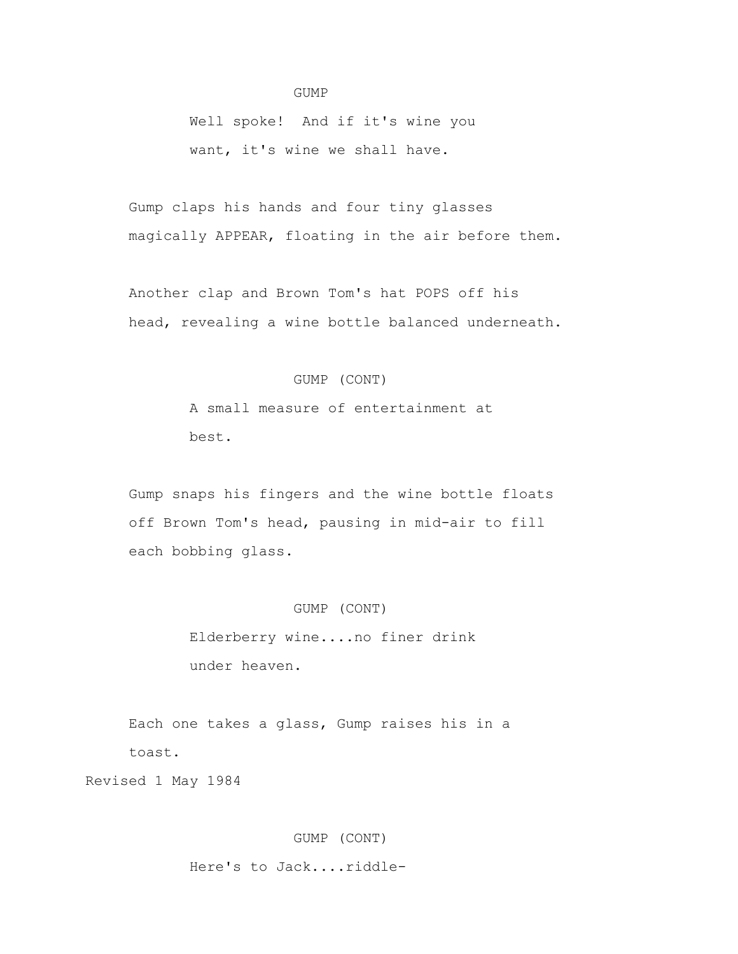### GUMP

 Well spoke! And if it's wine you want, it's wine we shall have.

 Gump claps his hands and four tiny glasses magically APPEAR, floating in the air before them.

 Another clap and Brown Tom's hat POPS off his head, revealing a wine bottle balanced underneath.

# GUMP (CONT)

 A small measure of entertainment at best.

 Gump snaps his fingers and the wine bottle floats off Brown Tom's head, pausing in mid-air to fill each bobbing glass.

### GUMP (CONT)

 Elderberry wine....no finer drink under heaven.

 Each one takes a glass, Gump raises his in a toast.

Revised 1 May 1984

# GUMP (CONT)

Here's to Jack....riddle-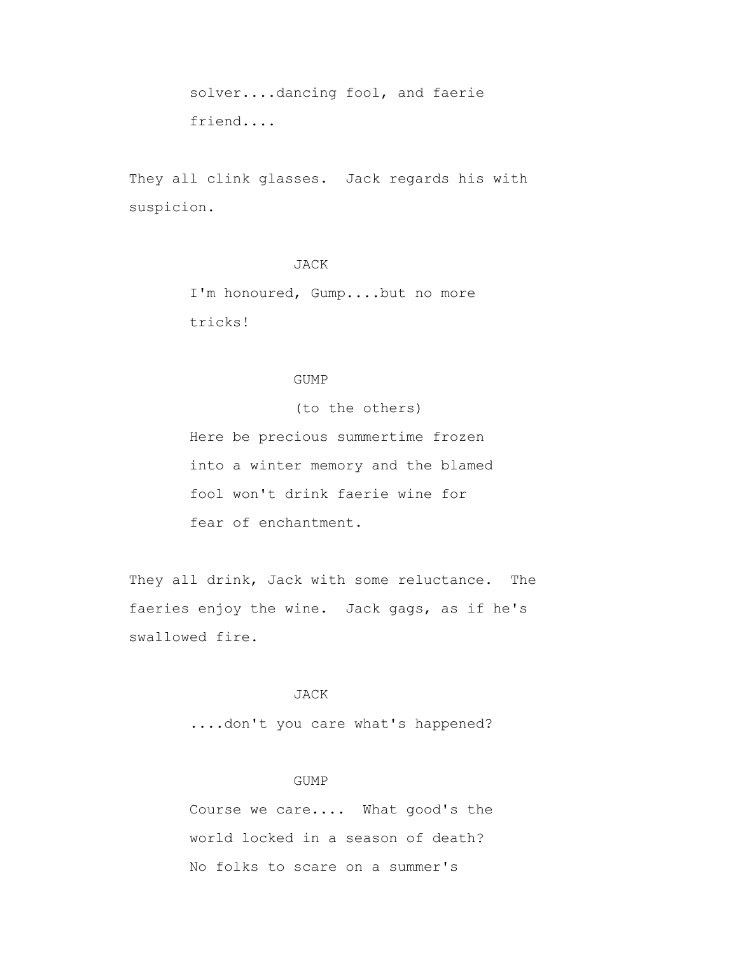solver....dancing fool, and faerie friend....

 They all clink glasses. Jack regards his with suspicion.

# JACK

 I'm honoured, Gump....but no more tricks!

# GUMP

(to the others)

 Here be precious summertime frozen into a winter memory and the blamed fool won't drink faerie wine for fear of enchantment.

 They all drink, Jack with some reluctance. The faeries enjoy the wine. Jack gags, as if he's swallowed fire.

# JACK

....don't you care what's happened?

### GUMP

 Course we care.... What good's the world locked in a season of death? No folks to scare on a summer's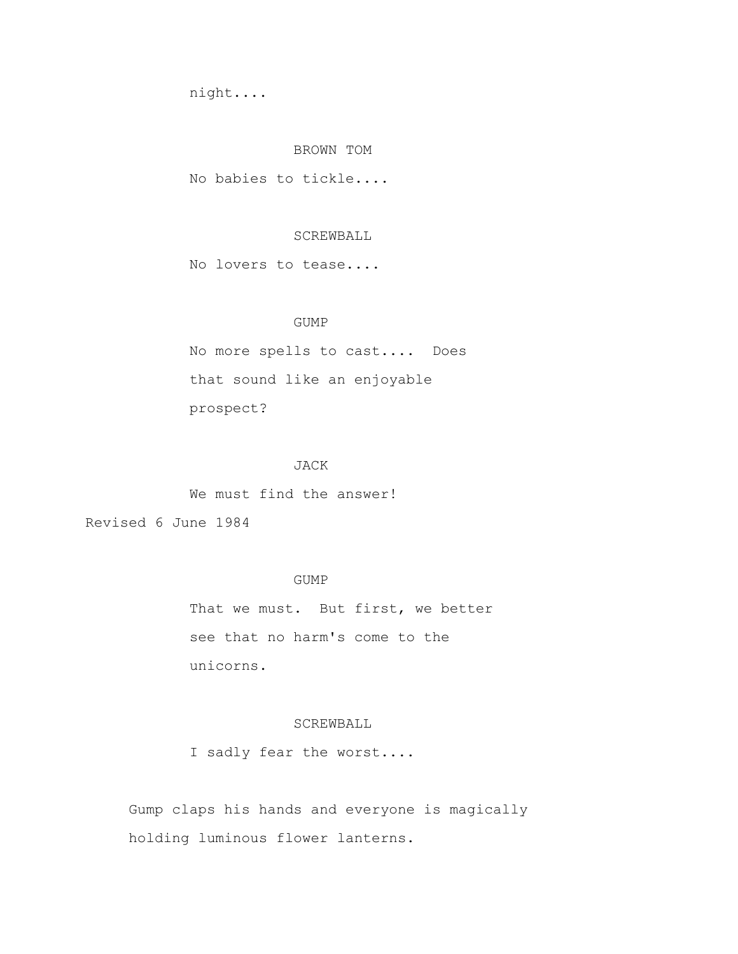night....

### BROWN TOM

No babies to tickle....

### SCREWBALL

No lovers to tease....

# GUMP

 No more spells to cast.... Does that sound like an enjoyable prospect?

# JACK

We must find the answer!

Revised 6 June 1984

# GUMP

That we must. But first, we better see that no harm's come to the unicorns.

# SCREWBALL

I sadly fear the worst....

 Gump claps his hands and everyone is magically holding luminous flower lanterns.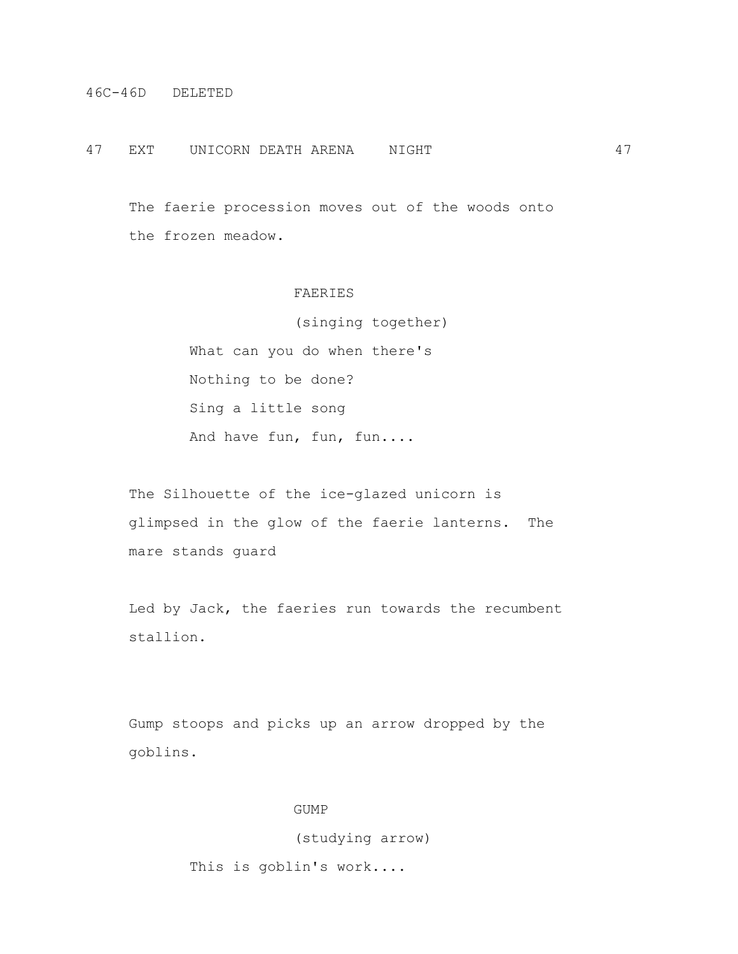### 47 EXT UNICORN DEATH ARENA NIGHT 47

 The faerie procession moves out of the woods onto the frozen meadow.

# FAERIES

 (singing together) What can you do when there's Nothing to be done? Sing a little song And have fun, fun, fun....

 The Silhouette of the ice-glazed unicorn is glimpsed in the glow of the faerie lanterns. The mare stands guard

 Led by Jack, the faeries run towards the recumbent stallion.

 Gump stoops and picks up an arrow dropped by the goblins.

### GUMP

(studying arrow)

This is goblin's work....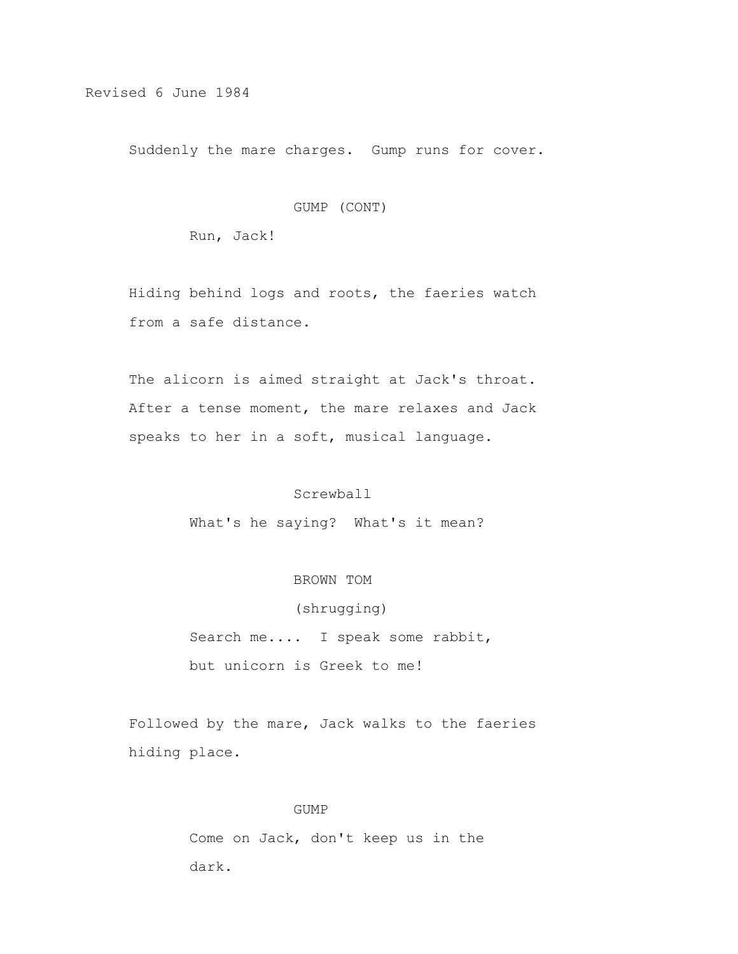Revised 6 June 1984

Suddenly the mare charges. Gump runs for cover.

### GUMP (CONT)

Run, Jack!

 Hiding behind logs and roots, the faeries watch from a safe distance.

 The alicorn is aimed straight at Jack's throat. After a tense moment, the mare relaxes and Jack speaks to her in a soft, musical language.

# Screwball

What's he saying? What's it mean?

# BROWN TOM

 (shrugging) Search me.... I speak some rabbit, but unicorn is Greek to me!

 Followed by the mare, Jack walks to the faeries hiding place.

### GUMP

 Come on Jack, don't keep us in the dark.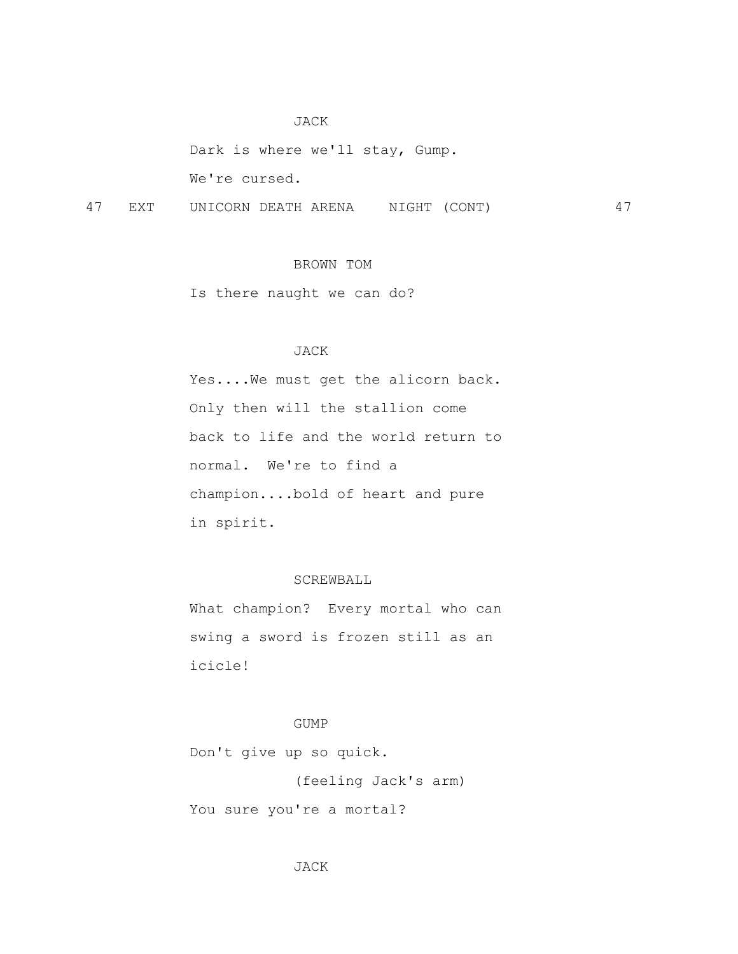### JACK

 Dark is where we'll stay, Gump. We're cursed.

47 EXT UNICORN DEATH ARENA NIGHT (CONT) 47

# BROWN TOM

Is there naught we can do?

# JACK

 Yes....We must get the alicorn back. Only then will the stallion come back to life and the world return to normal. We're to find a champion....bold of heart and pure in spirit.

# SCREWBALL

 What champion? Every mortal who can swing a sword is frozen still as an icicle!

# GUMP

Don't give up so quick.

(feeling Jack's arm)

You sure you're a mortal?

# JACK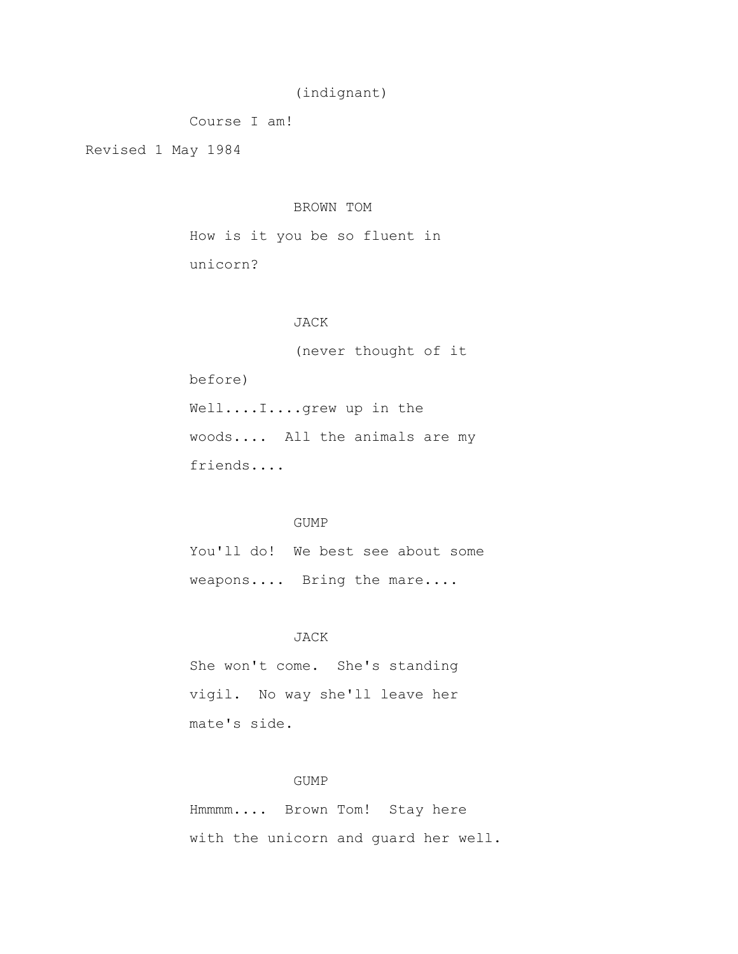# (indignant)

Course I am!

Revised 1 May 1984

# BROWN TOM

 How is it you be so fluent in unicorn?

# JACK

 (never thought of it before) Well....I....grew up in the woods.... All the animals are my friends....

### GUMP

 You'll do! We best see about some weapons.... Bring the mare....

### JACK

 She won't come. She's standing vigil. No way she'll leave her mate's side.

# GUMP

 Hmmmm.... Brown Tom! Stay here with the unicorn and guard her well.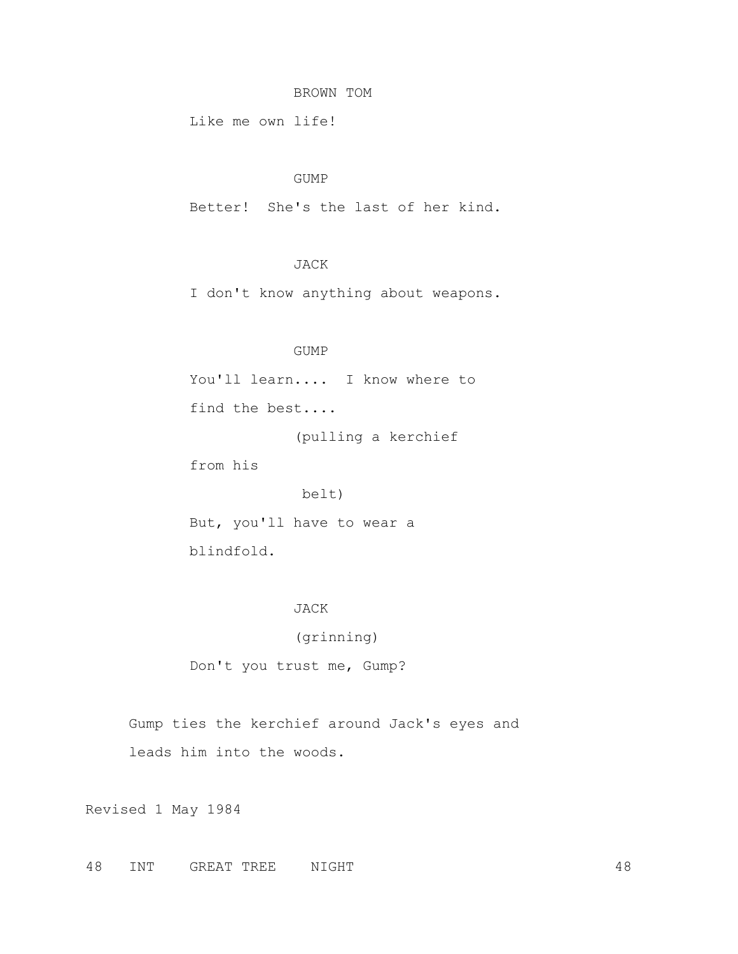### BROWN TOM

Like me own life!

### GUMP

Better! She's the last of her kind.

# JACK

I don't know anything about weapons.

# GUMP

You'll learn.... I know where to find the best....

(pulling a kerchief

from his

belt)

 But, you'll have to wear a blindfold.

### JACK

(grinning)

Don't you trust me, Gump?

 Gump ties the kerchief around Jack's eyes and leads him into the woods.

Revised 1 May 1984

48 INT GREAT TREE NIGHT 48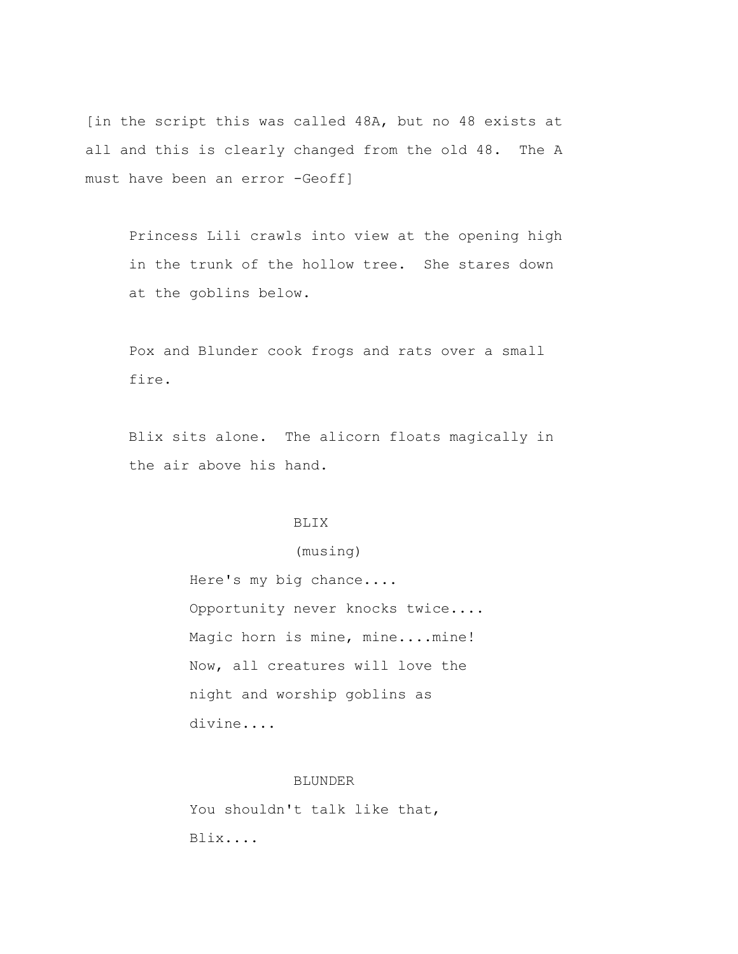[in the script this was called 48A, but no 48 exists at all and this is clearly changed from the old 48. The A must have been an error -Geoff]

 Princess Lili crawls into view at the opening high in the trunk of the hollow tree. She stares down at the goblins below.

 Pox and Blunder cook frogs and rats over a small fire.

 Blix sits alone. The alicorn floats magically in the air above his hand.

#### BLIX

# (musing)

 Here's my big chance.... Opportunity never knocks twice.... Magic horn is mine, mine....mine! Now, all creatures will love the night and worship goblins as divine....

### BLUNDER

You shouldn't talk like that, Blix....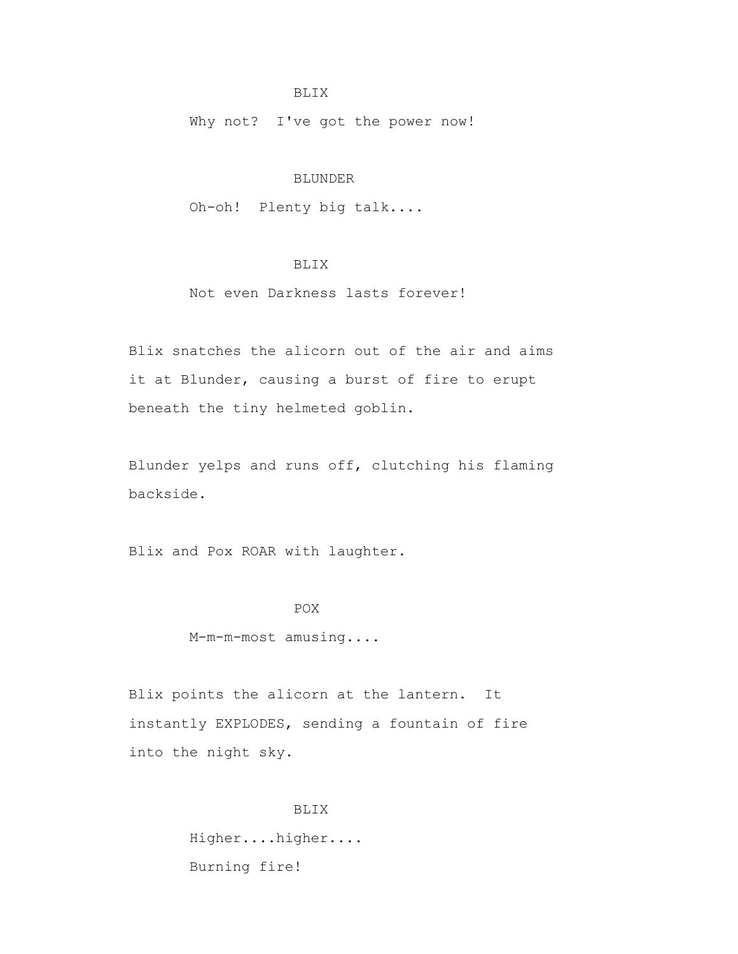### BLIX

Why not? I've got the power now!

# BLUNDER

Oh-oh! Plenty big talk....

# BLIX

# Not even Darkness lasts forever!

 Blix snatches the alicorn out of the air and aims it at Blunder, causing a burst of fire to erupt beneath the tiny helmeted goblin.

 Blunder yelps and runs off, clutching his flaming backside.

Blix and Pox ROAR with laughter.

# **POX**

M-m-m-most amusing....

 Blix points the alicorn at the lantern. It instantly EXPLODES, sending a fountain of fire into the night sky.

> BLIX Higher....higher.... Burning fire!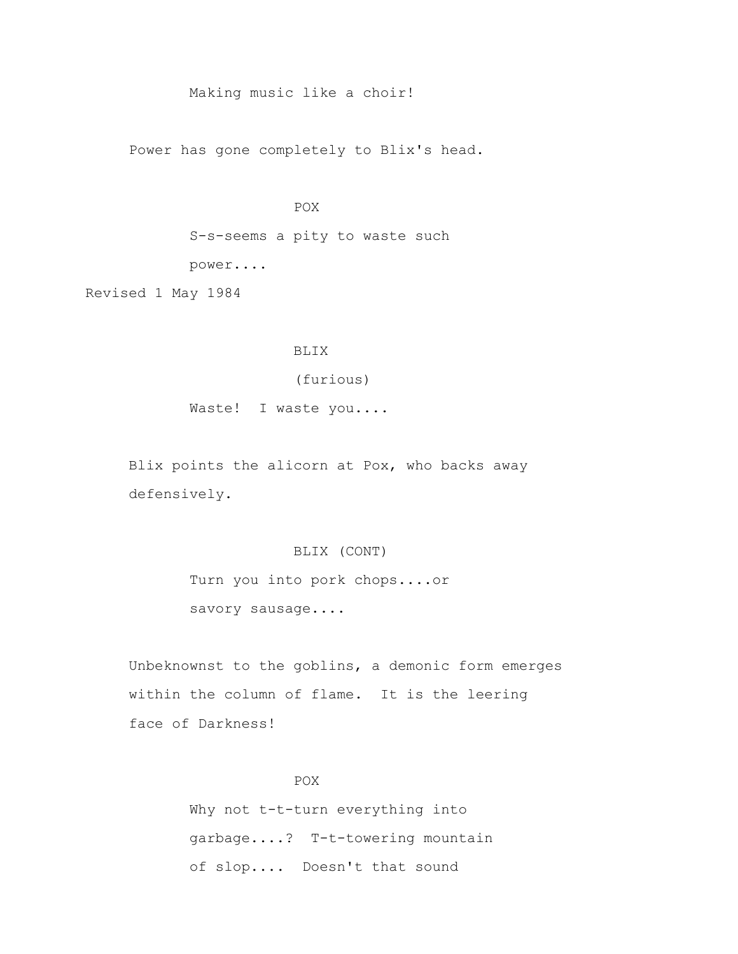# Making music like a choir!

Power has gone completely to Blix's head.

# **POX**

 S-s-seems a pity to waste such power....

Revised 1 May 1984

# BLIX

(furious)

Waste! I waste you....

 Blix points the alicorn at Pox, who backs away defensively.

# BLIX (CONT)

 Turn you into pork chops....or savory sausage....

 Unbeknownst to the goblins, a demonic form emerges within the column of flame. It is the leering face of Darkness!

# POX

 Why not t-t-turn everything into garbage....? T-t-towering mountain of slop.... Doesn't that sound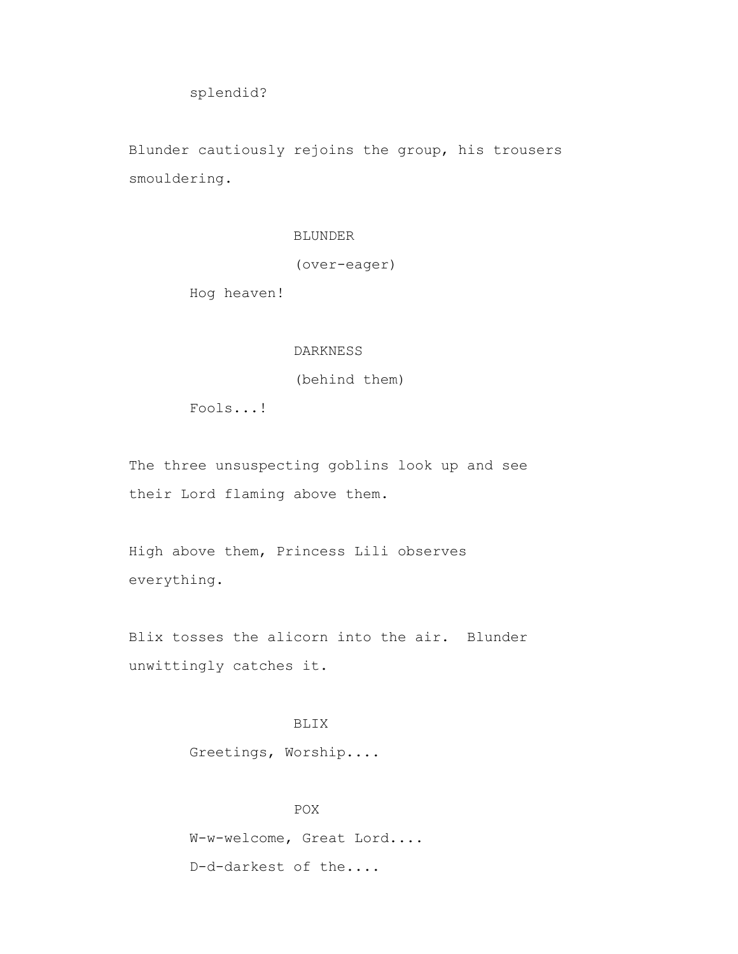splendid?

 Blunder cautiously rejoins the group, his trousers smouldering.

# BLUNDER

(over-eager)

Hog heaven!

# DARKNESS

(behind them)

Fools...!

 The three unsuspecting goblins look up and see their Lord flaming above them.

 High above them, Princess Lili observes everything.

 Blix tosses the alicorn into the air. Blunder unwittingly catches it.

# BLIX

Greetings, Worship....

 POX W-w-welcome, Great Lord.... D-d-darkest of the....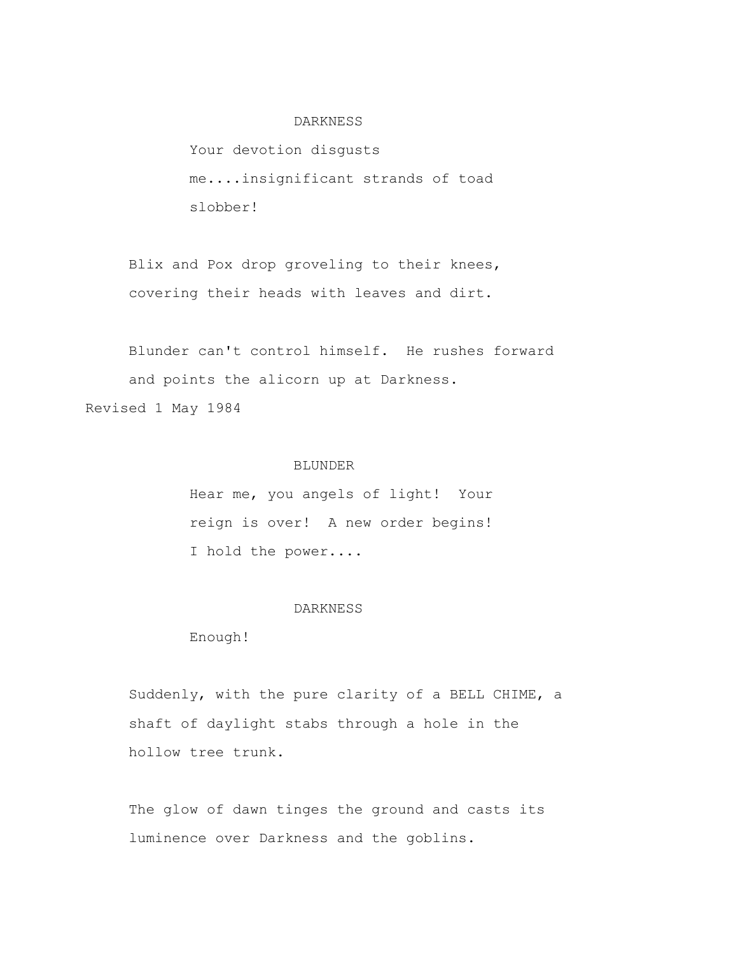### DARKNESS

 Your devotion disgusts me....insignificant strands of toad slobber!

 Blix and Pox drop groveling to their knees, covering their heads with leaves and dirt.

 Blunder can't control himself. He rushes forward and points the alicorn up at Darkness. Revised 1 May 1984

# BLUNDER

 Hear me, you angels of light! Your reign is over! A new order begins! I hold the power....

### DARKNESS

Enough!

 Suddenly, with the pure clarity of a BELL CHIME, a shaft of daylight stabs through a hole in the hollow tree trunk.

 The glow of dawn tinges the ground and casts its luminence over Darkness and the goblins.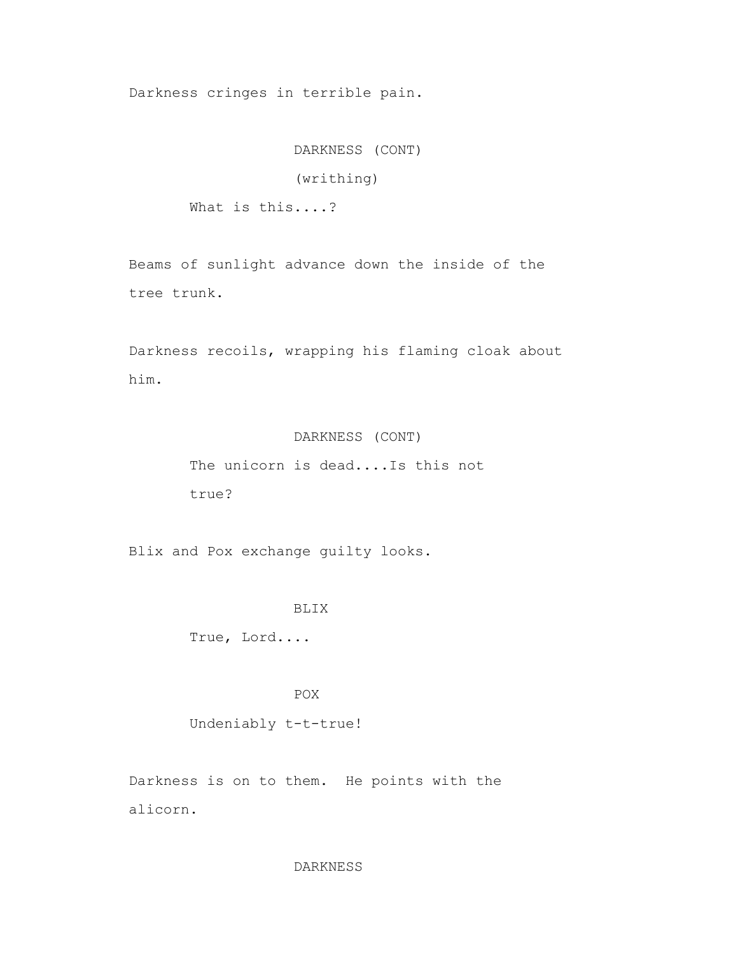Darkness cringes in terrible pain.

 DARKNESS (CONT) (writhing) What is this....?

 Beams of sunlight advance down the inside of the tree trunk.

 Darkness recoils, wrapping his flaming cloak about him.

# DARKNESS (CONT)

 The unicorn is dead....Is this not true?

Blix and Pox exchange guilty looks.

### BLIX

True, Lord....

POX

Undeniably t-t-true!

 Darkness is on to them. He points with the alicorn.

### DARKNESS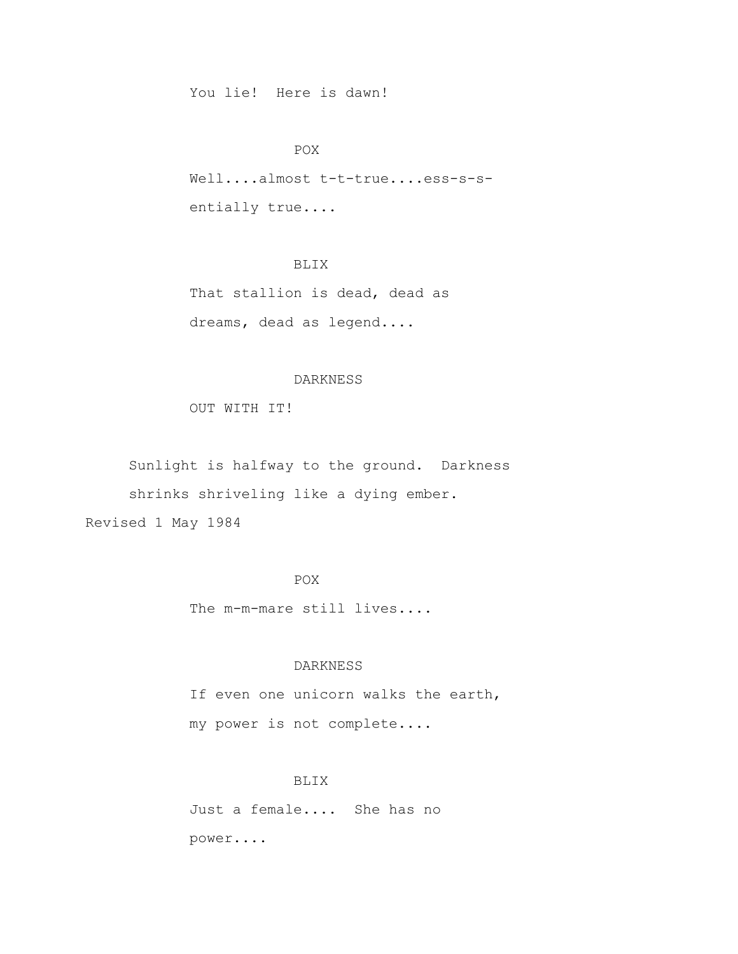You lie! Here is dawn!

### POX

Well....almost t-t-true....ess-s-sentially true....

# BLIX

 That stallion is dead, dead as dreams, dead as legend....

### DARKNESS

OUT WITH IT!

 Sunlight is halfway to the ground. Darkness shrinks shriveling like a dying ember. Revised 1 May 1984

# POX

The m-m-mare still lives....

### DARKNESS

 If even one unicorn walks the earth, my power is not complete....

# BLIX

 Just a female.... She has no power....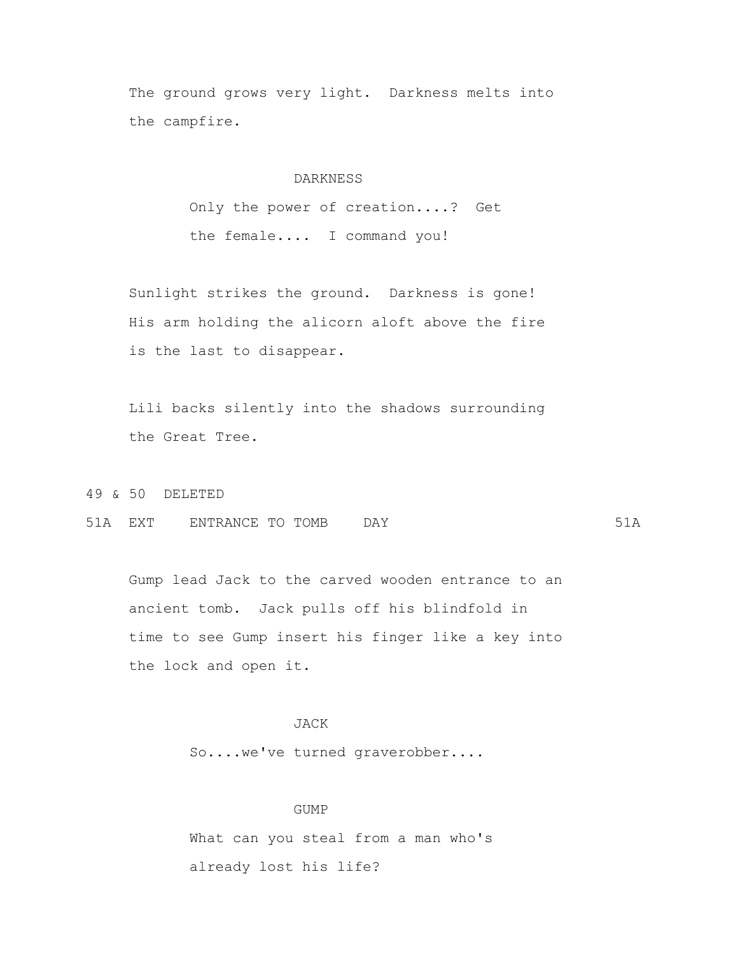The ground grows very light. Darkness melts into the campfire.

### DARKNESS

 Only the power of creation....? Get the female.... I command you!

 Sunlight strikes the ground. Darkness is gone! His arm holding the alicorn aloft above the fire is the last to disappear.

 Lili backs silently into the shadows surrounding the Great Tree.

49 & 50 DELETED

51A EXT ENTRANCE TO TOMB DAY 61A

 Gump lead Jack to the carved wooden entrance to an ancient tomb. Jack pulls off his blindfold in time to see Gump insert his finger like a key into the lock and open it.

# JACK

So....we've turned graverobber....

### GUMP

What can you steal from a man who's already lost his life?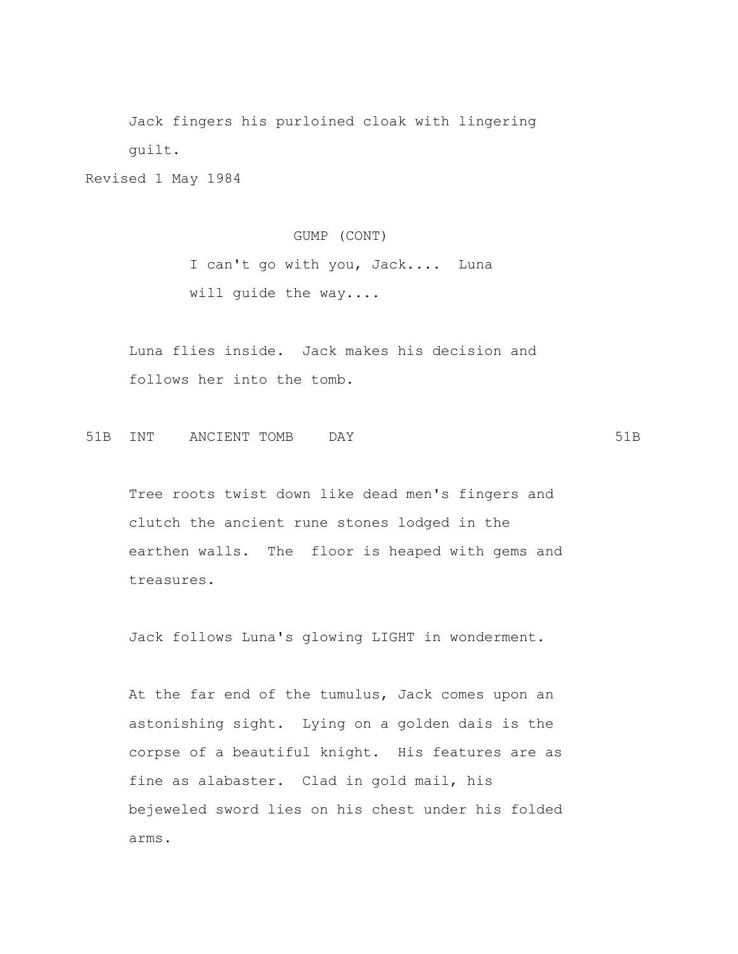Jack fingers his purloined cloak with lingering guilt.

Revised 1 May 1984

 GUMP (CONT) I can't go with you, Jack.... Luna will guide the way....

 Luna flies inside. Jack makes his decision and follows her into the tomb.

51B INT ANCIENT TOMB DAY 51B

 Tree roots twist down like dead men's fingers and clutch the ancient rune stones lodged in the earthen walls. The floor is heaped with gems and treasures.

Jack follows Luna's glowing LIGHT in wonderment.

 At the far end of the tumulus, Jack comes upon an astonishing sight. Lying on a golden dais is the corpse of a beautiful knight. His features are as fine as alabaster. Clad in gold mail, his bejeweled sword lies on his chest under his folded arms.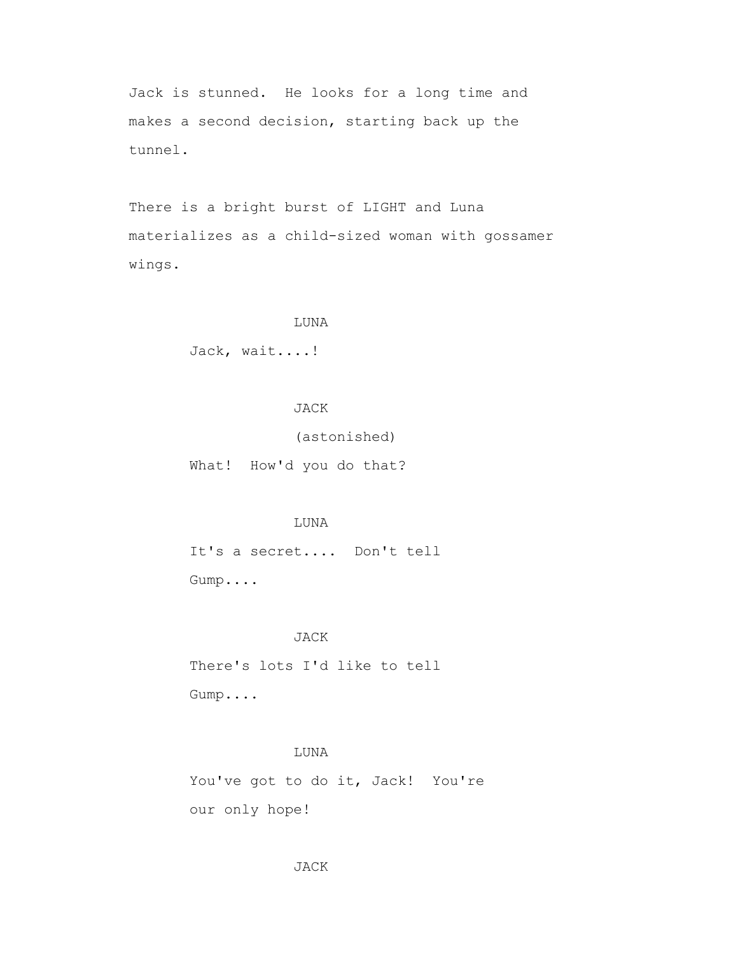Jack is stunned. He looks for a long time and makes a second decision, starting back up the tunnel.

 There is a bright burst of LIGHT and Luna materializes as a child-sized woman with gossamer wings.

### LUNA

Jack, wait....!

# JACK

(astonished)

What! How'd you do that?

### LUNA

 It's a secret.... Don't tell Gump....

### JACK

 There's lots I'd like to tell Gump....

# LUNA

You've got to do it, Jack! You're our only hope!

### JACK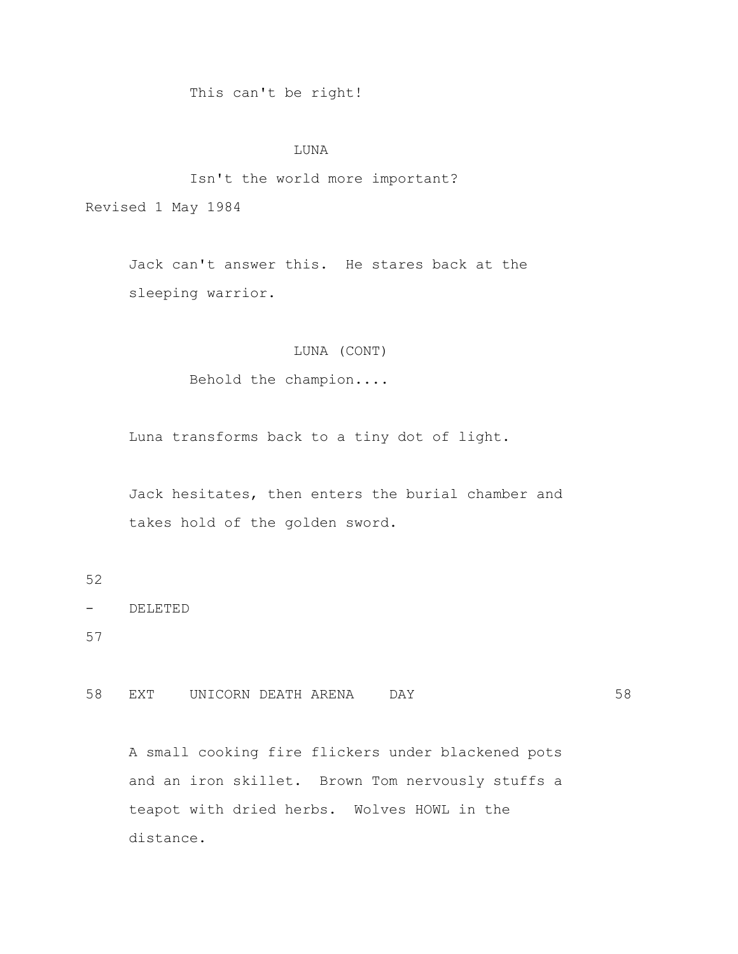# This can't be right!

### LUNA

# Isn't the world more important? Revised 1 May 1984

 Jack can't answer this. He stares back at the sleeping warrior.

# LUNA (CONT)

Behold the champion....

Luna transforms back to a tiny dot of light.

 Jack hesitates, then enters the burial chamber and takes hold of the golden sword.

52

```
- DELETED
```
57

58 EXT UNICORN DEATH ARENA DAY 58

 A small cooking fire flickers under blackened pots and an iron skillet. Brown Tom nervously stuffs a teapot with dried herbs. Wolves HOWL in the distance.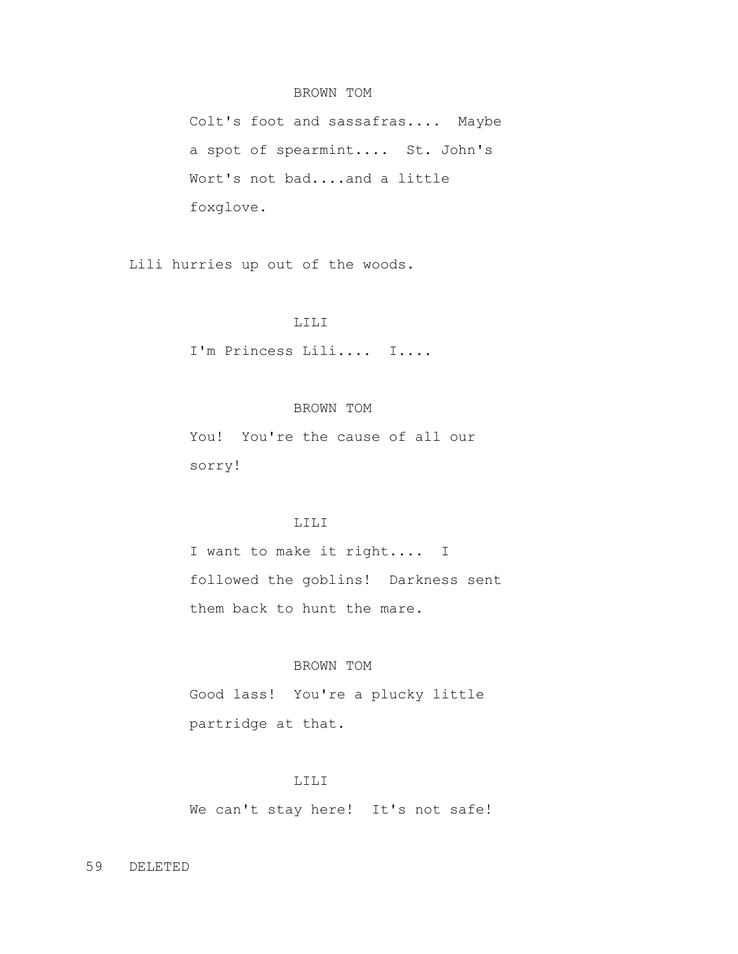# BROWN TOM

 Colt's foot and sassafras.... Maybe a spot of spearmint.... St. John's Wort's not bad....and a little foxglove.

Lili hurries up out of the woods.

### LILI

I'm Princess Lili.... I....

# BROWN TOM

 You! You're the cause of all our sorry!

### LILI

 I want to make it right.... I followed the goblins! Darkness sent them back to hunt the mare.

# BROWN TOM

 Good lass! You're a plucky little partridge at that.

#### LILI

We can't stay here! It's not safe!

### 59 DELETED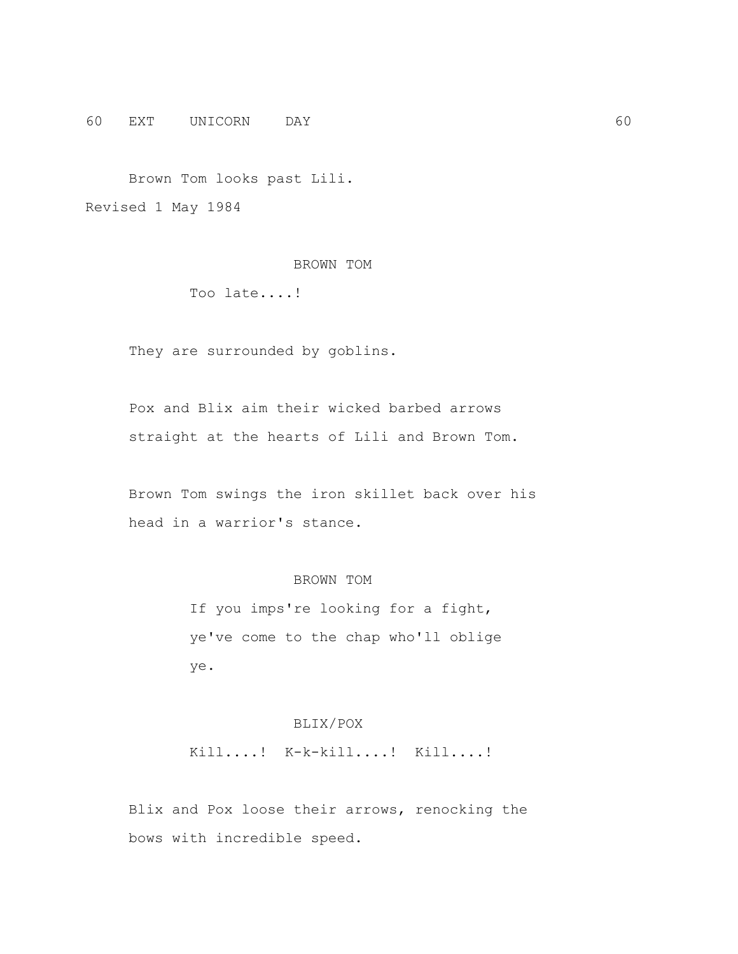60 EXT UNICORN DAY 60

 Brown Tom looks past Lili. Revised 1 May 1984

# BROWN TOM

Too late....!

They are surrounded by goblins.

 Pox and Blix aim their wicked barbed arrows straight at the hearts of Lili and Brown Tom.

 Brown Tom swings the iron skillet back over his head in a warrior's stance.

# BROWN TOM

 If you imps're looking for a fight, ye've come to the chap who'll oblige ye.

# BLIX/POX

Kill....! K-k-kill....! Kill....!

 Blix and Pox loose their arrows, renocking the bows with incredible speed.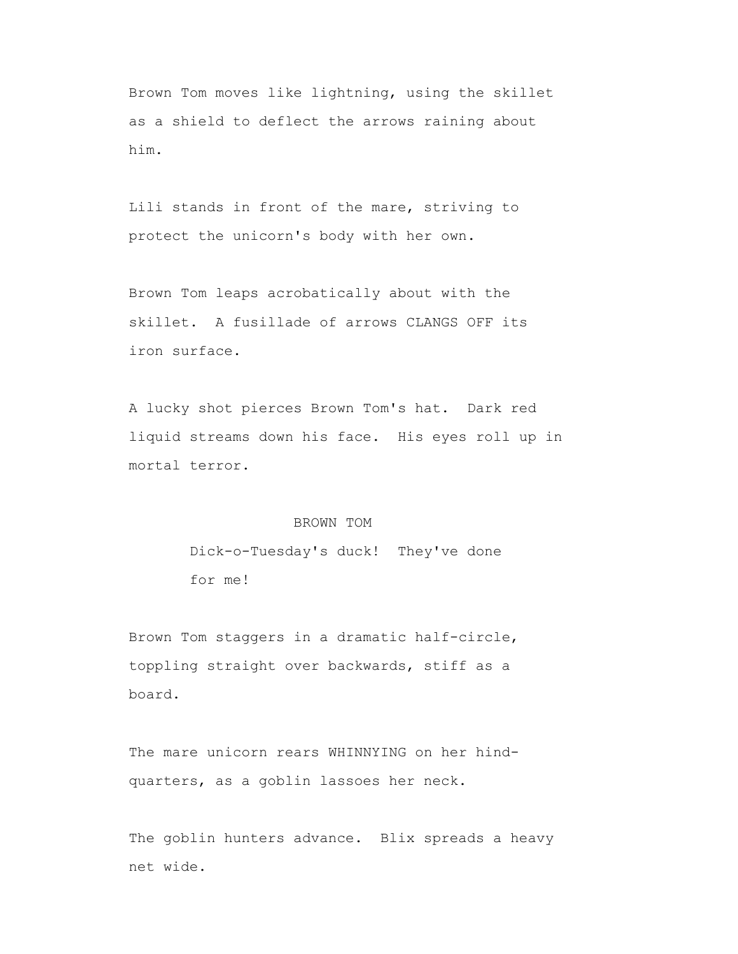Brown Tom moves like lightning, using the skillet as a shield to deflect the arrows raining about him.

 Lili stands in front of the mare, striving to protect the unicorn's body with her own.

 Brown Tom leaps acrobatically about with the skillet. A fusillade of arrows CLANGS OFF its iron surface.

 A lucky shot pierces Brown Tom's hat. Dark red liquid streams down his face. His eyes roll up in mortal terror.

#### BROWN TOM

 Dick-o-Tuesday's duck! They've done for me!

 Brown Tom staggers in a dramatic half-circle, toppling straight over backwards, stiff as a board.

 The mare unicorn rears WHINNYING on her hind quarters, as a goblin lassoes her neck.

The goblin hunters advance. Blix spreads a heavy net wide.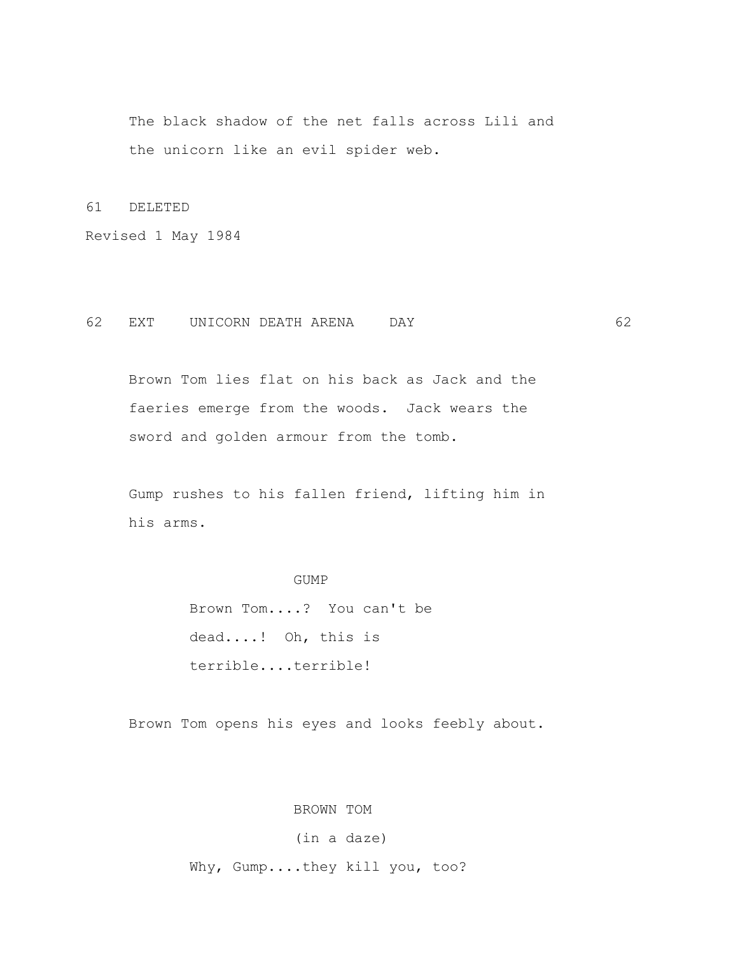The black shadow of the net falls across Lili and the unicorn like an evil spider web.

61 DELETED

Revised 1 May 1984

# 62 EXT UNICORN DEATH ARENA DAY 62

 Brown Tom lies flat on his back as Jack and the faeries emerge from the woods. Jack wears the sword and golden armour from the tomb.

 Gump rushes to his fallen friend, lifting him in his arms.

# GUMP

 Brown Tom....? You can't be dead....! Oh, this is terrible....terrible!

Brown Tom opens his eyes and looks feebly about.

BROWN TOM

# (in a daze)

Why, Gump....they kill you, too?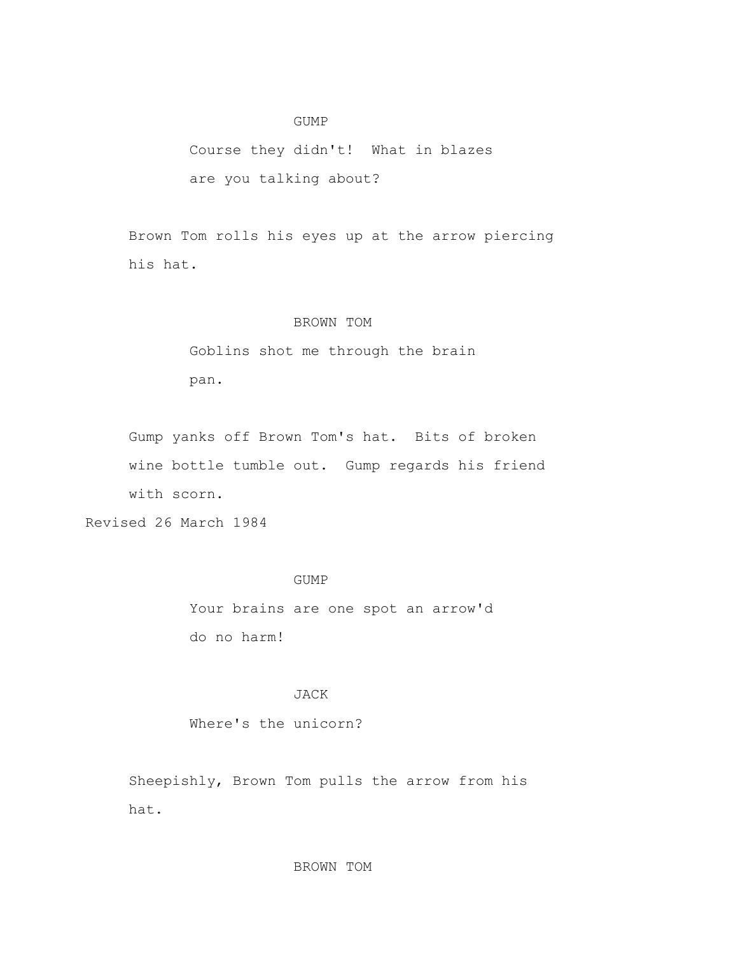### GUMP

 Course they didn't! What in blazes are you talking about?

 Brown Tom rolls his eyes up at the arrow piercing his hat.

### BROWN TOM

 Goblins shot me through the brain pan.

 Gump yanks off Brown Tom's hat. Bits of broken wine bottle tumble out. Gump regards his friend with scorn.

Revised 26 March 1984

# GUMP

 Your brains are one spot an arrow'd do no harm!

# JACK

Where's the unicorn?

 Sheepishly, Brown Tom pulls the arrow from his hat.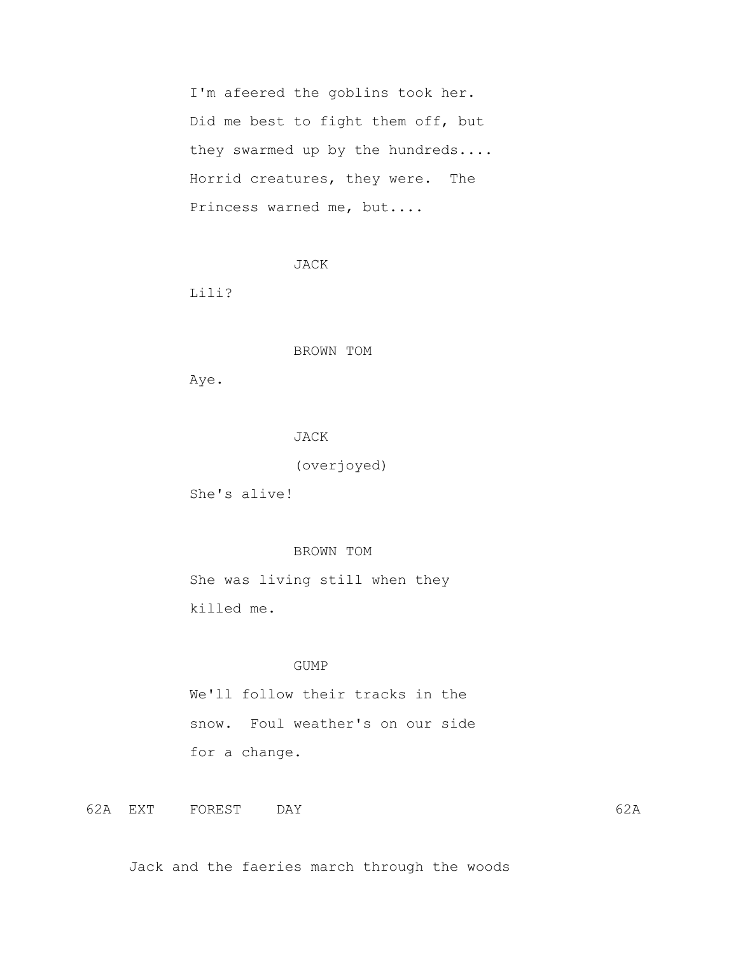I'm afeered the goblins took her. Did me best to fight them off, but they swarmed up by the hundreds.... Horrid creatures, they were. The Princess warned me, but....

```
 JACK
```
Lili?

BROWN TOM

Aye.

JACK

(overjoyed)

She's alive!

# BROWN TOM

 She was living still when they killed me.

# GUMP

 We'll follow their tracks in the snow. Foul weather's on our side for a change.

62A EXT FOREST DAY 62A

Jack and the faeries march through the woods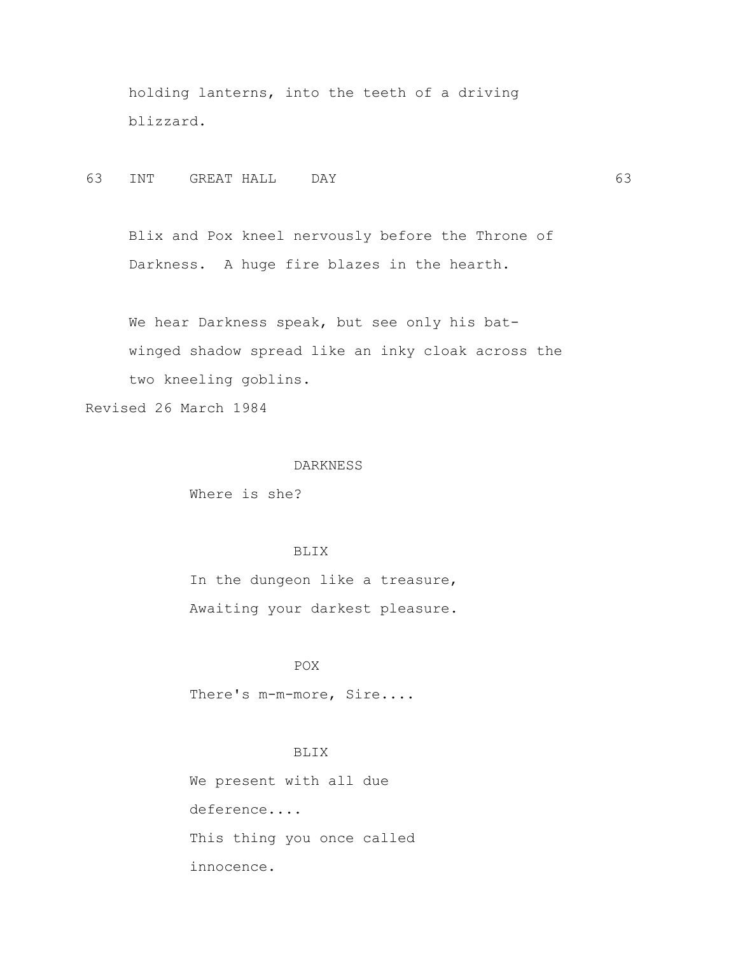holding lanterns, into the teeth of a driving blizzard.

63 INT GREAT HALL DAY 63

 Blix and Pox kneel nervously before the Throne of Darkness. A huge fire blazes in the hearth.

 We hear Darkness speak, but see only his bat winged shadow spread like an inky cloak across the two kneeling goblins.

Revised 26 March 1984

### DARKNESS

Where is she?

# BLIX

 In the dungeon like a treasure, Awaiting your darkest pleasure.

# POX

There's m-m-more, Sire....

# BLIX

 We present with all due deference.... This thing you once called innocence.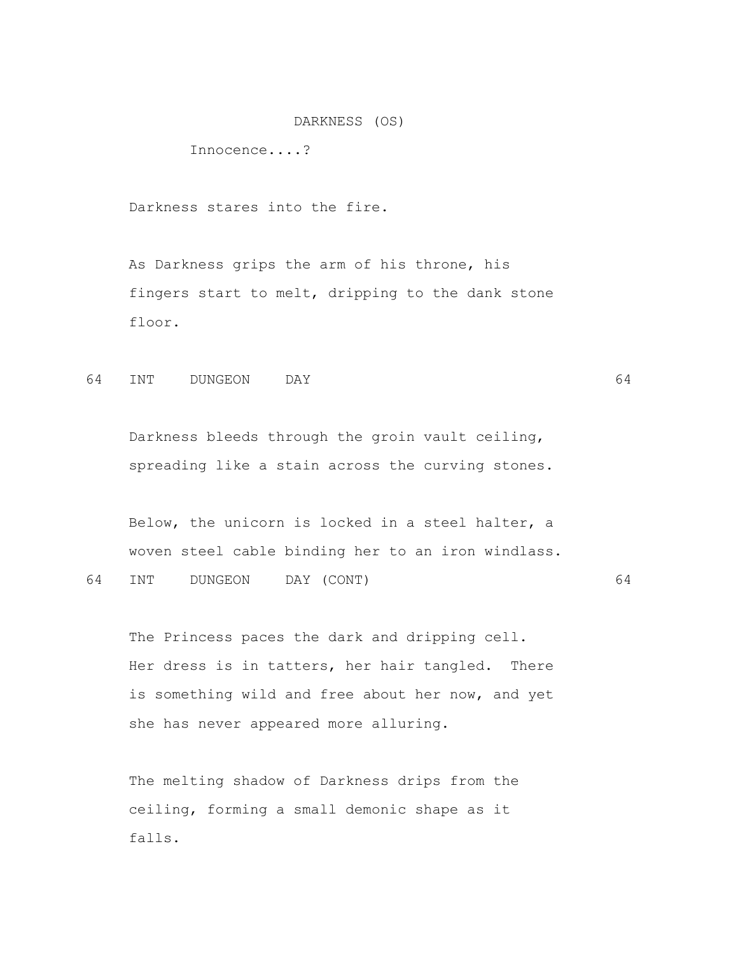DARKNESS (OS)

Innocence....?

Darkness stares into the fire.

 As Darkness grips the arm of his throne, his fingers start to melt, dripping to the dank stone floor.

64 INT DUNGEON DAY 64

 Darkness bleeds through the groin vault ceiling, spreading like a stain across the curving stones.

 Below, the unicorn is locked in a steel halter, a woven steel cable binding her to an iron windlass.

64 INT DUNGEON DAY (CONT) 64

 The Princess paces the dark and dripping cell. Her dress is in tatters, her hair tangled. There is something wild and free about her now, and yet she has never appeared more alluring.

 The melting shadow of Darkness drips from the ceiling, forming a small demonic shape as it falls.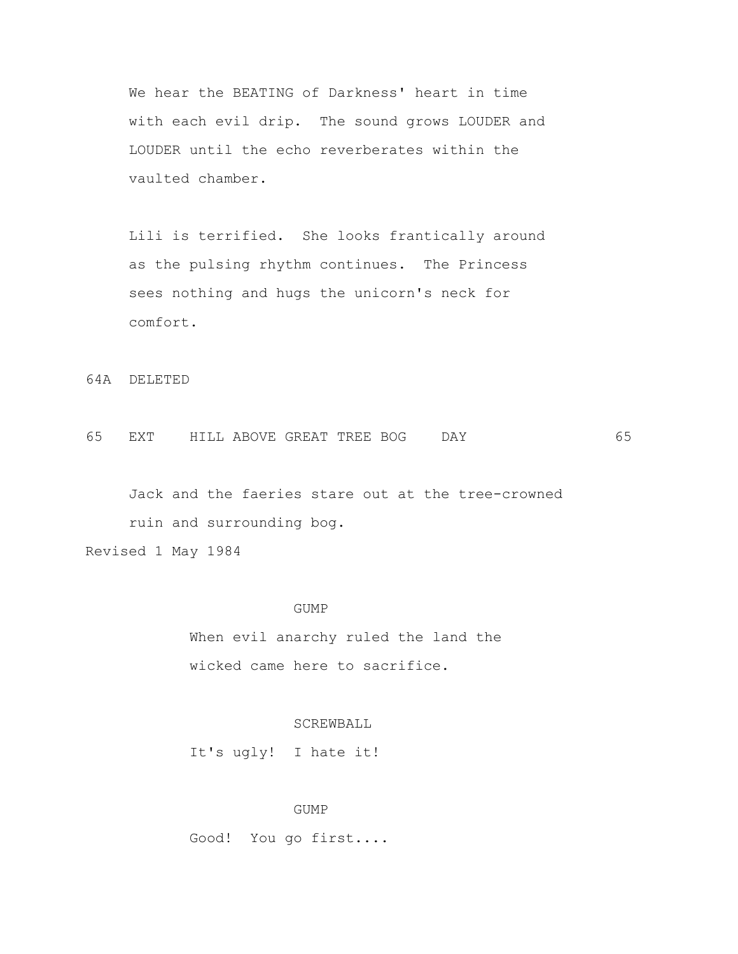We hear the BEATING of Darkness' heart in time with each evil drip. The sound grows LOUDER and LOUDER until the echo reverberates within the vaulted chamber.

 Lili is terrified. She looks frantically around as the pulsing rhythm continues. The Princess sees nothing and hugs the unicorn's neck for comfort.

64A DELETED

65 EXT HILL ABOVE GREAT TREE BOG DAY 65

 Jack and the faeries stare out at the tree-crowned ruin and surrounding bog.

Revised 1 May 1984

#### GUMP

 When evil anarchy ruled the land the wicked came here to sacrifice.

# SCREWBALL

It's ugly! I hate it!

### GUMP

Good! You go first....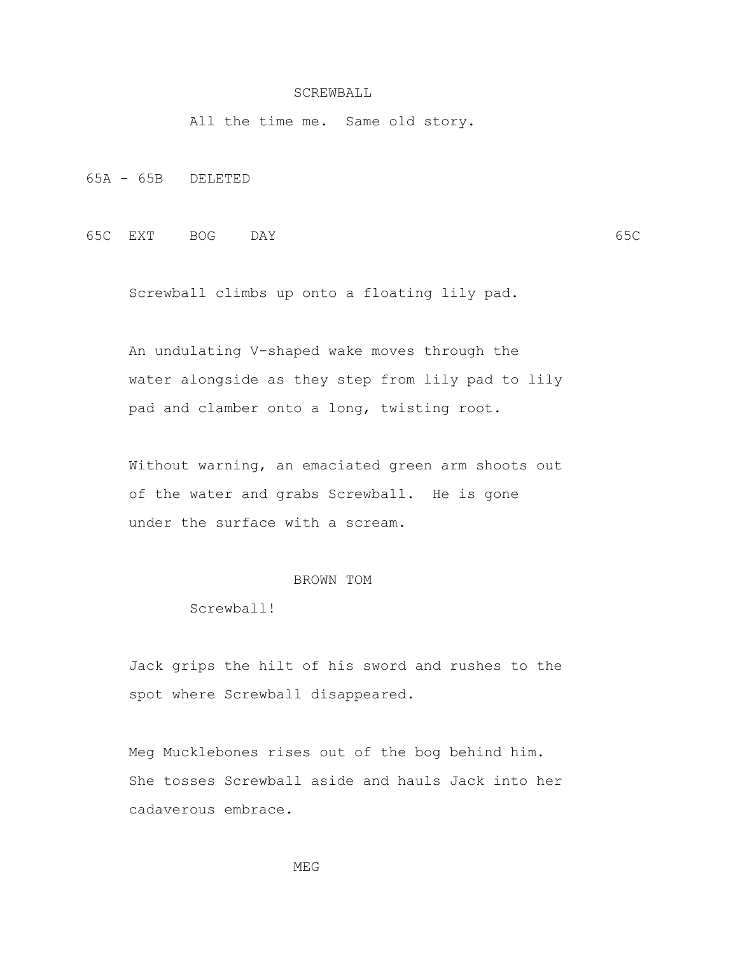#### SCREWBALL

All the time me. Same old story.

65A - 65B DELETED

65C EXT BOG DAY 65C

Screwball climbs up onto a floating lily pad.

 An undulating V-shaped wake moves through the water alongside as they step from lily pad to lily pad and clamber onto a long, twisting root.

 Without warning, an emaciated green arm shoots out of the water and grabs Screwball. He is gone under the surface with a scream.

#### BROWN TOM

Screwball!

 Jack grips the hilt of his sword and rushes to the spot where Screwball disappeared.

 Meg Mucklebones rises out of the bog behind him. She tosses Screwball aside and hauls Jack into her cadaverous embrace.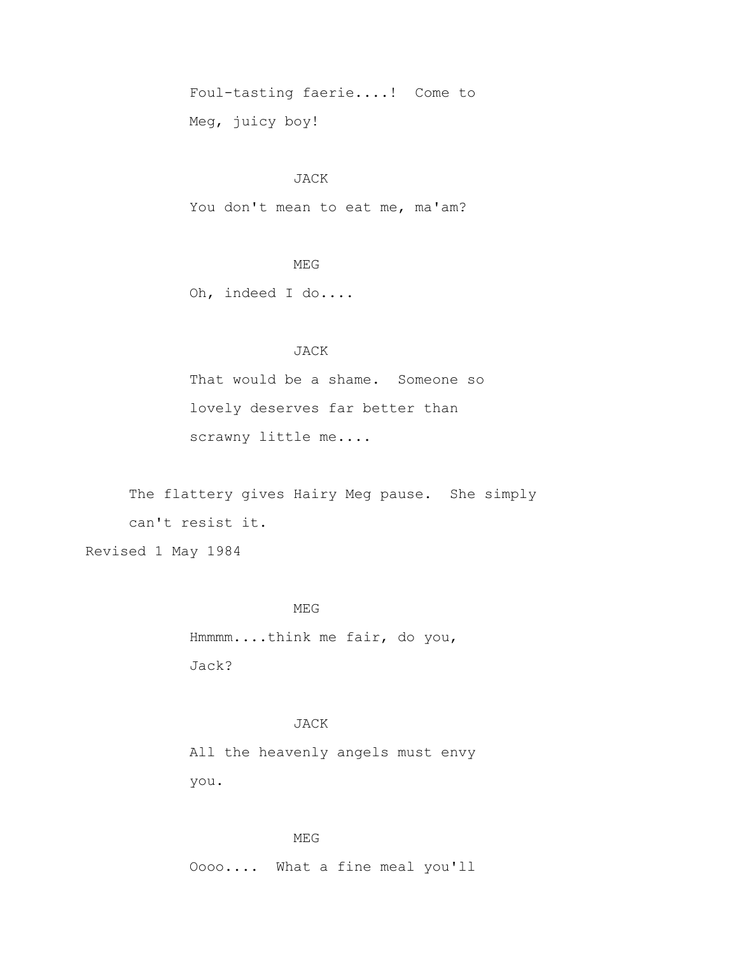Foul-tasting faerie....! Come to Meg, juicy boy!

### JACK

You don't mean to eat me, ma'am?

# MEG

Oh, indeed I do....

## JACK

 That would be a shame. Someone so lovely deserves far better than scrawny little me....

 The flattery gives Hairy Meg pause. She simply can't resist it.

Revised 1 May 1984

#### MEG

 Hmmmm....think me fair, do you, Jack?

## JACK

 All the heavenly angels must envy you.

### MEG

Oooo.... What a fine meal you'll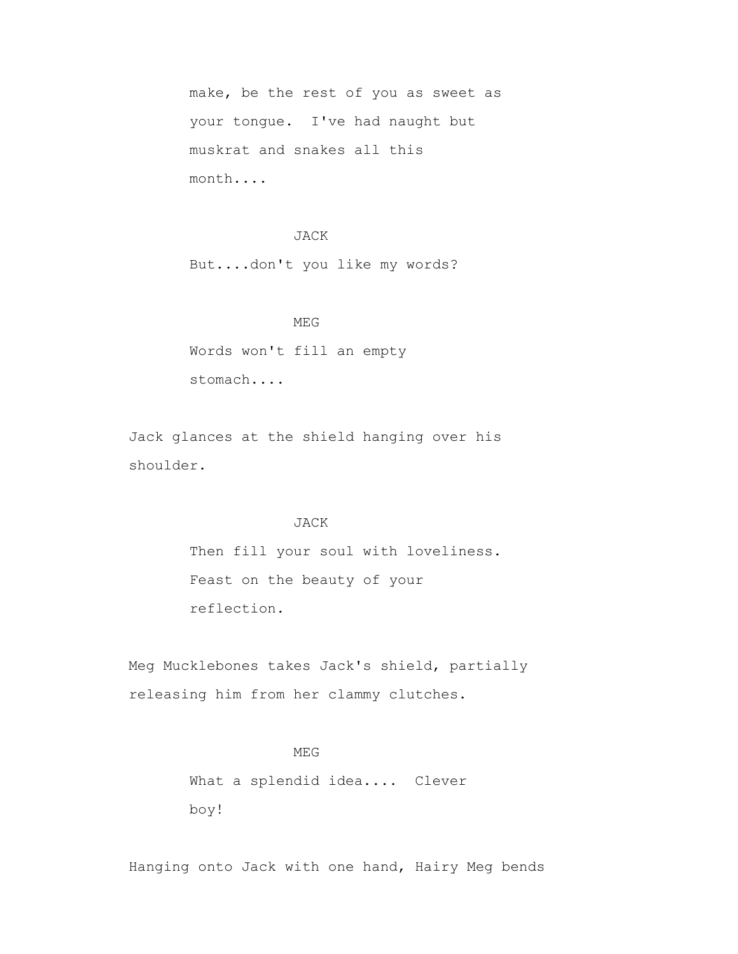make, be the rest of you as sweet as your tongue. I've had naught but muskrat and snakes all this month....

#### JACK

But....don't you like my words?

MEG WEG Words won't fill an empty stomach....

> Jack glances at the shield hanging over his shoulder.

#### JACK

 Then fill your soul with loveliness. Feast on the beauty of your reflection.

 Meg Mucklebones takes Jack's shield, partially releasing him from her clammy clutches.

## MEG WEG

 What a splendid idea.... Clever boy!

Hanging onto Jack with one hand, Hairy Meg bends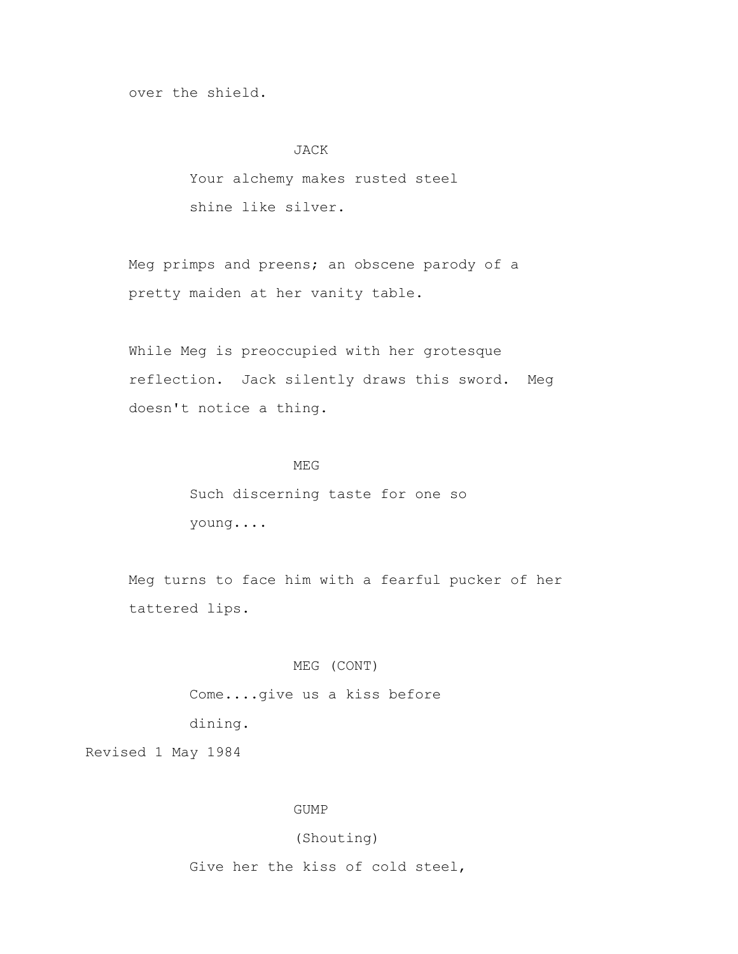over the shield.

#### JACK

 Your alchemy makes rusted steel shine like silver.

 Meg primps and preens; an obscene parody of a pretty maiden at her vanity table.

 While Meg is preoccupied with her grotesque reflection. Jack silently draws this sword. Meg doesn't notice a thing.

## MEG WEG

 Such discerning taste for one so young....

 Meg turns to face him with a fearful pucker of her tattered lips.

### MEG (CONT)

Come....give us a kiss before

dining.

Revised 1 May 1984

### GUMP

# (Shouting)

Give her the kiss of cold steel,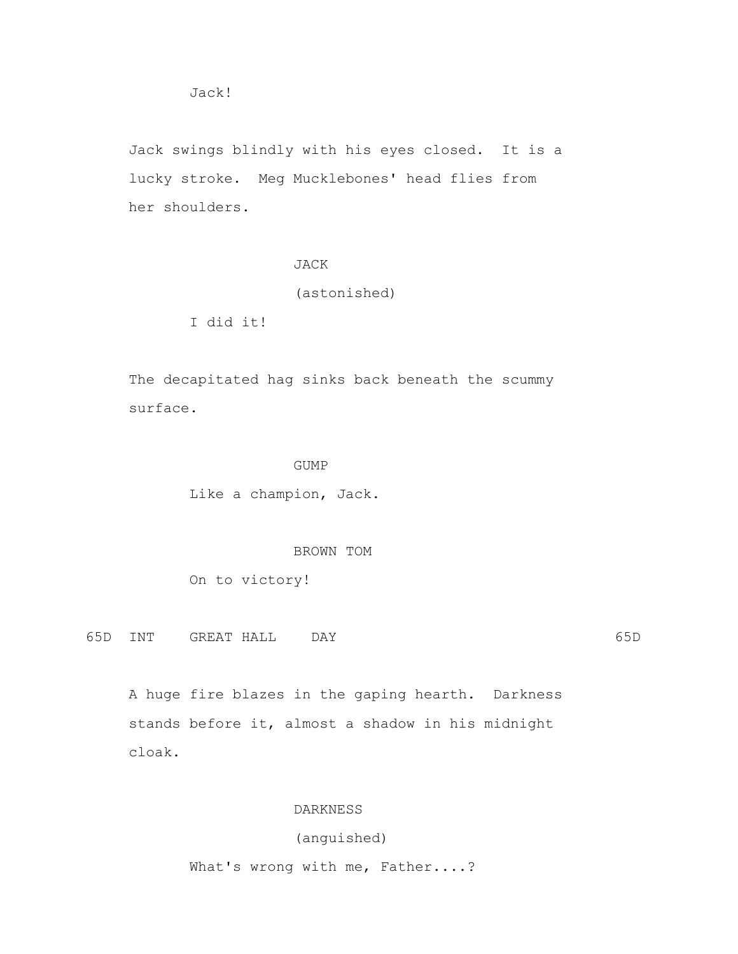Jack swings blindly with his eyes closed. It is a lucky stroke. Meg Mucklebones' head flies from her shoulders.

# JACK

(astonished)

I did it!

 The decapitated hag sinks back beneath the scummy surface.

### GUMP

Like a champion, Jack.

BROWN TOM

On to victory!

65D INT GREAT HALL DAY 65D

 A huge fire blazes in the gaping hearth. Darkness stands before it, almost a shadow in his midnight cloak.

### DARKNESS

# (anguished)

What's wrong with me, Father....?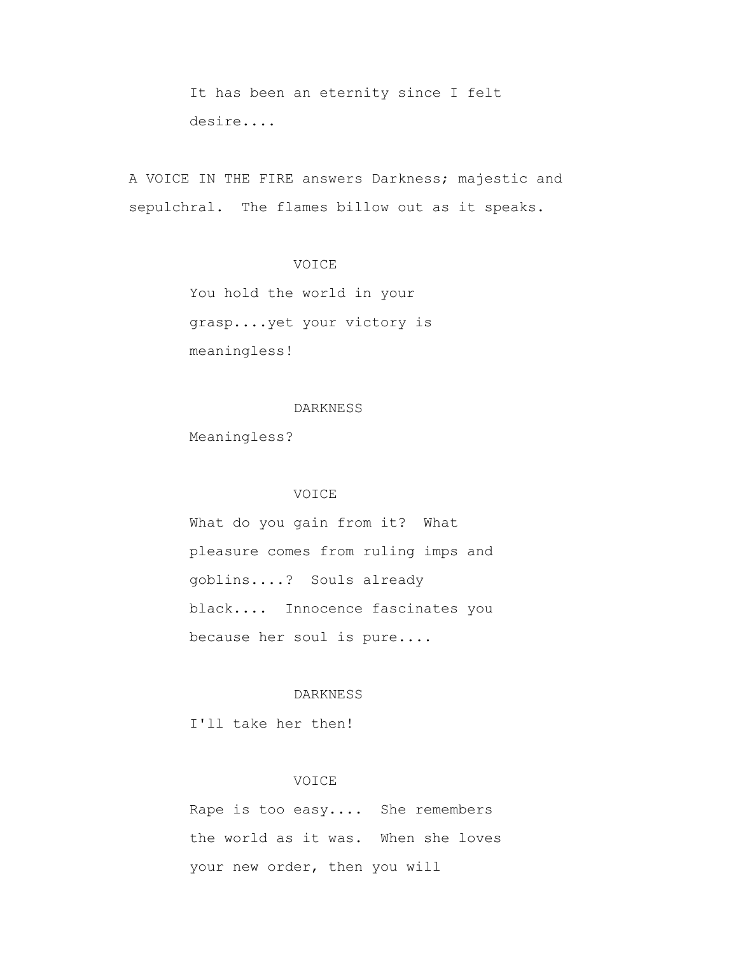It has been an eternity since I felt desire....

 A VOICE IN THE FIRE answers Darkness; majestic and sepulchral. The flames billow out as it speaks.

## VOICE

 You hold the world in your grasp....yet your victory is meaningless!

#### DARKNESS

Meaningless?

## VOICE

 What do you gain from it? What pleasure comes from ruling imps and goblins....? Souls already black.... Innocence fascinates you because her soul is pure....

## DARKNESS

I'll take her then!

#### VOICE

 Rape is too easy.... She remembers the world as it was. When she loves your new order, then you will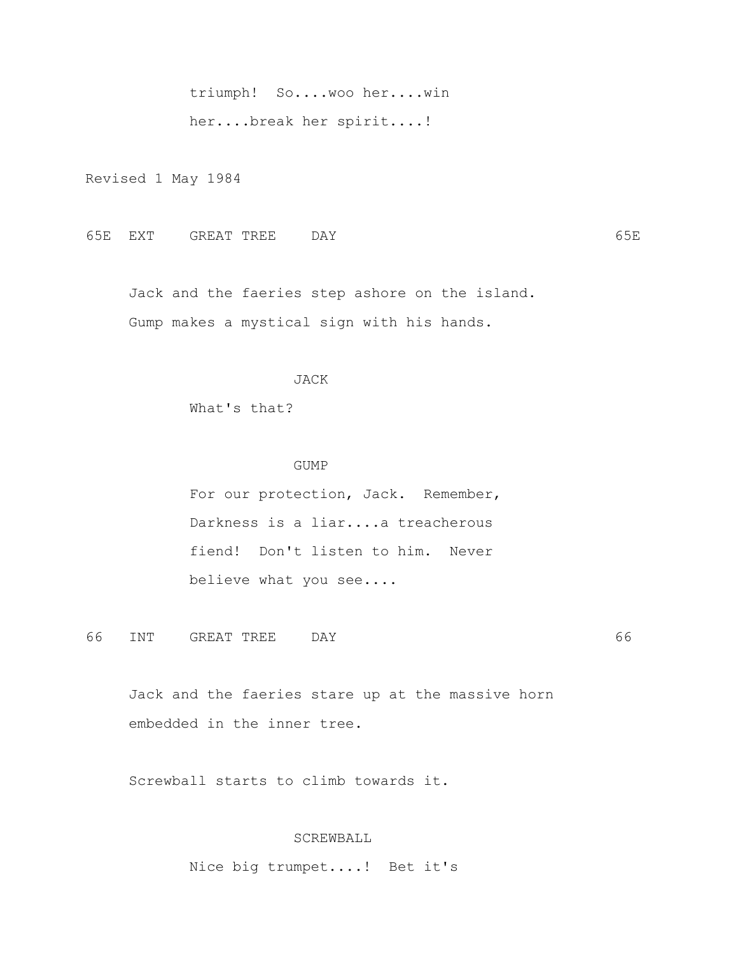triumph! So....woo her....win

her....break her spirit....!

Revised 1 May 1984

65E EXT GREAT TREE DAY 65E

 Jack and the faeries step ashore on the island. Gump makes a mystical sign with his hands.

## JACK

What's that?

#### GUMP

 For our protection, Jack. Remember, Darkness is a liar....a treacherous fiend! Don't listen to him. Never believe what you see....

66 INT GREAT TREE DAY 66

 Jack and the faeries stare up at the massive horn embedded in the inner tree.

Screwball starts to climb towards it.

# SCREWBALL

Nice big trumpet....! Bet it's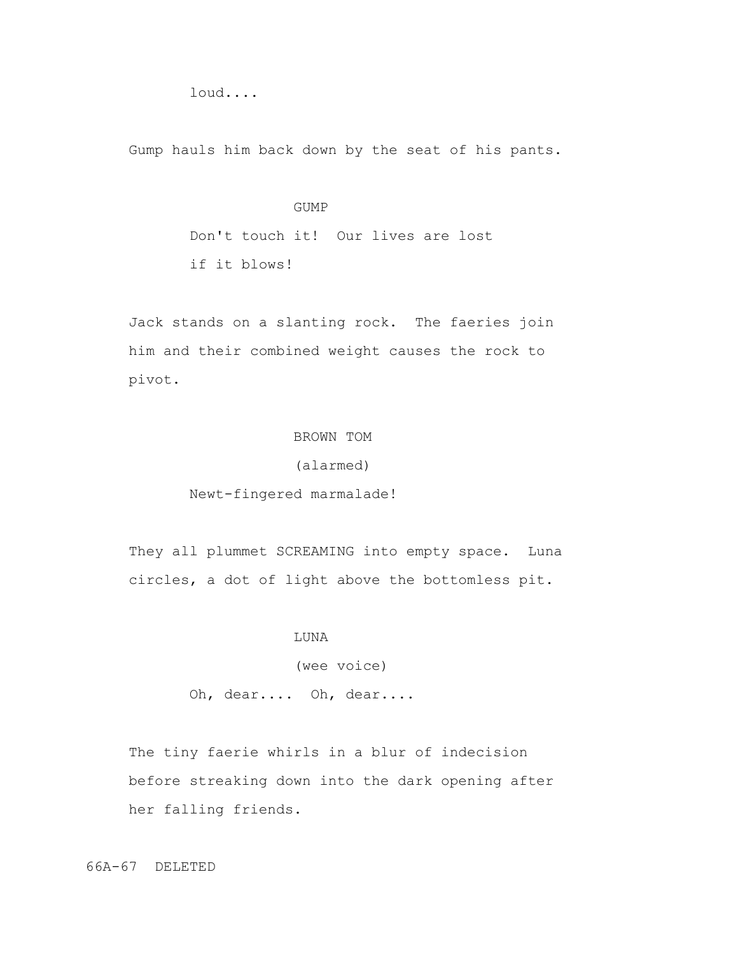loud....

Gump hauls him back down by the seat of his pants.

#### GUMP

 Don't touch it! Our lives are lost if it blows!

 Jack stands on a slanting rock. The faeries join him and their combined weight causes the rock to pivot.

## BROWN TOM

## (alarmed)

## Newt-fingered marmalade!

They all plummet SCREAMING into empty space. Luna circles, a dot of light above the bottomless pit.

#### LUNA

(wee voice)

Oh, dear.... Oh, dear....

 The tiny faerie whirls in a blur of indecision before streaking down into the dark opening after her falling friends.

66A-67 DELETED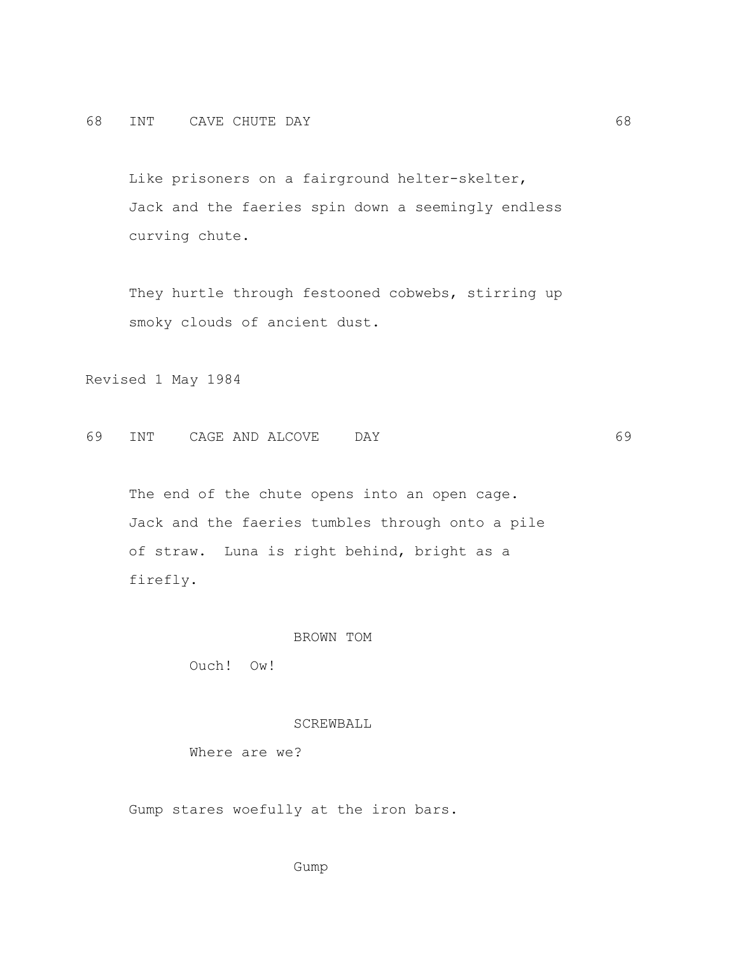Like prisoners on a fairground helter-skelter, Jack and the faeries spin down a seemingly endless curving chute.

 They hurtle through festooned cobwebs, stirring up smoky clouds of ancient dust.

Revised 1 May 1984

69 INT CAGE AND ALCOVE DAY 69

The end of the chute opens into an open cage. Jack and the faeries tumbles through onto a pile of straw. Luna is right behind, bright as a firefly.

### BROWN TOM

Ouch! Ow!

### SCREWBALL

Where are we?

Gump stares woefully at the iron bars.

Gump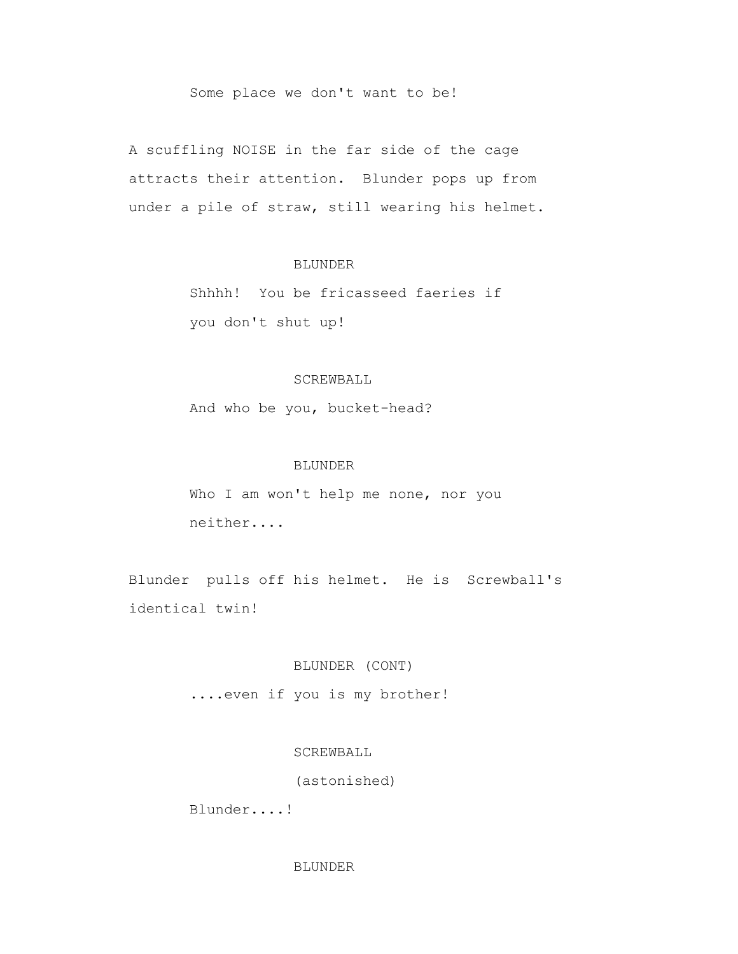## Some place we don't want to be!

 A scuffling NOISE in the far side of the cage attracts their attention. Blunder pops up from under a pile of straw, still wearing his helmet.

## BLUNDER

 Shhhh! You be fricasseed faeries if you don't shut up!

### SCREWBALL

And who be you, bucket-head?

### BLUNDER

 Who I am won't help me none, nor you neither....

 Blunder pulls off his helmet. He is Screwball's identical twin!

## BLUNDER (CONT)

....even if you is my brother!

## SCREWBALL

(astonished)

Blunder....!

#### BLUNDER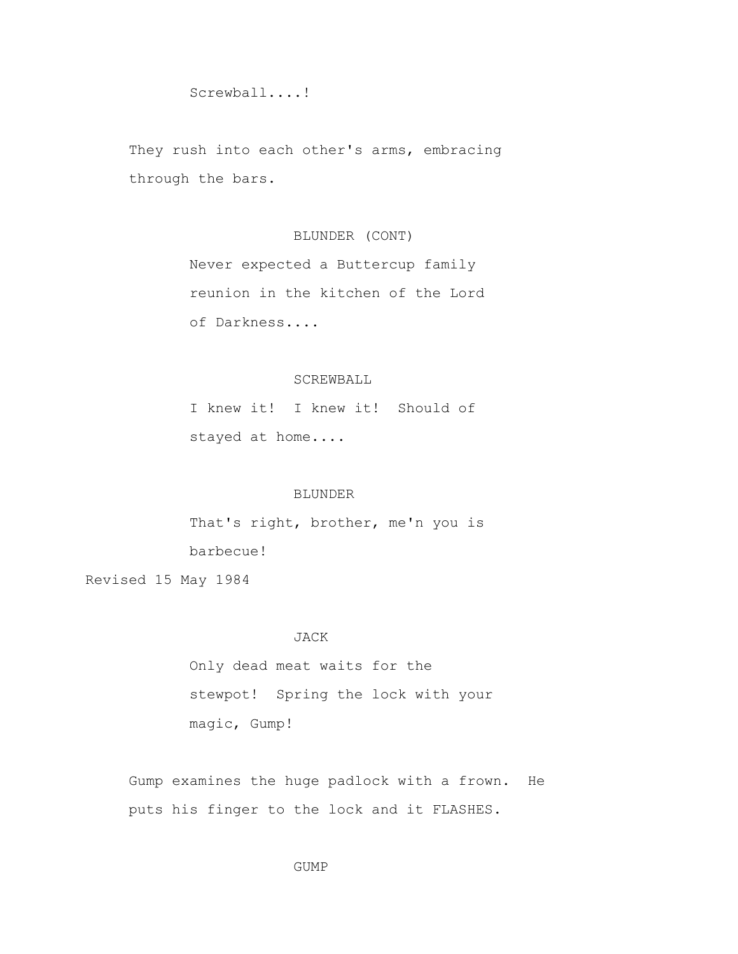Screwball....!

 They rush into each other's arms, embracing through the bars.

# BLUNDER (CONT)

 Never expected a Buttercup family reunion in the kitchen of the Lord of Darkness....

### SCREWBALL

 I knew it! I knew it! Should of stayed at home....

### BLUNDER

 That's right, brother, me'n you is barbecue! Revised 15 May 1984

#### JACK

 Only dead meat waits for the stewpot! Spring the lock with your magic, Gump!

 Gump examines the huge padlock with a frown. He puts his finger to the lock and it FLASHES.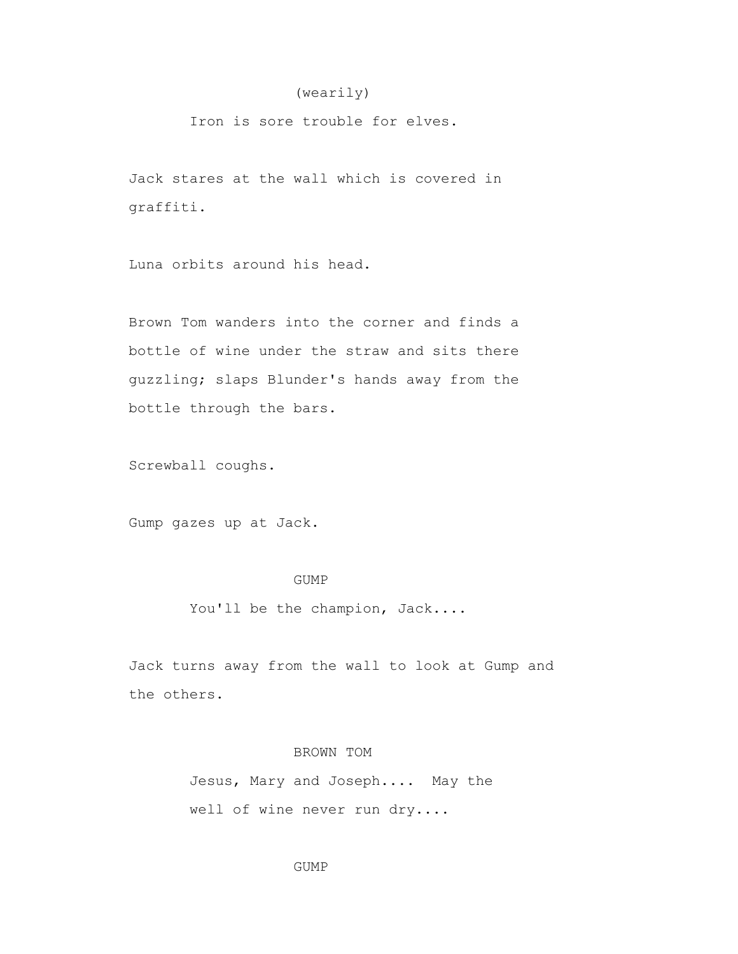## (wearily)

Iron is sore trouble for elves.

 Jack stares at the wall which is covered in graffiti.

Luna orbits around his head.

 Brown Tom wanders into the corner and finds a bottle of wine under the straw and sits there guzzling; slaps Blunder's hands away from the bottle through the bars.

Screwball coughs.

Gump gazes up at Jack.

## GUMP

You'll be the champion, Jack....

 Jack turns away from the wall to look at Gump and the others.

# BROWN TOM

 Jesus, Mary and Joseph.... May the well of wine never run dry....

GUMP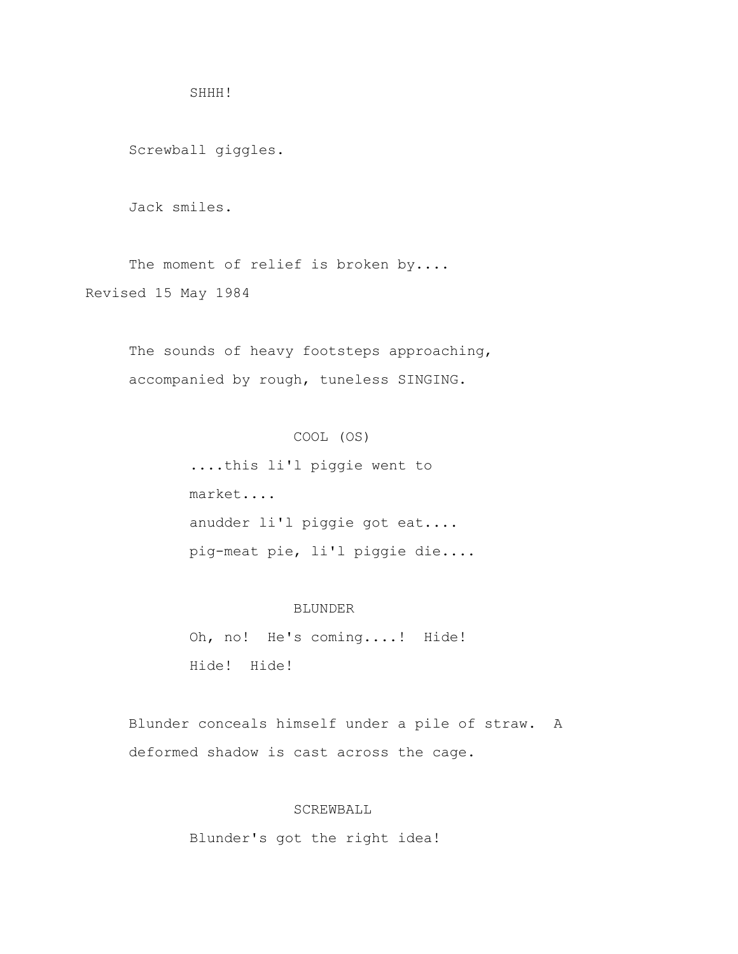SHHH!

Screwball giggles.

Jack smiles.

The moment of relief is broken by.... Revised 15 May 1984

> The sounds of heavy footsteps approaching, accompanied by rough, tuneless SINGING.

## COOL (OS)

 ....this li'l piggie went to market.... anudder li'l piggie got eat.... pig-meat pie, li'l piggie die....

#### BLUNDER

Oh, no! He's coming....! Hide! Hide! Hide!

 Blunder conceals himself under a pile of straw. A deformed shadow is cast across the cage.

## SCREWBALL

Blunder's got the right idea!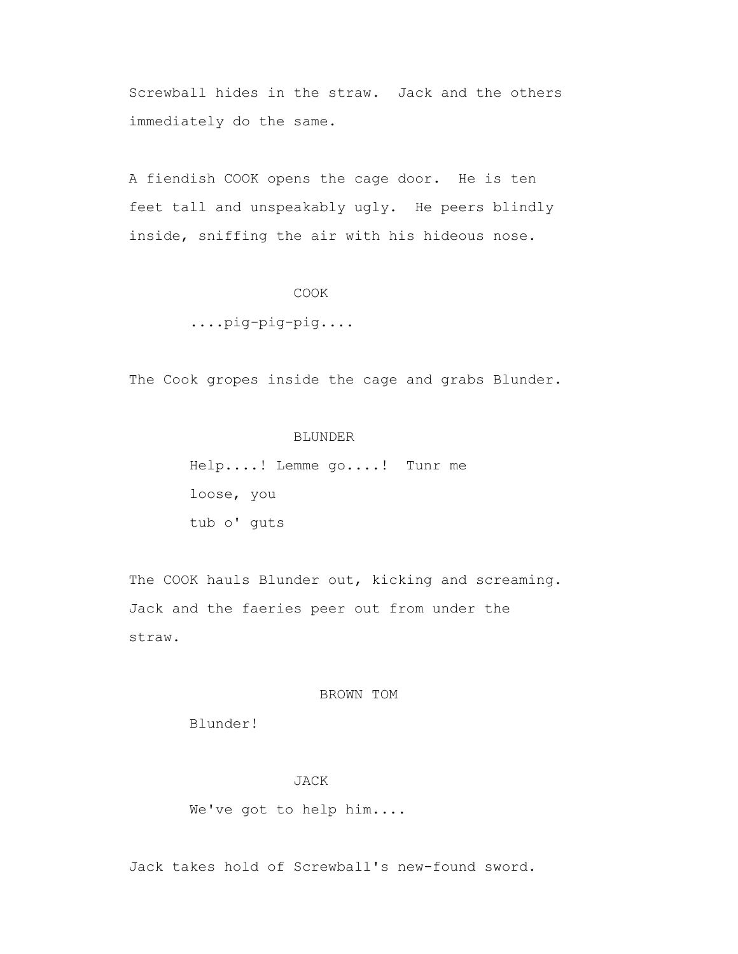Screwball hides in the straw. Jack and the others immediately do the same.

 A fiendish COOK opens the cage door. He is ten feet tall and unspeakably ugly. He peers blindly inside, sniffing the air with his hideous nose.

#### COOK

....pig-pig-pig....

The Cook gropes inside the cage and grabs Blunder.

### BLUNDER

 Help....! Lemme go....! Tunr me loose, you tub o' guts

The COOK hauls Blunder out, kicking and screaming. Jack and the faeries peer out from under the straw.

### BROWN TOM

Blunder!

#### JACK

We've got to help him....

Jack takes hold of Screwball's new-found sword.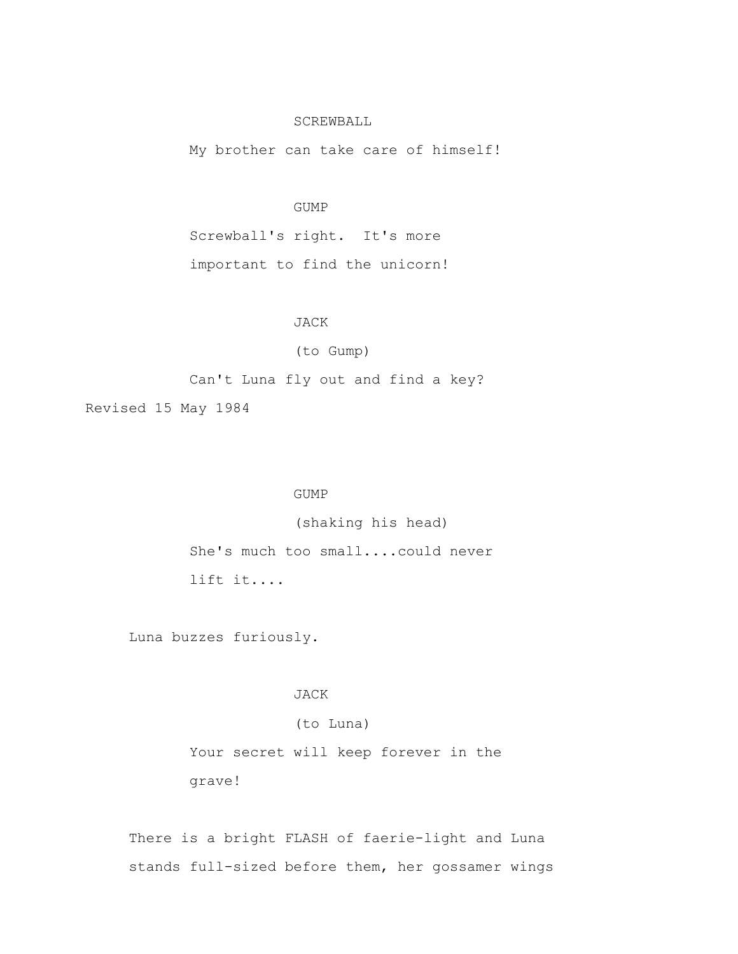## SCREWBALL

My brother can take care of himself!

#### GUMP

 Screwball's right. It's more important to find the unicorn!

# JACK

## (to Gump)

Can't Luna fly out and find a key?

Revised 15 May 1984

### GUMP

(shaking his head)

 She's much too small....could never lift it....

Luna buzzes furiously.

## JACK

## (to Luna)

 Your secret will keep forever in the grave!

 There is a bright FLASH of faerie-light and Luna stands full-sized before them, her gossamer wings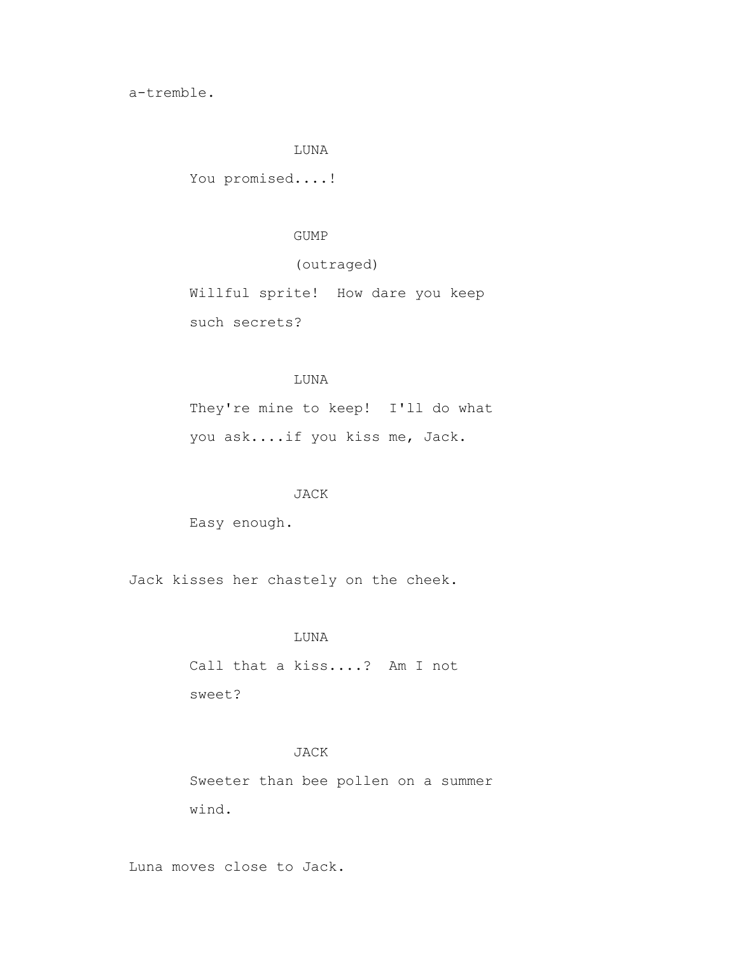a-tremble.

#### LUNA

You promised....!

#### GUMP

# (outraged)

 Willful sprite! How dare you keep such secrets?

## LUNA

 They're mine to keep! I'll do what you ask....if you kiss me, Jack.

## JACK

Easy enough.

Jack kisses her chastely on the cheek.

#### LUNA

 Call that a kiss....? Am I not sweet?

## JACK

 Sweeter than bee pollen on a summer wind.

Luna moves close to Jack.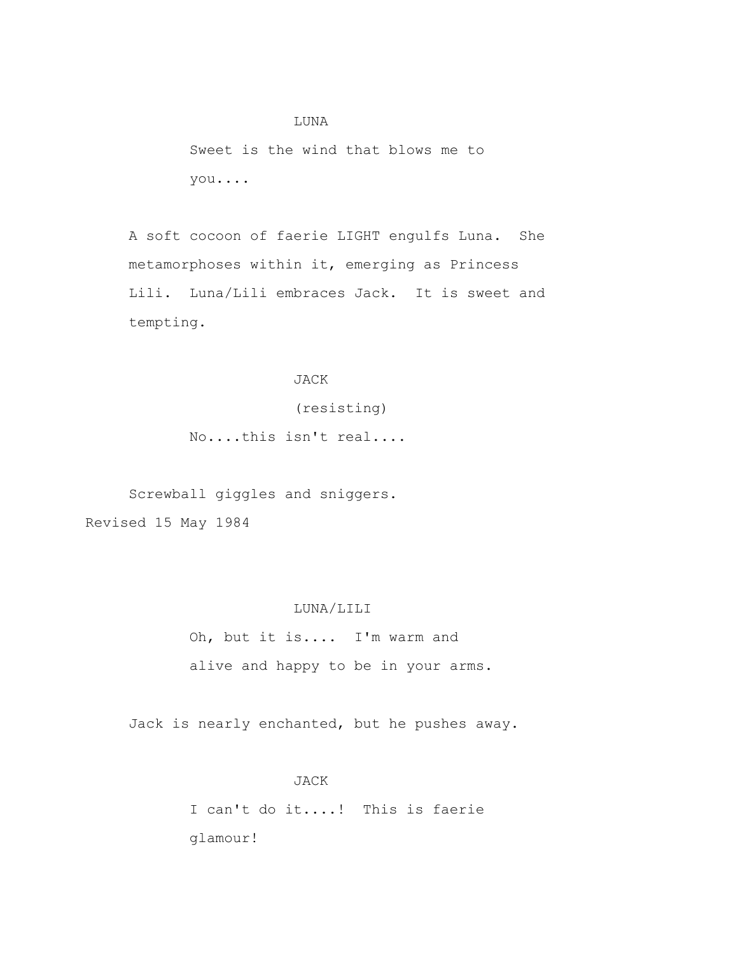LUNA Sweet is the wind that blows me to you....

 A soft cocoon of faerie LIGHT engulfs Luna. She metamorphoses within it, emerging as Princess Lili. Luna/Lili embraces Jack. It is sweet and tempting.

### JACK

(resisting)

No....this isn't real....

 Screwball giggles and sniggers. Revised 15 May 1984

## LUNA/LILI

 Oh, but it is.... I'm warm and alive and happy to be in your arms.

Jack is nearly enchanted, but he pushes away.

 JACK I can't do it....! This is faerie glamour!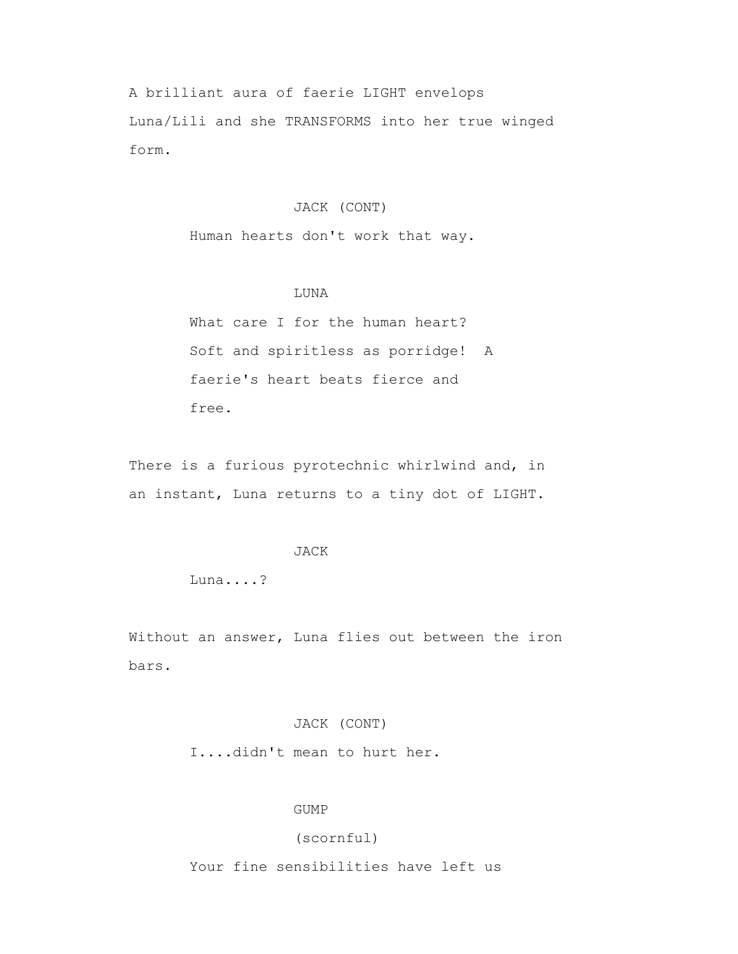A brilliant aura of faerie LIGHT envelops Luna/Lili and she TRANSFORMS into her true winged form.

## JACK (CONT)

Human hearts don't work that way.

## LUNA

What care I for the human heart? Soft and spiritless as porridge! A faerie's heart beats fierce and free.

There is a furious pyrotechnic whirlwind and, in an instant, Luna returns to a tiny dot of LIGHT.

### JACK

Luna....?

 Without an answer, Luna flies out between the iron bars.

## JACK (CONT)

I....didn't mean to hurt her.

### GUMP

(scornful)

Your fine sensibilities have left us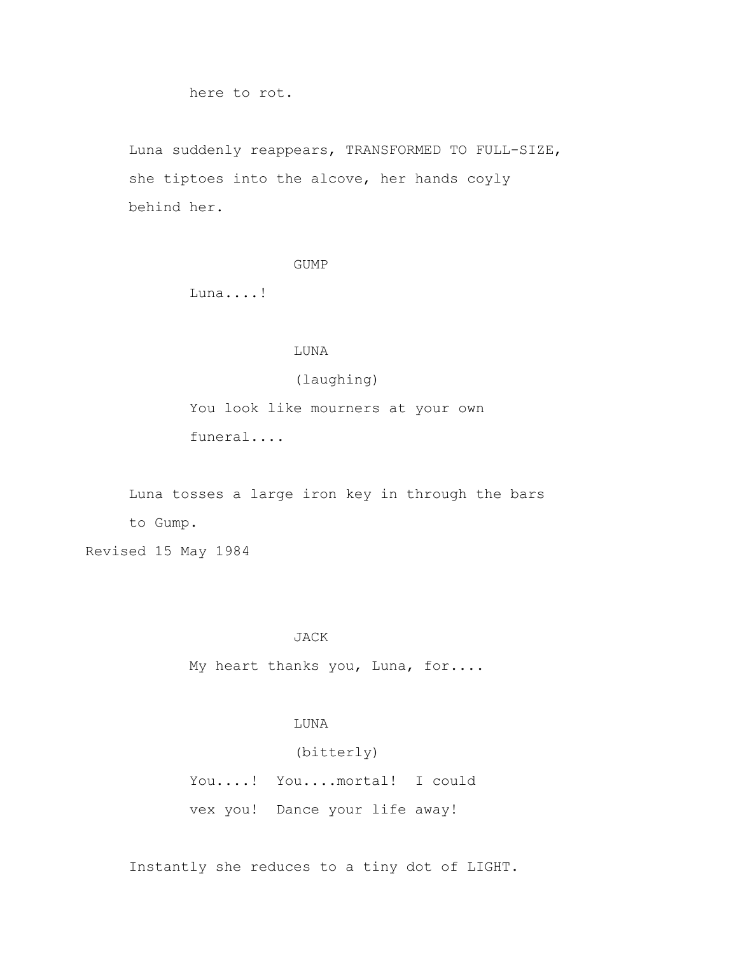here to rot.

 Luna suddenly reappears, TRANSFORMED TO FULL-SIZE, she tiptoes into the alcove, her hands coyly behind her.

GUMP

Luna....!

LUNA

(laughing)

 You look like mourners at your own funeral....

 Luna tosses a large iron key in through the bars to Gump.

Revised 15 May 1984

#### JACK

My heart thanks you, Luna, for....

## LUNA

(bitterly)

 You....! You....mortal! I could vex you! Dance your life away!

Instantly she reduces to a tiny dot of LIGHT.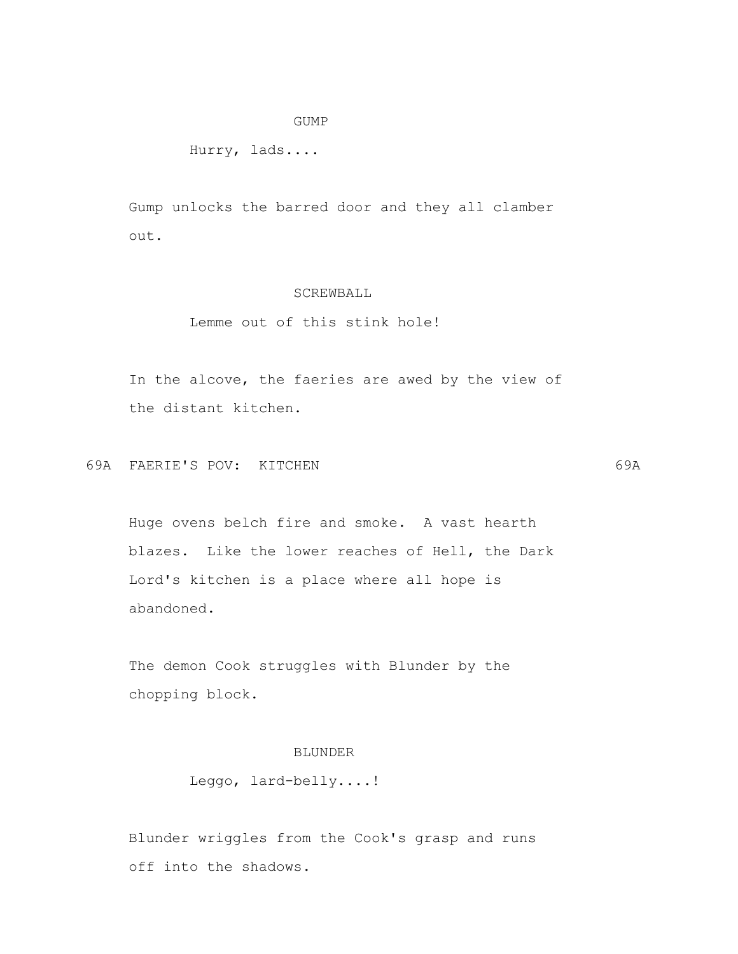#### GUMP

Hurry, lads....

 Gump unlocks the barred door and they all clamber out.

### SCREWBALL

## Lemme out of this stink hole!

 In the alcove, the faeries are awed by the view of the distant kitchen.

69A FAERIE'S POV: KITCHEN 69A

 Huge ovens belch fire and smoke. A vast hearth blazes. Like the lower reaches of Hell, the Dark Lord's kitchen is a place where all hope is

abandoned.

 The demon Cook struggles with Blunder by the chopping block.

# BLUNDER

Leggo, lard-belly....!

 Blunder wriggles from the Cook's grasp and runs off into the shadows.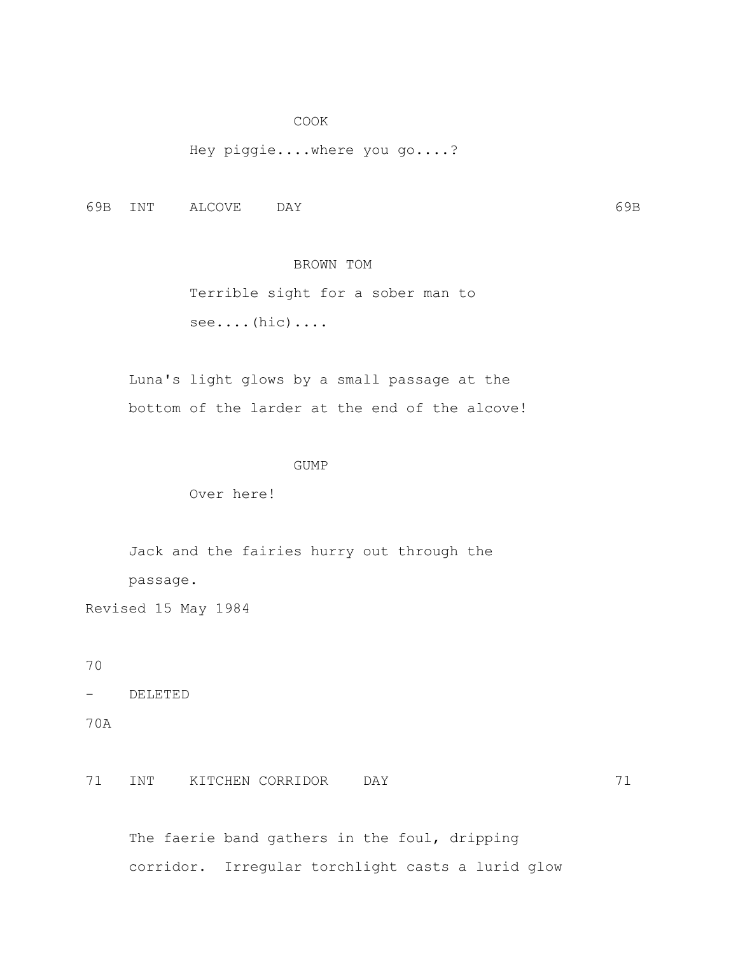#### COOK

Hey piggie....where you go....?

69B INT ALCOVE DAY 69B

## BROWN TOM

 Terrible sight for a sober man to see....(hic)....

 Luna's light glows by a small passage at the bottom of the larder at the end of the alcove!

#### GUMP

Over here!

 Jack and the fairies hurry out through the passage.

Revised 15 May 1984

70

- DELETED

70A

### 71 INT KITCHEN CORRIDOR DAY 71

The faerie band gathers in the foul, dripping corridor. Irregular torchlight casts a lurid glow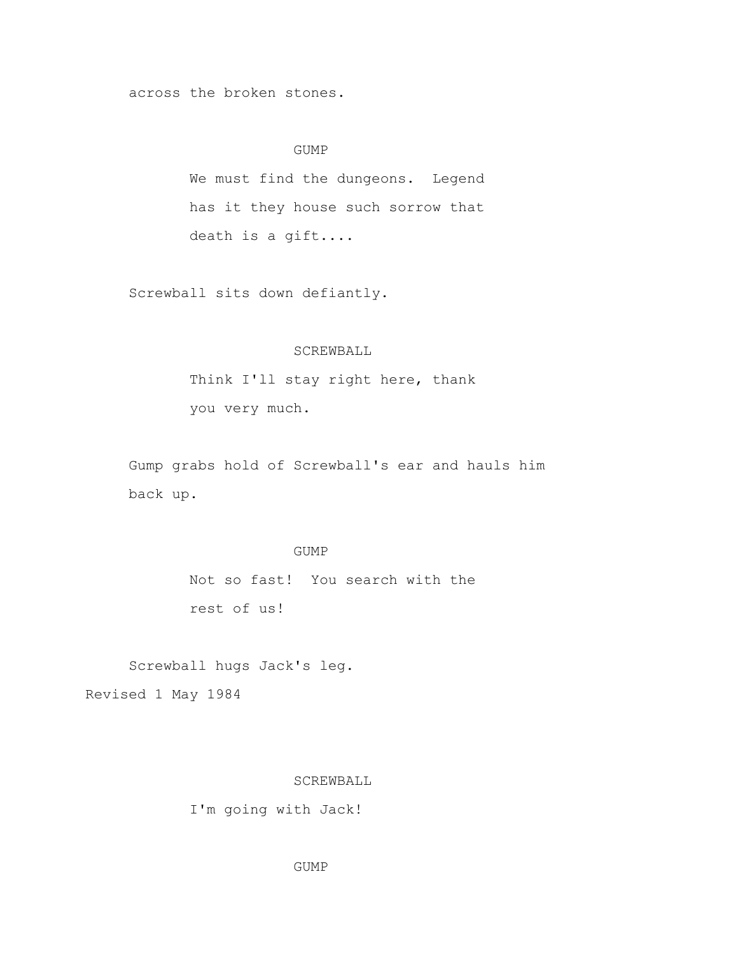across the broken stones.

### GUMP

 We must find the dungeons. Legend has it they house such sorrow that death is a gift....

Screwball sits down defiantly.

## SCREWBALL

 Think I'll stay right here, thank you very much.

 Gump grabs hold of Screwball's ear and hauls him back up.

### GUMP

 Not so fast! You search with the rest of us!

Screwball hugs Jack's leg.

Revised 1 May 1984

#### SCREWBALL

I'm going with Jack!

GUMP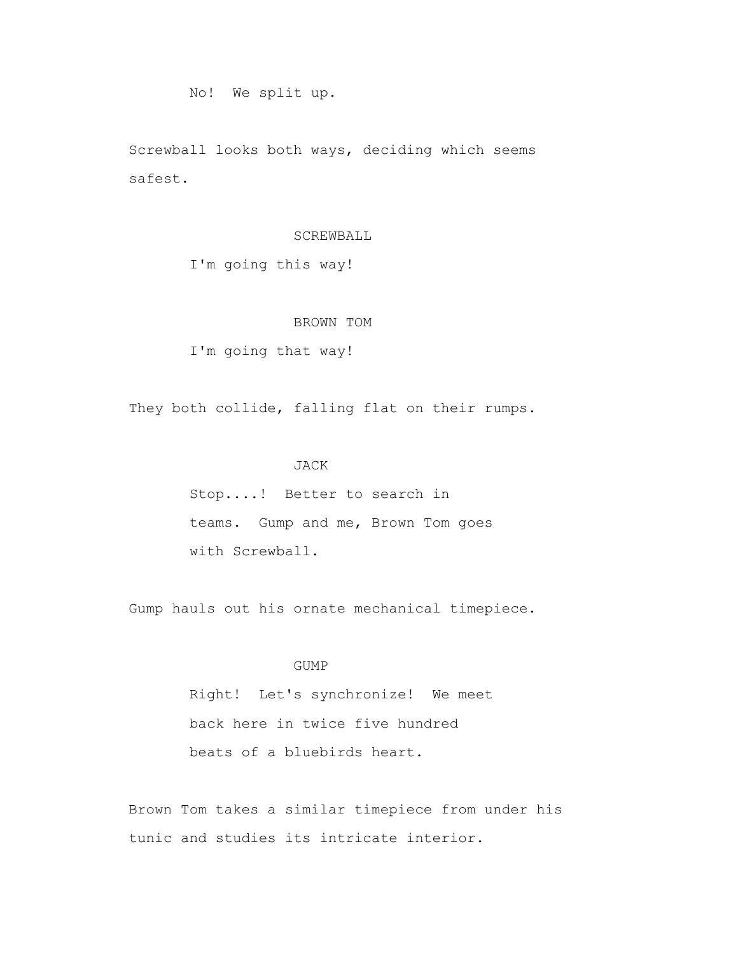## No! We split up.

 Screwball looks both ways, deciding which seems safest.

#### SCREWBALL

I'm going this way!

## BROWN TOM

I'm going that way!

They both collide, falling flat on their rumps.

## JACK

 Stop....! Better to search in teams. Gump and me, Brown Tom goes with Screwball.

Gump hauls out his ornate mechanical timepiece.

## GUMP

 Right! Let's synchronize! We meet back here in twice five hundred beats of a bluebirds heart.

 Brown Tom takes a similar timepiece from under his tunic and studies its intricate interior.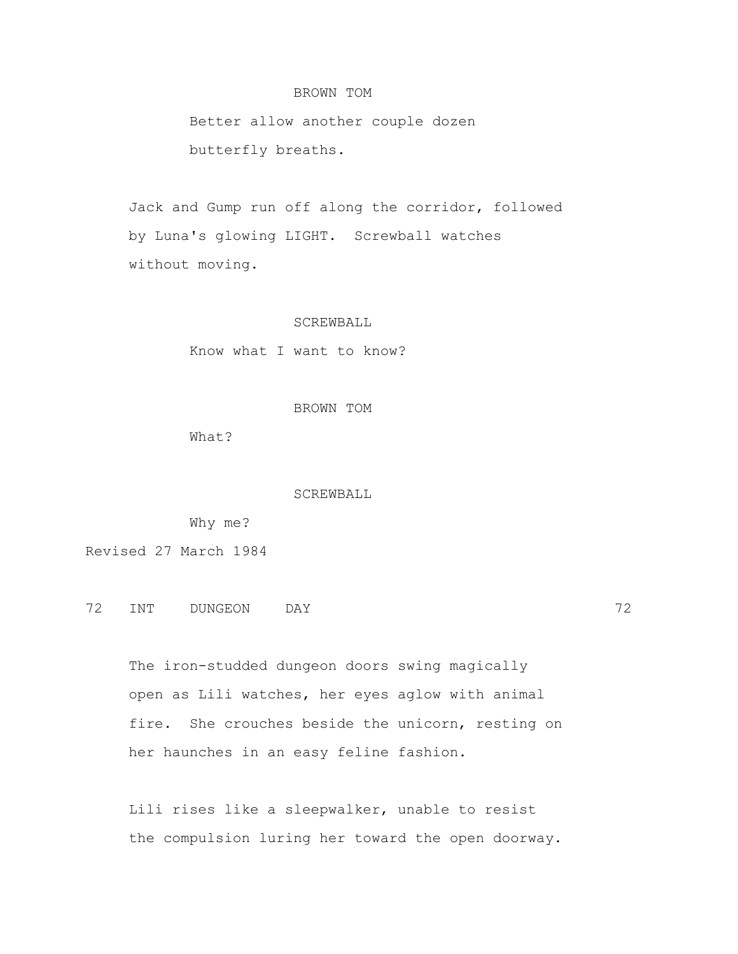### BROWN TOM

 Better allow another couple dozen butterfly breaths.

 Jack and Gump run off along the corridor, followed by Luna's glowing LIGHT. Screwball watches without moving.

#### SCREWBALL

Know what I want to know?

#### BROWN TOM

What?

#### SCREWBALL

Why me?

Revised 27 March 1984

72 INT DUNGEON DAY 72

 The iron-studded dungeon doors swing magically open as Lili watches, her eyes aglow with animal fire. She crouches beside the unicorn, resting on her haunches in an easy feline fashion.

 Lili rises like a sleepwalker, unable to resist the compulsion luring her toward the open doorway.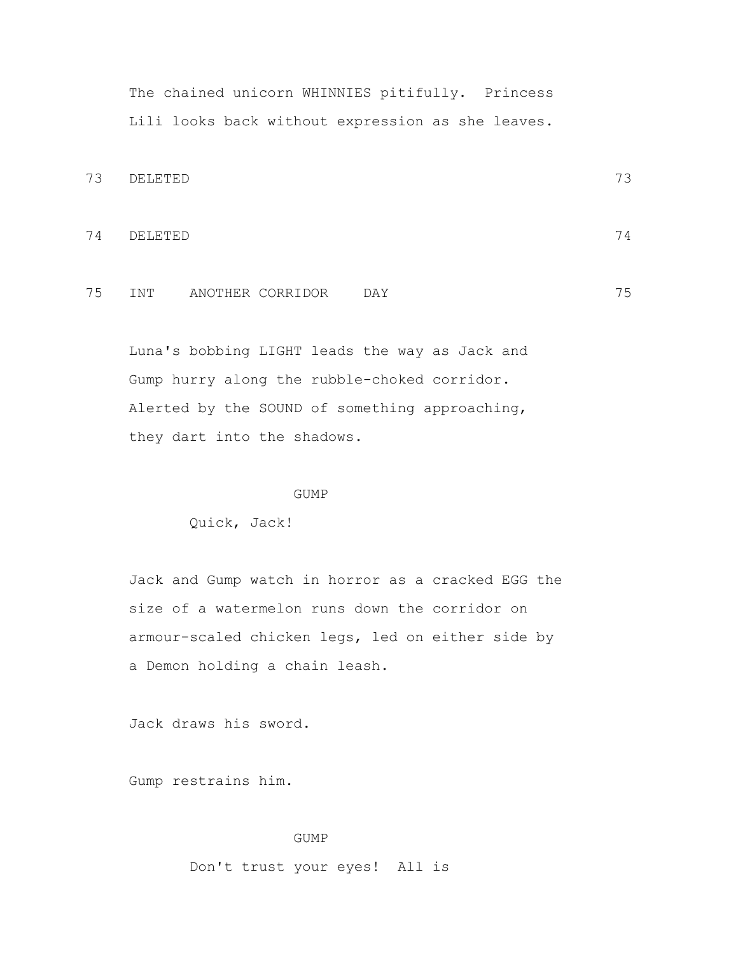The chained unicorn WHINNIES pitifully. Princess Lili looks back without expression as she leaves.

```
73 DELETED 73
```
74 DELETED 74

# 75 INT ANOTHER CORRIDOR DAY 75

 Luna's bobbing LIGHT leads the way as Jack and Gump hurry along the rubble-choked corridor. Alerted by the SOUND of something approaching, they dart into the shadows.

#### GUMP

Quick, Jack!

 Jack and Gump watch in horror as a cracked EGG the size of a watermelon runs down the corridor on armour-scaled chicken legs, led on either side by a Demon holding a chain leash.

Jack draws his sword.

Gump restrains him.

#### GUMP

Don't trust your eyes! All is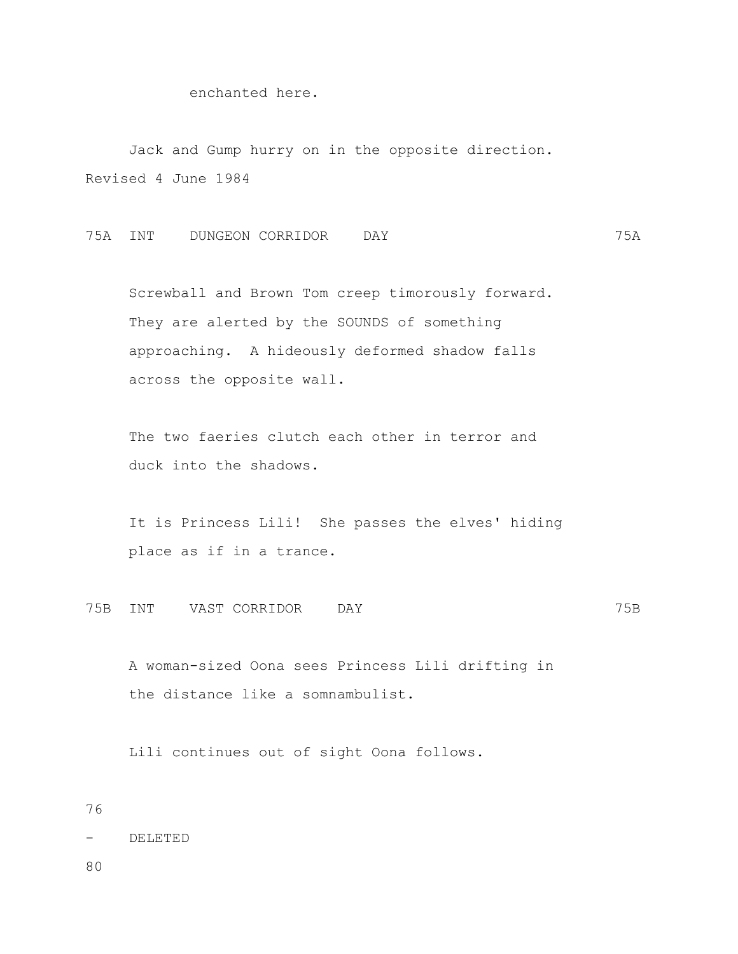## enchanted here.

 Jack and Gump hurry on in the opposite direction. Revised 4 June 1984

75A INT DUNGEON CORRIDOR DAY 75A

 Screwball and Brown Tom creep timorously forward. They are alerted by the SOUNDS of something approaching. A hideously deformed shadow falls across the opposite wall.

 The two faeries clutch each other in terror and duck into the shadows.

 It is Princess Lili! She passes the elves' hiding place as if in a trance.

75B INT VAST CORRIDOR DAY 75B

 A woman-sized Oona sees Princess Lili drifting in the distance like a somnambulist.

Lili continues out of sight Oona follows.

```
76
```
- DELETED

80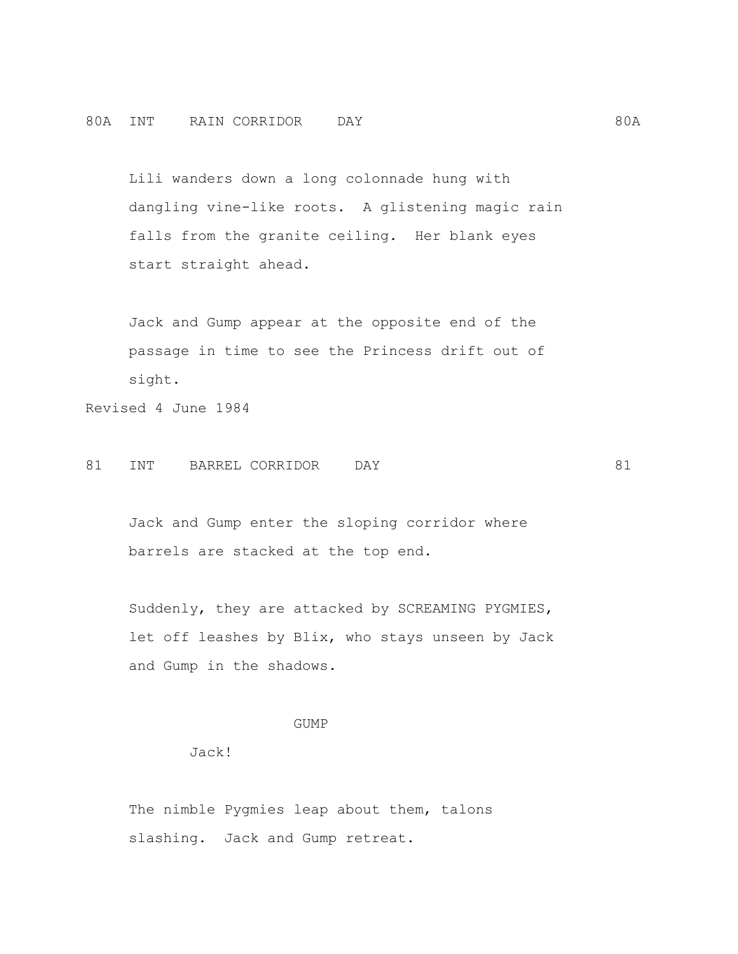Lili wanders down a long colonnade hung with dangling vine-like roots. A glistening magic rain falls from the granite ceiling. Her blank eyes start straight ahead.

 Jack and Gump appear at the opposite end of the passage in time to see the Princess drift out of sight.

Revised 4 June 1984

## 81 INT BARREL CORRIDOR DAY 81

 Jack and Gump enter the sloping corridor where barrels are stacked at the top end.

 Suddenly, they are attacked by SCREAMING PYGMIES, let off leashes by Blix, who stays unseen by Jack and Gump in the shadows.

### GUMP

Jack!

The nimble Pygmies leap about them, talons slashing. Jack and Gump retreat.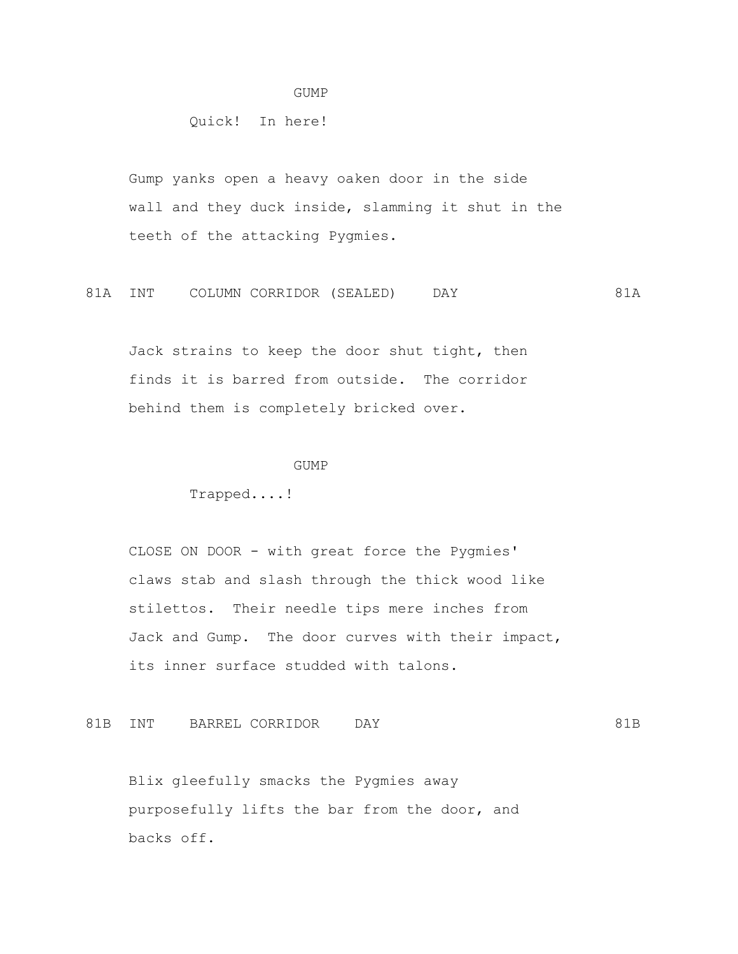#### GUMP

Quick! In here!

 Gump yanks open a heavy oaken door in the side wall and they duck inside, slamming it shut in the teeth of the attacking Pygmies.

81A INT COLUMN CORRIDOR (SEALED) DAY 681A

 Jack strains to keep the door shut tight, then finds it is barred from outside. The corridor behind them is completely bricked over.

#### GUMP

Trapped....!

 CLOSE ON DOOR - with great force the Pygmies' claws stab and slash through the thick wood like stilettos. Their needle tips mere inches from Jack and Gump. The door curves with their impact, its inner surface studded with talons.

81B INT BARREL CORRIDOR DAY 61B

 Blix gleefully smacks the Pygmies away purposefully lifts the bar from the door, and backs off.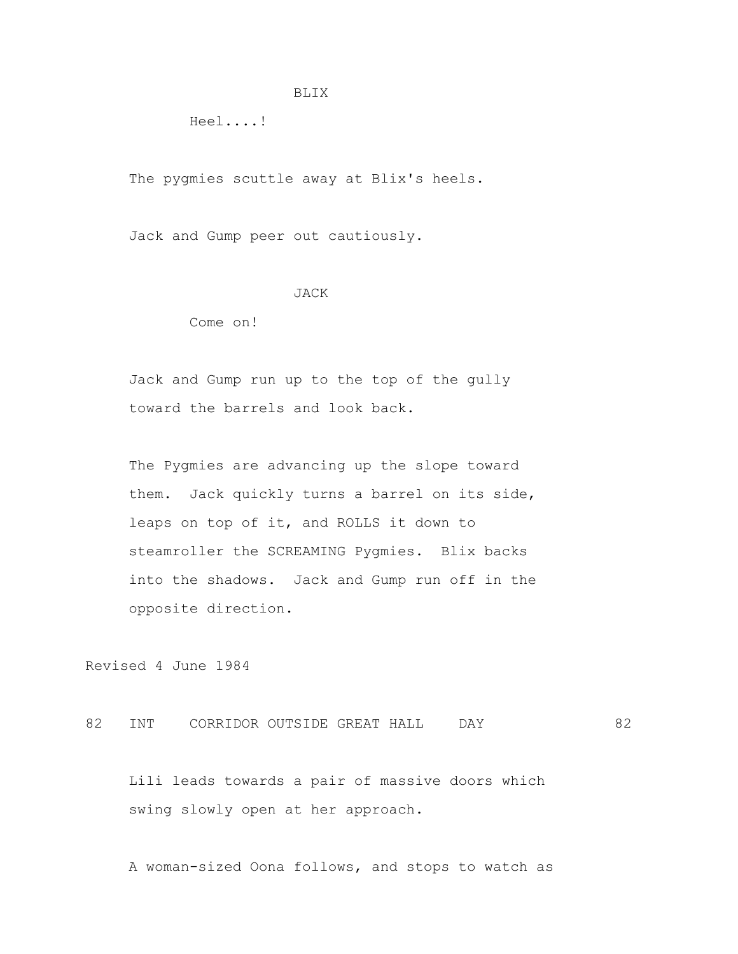#### BLIX

Heel....!

The pygmies scuttle away at Blix's heels.

Jack and Gump peer out cautiously.

#### JACK

Come on!

 Jack and Gump run up to the top of the gully toward the barrels and look back.

 The Pygmies are advancing up the slope toward them. Jack quickly turns a barrel on its side, leaps on top of it, and ROLLS it down to steamroller the SCREAMING Pygmies. Blix backs into the shadows. Jack and Gump run off in the opposite direction.

Revised 4 June 1984

82 INT CORRIDOR OUTSIDE GREAT HALL DAY 62

 Lili leads towards a pair of massive doors which swing slowly open at her approach.

A woman-sized Oona follows, and stops to watch as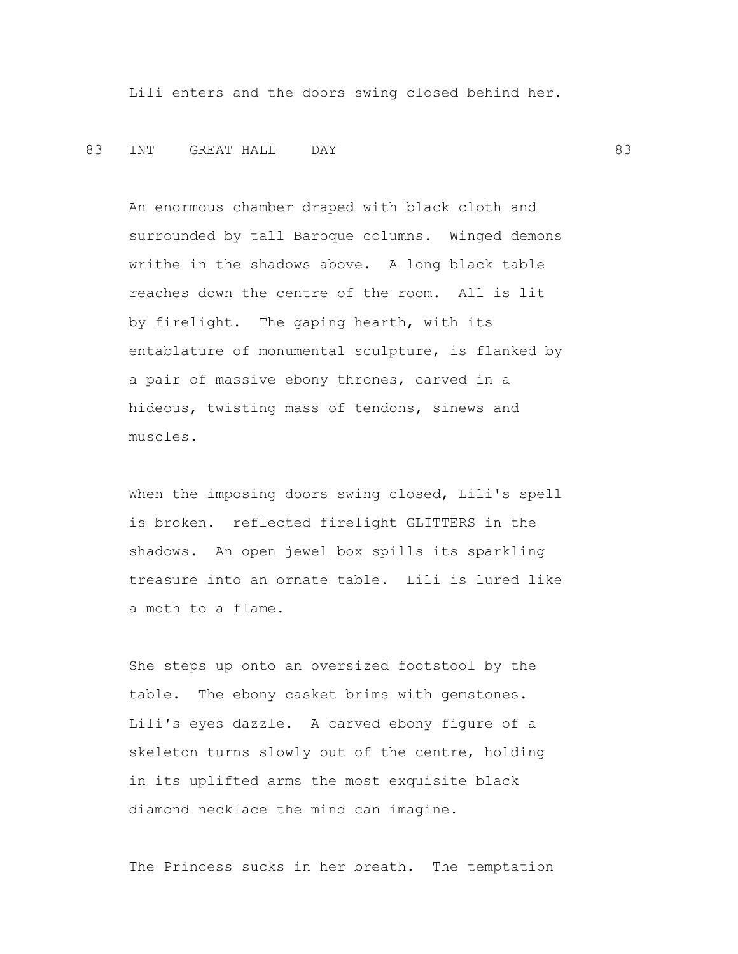Lili enters and the doors swing closed behind her.

### 83 INT GREAT—HALL DAY 83

 An enormous chamber draped with black cloth and surrounded by tall Baroque columns. Winged demons writhe in the shadows above. A long black table reaches down the centre of the room. All is lit by firelight. The gaping hearth, with its entablature of monumental sculpture, is flanked by a pair of massive ebony thrones, carved in a hideous, twisting mass of tendons, sinews and muscles.

 When the imposing doors swing closed, Lili's spell is broken. reflected firelight GLITTERS in the shadows. An open jewel box spills its sparkling treasure into an ornate table. Lili is lured like a moth to a flame.

 She steps up onto an oversized footstool by the table. The ebony casket brims with gemstones. Lili's eyes dazzle. A carved ebony figure of a skeleton turns slowly out of the centre, holding in its uplifted arms the most exquisite black diamond necklace the mind can imagine.

The Princess sucks in her breath. The temptation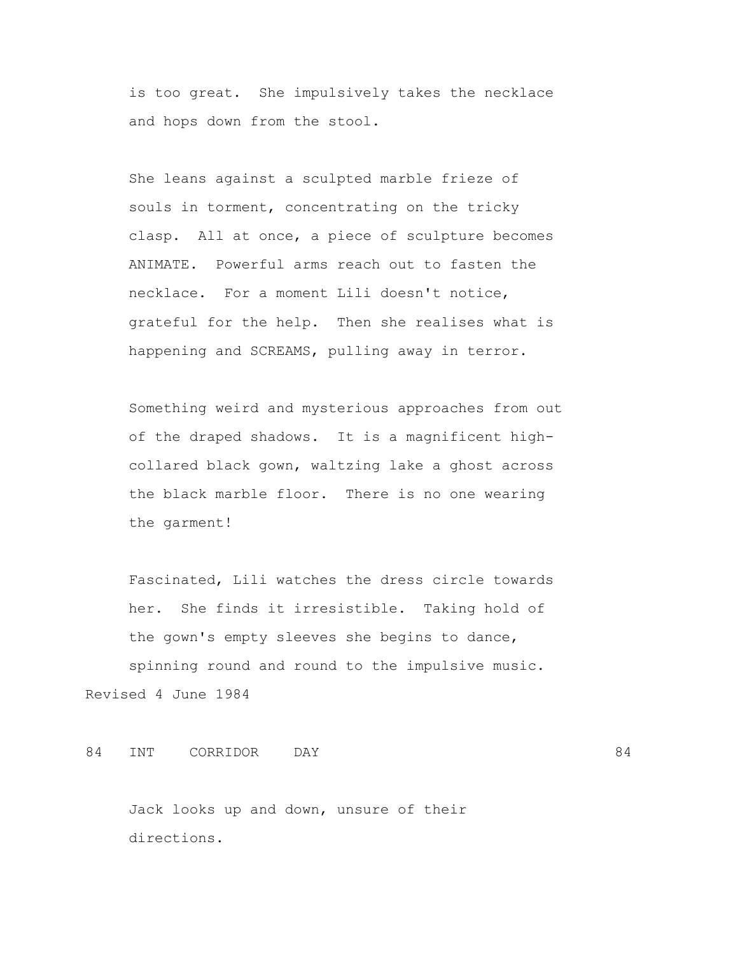is too great. She impulsively takes the necklace and hops down from the stool.

 She leans against a sculpted marble frieze of souls in torment, concentrating on the tricky clasp. All at once, a piece of sculpture becomes ANIMATE. Powerful arms reach out to fasten the necklace. For a moment Lili doesn't notice, grateful for the help. Then she realises what is happening and SCREAMS, pulling away in terror.

 Something weird and mysterious approaches from out of the draped shadows. It is a magnificent high collared black gown, waltzing lake a ghost across the black marble floor. There is no one wearing the garment!

 Fascinated, Lili watches the dress circle towards her. She finds it irresistible. Taking hold of the gown's empty sleeves she begins to dance, spinning round and round to the impulsive music. Revised 4 June 1984

84 INT CORRIDOR DAY 64

 Jack looks up and down, unsure of their directions.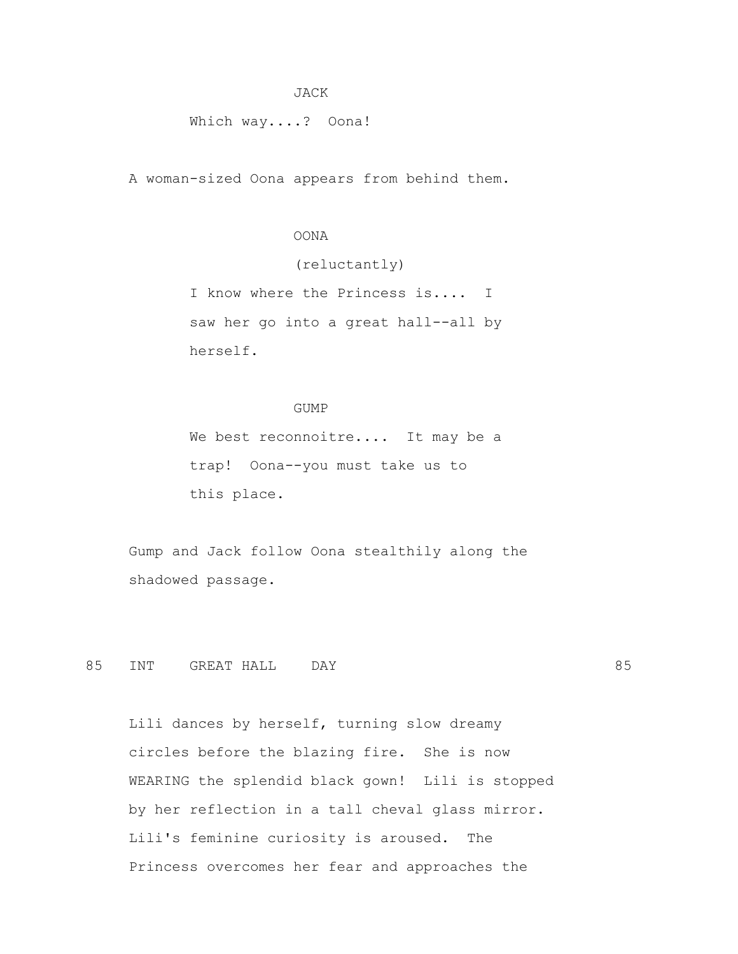#### JACK

Which way....? Oona!

A woman-sized Oona appears from behind them.

### OONA

(reluctantly)

 I know where the Princess is.... I saw her go into a great hall--all by herself.

#### GUMP

We best reconnoitre.... It may be a trap! Oona--you must take us to this place.

 Gump and Jack follow Oona stealthily along the shadowed passage.

85 INT GREAT HALL DAY 85

 Lili dances by herself, turning slow dreamy circles before the blazing fire. She is now WEARING the splendid black gown! Lili is stopped by her reflection in a tall cheval glass mirror. Lili's feminine curiosity is aroused. The Princess overcomes her fear and approaches the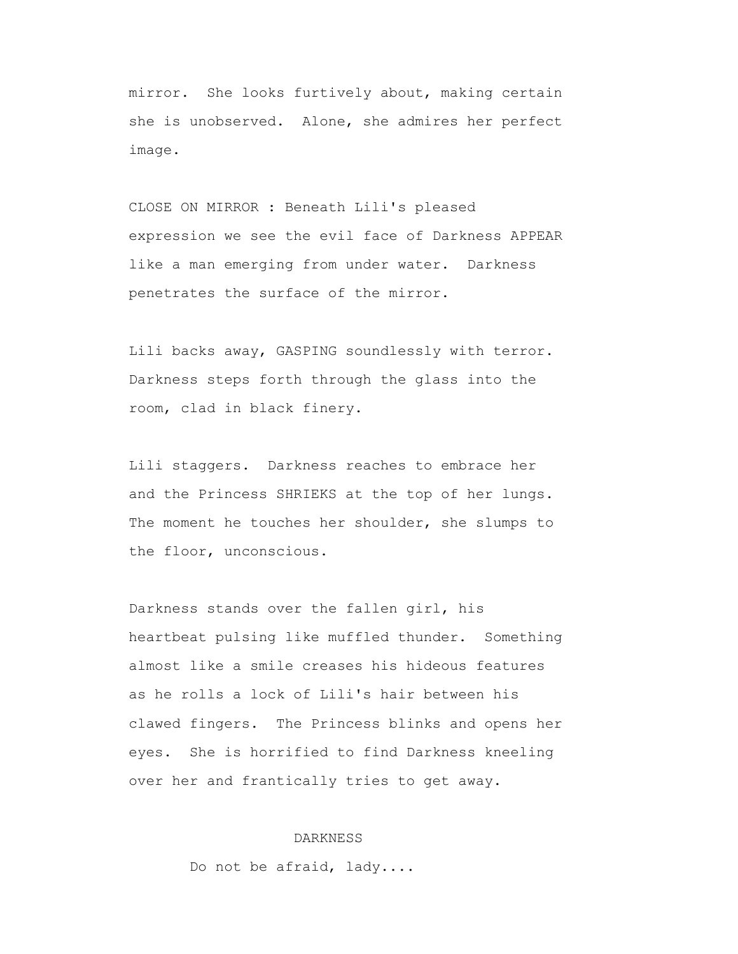mirror. She looks furtively about, making certain she is unobserved. Alone, she admires her perfect image.

 CLOSE ON MIRROR : Beneath Lili's pleased expression we see the evil face of Darkness APPEAR like a man emerging from under water. Darkness penetrates the surface of the mirror.

 Lili backs away, GASPING soundlessly with terror. Darkness steps forth through the glass into the room, clad in black finery.

 Lili staggers. Darkness reaches to embrace her and the Princess SHRIEKS at the top of her lungs. The moment he touches her shoulder, she slumps to the floor, unconscious.

 Darkness stands over the fallen girl, his heartbeat pulsing like muffled thunder. Something almost like a smile creases his hideous features as he rolls a lock of Lili's hair between his clawed fingers. The Princess blinks and opens her eyes. She is horrified to find Darkness kneeling over her and frantically tries to get away.

### DARKNESS

Do not be afraid, lady....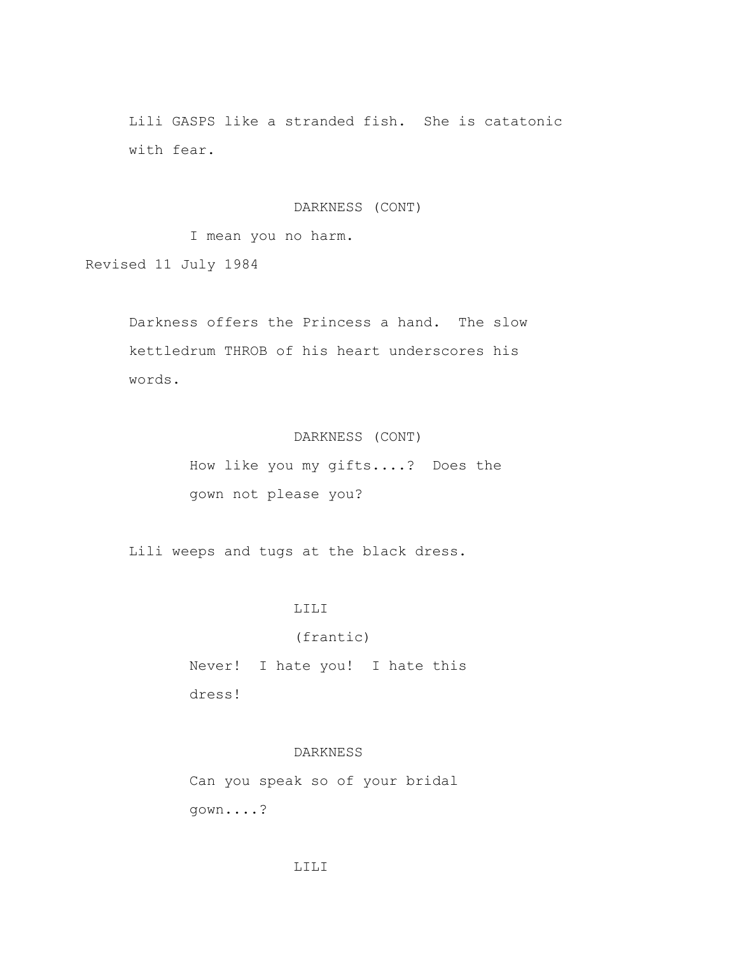Lili GASPS like a stranded fish. She is catatonic with fear.

DARKNESS (CONT)

I mean you no harm.

Revised 11 July 1984

 Darkness offers the Princess a hand. The slow kettledrum THROB of his heart underscores his words.

# DARKNESS (CONT)

 How like you my gifts....? Does the gown not please you?

Lili weeps and tugs at the black dress.

### LILI

(frantic)

 Never! I hate you! I hate this dress!

## DARKNESS

 Can you speak so of your bridal gown....?

### LILI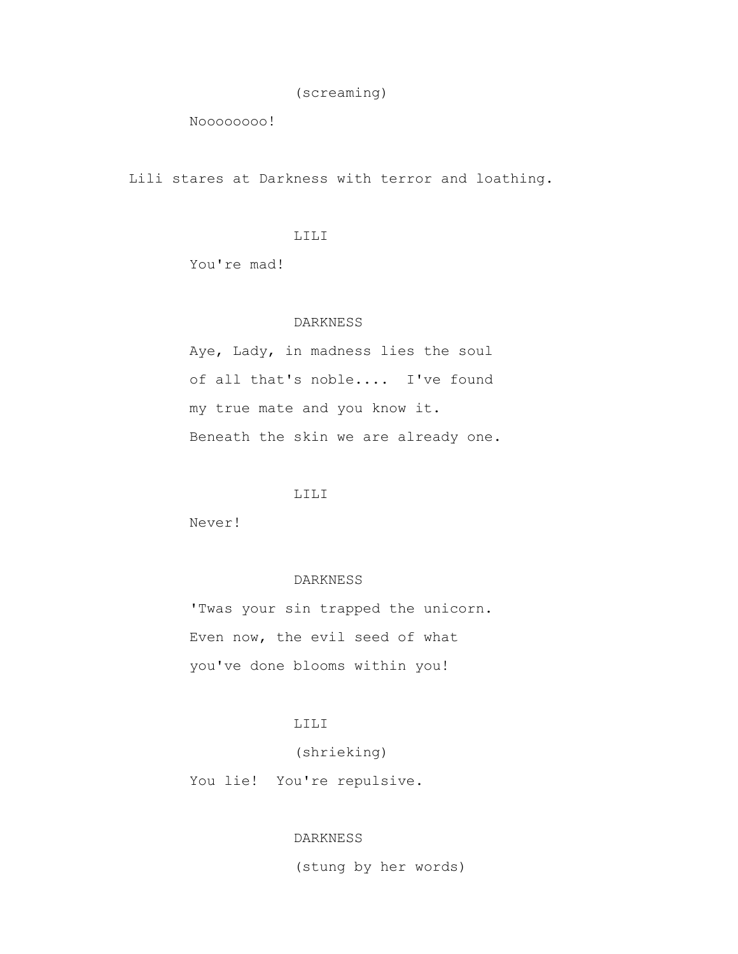(screaming)

Noooooooo!

Lili stares at Darkness with terror and loathing.

### LILI

You're mad!

### DARKNESS

 Aye, Lady, in madness lies the soul of all that's noble.... I've found my true mate and you know it. Beneath the skin we are already one.

# LILI

Never!

## DARKNESS

 'Twas your sin trapped the unicorn. Even now, the evil seed of what you've done blooms within you!

# LILI

(shrieking)

You lie! You're repulsive.

# DARKNESS

(stung by her words)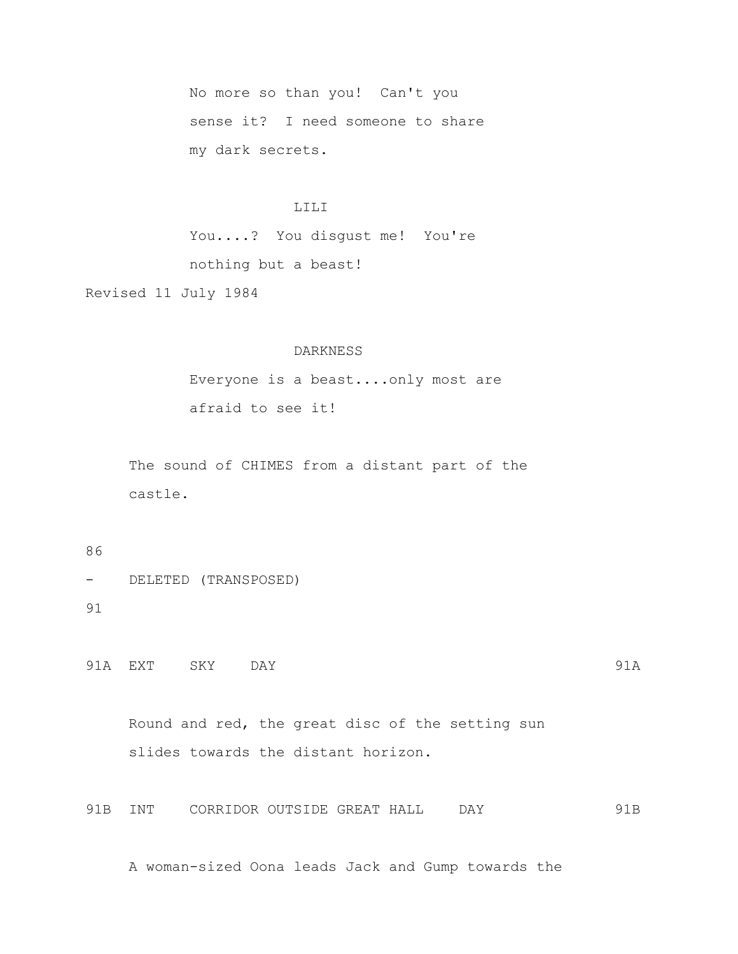No more so than you! Can't you sense it? I need someone to share my dark secrets.

### LILI

 You....? You disgust me! You're nothing but a beast!

Revised 11 July 1984

### DARKNESS

 Everyone is a beast....only most are afraid to see it!

 The sound of CHIMES from a distant part of the castle.

## 86

- DELETED (TRANSPOSED) 91

91A EXT SKY DAY 91A

 Round and red, the great disc of the setting sun slides towards the distant horizon.

91B INT CORRIDOR OUTSIDE GREAT HALL DAY 91B

A woman-sized Oona leads Jack and Gump towards the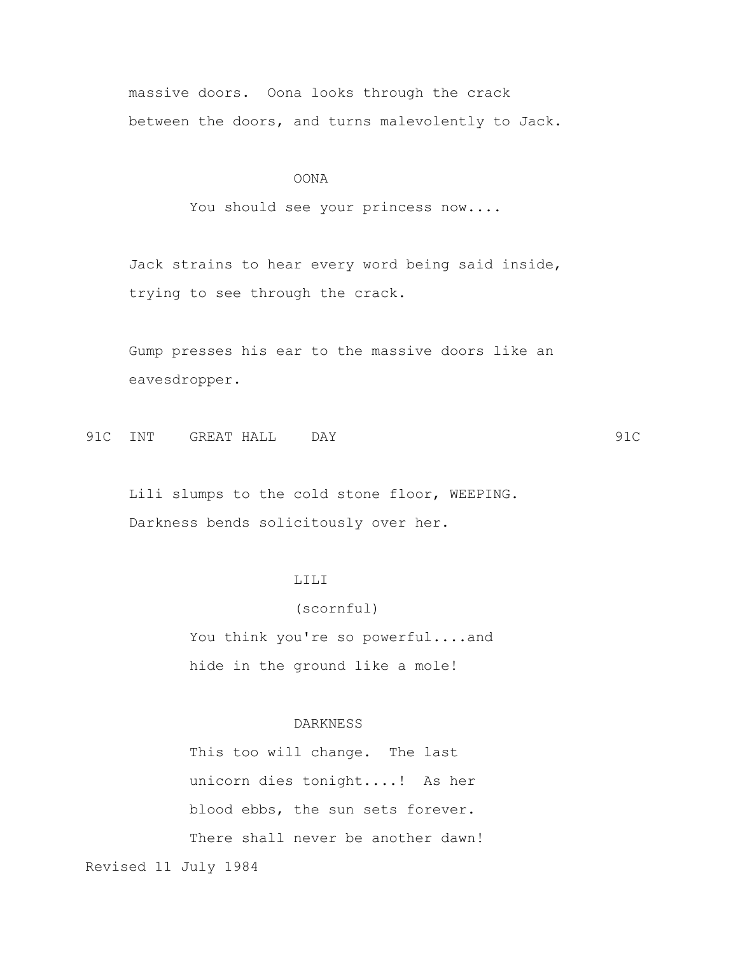massive doors. Oona looks through the crack between the doors, and turns malevolently to Jack.

### OONA

You should see your princess now....

 Jack strains to hear every word being said inside, trying to see through the crack.

 Gump presses his ear to the massive doors like an eavesdropper.

91C INT GREAT HALL DAY 91C

 Lili slumps to the cold stone floor, WEEPING. Darkness bends solicitously over her.

# LILI

 (scornful) You think you're so powerful....and hide in the ground like a mole!

### DARKNESS

 This too will change. The last unicorn dies tonight....! As her blood ebbs, the sun sets forever. There shall never be another dawn! Revised 11 July 1984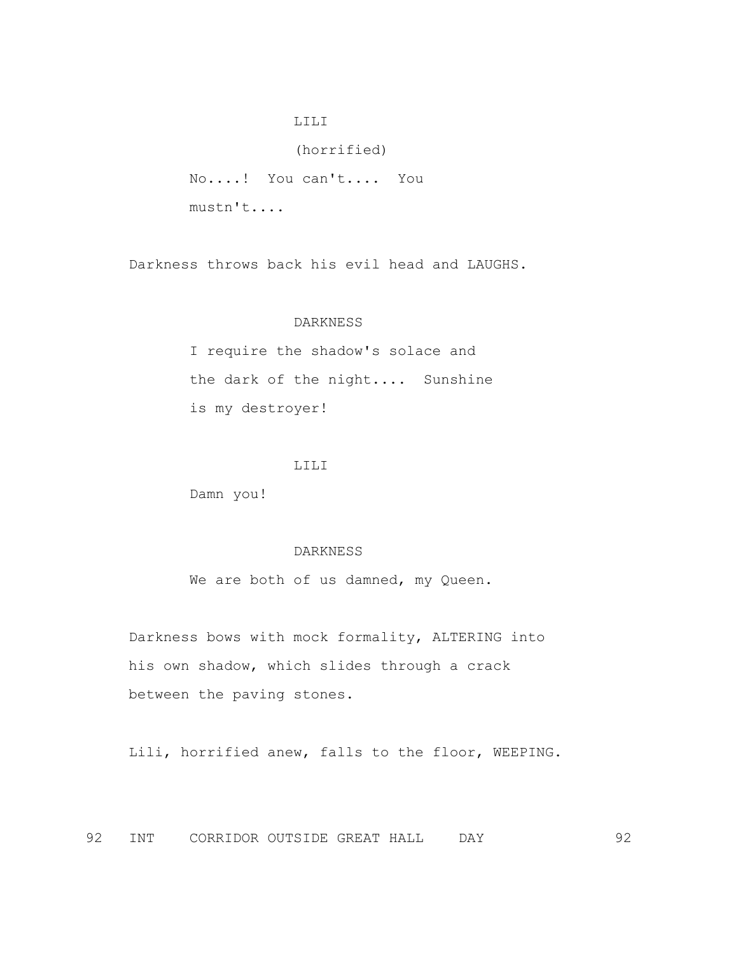### LILI

 (horrified) No....! You can't.... You mustn't....

Darkness throws back his evil head and LAUGHS.

#### DARKNESS

 I require the shadow's solace and the dark of the night.... Sunshine is my destroyer!

### LILI

Damn you!

### DARKNESS

We are both of us damned, my Queen.

 Darkness bows with mock formality, ALTERING into his own shadow, which slides through a crack between the paving stones.

Lili, horrified anew, falls to the floor, WEEPING.

92 INT CORRIDOR OUTSIDE GREAT HALL DAY 92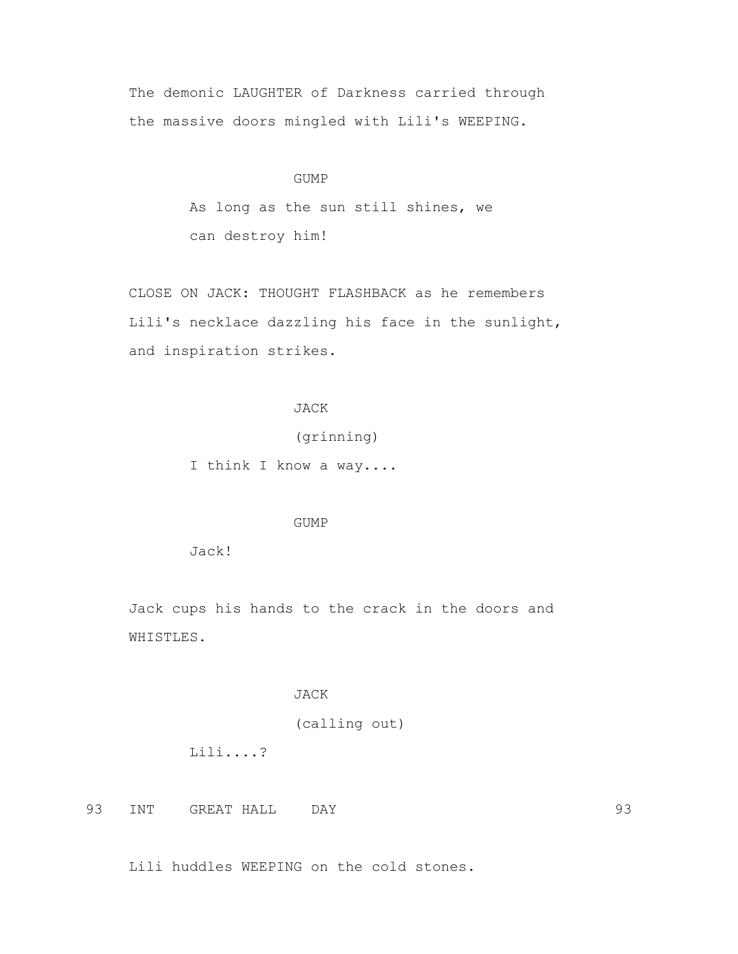The demonic LAUGHTER of Darkness carried through the massive doors mingled with Lili's WEEPING.

### GUMP

 As long as the sun still shines, we can destroy him!

 CLOSE ON JACK: THOUGHT FLASHBACK as he remembers Lili's necklace dazzling his face in the sunlight, and inspiration strikes.

### JACK

(grinning)

I think I know a way....

## GUMP

Jack!

 Jack cups his hands to the crack in the doors and WHISTLES.

### JACK

Lili huddles WEEPING on the cold stones.

(calling out)

Lili....?

93 INT GREAT HALL DAY 93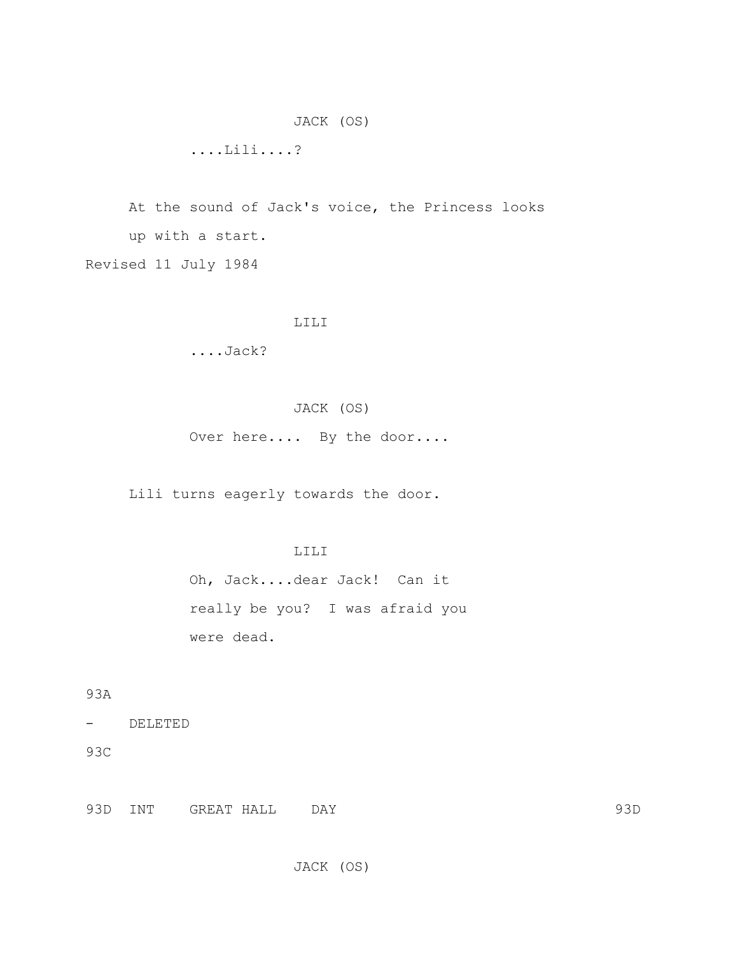JACK (OS)

....Lili....?

 At the sound of Jack's voice, the Princess looks up with a start. Revised 11 July 1984

### LILI

....Jack?

# JACK (OS)

Over here.... By the door....

Lili turns eagerly towards the door.

# LILI

 Oh, Jack....dear Jack! Can it really be you? I was afraid you were dead.

93A

- DELETED

93C

93D INT GREAT HALL DAY 93D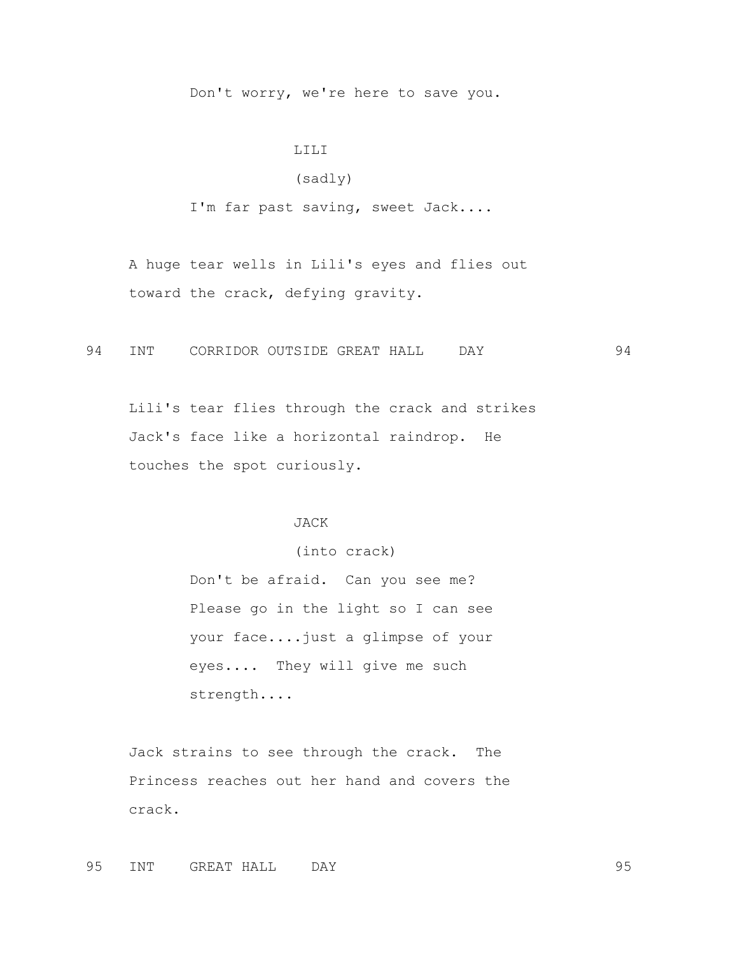Don't worry, we're here to save you.

#### LILI

## (sadly)

I'm far past saving, sweet Jack....

 A huge tear wells in Lili's eyes and flies out toward the crack, defying gravity.

94 INT CORRIDOR OUTSIDE GREAT HALL DAY 94

 Lili's tear flies through the crack and strikes Jack's face like a horizontal raindrop. He touches the spot curiously.

#### JACK

 (into crack) Don't be afraid. Can you see me? Please go in the light so I can see your face....just a glimpse of your eyes.... They will give me such strength....

 Jack strains to see through the crack. The Princess reaches out her hand and covers the crack.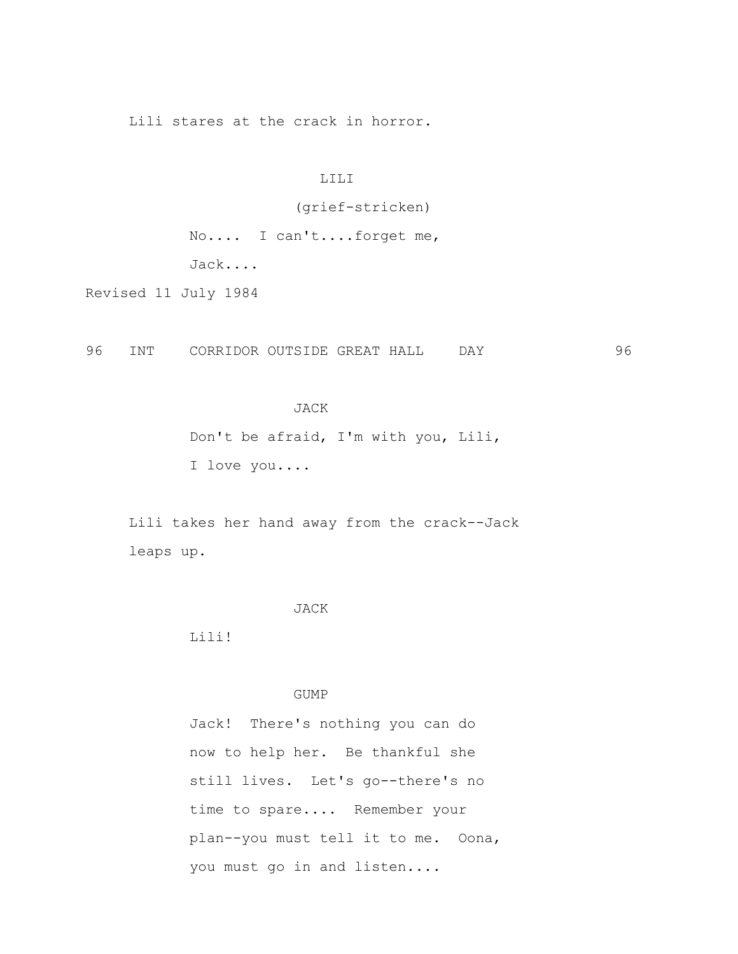Lili stares at the crack in horror.

### LILI

(grief-stricken)

 No.... I can't....forget me, Jack....

Revised 11 July 1984

96 INT CORRIDOR OUTSIDE GREAT HALL DAY 96

#### JACK

 Don't be afraid, I'm with you, Lili, I love you....

 Lili takes her hand away from the crack--Jack leaps up.

#### JACK

Lili!

### GUMP

 Jack! There's nothing you can do now to help her. Be thankful she still lives. Let's go--there's no time to spare.... Remember your plan--you must tell it to me. Oona, you must go in and listen....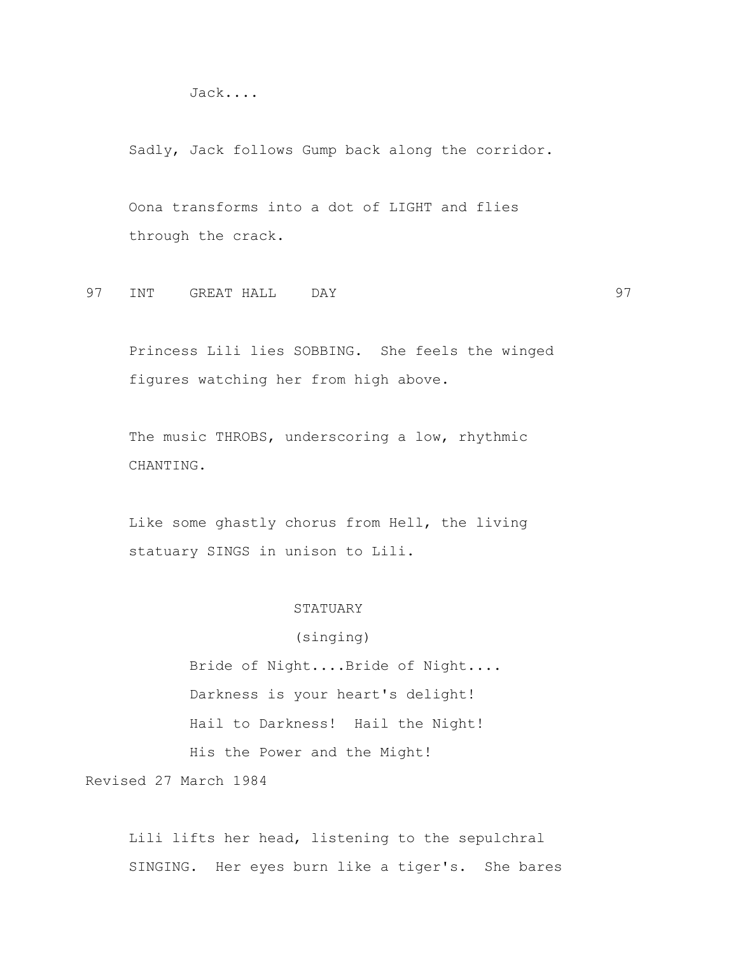Jack....

Sadly, Jack follows Gump back along the corridor.

 Oona transforms into a dot of LIGHT and flies through the crack.

97 INT GREAT HALL DAY 97

 Princess Lili lies SOBBING. She feels the winged figures watching her from high above.

 The music THROBS, underscoring a low, rhythmic CHANTING.

 Like some ghastly chorus from Hell, the living statuary SINGS in unison to Lili.

#### STATUARY

## (singing)

 Bride of Night....Bride of Night.... Darkness is your heart's delight! Hail to Darkness! Hail the Night! His the Power and the Might!

Revised 27 March 1984

 Lili lifts her head, listening to the sepulchral SINGING. Her eyes burn like a tiger's. She bares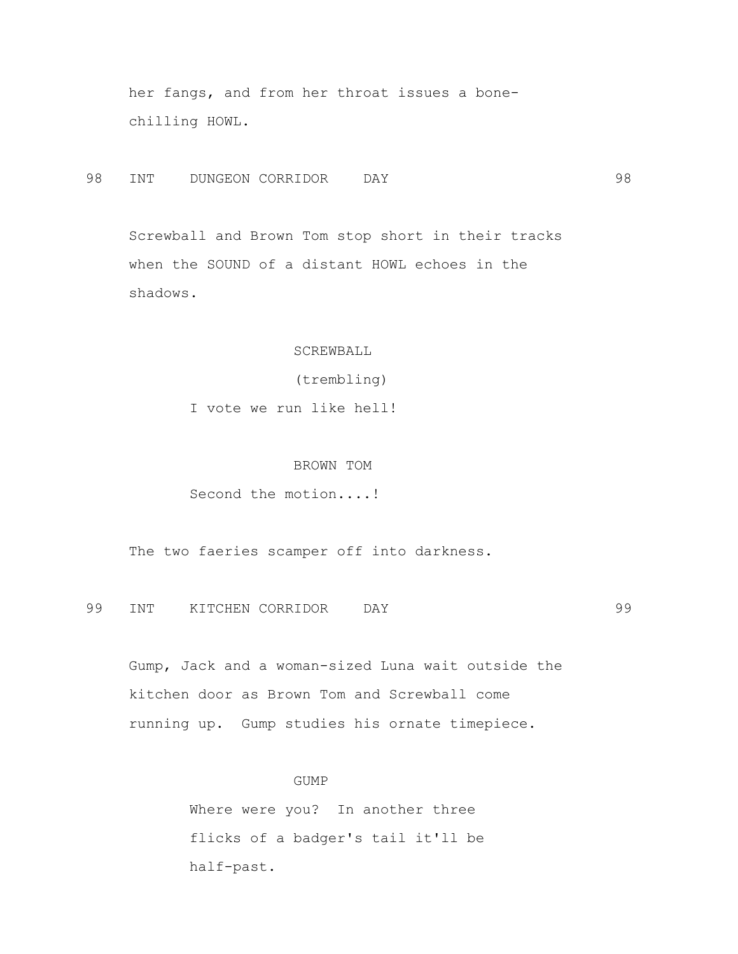her fangs, and from her throat issues a bone chilling HOWL.

98 INT DUNGEON CORRIDOR DAY 98

 Screwball and Brown Tom stop short in their tracks when the SOUND of a distant HOWL echoes in the shadows.

### SCREWBALL

(trembling)

I vote we run like hell!

### BROWN TOM

Second the motion....!

The two faeries scamper off into darkness.

99 INT KITCHEN CORRIDOR DAY 99

 Gump, Jack and a woman-sized Luna wait outside the kitchen door as Brown Tom and Screwball come running up. Gump studies his ornate timepiece.

#### GUMP

 Where were you? In another three flicks of a badger's tail it'll be half-past.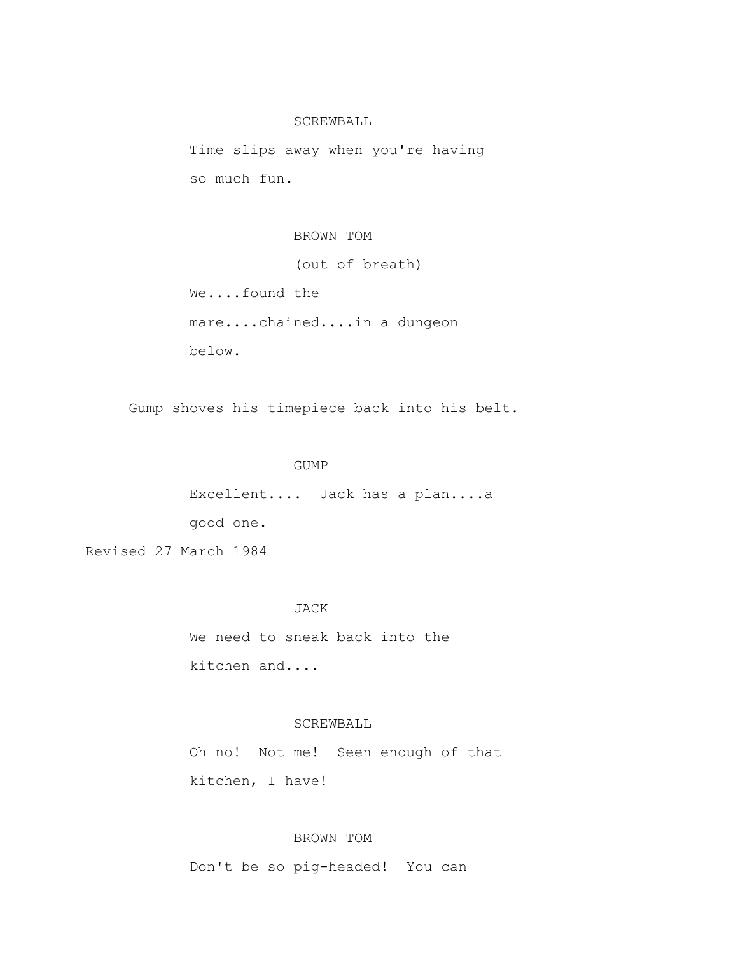#### SCREWBALL

 Time slips away when you're having so much fun.

### BROWN TOM

(out of breath)

 We....found the mare....chained....in a dungeon below.

Gump shoves his timepiece back into his belt.

#### GUMP

 Excellent.... Jack has a plan....a good one.

Revised 27 March 1984

#### JACK

 We need to sneak back into the kitchen and....

### SCREWBALL

 Oh no! Not me! Seen enough of that kitchen, I have!

# BROWN TOM

Don't be so pig-headed! You can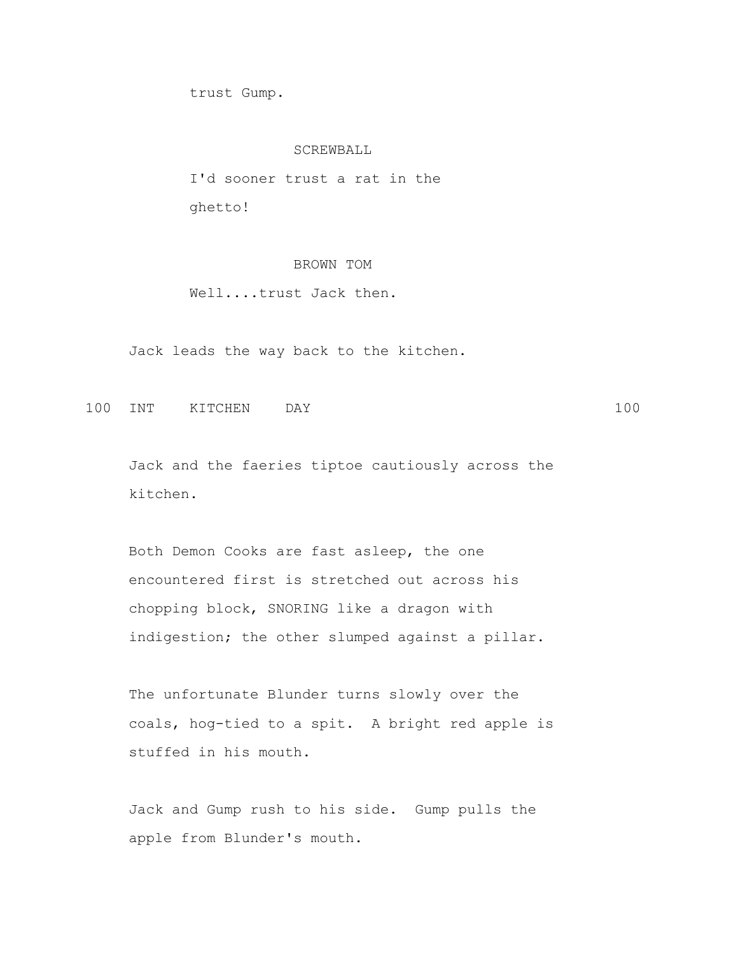trust Gump.

#### SCREWBALL

 I'd sooner trust a rat in the ghetto!

# BROWN TOM

Well....trust Jack then.

Jack leads the way back to the kitchen.

100 INT KITCHEN DAY 100

 Jack and the faeries tiptoe cautiously across the kitchen.

 Both Demon Cooks are fast asleep, the one encountered first is stretched out across his chopping block, SNORING like a dragon with indigestion; the other slumped against a pillar.

 The unfortunate Blunder turns slowly over the coals, hog-tied to a spit. A bright red apple is stuffed in his mouth.

 Jack and Gump rush to his side. Gump pulls the apple from Blunder's mouth.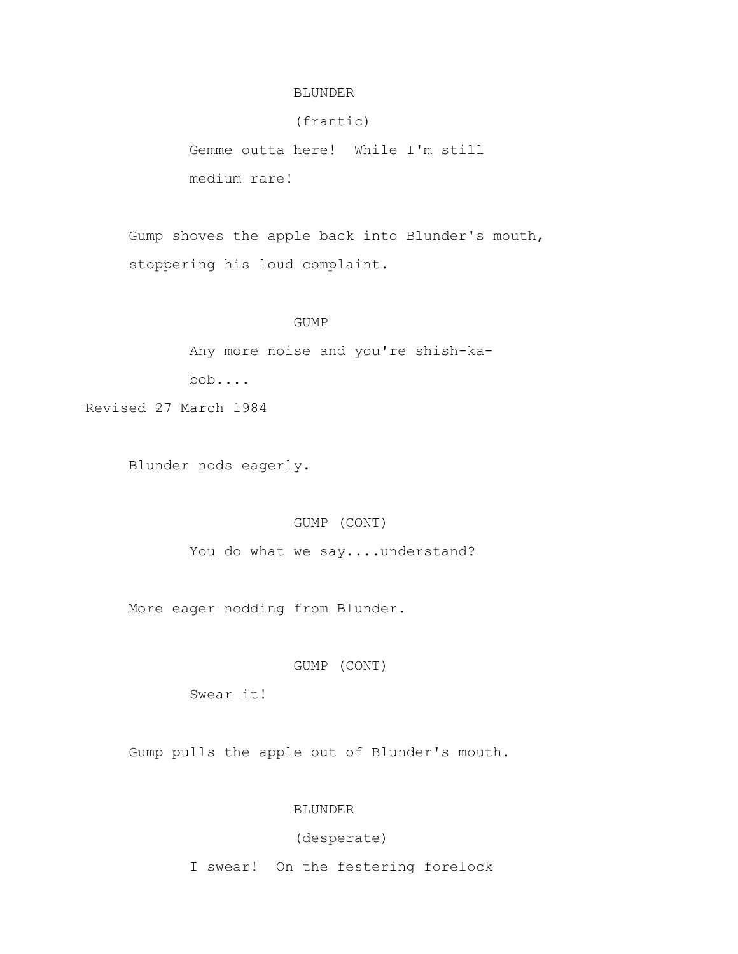### BLUNDER

(frantic)

 Gemme outta here! While I'm still medium rare!

 Gump shoves the apple back into Blunder's mouth, stoppering his loud complaint.

#### GUMP

Any more noise and you're shish-ka-

bob....

Revised 27 March 1984

Blunder nods eagerly.

### GUMP (CONT)

You do what we say....understand?

More eager nodding from Blunder.

GUMP (CONT)

Swear it!

Gump pulls the apple out of Blunder's mouth.

## BLUNDER

## (desperate)

I swear! On the festering forelock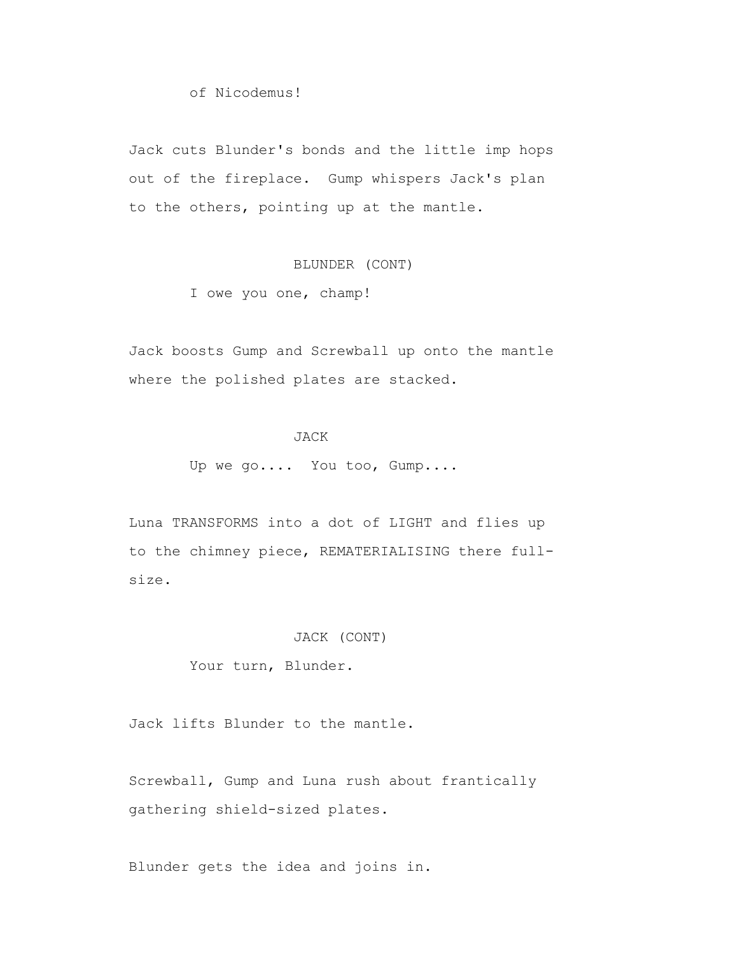of Nicodemus!

 Jack cuts Blunder's bonds and the little imp hops out of the fireplace. Gump whispers Jack's plan to the others, pointing up at the mantle.

# BLUNDER (CONT)

I owe you one, champ!

 Jack boosts Gump and Screwball up onto the mantle where the polished plates are stacked.

## JACK

Up we go.... You too, Gump....

 Luna TRANSFORMS into a dot of LIGHT and flies up to the chimney piece, REMATERIALISING there full size.

### JACK (CONT)

Your turn, Blunder.

Jack lifts Blunder to the mantle.

 Screwball, Gump and Luna rush about frantically gathering shield-sized plates.

Blunder gets the idea and joins in.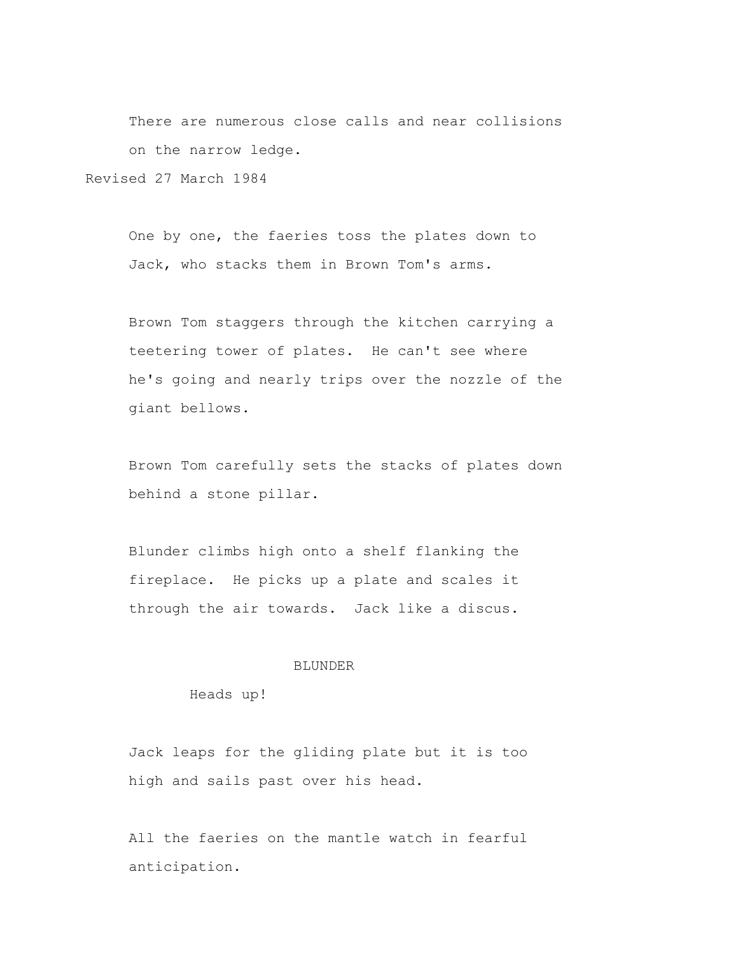There are numerous close calls and near collisions on the narrow ledge.

Revised 27 March 1984

 One by one, the faeries toss the plates down to Jack, who stacks them in Brown Tom's arms.

 Brown Tom staggers through the kitchen carrying a teetering tower of plates. He can't see where he's going and nearly trips over the nozzle of the giant bellows.

 Brown Tom carefully sets the stacks of plates down behind a stone pillar.

 Blunder climbs high onto a shelf flanking the fireplace. He picks up a plate and scales it through the air towards. Jack like a discus.

### **BLUNDER**

Heads up!

 Jack leaps for the gliding plate but it is too high and sails past over his head.

 All the faeries on the mantle watch in fearful anticipation.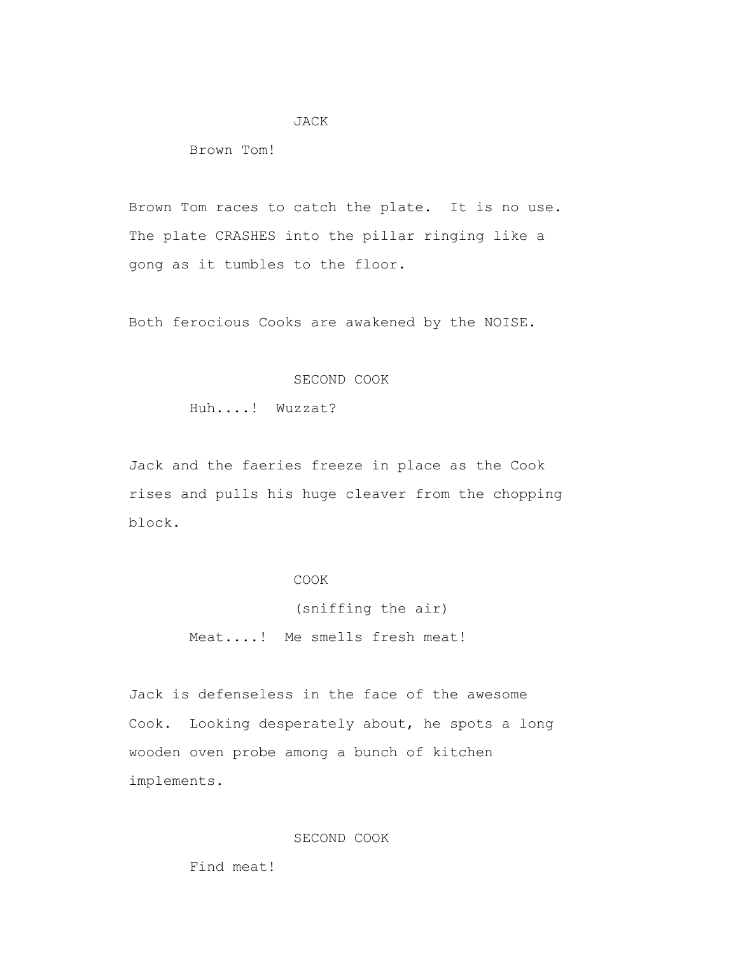### JACK

Brown Tom!

 Brown Tom races to catch the plate. It is no use. The plate CRASHES into the pillar ringing like a gong as it tumbles to the floor.

Both ferocious Cooks are awakened by the NOISE.

### SECOND COOK

Huh....! Wuzzat?

 Jack and the faeries freeze in place as the Cook rises and pulls his huge cleaver from the chopping block.

## COOK

 (sniffing the air) Meat....! Me smells fresh meat!

 Jack is defenseless in the face of the awesome Cook. Looking desperately about, he spots a long wooden oven probe among a bunch of kitchen implements.

## SECOND COOK

Find meat!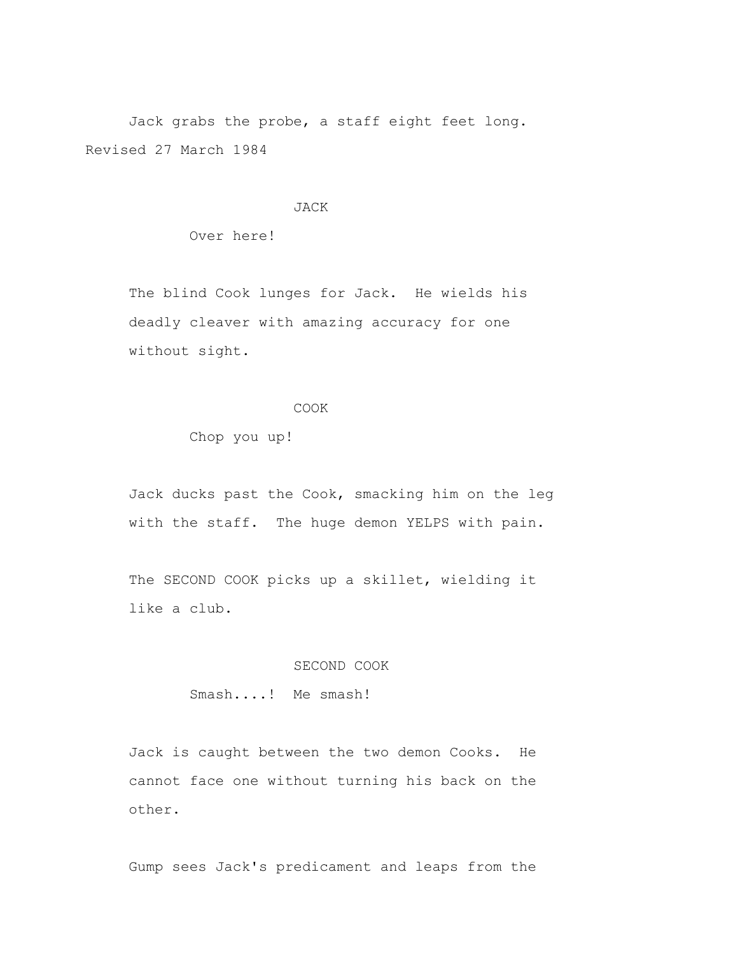Jack grabs the probe, a staff eight feet long. Revised 27 March 1984

#### JACK

Over here!

 The blind Cook lunges for Jack. He wields his deadly cleaver with amazing accuracy for one without sight.

#### COOK

Chop you up!

 Jack ducks past the Cook, smacking him on the leg with the staff. The huge demon YELPS with pain.

 The SECOND COOK picks up a skillet, wielding it like a club.

### SECOND COOK

Smash....! Me smash!

 Jack is caught between the two demon Cooks. He cannot face one without turning his back on the other.

Gump sees Jack's predicament and leaps from the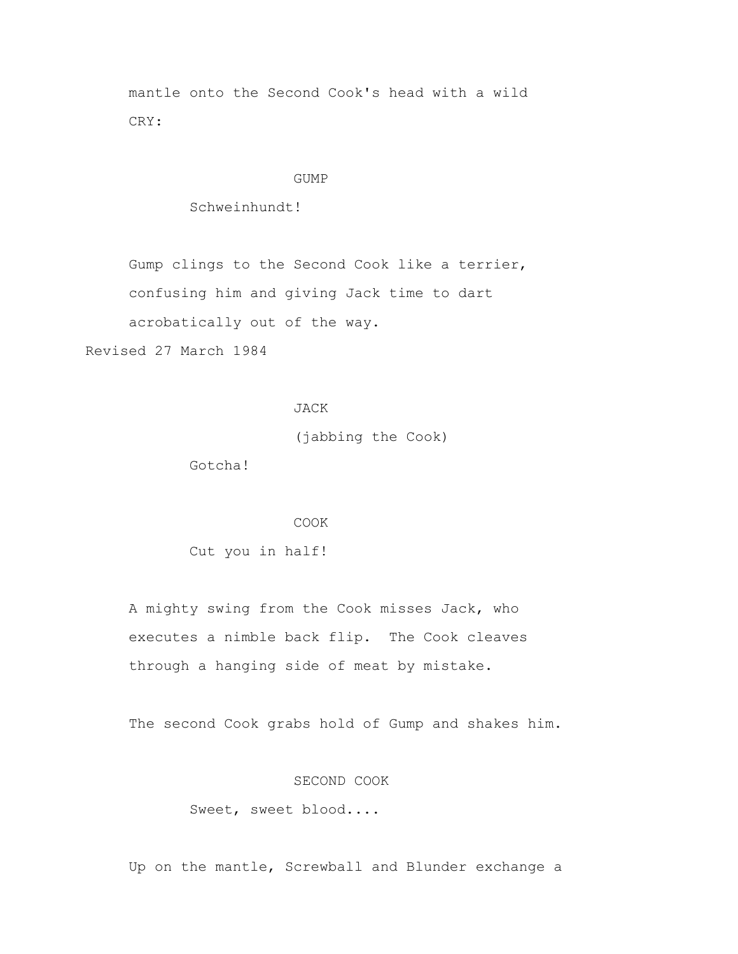mantle onto the Second Cook's head with a wild CRY:

#### GUMP

Schweinhundt!

Gump clings to the Second Cook like a terrier,

confusing him and giving Jack time to dart

acrobatically out of the way.

Revised 27 March 1984

### JACK

(jabbing the Cook)

Gotcha!

#### COOK

Cut you in half!

 A mighty swing from the Cook misses Jack, who executes a nimble back flip. The Cook cleaves through a hanging side of meat by mistake.

The second Cook grabs hold of Gump and shakes him.

### SECOND COOK

Sweet, sweet blood....

Up on the mantle, Screwball and Blunder exchange a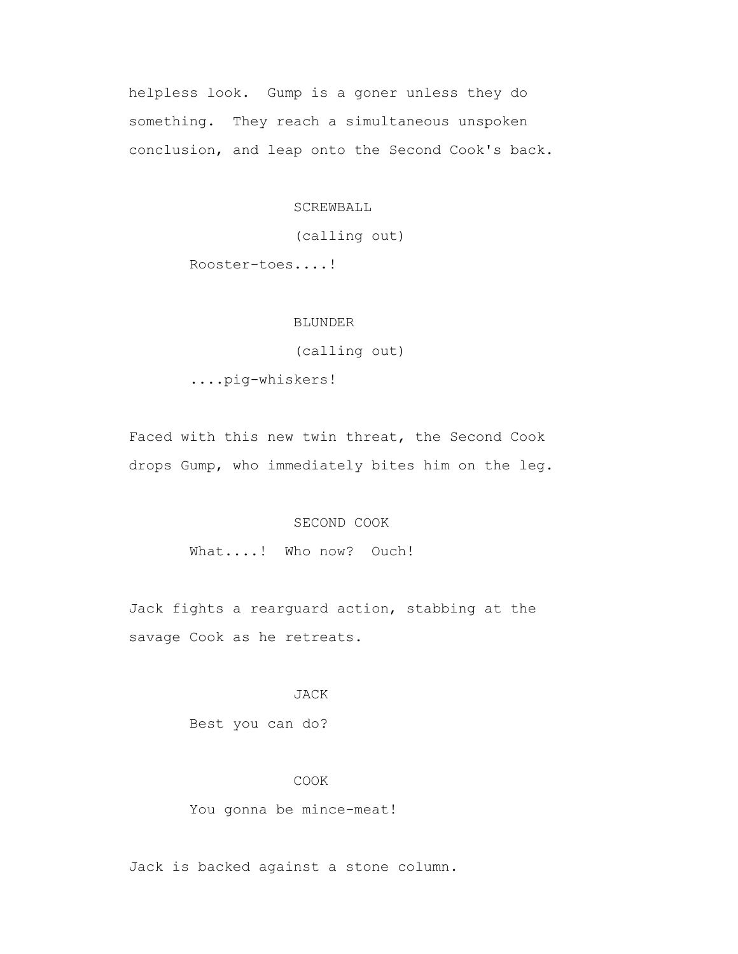helpless look. Gump is a goner unless they do something. They reach a simultaneous unspoken conclusion, and leap onto the Second Cook's back.

SCREWBALL

(calling out)

Rooster-toes....!

### BLUNDER

(calling out)

....pig-whiskers!

 Faced with this new twin threat, the Second Cook drops Gump, who immediately bites him on the leg.

#### SECOND COOK

What....! Who now? Ouch!

 Jack fights a rearguard action, stabbing at the savage Cook as he retreats.

### JACK

Best you can do?

### COOK

You gonna be mince-meat!

Jack is backed against a stone column.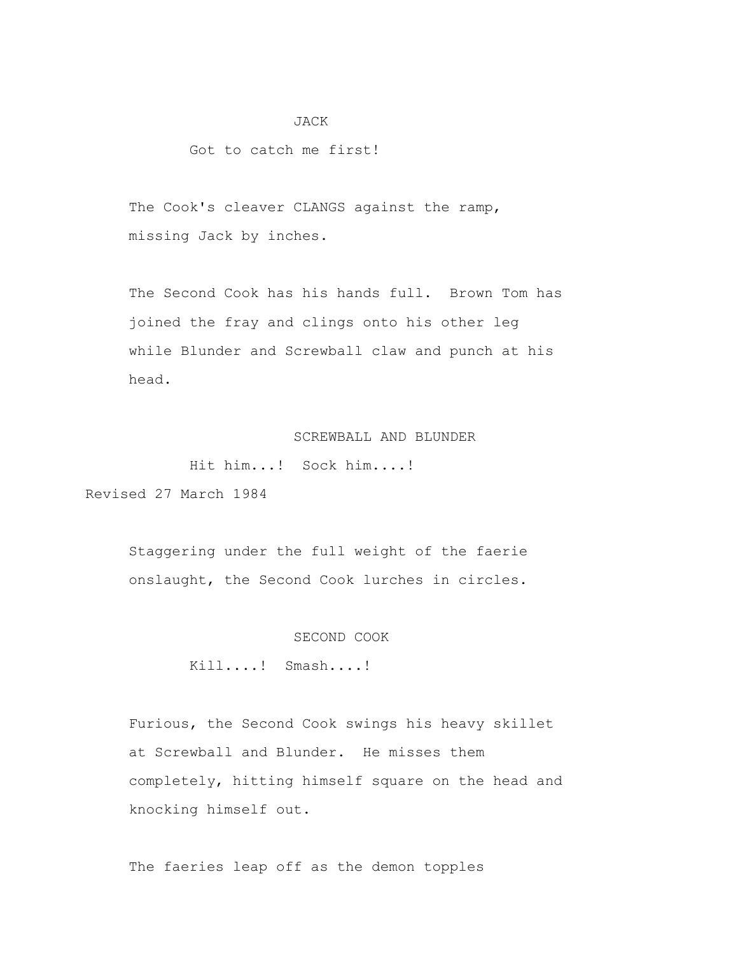#### JACK

#### Got to catch me first!

The Cook's cleaver CLANGS against the ramp, missing Jack by inches.

 The Second Cook has his hands full. Brown Tom has joined the fray and clings onto his other leg while Blunder and Screwball claw and punch at his head.

## SCREWBALL AND BLUNDER

Hit him...! Sock him....!

Revised 27 March 1984

 Staggering under the full weight of the faerie onslaught, the Second Cook lurches in circles.

#### SECOND COOK

Kill....! Smash....!

 Furious, the Second Cook swings his heavy skillet at Screwball and Blunder. He misses them completely, hitting himself square on the head and knocking himself out.

The faeries leap off as the demon topples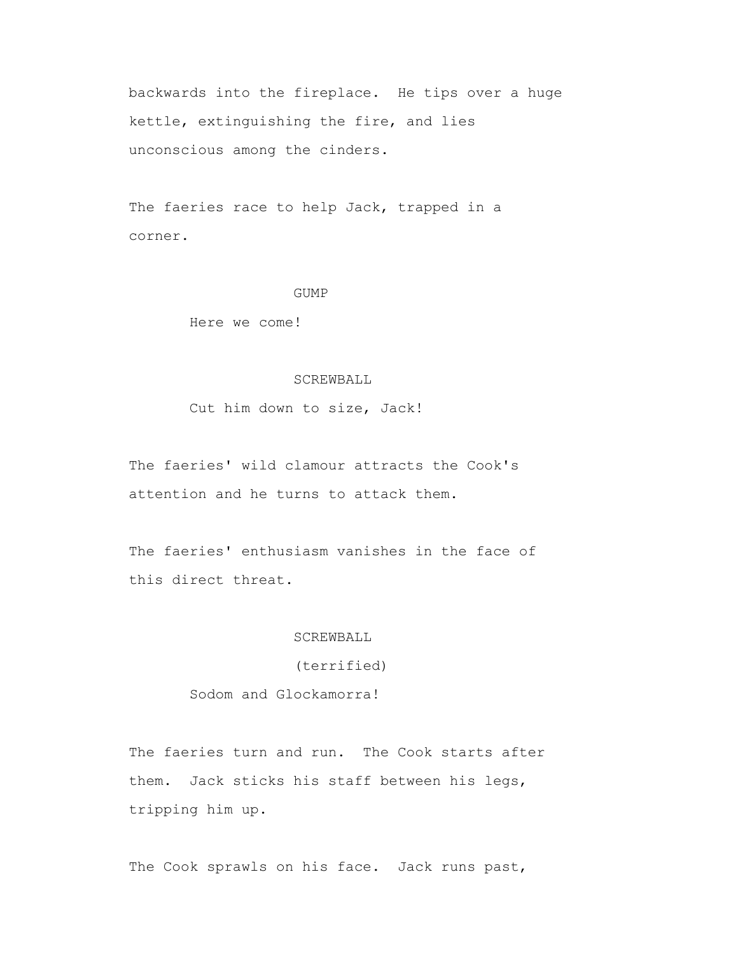backwards into the fireplace. He tips over a huge kettle, extinguishing the fire, and lies unconscious among the cinders.

The faeries race to help Jack, trapped in a corner.

#### GUMP

Here we come!

### SCREWBALL

Cut him down to size, Jack!

 The faeries' wild clamour attracts the Cook's attention and he turns to attack them.

 The faeries' enthusiasm vanishes in the face of this direct threat.

#### SCREWBALL

(terrified)

Sodom and Glockamorra!

 The faeries turn and run. The Cook starts after them. Jack sticks his staff between his legs, tripping him up.

The Cook sprawls on his face. Jack runs past,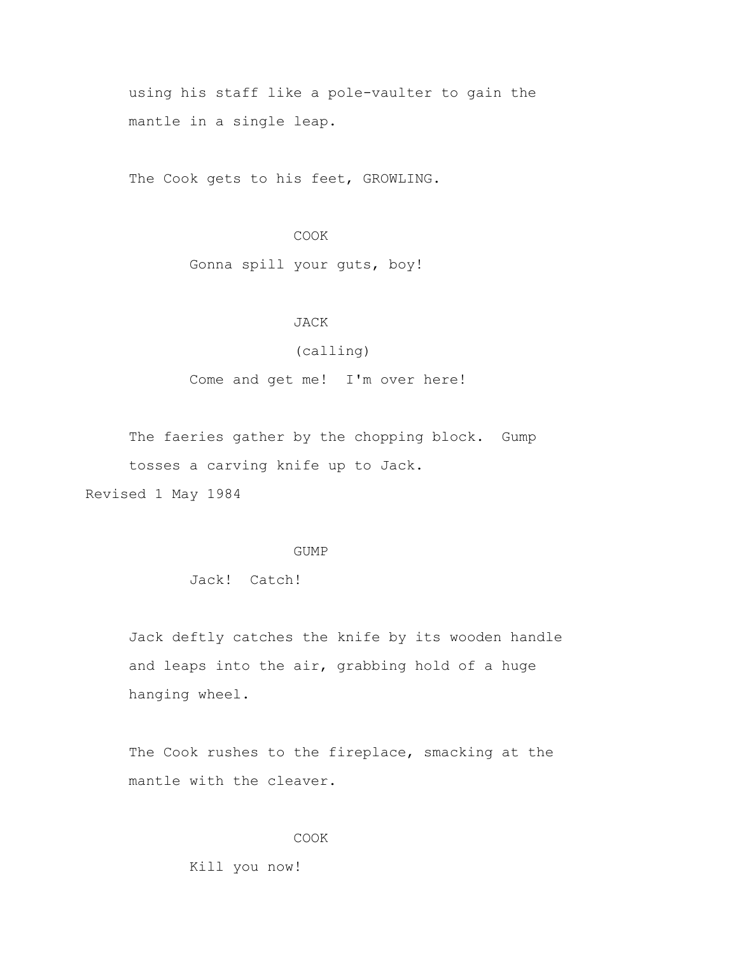using his staff like a pole-vaulter to gain the mantle in a single leap.

The Cook gets to his feet, GROWLING.

#### COOK

Gonna spill your guts, boy!

### JACK

## (calling)

Come and get me! I'm over here!

 The faeries gather by the chopping block. Gump tosses a carving knife up to Jack. Revised 1 May 1984

#### GUMP

Jack! Catch!

 Jack deftly catches the knife by its wooden handle and leaps into the air, grabbing hold of a huge hanging wheel.

 The Cook rushes to the fireplace, smacking at the mantle with the cleaver.

### COOK

Kill you now!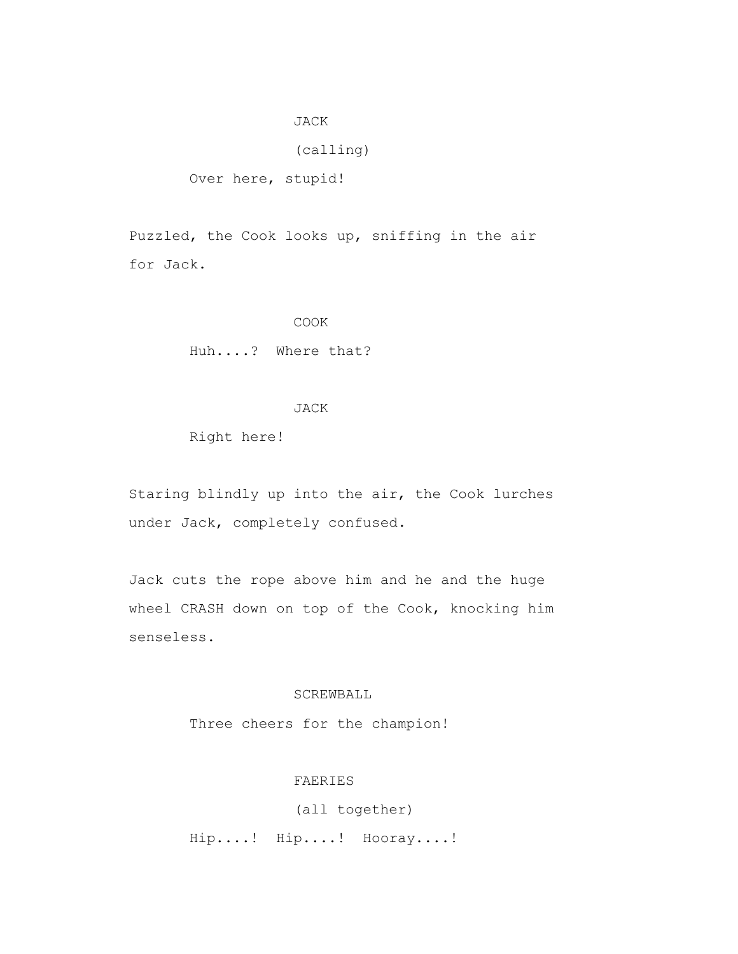#### JACK

### (calling)

Over here, stupid!

 Puzzled, the Cook looks up, sniffing in the air for Jack.

#### COOK

Huh....? Where that?

### JACK

Right here!

 Staring blindly up into the air, the Cook lurches under Jack, completely confused.

 Jack cuts the rope above him and he and the huge wheel CRASH down on top of the Cook, knocking him senseless.

## SCREWBALL

Three cheers for the champion!

# FAERIES

 (all together) Hip....! Hip....! Hooray....!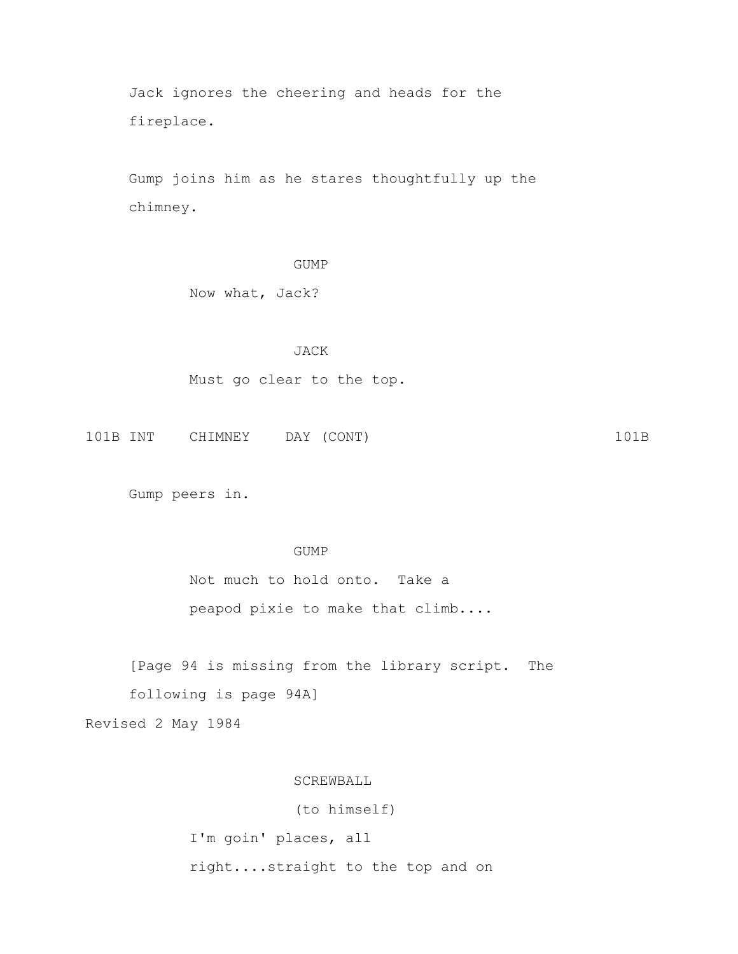Jack ignores the cheering and heads for the fireplace.

 Gump joins him as he stares thoughtfully up the chimney.

## GUMP

Now what, Jack?

### JACK

Must go clear to the top.

101B INT CHIMNEY DAY (CONT) 101B

Gump peers in.

### GUMP

 Not much to hold onto. Take a peapod pixie to make that climb....

 [Page 94 is missing from the library script. The following is page 94A]

Revised 2 May 1984

### SCREWBALL

 (to himself) I'm goin' places, all right....straight to the top and on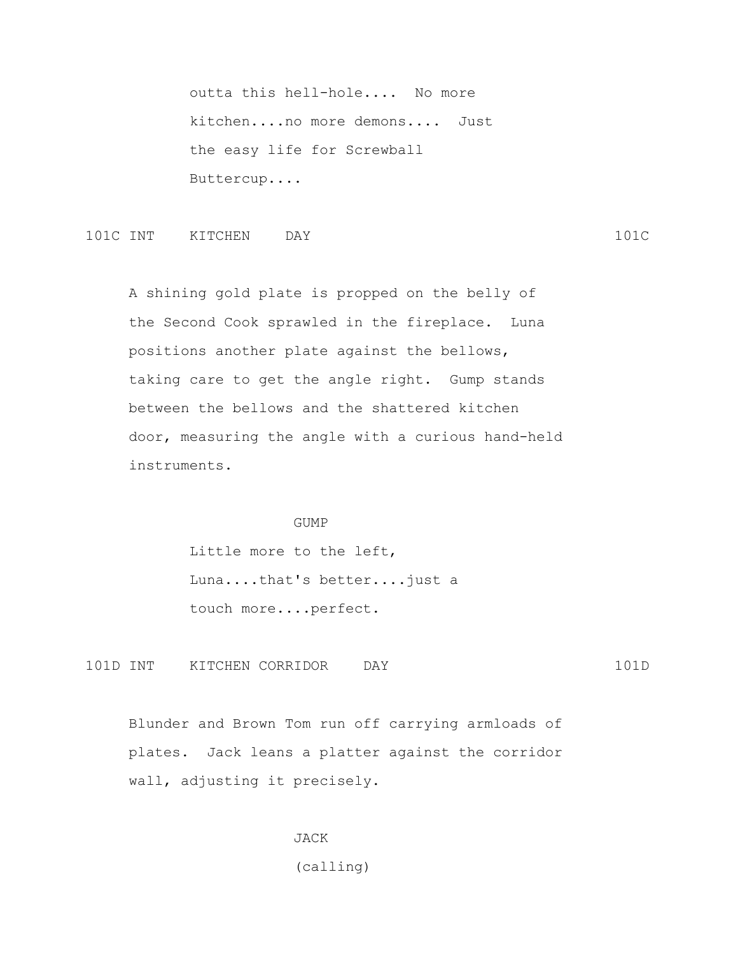outta this hell-hole.... No more kitchen....no more demons.... Just the easy life for Screwball Buttercup....

101C INT KITCHEN DAY 101C

 A shining gold plate is propped on the belly of the Second Cook sprawled in the fireplace. Luna positions another plate against the bellows, taking care to get the angle right. Gump stands between the bellows and the shattered kitchen door, measuring the angle with a curious hand-held instruments.

#### GUMP

 Little more to the left, Luna....that's better....just a touch more....perfect.

101D INT KITCHEN CORRIDOR DAY 101D

 Blunder and Brown Tom run off carrying armloads of plates. Jack leans a platter against the corridor wall, adjusting it precisely.

> JACK (calling)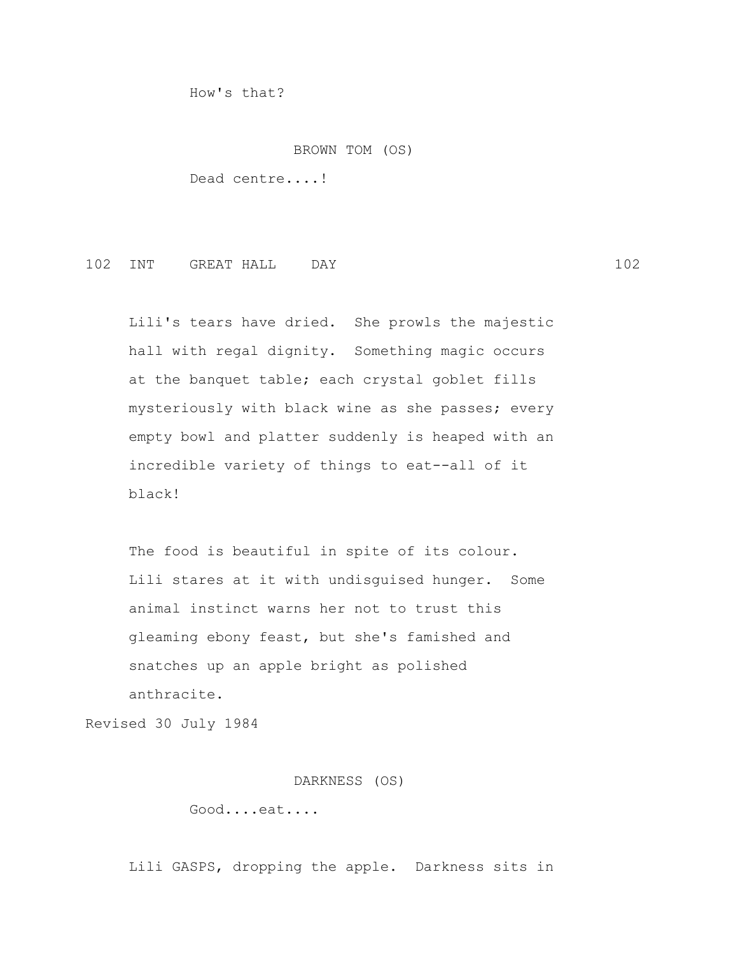How's that?

#### BROWN TOM (OS)

Dead centre....!

## 102 INT GREAT HALL DAY 102

 Lili's tears have dried. She prowls the majestic hall with regal dignity. Something magic occurs at the banquet table; each crystal goblet fills mysteriously with black wine as she passes; every empty bowl and platter suddenly is heaped with an incredible variety of things to eat--all of it black!

The food is beautiful in spite of its colour. Lili stares at it with undisguised hunger. Some animal instinct warns her not to trust this gleaming ebony feast, but she's famished and snatches up an apple bright as polished anthracite.

Revised 30 July 1984

DARKNESS (OS)

Good....eat....

Lili GASPS, dropping the apple. Darkness sits in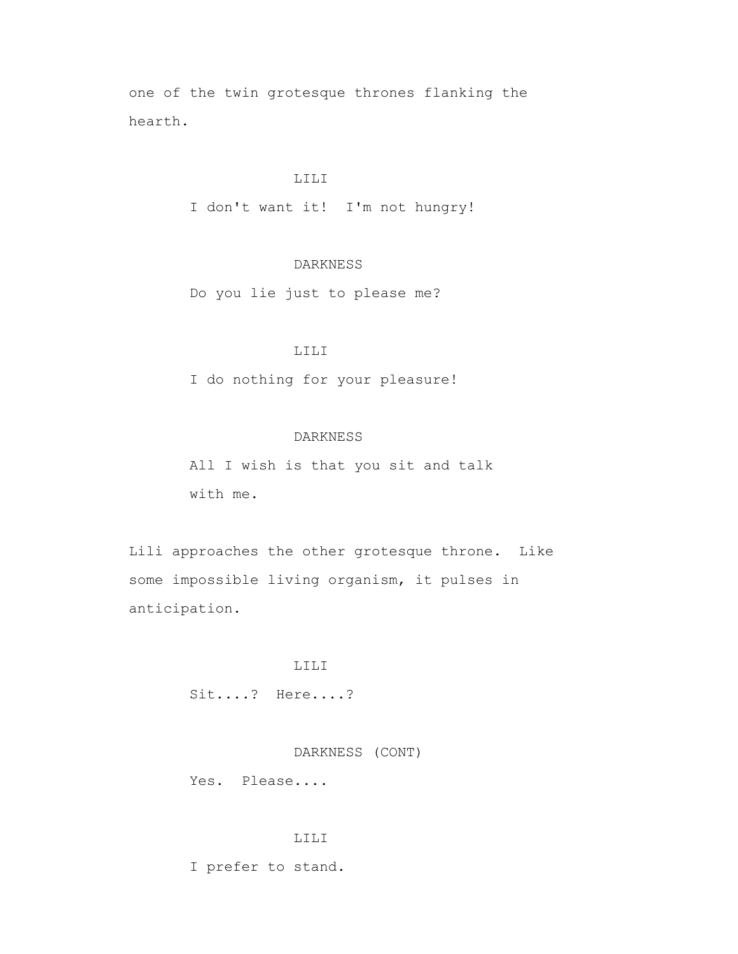one of the twin grotesque thrones flanking the hearth.

## LILI

I don't want it! I'm not hungry!

# DARKNESS

Do you lie just to please me?

# LILI

I do nothing for your pleasure!

### DARKNESS

 All I wish is that you sit and talk with me.

 Lili approaches the other grotesque throne. Like some impossible living organism, it pulses in anticipation.

### LILI

Sit....? Here....?

### DARKNESS (CONT)

Yes. Please....

### LILI

I prefer to stand.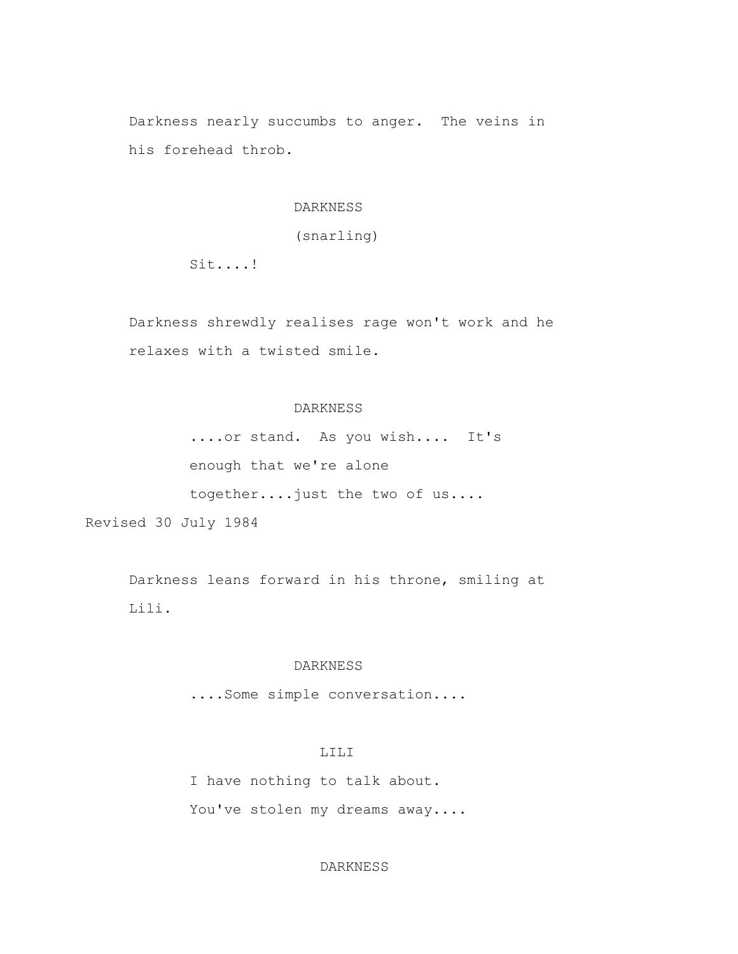Darkness nearly succumbs to anger. The veins in his forehead throb.

### DARKNESS

(snarling)

Sit....!

 Darkness shrewdly realises rage won't work and he relaxes with a twisted smile.

## DARKNESS

 ....or stand. As you wish.... It's enough that we're alone together....just the two of us....

Revised 30 July 1984

 Darkness leans forward in his throne, smiling at Lili.

### DARKNESS

....Some simple conversation....

# LILI

 I have nothing to talk about. You've stolen my dreams away....

### DARKNESS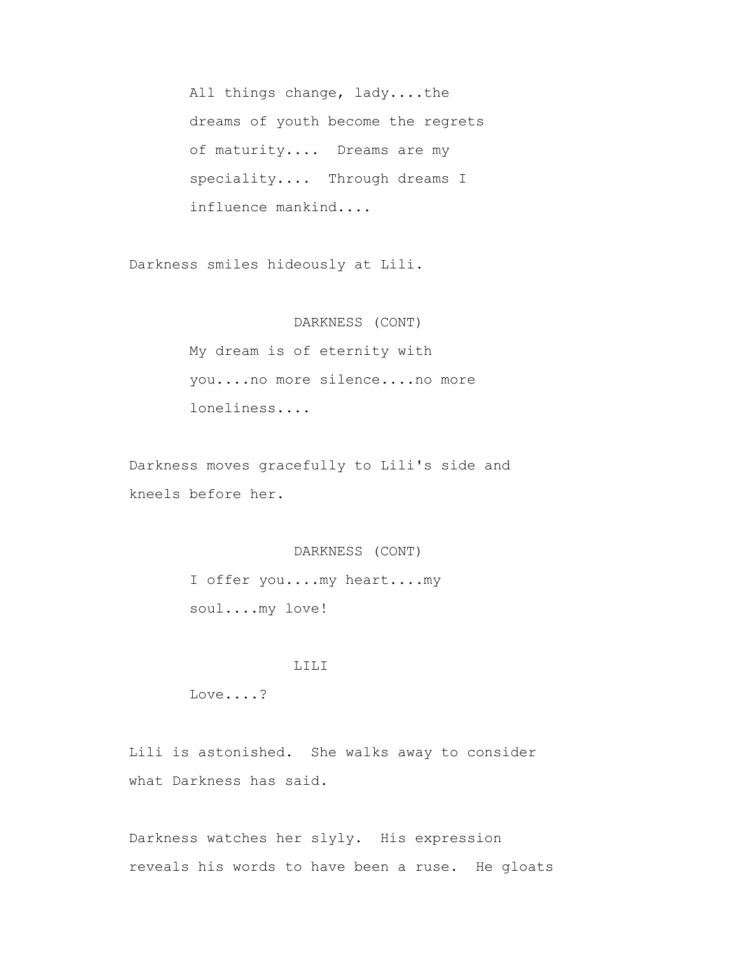All things change, lady....the dreams of youth become the regrets of maturity.... Dreams are my speciality.... Through dreams I influence mankind....

Darkness smiles hideously at Lili.

#### DARKNESS (CONT)

 My dream is of eternity with you....no more silence....no more loneliness....

 Darkness moves gracefully to Lili's side and kneels before her.

### DARKNESS (CONT)

 I offer you....my heart....my soul....my love!

### LILI

Love....?

 Lili is astonished. She walks away to consider what Darkness has said.

 Darkness watches her slyly. His expression reveals his words to have been a ruse. He gloats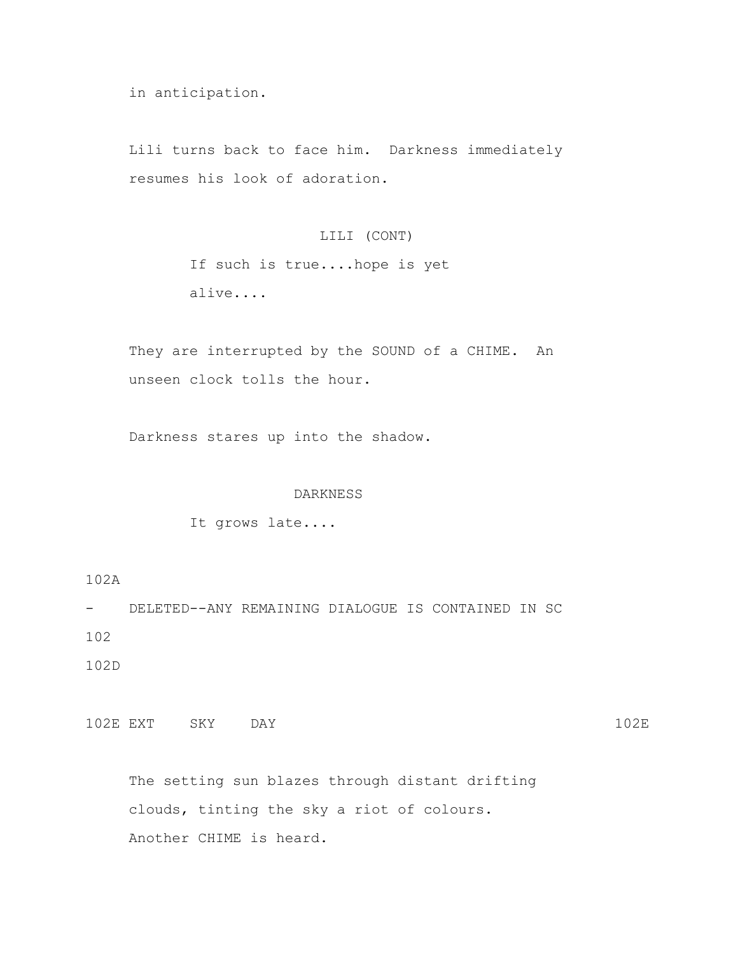in anticipation.

 Lili turns back to face him. Darkness immediately resumes his look of adoration.

## LILI (CONT)

 If such is true....hope is yet alive....

 They are interrupted by the SOUND of a CHIME. An unseen clock tolls the hour.

Darkness stares up into the shadow.

## DARKNESS

It grows late....

102A

- DELETED--ANY REMAINING DIALOGUE IS CONTAINED IN SC 102

102D

102E EXT SKY DAY 102E

 The setting sun blazes through distant drifting clouds, tinting the sky a riot of colours. Another CHIME is heard.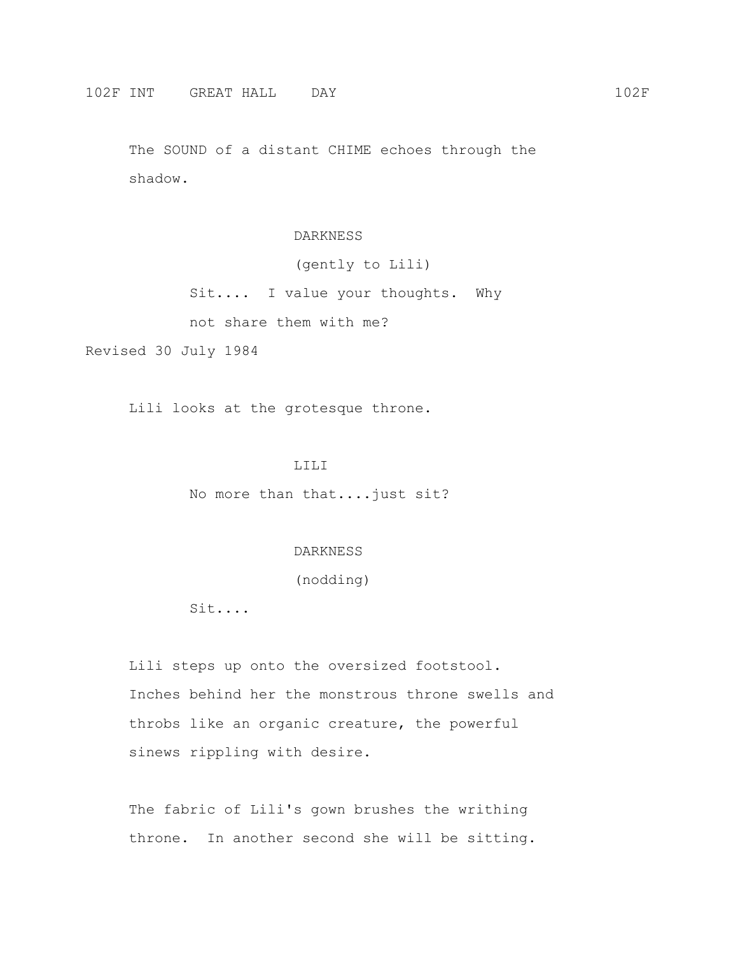The SOUND of a distant CHIME echoes through the shadow.

#### DARKNESS

(gently to Lili)

Sit.... I value your thoughts. Why

not share them with me?

Revised 30 July 1984

Lili looks at the grotesque throne.

#### LILI

No more than that....just sit?

### DARKNESS

(nodding)

Sit....

 Lili steps up onto the oversized footstool. Inches behind her the monstrous throne swells and throbs like an organic creature, the powerful sinews rippling with desire.

 The fabric of Lili's gown brushes the writhing throne. In another second she will be sitting.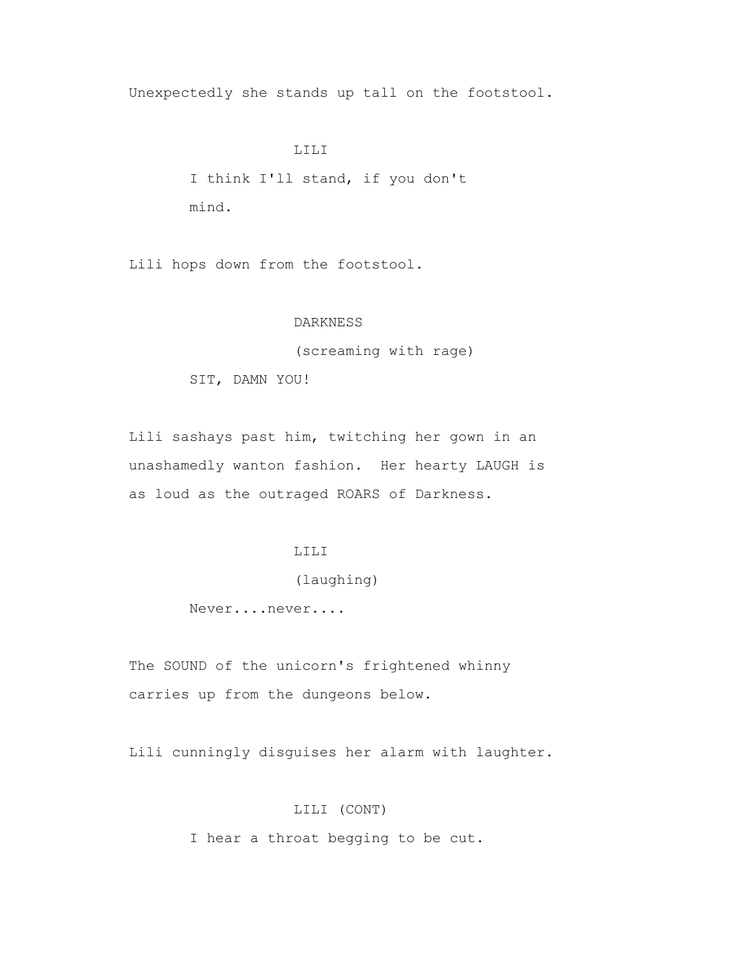Unexpectedly she stands up tall on the footstool.

#### LILI

 I think I'll stand, if you don't mind.

Lili hops down from the footstool.

#### DARKNESS

(screaming with rage)

SIT, DAMN YOU!

 Lili sashays past him, twitching her gown in an unashamedly wanton fashion. Her hearty LAUGH is as loud as the outraged ROARS of Darkness.

# LILI

# (laughing)

Never....never....

 The SOUND of the unicorn's frightened whinny carries up from the dungeons below.

Lili cunningly disguises her alarm with laughter.

# LILI (CONT)

I hear a throat begging to be cut.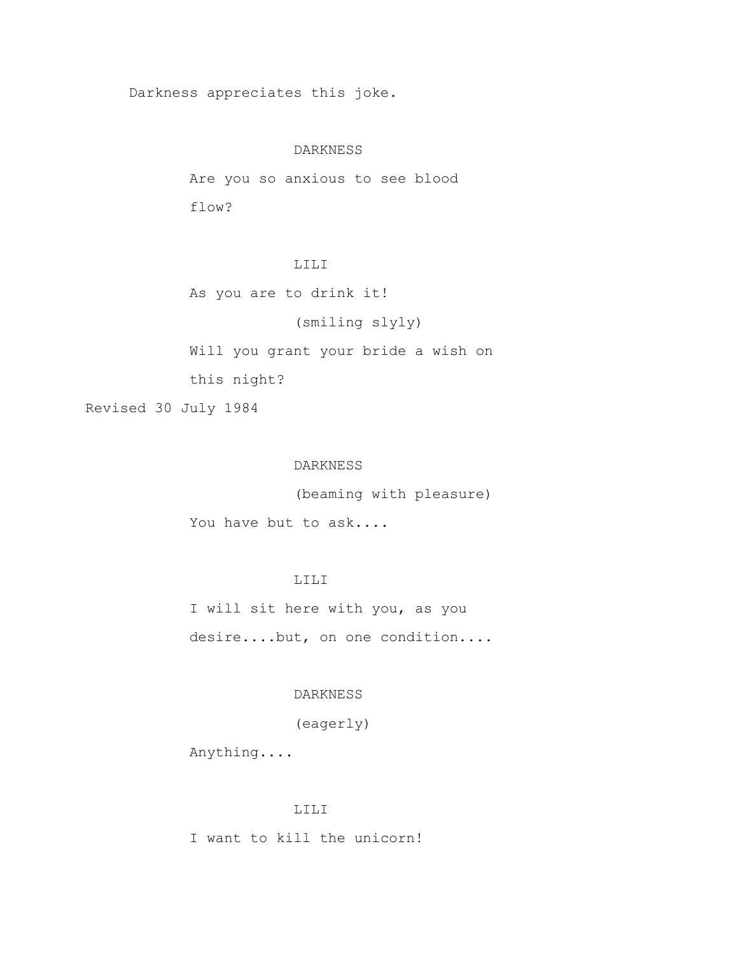Darkness appreciates this joke.

### DARKNESS

 Are you so anxious to see blood flow?

# LILI

As you are to drink it!

# (smiling slyly)

Will you grant your bride a wish on

this night?

Revised 30 July 1984

### DARKNESS

(beaming with pleasure)

You have but to ask....

# LILI

 I will sit here with you, as you desire....but, on one condition....

## DARKNESS

(eagerly)

Anything....

#### LILI

I want to kill the unicorn!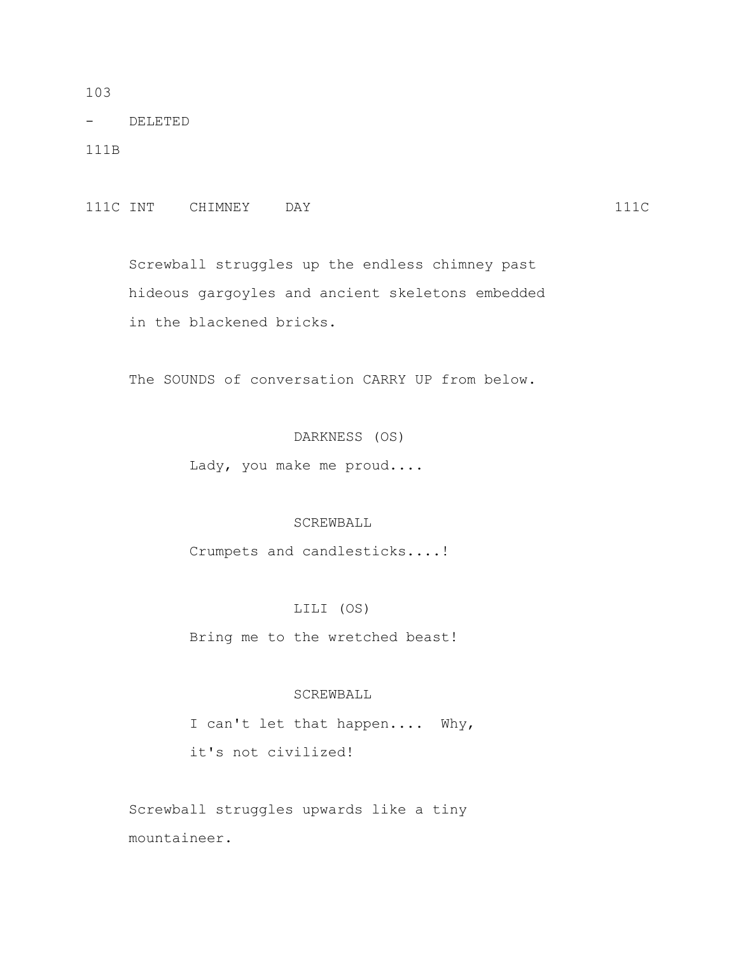103

- DELETED

111B

111C INT CHIMNEY DAY 111C

 Screwball struggles up the endless chimney past hideous gargoyles and ancient skeletons embedded in the blackened bricks.

The SOUNDS of conversation CARRY UP from below.

DARKNESS (OS)

Lady, you make me proud....

#### SCREWBALL

Crumpets and candlesticks....!

#### LILI (OS)

Bring me to the wretched beast!

### SCREWBALL

 I can't let that happen.... Why, it's not civilized!

 Screwball struggles upwards like a tiny mountaineer.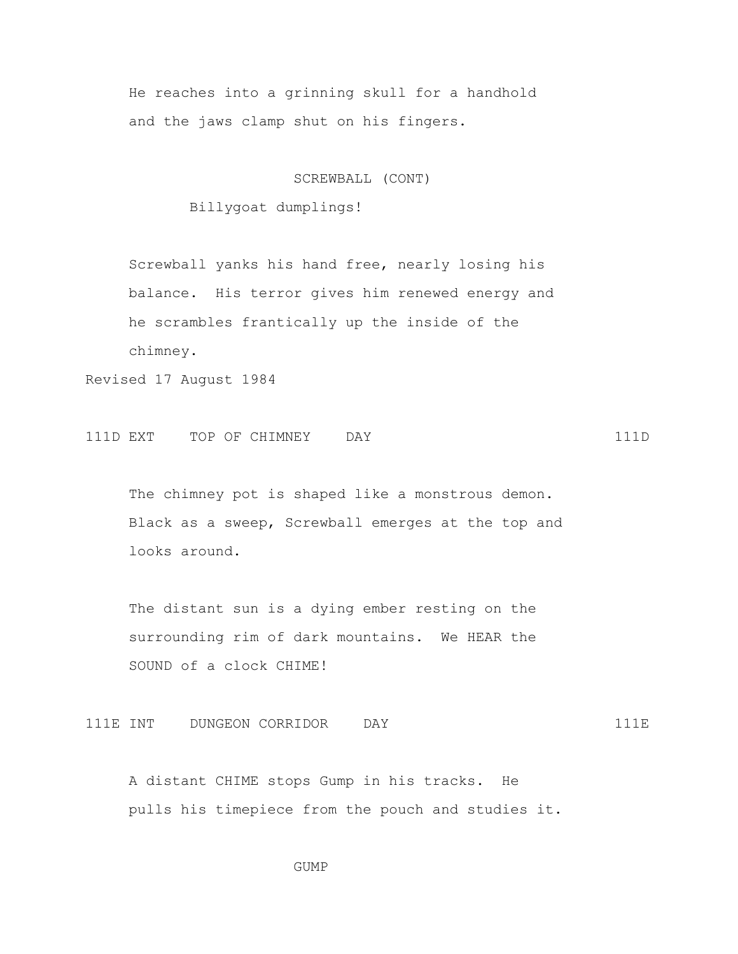He reaches into a grinning skull for a handhold and the jaws clamp shut on his fingers.

SCREWBALL (CONT)

Billygoat dumplings!

 Screwball yanks his hand free, nearly losing his balance. His terror gives him renewed energy and he scrambles frantically up the inside of the chimney.

Revised 17 August 1984

111D EXT TOP OF CHIMNEY DAY 111D

The chimney pot is shaped like a monstrous demon. Black as a sweep, Screwball emerges at the top and looks around.

 The distant sun is a dying ember resting on the surrounding rim of dark mountains. We HEAR the SOUND of a clock CHIME!

111E INT DUNGEON CORRIDOR DAY 111E

 A distant CHIME stops Gump in his tracks. He pulls his timepiece from the pouch and studies it.

GUMP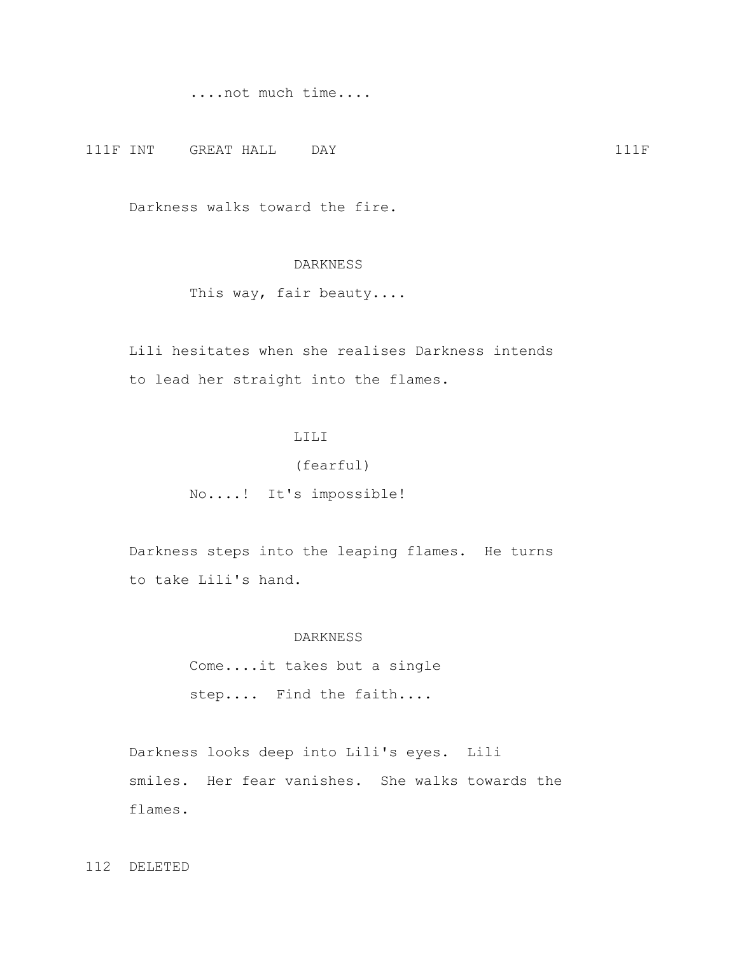....not much time....

111F INT GREAT HALL DAY 111F

Darkness walks toward the fire.

# DARKNESS

This way, fair beauty....

 Lili hesitates when she realises Darkness intends to lead her straight into the flames.

# LILI

### (fearful)

No....! It's impossible!

 Darkness steps into the leaping flames. He turns to take Lili's hand.

### DARKNESS

 Come....it takes but a single step.... Find the faith....

 Darkness looks deep into Lili's eyes. Lili smiles. Her fear vanishes. She walks towards the flames.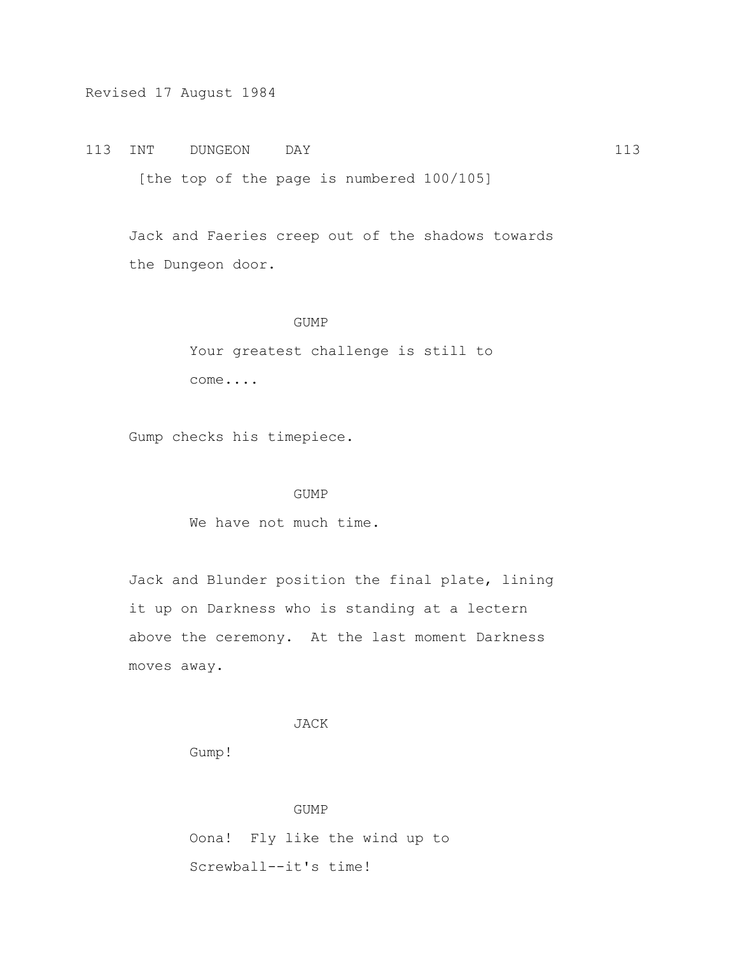113 INT DUNGEON DAY 113

[the top of the page is numbered 100/105]

 Jack and Faeries creep out of the shadows towards the Dungeon door.

#### GUMP

 Your greatest challenge is still to come....

Gump checks his timepiece.

#### GUMP

We have not much time.

 Jack and Blunder position the final plate, lining it up on Darkness who is standing at a lectern above the ceremony. At the last moment Darkness moves away.

## JACK

Gump!

 GUMP Oona! Fly like the wind up to Screwball--it's time!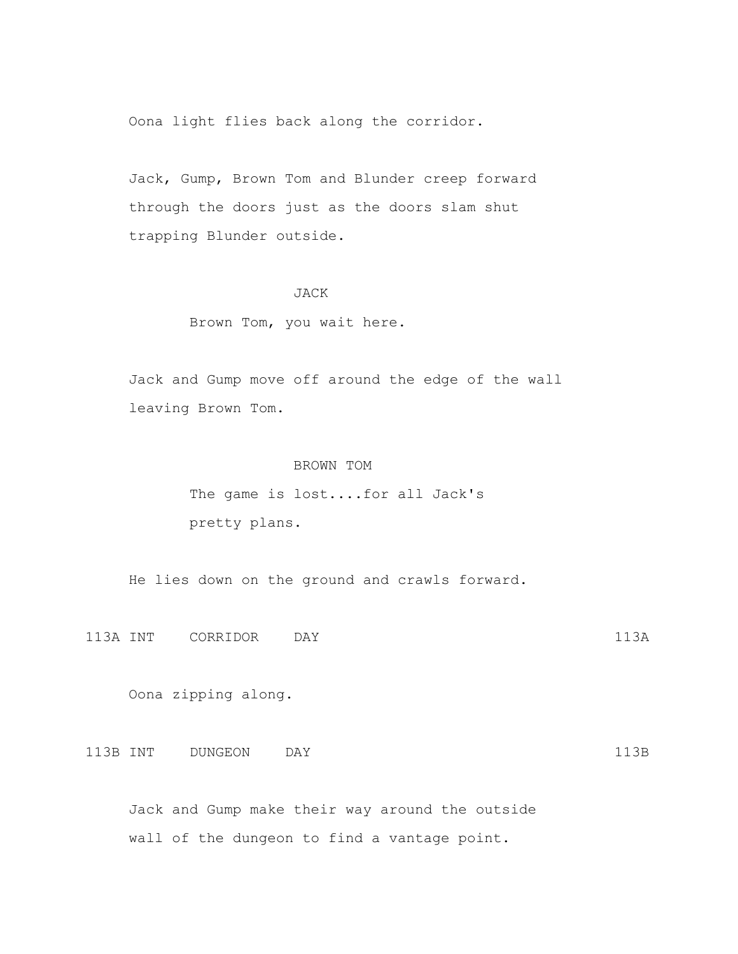Oona light flies back along the corridor.

 Jack, Gump, Brown Tom and Blunder creep forward through the doors just as the doors slam shut trapping Blunder outside.

### JACK

### Brown Tom, you wait here.

 Jack and Gump move off around the edge of the wall leaving Brown Tom.

### BROWN TOM

 The game is lost....for all Jack's pretty plans.

He lies down on the ground and crawls forward.

113A INT CORRIDOR DAY 113A

Oona zipping along.

113B INT DUNGEON DAY 113B

 Jack and Gump make their way around the outside wall of the dungeon to find a vantage point.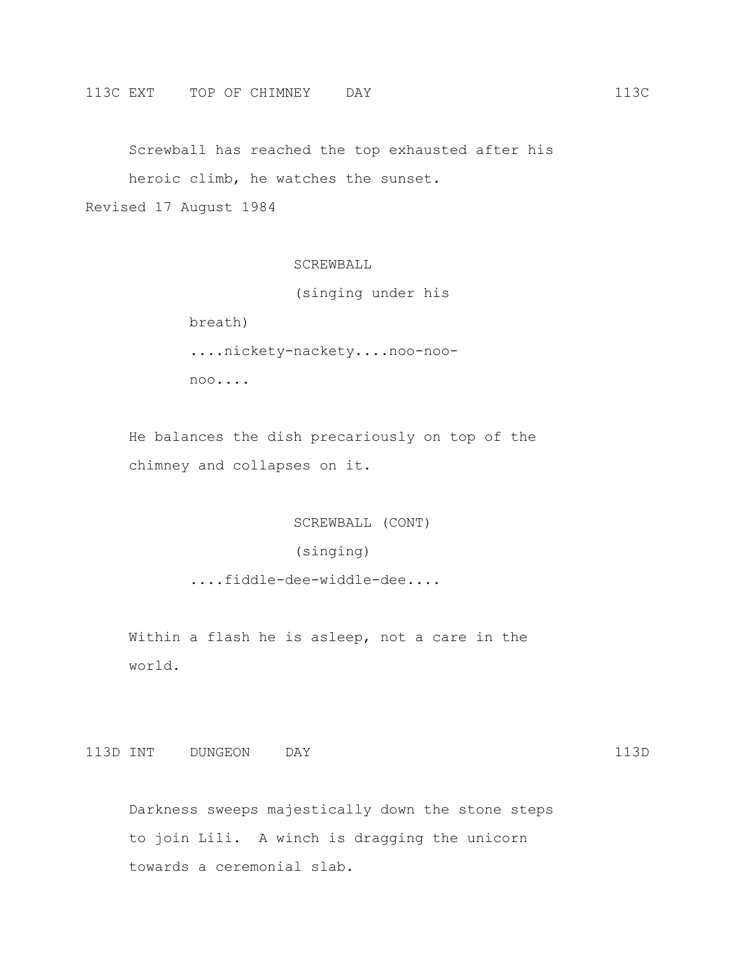Screwball has reached the top exhausted after his heroic climb, he watches the sunset.

Revised 17 August 1984

SCREWBALL

(singing under his

 breath) ....nickety-nackety....noo-noo noo....

 He balances the dish precariously on top of the chimney and collapses on it.

SCREWBALL (CONT)

(singing)

....fiddle-dee-widdle-dee....

 Within a flash he is asleep, not a care in the world.

113D INT DUNGEON DAY 113D

 Darkness sweeps majestically down the stone steps to join Lili. A winch is dragging the unicorn towards a ceremonial slab.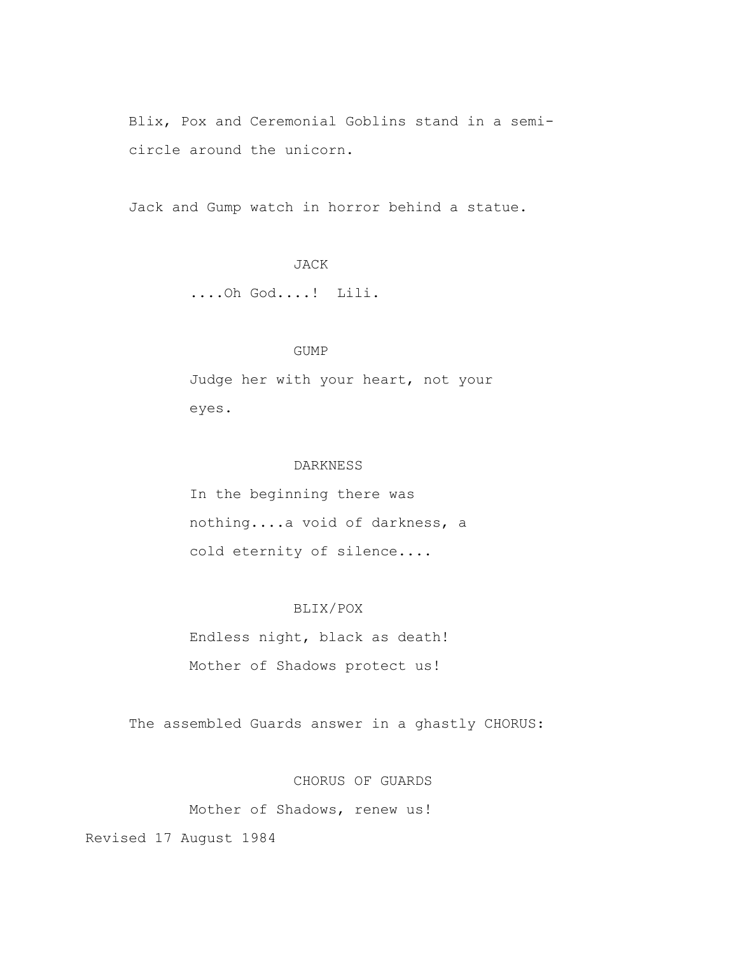Blix, Pox and Ceremonial Goblins stand in a semi circle around the unicorn.

Jack and Gump watch in horror behind a statue.

# JACK

....Oh God....! Lili.

### GUMP

 Judge her with your heart, not your eyes.

### DARKNESS

 In the beginning there was nothing....a void of darkness, a cold eternity of silence....

# BLIX/POX

 Endless night, black as death! Mother of Shadows protect us!

The assembled Guards answer in a ghastly CHORUS:

CHORUS OF GUARDS

Mother of Shadows, renew us!

Revised 17 August 1984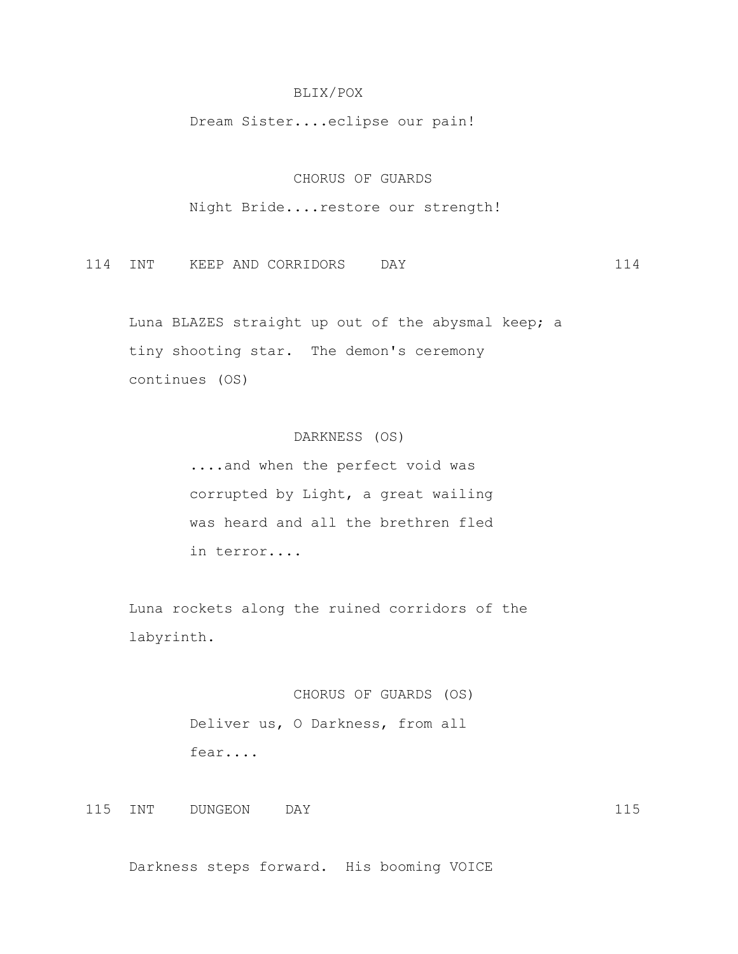### BLIX/POX

Dream Sister....eclipse our pain!

### CHORUS OF GUARDS

Night Bride....restore our strength!

114 INT KEEP AND CORRIDORS DAY 114

 Luna BLAZES straight up out of the abysmal keep; a tiny shooting star. The demon's ceremony continues (OS)

# DARKNESS (OS)

 ....and when the perfect void was corrupted by Light, a great wailing was heard and all the brethren fled in terror....

 Luna rockets along the ruined corridors of the labyrinth.

# CHORUS OF GUARDS (OS)

 Deliver us, O Darkness, from all fear....

115 INT DUNGEON DAY 115

Darkness steps forward. His booming VOICE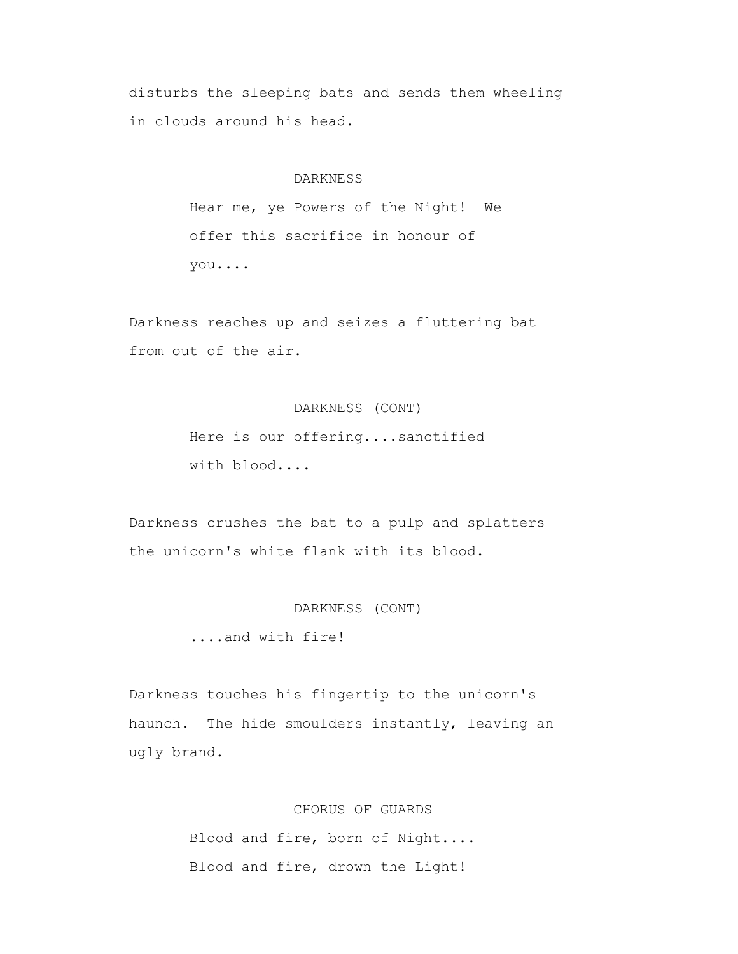disturbs the sleeping bats and sends them wheeling in clouds around his head.

### DARKNESS

 Hear me, ye Powers of the Night! We offer this sacrifice in honour of you....

 Darkness reaches up and seizes a fluttering bat from out of the air.

### DARKNESS (CONT)

 Here is our offering....sanctified with blood....

 Darkness crushes the bat to a pulp and splatters the unicorn's white flank with its blood.

DARKNESS (CONT)

....and with fire!

 Darkness touches his fingertip to the unicorn's haunch. The hide smoulders instantly, leaving an ugly brand.

CHORUS OF GUARDS

 Blood and fire, born of Night.... Blood and fire, drown the Light!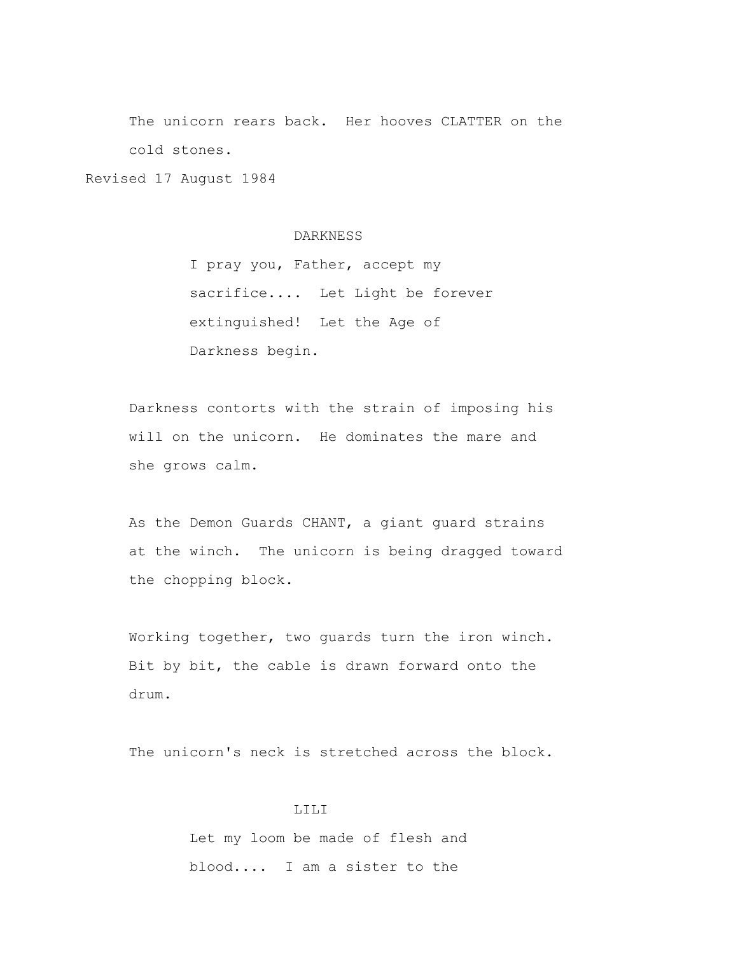The unicorn rears back. Her hooves CLATTER on the cold stones.

Revised 17 August 1984

#### DARKNESS

 I pray you, Father, accept my sacrifice.... Let Light be forever extinguished! Let the Age of Darkness begin.

 Darkness contorts with the strain of imposing his will on the unicorn. He dominates the mare and she grows calm.

 As the Demon Guards CHANT, a giant guard strains at the winch. The unicorn is being dragged toward the chopping block.

 Working together, two guards turn the iron winch. Bit by bit, the cable is drawn forward onto the drum.

The unicorn's neck is stretched across the block.

# LILI Let my loom be made of flesh and blood.... I am a sister to the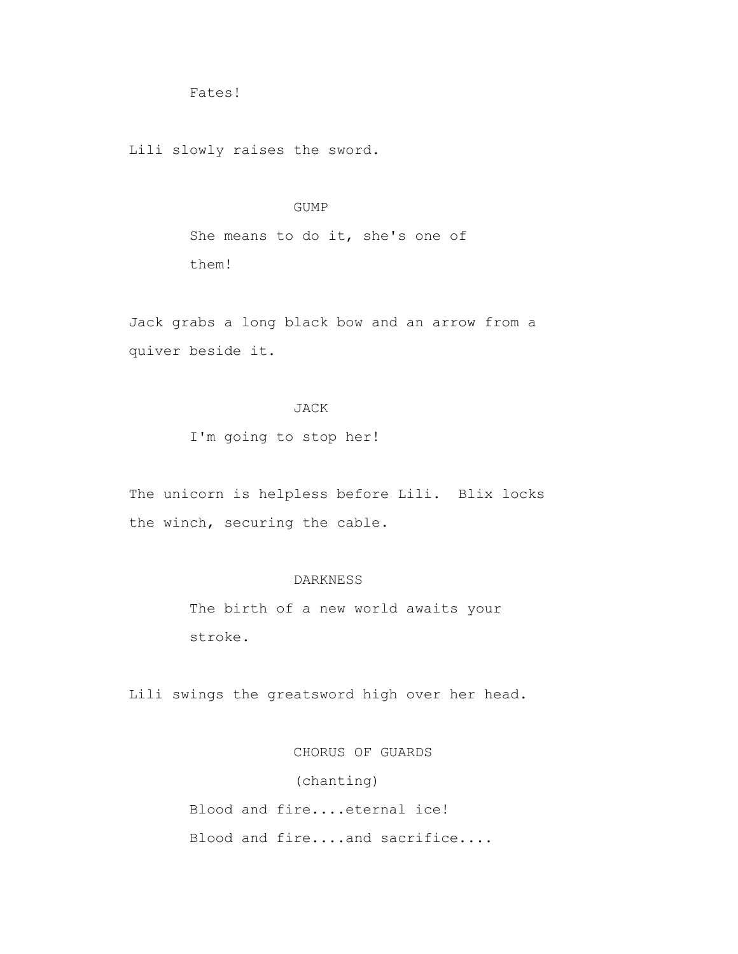Fates!

Lili slowly raises the sword.

### GUMP

 She means to do it, she's one of them!

 Jack grabs a long black bow and an arrow from a quiver beside it.

# JACK

I'm going to stop her!

 The unicorn is helpless before Lili. Blix locks the winch, securing the cable.

### DARKNESS

 The birth of a new world awaits your stroke.

Lili swings the greatsword high over her head.

 CHORUS OF GUARDS (chanting) Blood and fire....eternal ice! Blood and fire....and sacrifice....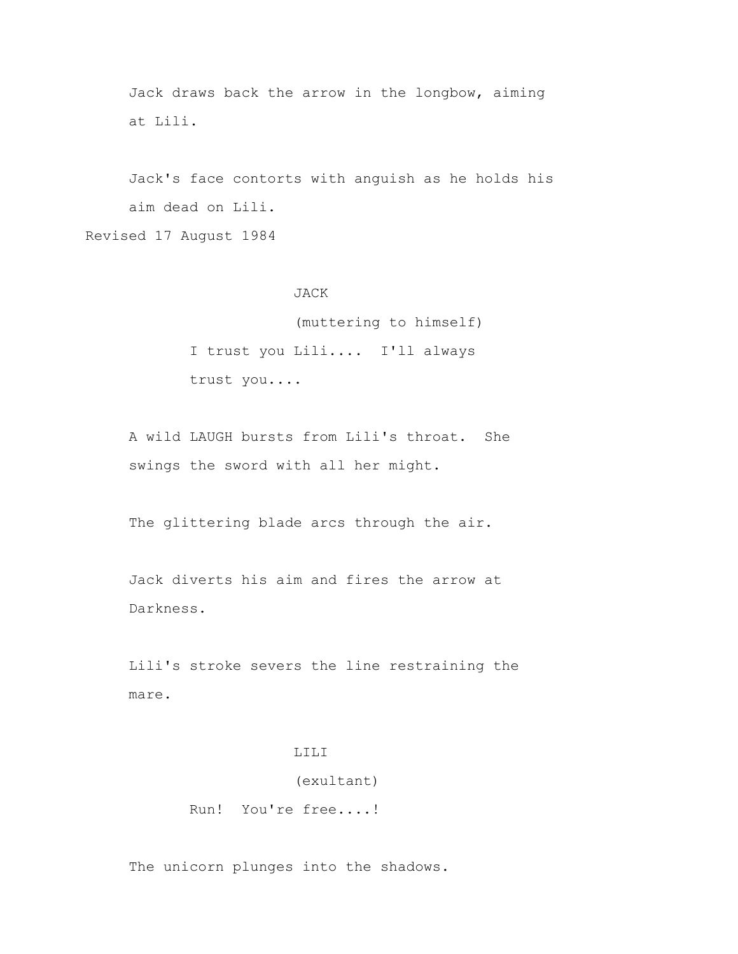Jack draws back the arrow in the longbow, aiming at Lili.

 Jack's face contorts with anguish as he holds his aim dead on Lili.

Revised 17 August 1984

### JACK

 (muttering to himself) I trust you Lili.... I'll always trust you....

 A wild LAUGH bursts from Lili's throat. She swings the sword with all her might.

The glittering blade arcs through the air.

 Jack diverts his aim and fires the arrow at Darkness.

 Lili's stroke severs the line restraining the mare.

### LILI

### (exultant)

Run! You're free....!

The unicorn plunges into the shadows.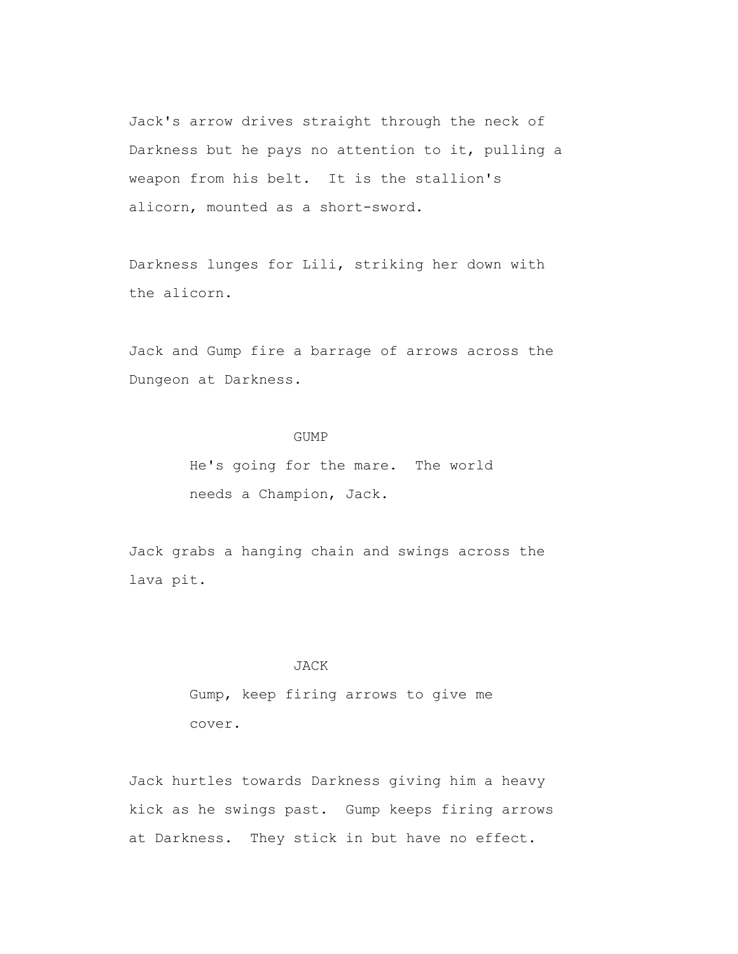Jack's arrow drives straight through the neck of Darkness but he pays no attention to it, pulling a weapon from his belt. It is the stallion's alicorn, mounted as a short-sword.

 Darkness lunges for Lili, striking her down with the alicorn.

 Jack and Gump fire a barrage of arrows across the Dungeon at Darkness.

### GUMP

 He's going for the mare. The world needs a Champion, Jack.

 Jack grabs a hanging chain and swings across the lava pit.

### JACK

 Gump, keep firing arrows to give me cover.

 Jack hurtles towards Darkness giving him a heavy kick as he swings past. Gump keeps firing arrows at Darkness. They stick in but have no effect.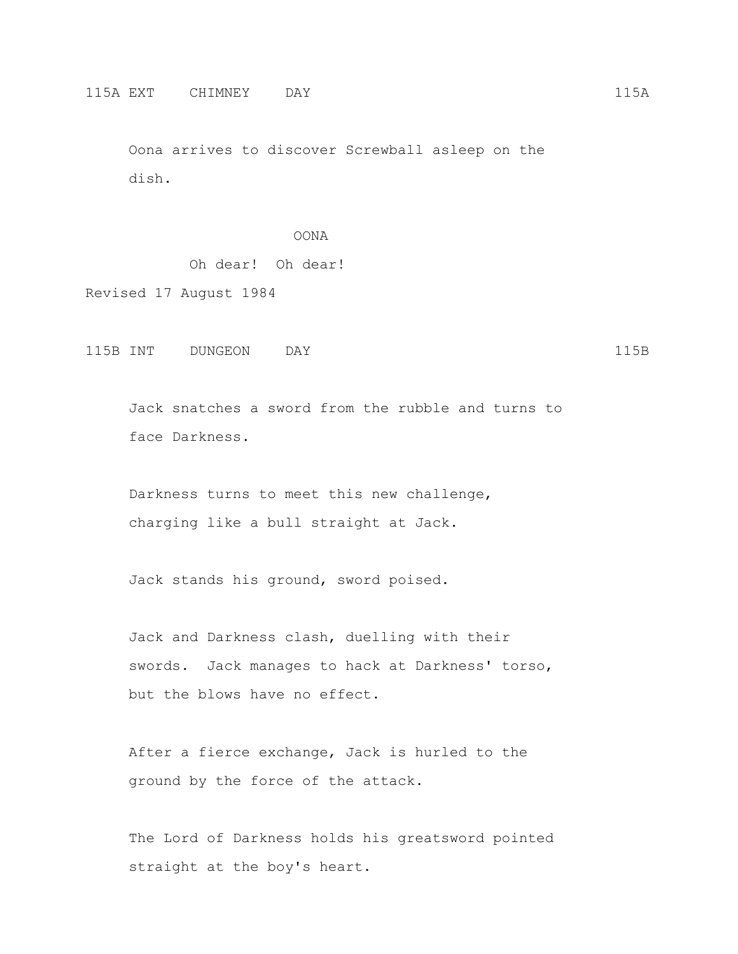Oona arrives to discover Screwball asleep on the dish.

### OONA

Oh dear! Oh dear!

Revised 17 August 1984

115B INT DUNGEON DAY 115B

 Jack snatches a sword from the rubble and turns to face Darkness.

 Darkness turns to meet this new challenge, charging like a bull straight at Jack.

Jack stands his ground, sword poised.

 Jack and Darkness clash, duelling with their swords. Jack manages to hack at Darkness' torso, but the blows have no effect.

 After a fierce exchange, Jack is hurled to the ground by the force of the attack.

 The Lord of Darkness holds his greatsword pointed straight at the boy's heart.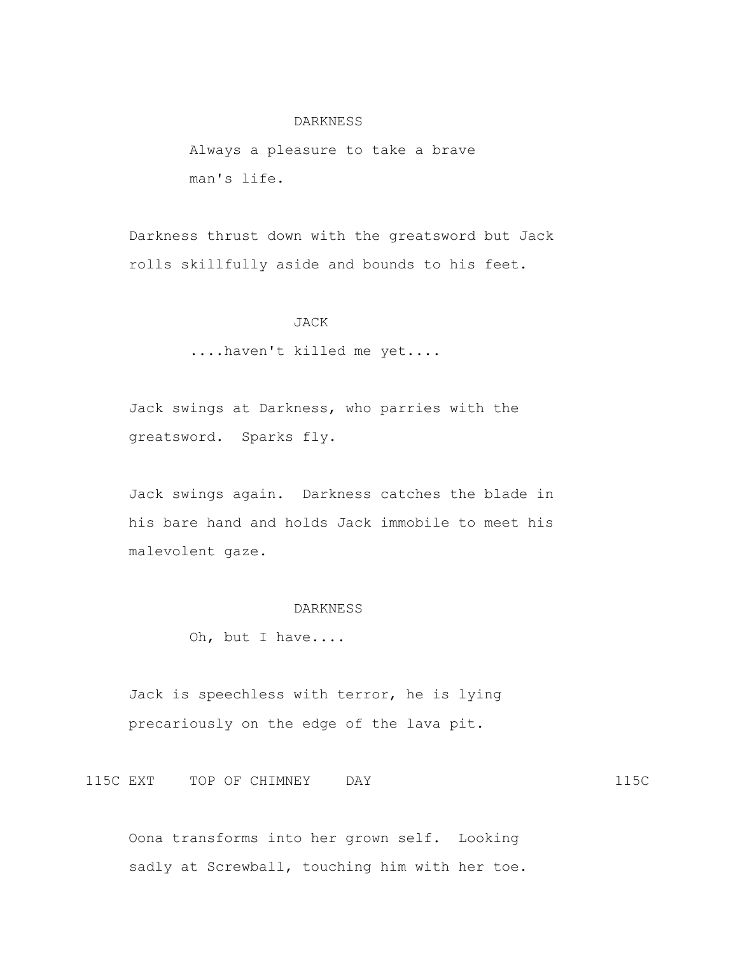#### DARKNESS

 Always a pleasure to take a brave man's life.

 Darkness thrust down with the greatsword but Jack rolls skillfully aside and bounds to his feet.

### JACK

....haven't killed me yet....

 Jack swings at Darkness, who parries with the greatsword. Sparks fly.

 Jack swings again. Darkness catches the blade in his bare hand and holds Jack immobile to meet his malevolent gaze.

#### DARKNESS

Oh, but I have....

 Jack is speechless with terror, he is lying precariously on the edge of the lava pit.

115C EXT TOP OF CHIMNEY DAY 115C

 Oona transforms into her grown self. Looking sadly at Screwball, touching him with her toe.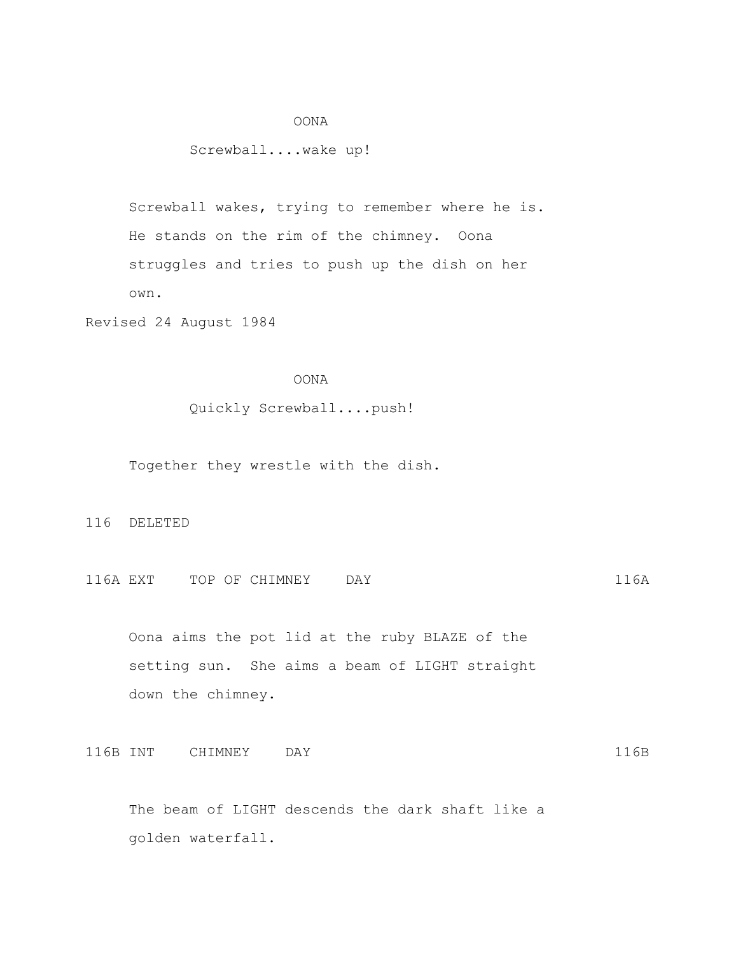### OONA

# Screwball....wake up!

 Screwball wakes, trying to remember where he is. He stands on the rim of the chimney. Oona struggles and tries to push up the dish on her own.

Revised 24 August 1984

# OONA

# Quickly Screwball....push!

Together they wrestle with the dish.

#### 116 DELETED

116A EXT TOP OF CHIMNEY DAY 116A

 Oona aims the pot lid at the ruby BLAZE of the setting sun. She aims a beam of LIGHT straight down the chimney.

116B INT CHIMNEY DAY 116B

 The beam of LIGHT descends the dark shaft like a golden waterfall.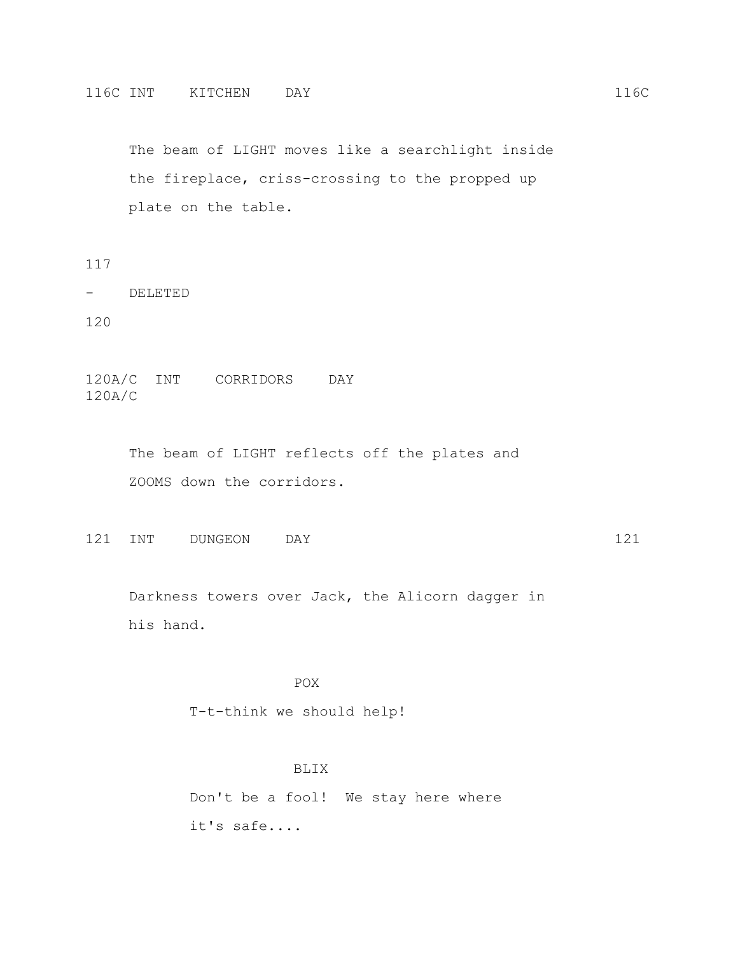The beam of LIGHT moves like a searchlight inside the fireplace, criss-crossing to the propped up plate on the table.

117

- DELETED

120

120A/C INT CORRIDORS DAY 120A/C

> The beam of LIGHT reflects off the plates and ZOOMS down the corridors.

121 INT DUNGEON DAY 121

 Darkness towers over Jack, the Alicorn dagger in his hand.

POX

T-t-think we should help!

BLIX

 Don't be a fool! We stay here where it's safe....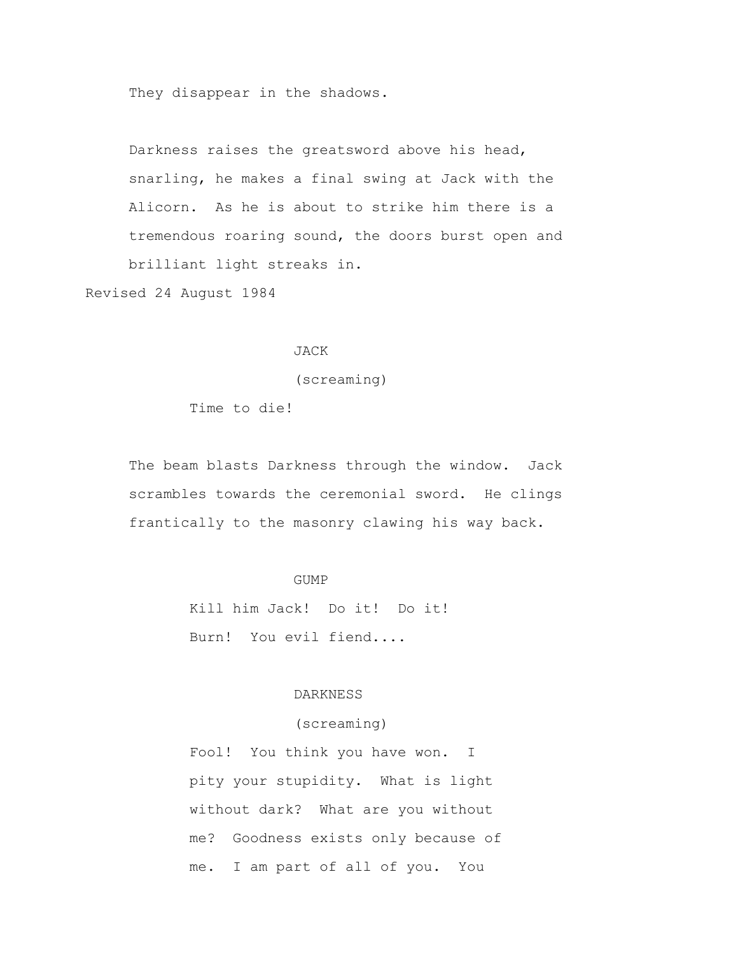They disappear in the shadows.

 Darkness raises the greatsword above his head, snarling, he makes a final swing at Jack with the Alicorn. As he is about to strike him there is a tremendous roaring sound, the doors burst open and brilliant light streaks in.

Revised 24 August 1984

### JACK

(screaming)

Time to die!

 The beam blasts Darkness through the window. Jack scrambles towards the ceremonial sword. He clings frantically to the masonry clawing his way back.

### GUMP

 Kill him Jack! Do it! Do it! Burn! You evil fiend....

# DARKNESS

### (screaming)

 Fool! You think you have won. I pity your stupidity. What is light without dark? What are you without me? Goodness exists only because of me. I am part of all of you. You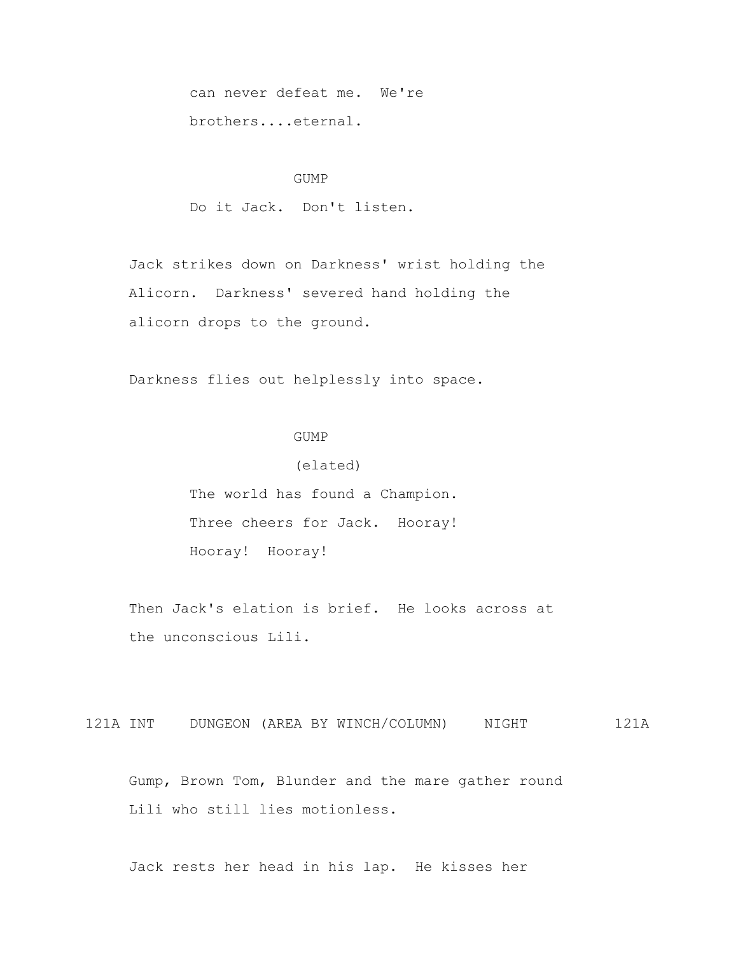can never defeat me. We're brothers....eternal.

### GUMP

Do it Jack. Don't listen.

 Jack strikes down on Darkness' wrist holding the Alicorn. Darkness' severed hand holding the alicorn drops to the ground.

Darkness flies out helplessly into space.

# GUMP

(elated)

 The world has found a Champion. Three cheers for Jack. Hooray! Hooray! Hooray!

Then Jack's elation is brief. He looks across at the unconscious Lili.

121A INT DUNGEON (AREA BY WINCH/COLUMN) NIGHT 121A

 Gump, Brown Tom, Blunder and the mare gather round Lili who still lies motionless.

Jack rests her head in his lap. He kisses her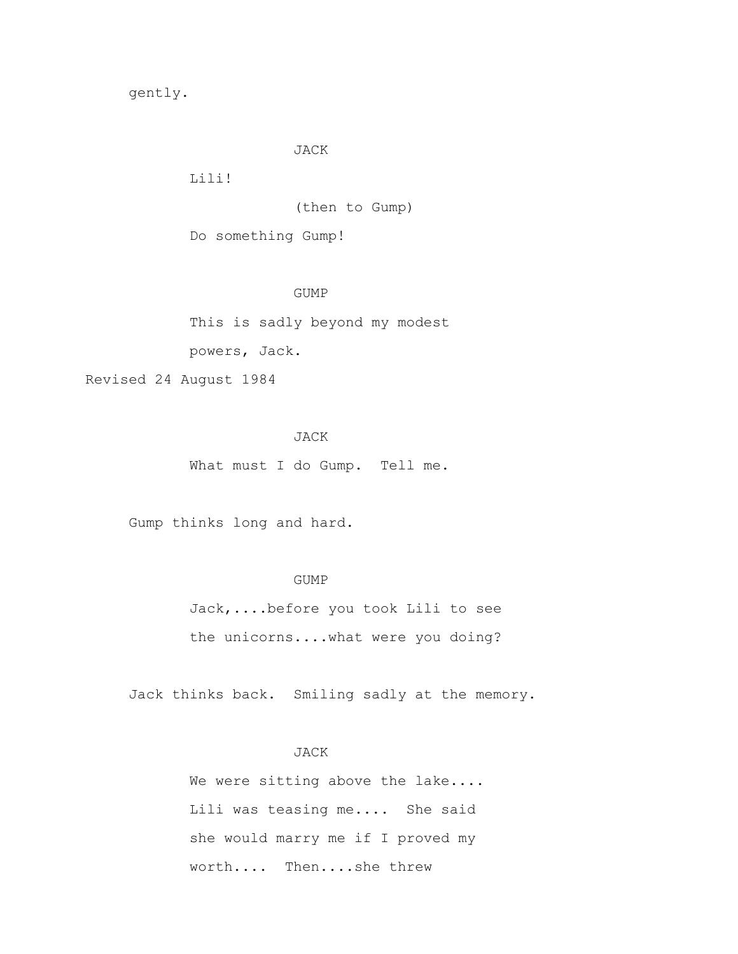gently.

#### JACK

Lili!

(then to Gump)

Do something Gump!

GUMP

 This is sadly beyond my modest powers, Jack.

Revised 24 August 1984

# JACK

What must I do Gump. Tell me.

Gump thinks long and hard.

# GUMP

 Jack,....before you took Lili to see the unicorns....what were you doing?

Jack thinks back. Smiling sadly at the memory.

# JACK

We were sitting above the lake.... Lili was teasing me.... She said she would marry me if I proved my worth.... Then....she threw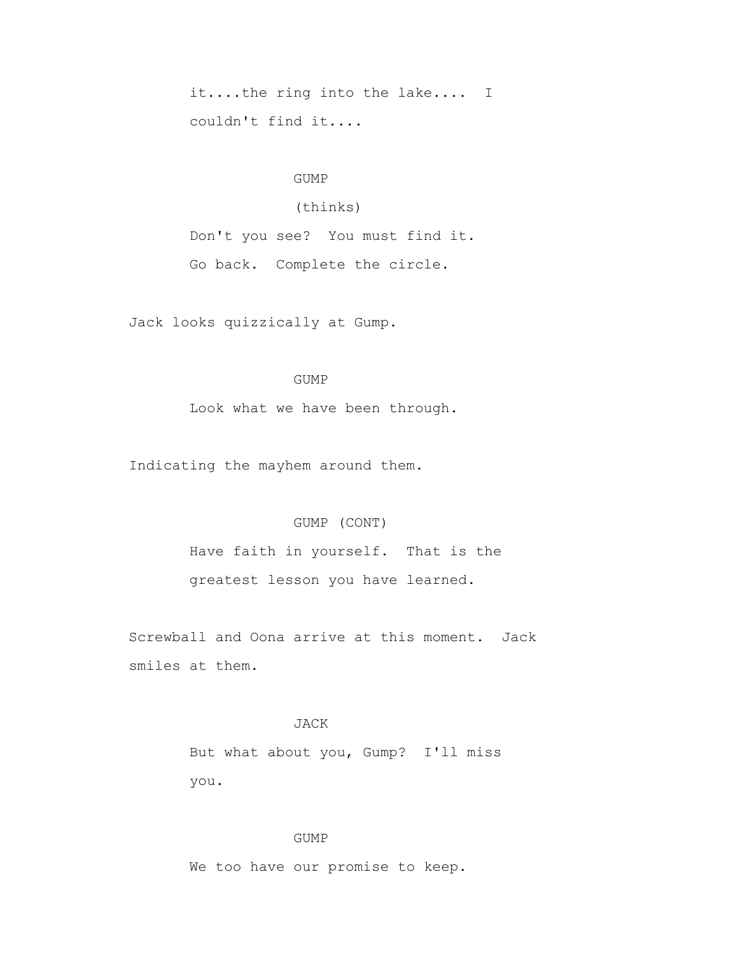it....the ring into the lake.... I couldn't find it....

# GUMP

# (thinks)

 Don't you see? You must find it. Go back. Complete the circle.

Jack looks quizzically at Gump.

# GUMP

Look what we have been through.

Indicating the mayhem around them.

#### GUMP (CONT)

 Have faith in yourself. That is the greatest lesson you have learned.

 Screwball and Oona arrive at this moment. Jack smiles at them.

# JACK

 But what about you, Gump? I'll miss you.

# GUMP

We too have our promise to keep.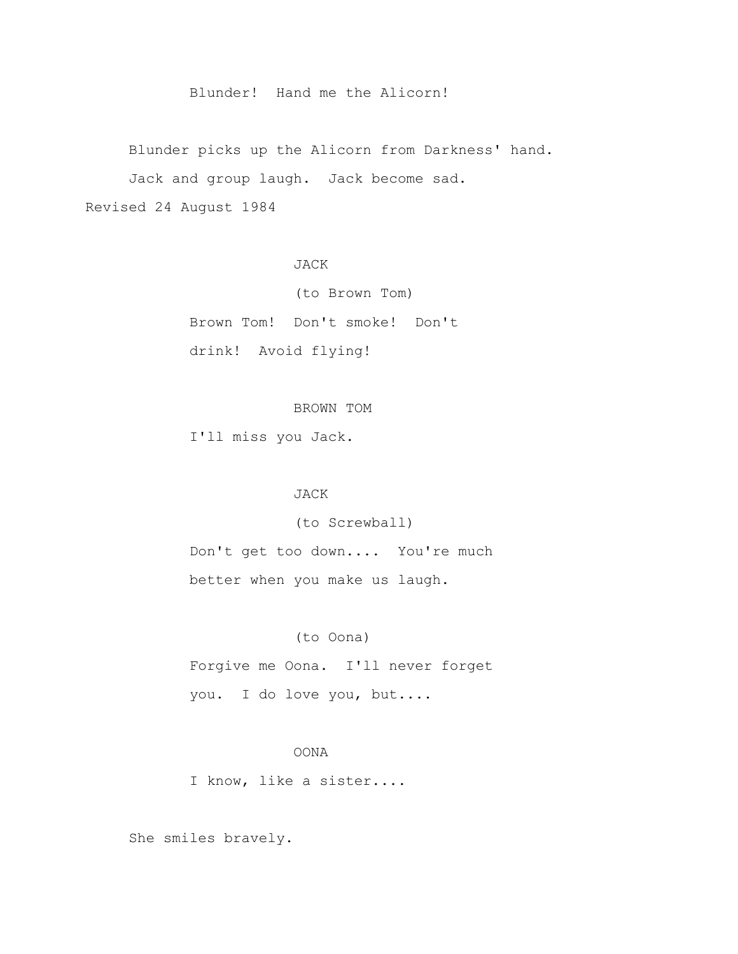Blunder! Hand me the Alicorn!

 Blunder picks up the Alicorn from Darkness' hand. Jack and group laugh. Jack become sad. Revised 24 August 1984

JACK

 (to Brown Tom) Brown Tom! Don't smoke! Don't drink! Avoid flying!

# BROWN TOM

I'll miss you Jack.

# JACK

(to Screwball)

 Don't get too down.... You're much better when you make us laugh.

### (to Oona)

 Forgive me Oona. I'll never forget you. I do love you, but....

# OONA

I know, like a sister....

She smiles bravely.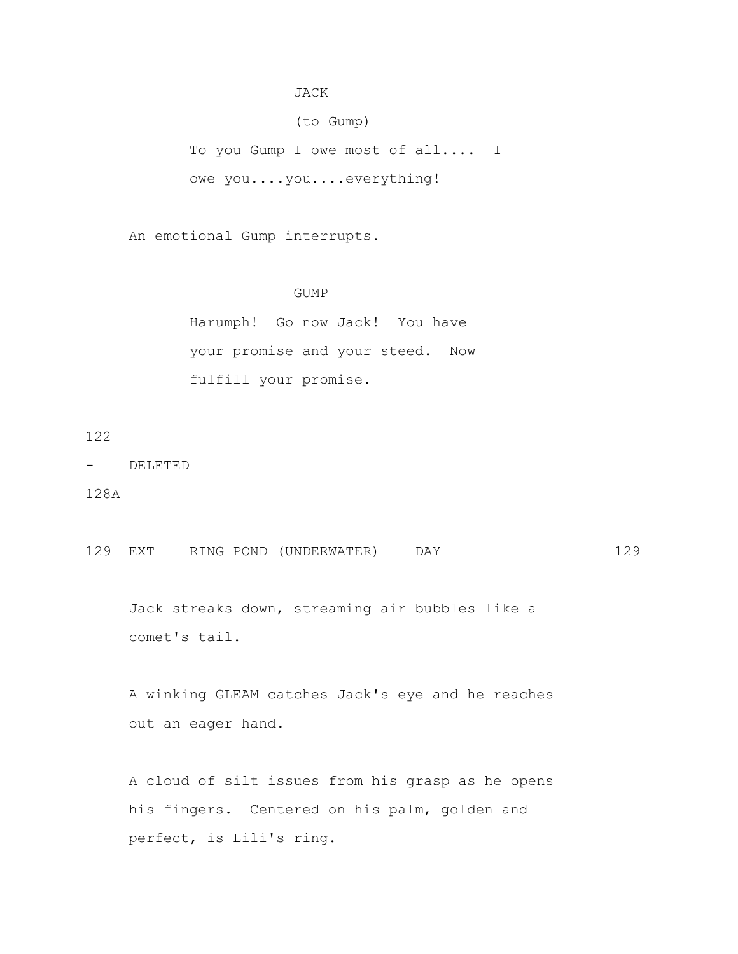# JACK

(to Gump)

 To you Gump I owe most of all.... I owe you....you....everything!

An emotional Gump interrupts.

# GUMP

 Harumph! Go now Jack! You have your promise and your steed. Now fulfill your promise.

122

- DELETED

128A

129 EXT RING POND (UNDERWATER) DAY 129

 Jack streaks down, streaming air bubbles like a comet's tail.

 A winking GLEAM catches Jack's eye and he reaches out an eager hand.

 A cloud of silt issues from his grasp as he opens his fingers. Centered on his palm, golden and perfect, is Lili's ring.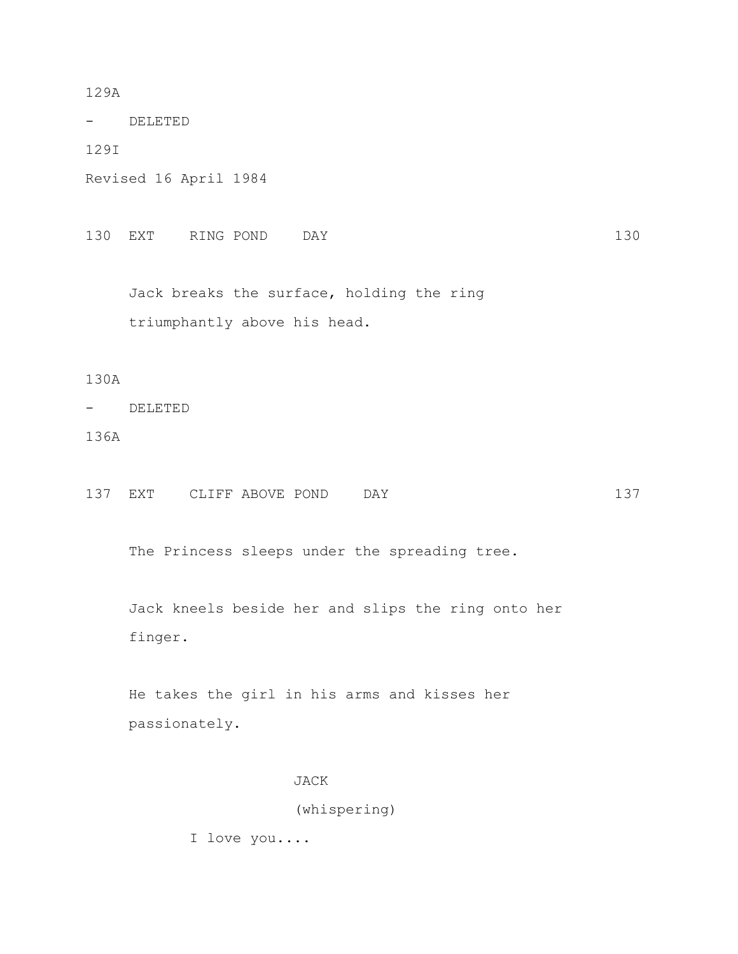# 129A

- DELETED

129I

Revised 16 April 1984

130 EXT RING POND DAY 130

 Jack breaks the surface, holding the ring triumphantly above his head.

130A

- DELETED

136A

137 EXT CLIFF ABOVE POND DAY 137

The Princess sleeps under the spreading tree.

 Jack kneels beside her and slips the ring onto her finger.

 He takes the girl in his arms and kisses her passionately.

# JACK

(whispering)

I love you....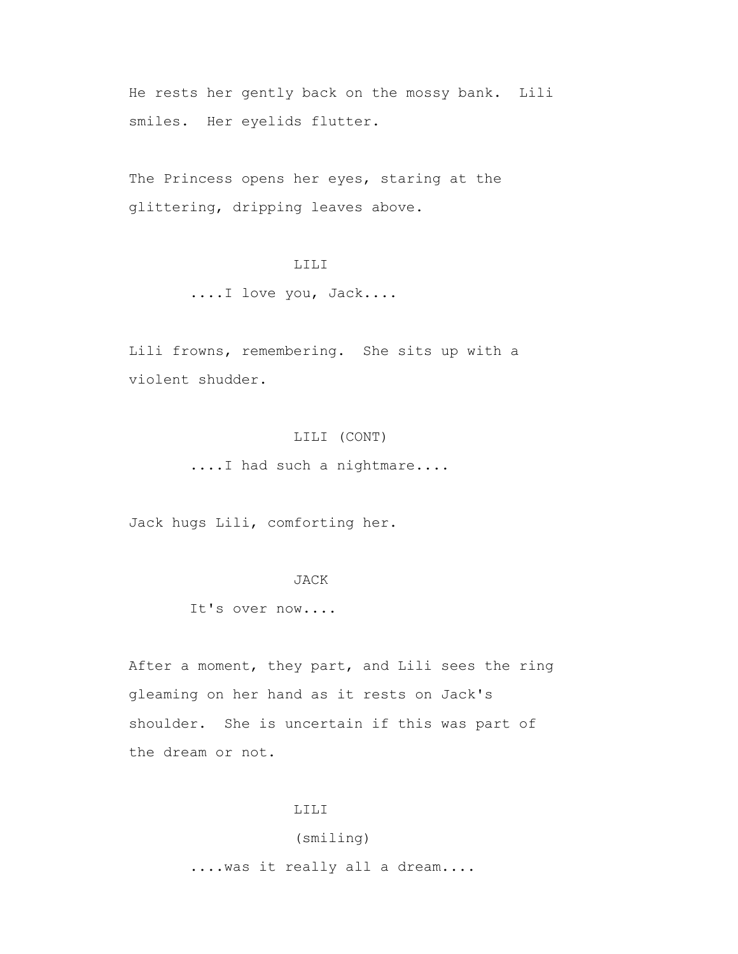He rests her gently back on the mossy bank. Lili smiles. Her eyelids flutter.

The Princess opens her eyes, staring at the glittering, dripping leaves above.

# LILI

....I love you, Jack....

 Lili frowns, remembering. She sits up with a violent shudder.

# LILI (CONT)

....I had such a nightmare....

Jack hugs Lili, comforting her.

### JACK

It's over now....

 After a moment, they part, and Lili sees the ring gleaming on her hand as it rests on Jack's shoulder. She is uncertain if this was part of the dream or not.

#### LILI

# (smiling)

....was it really all a dream....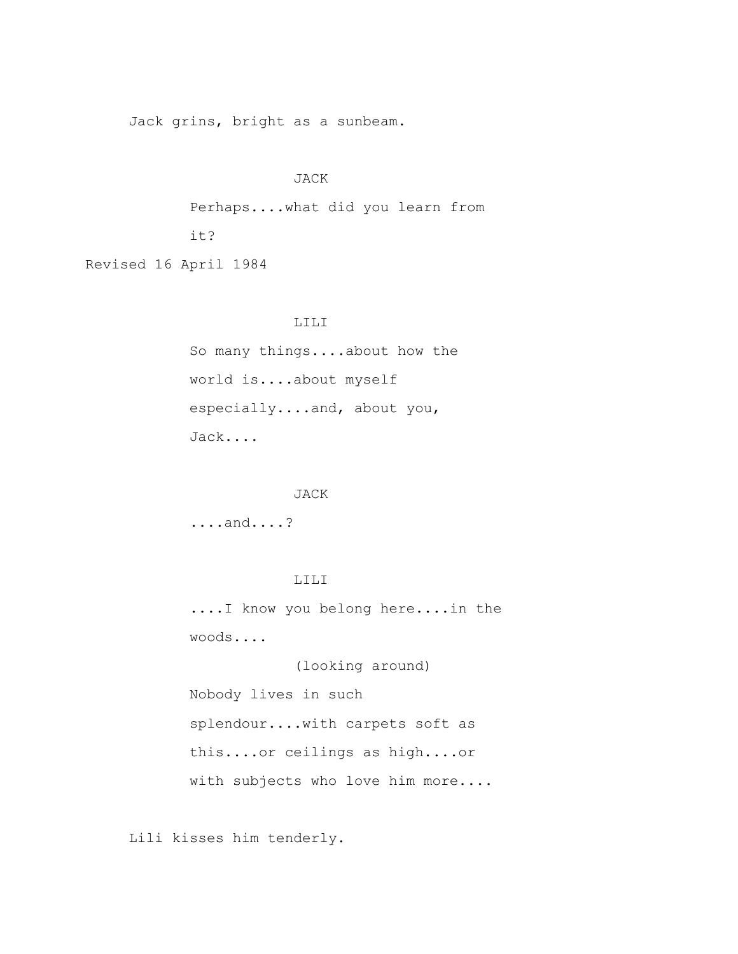Jack grins, bright as a sunbeam.

# JACK

 Perhaps....what did you learn from it?

Revised 16 April 1984

### LILI

 So many things....about how the world is....about myself especially....and, about you, Jack....

# JACK

....and....?

# LILI

 ....I know you belong here....in the woods....

 (looking around) Nobody lives in such splendour....with carpets soft as this....or ceilings as high....or with subjects who love him more....

Lili kisses him tenderly.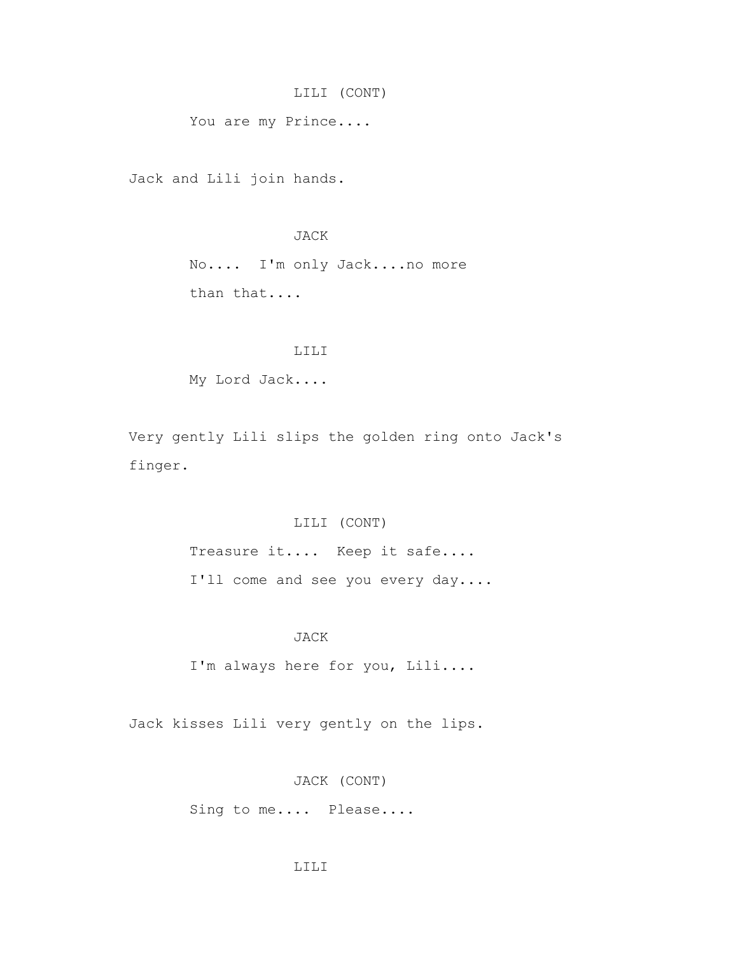# LILI (CONT)

You are my Prince....

Jack and Lili join hands.

# JACK

 No.... I'm only Jack....no more than that....

### LILI

My Lord Jack....

 Very gently Lili slips the golden ring onto Jack's finger.

### LILI (CONT)

 Treasure it.... Keep it safe.... I'll come and see you every day....

### JACK

I'm always here for you, Lili....

Jack kisses Lili very gently on the lips.

JACK (CONT)

Sing to me.... Please....

### LILI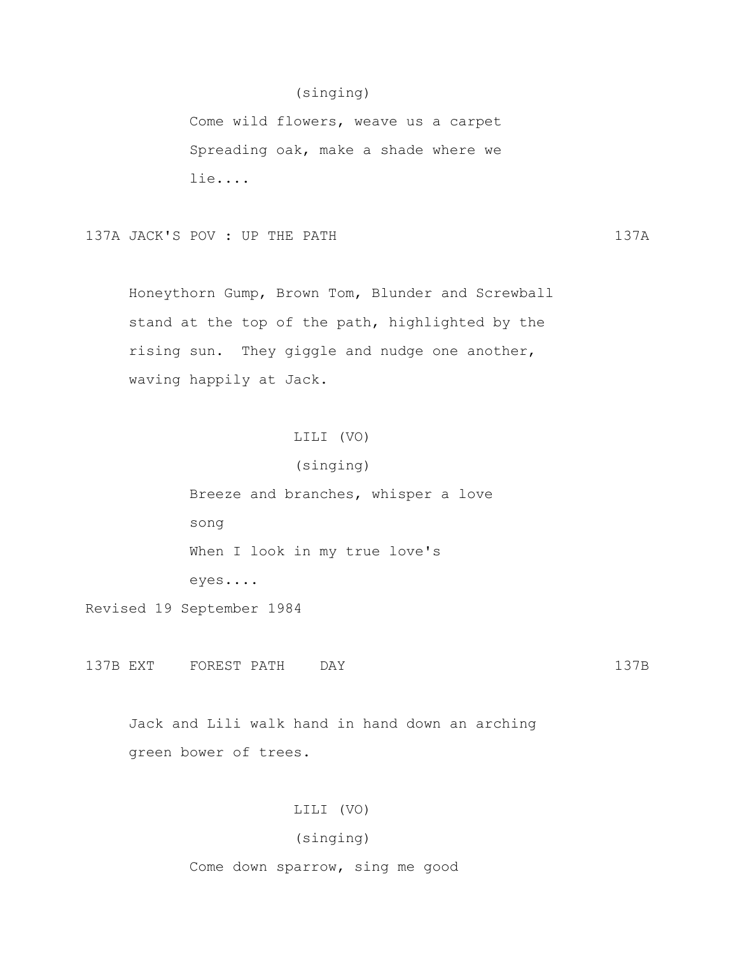# (singing)

 Come wild flowers, weave us a carpet Spreading oak, make a shade where we lie....

137A JACK'S POV : UP THE PATH 137A

 Honeythorn Gump, Brown Tom, Blunder and Screwball stand at the top of the path, highlighted by the rising sun. They giggle and nudge one another, waving happily at Jack.

# LILI (VO)

(singing)

 Breeze and branches, whisper a love song When I look in my true love's eyes....

Revised 19 September 1984

137B EXT FOREST PATH DAY 137B

 Jack and Lili walk hand in hand down an arching green bower of trees.

# LILI (VO)

# (singing)

Come down sparrow, sing me good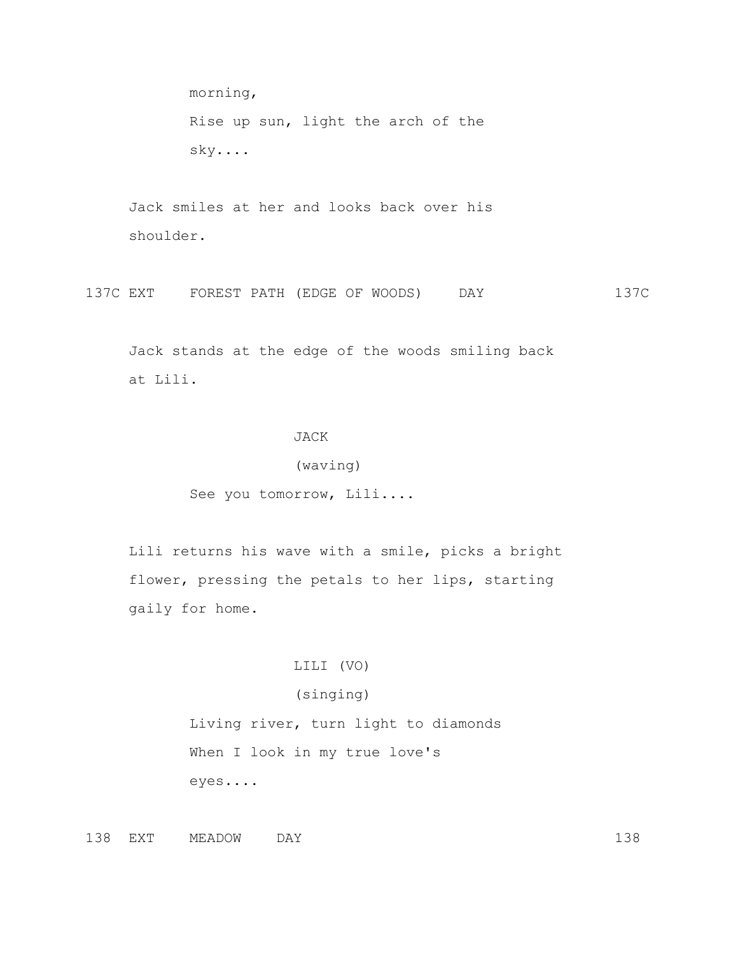morning, Rise up sun, light the arch of the sky....

 Jack smiles at her and looks back over his shoulder.

137C EXT FOREST PATH (EDGE OF WOODS) DAY 137C

 Jack stands at the edge of the woods smiling back at Lili.

# JACK

# (waving)

See you tomorrow, Lili....

 Lili returns his wave with a smile, picks a bright flower, pressing the petals to her lips, starting gaily for home.

# LILI (VO)

# (singing)

 Living river, turn light to diamonds When I look in my true love's eyes....

138 EXT MEADOW DAY 138